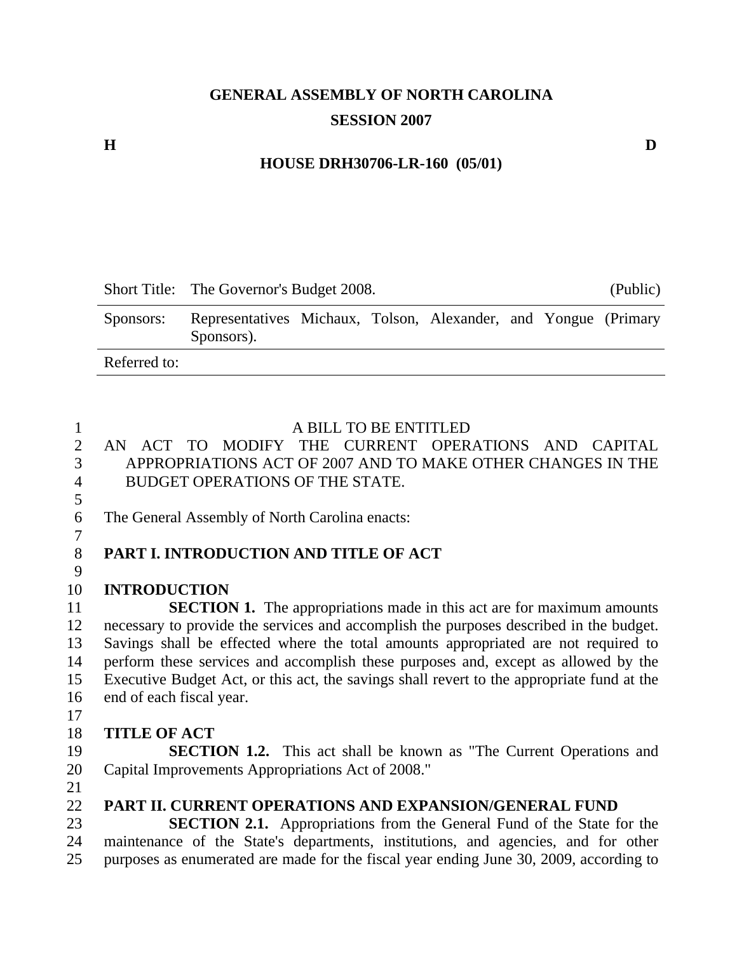## **GENERAL ASSEMBLY OF NORTH CAROLINA SESSION 2007**

#### **HOUSE DRH30706-LR-160 (05/01)**

|              | Short Title: The Governor's Budget 2008.                                      |  |  |  | (Public) |  |
|--------------|-------------------------------------------------------------------------------|--|--|--|----------|--|
| Sponsors:    | Representatives Michaux, Tolson, Alexander, and Yongue (Primary<br>Sponsors). |  |  |  |          |  |
| Referred to: |                                                                               |  |  |  |          |  |

5

#### 1 A BILL TO BE ENTITLED

- 2 AN ACT TO MODIFY THE CURRENT OPERATIONS AND CAPITAL 3 APPROPRIATIONS ACT OF 2007 AND TO MAKE OTHER CHANGES IN THE 4 BUDGET OPERATIONS OF THE STATE.
- 6 The General Assembly of North Carolina enacts:
- 7

9

# 8 **PART I. INTRODUCTION AND TITLE OF ACT**

#### 10 **INTRODUCTION**

11 **SECTION 1.** The appropriations made in this act are for maximum amounts 12 necessary to provide the services and accomplish the purposes described in the budget. 13 Savings shall be effected where the total amounts appropriated are not required to 14 perform these services and accomplish these purposes and, except as allowed by the 15 Executive Budget Act, or this act, the savings shall revert to the appropriate fund at the 16 end of each fiscal year.

17

#### 18 **TITLE OF ACT**

19 **SECTION 1.2.** This act shall be known as "The Current Operations and 20 Capital Improvements Appropriations Act of 2008."

21

#### 22 **PART II. CURRENT OPERATIONS AND EXPANSION/GENERAL FUND**

23 **SECTION 2.1.** Appropriations from the General Fund of the State for the 24 maintenance of the State's departments, institutions, and agencies, and for other 25 purposes as enumerated are made for the fiscal year ending June 30, 2009, according to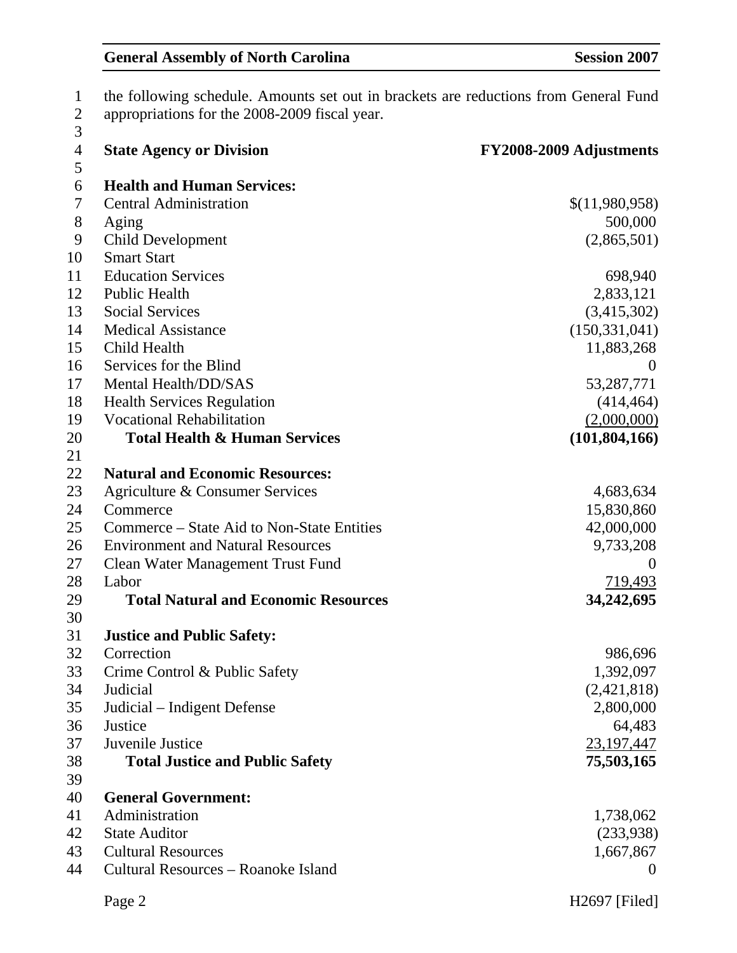| $\mathbf{1}$            | the following schedule. Amounts set out in brackets are reductions from General Fund |                         |  |
|-------------------------|--------------------------------------------------------------------------------------|-------------------------|--|
| $\overline{\mathbf{c}}$ | appropriations for the 2008-2009 fiscal year.                                        |                         |  |
| 3                       |                                                                                      |                         |  |
| $\overline{4}$          | <b>State Agency or Division</b>                                                      | FY2008-2009 Adjustments |  |
| 5                       |                                                                                      |                         |  |
| 6                       | <b>Health and Human Services:</b>                                                    |                         |  |
| 7                       | <b>Central Administration</b>                                                        | \$(11,980,958)          |  |
| $8\,$                   | Aging                                                                                | 500,000                 |  |
| 9                       | <b>Child Development</b>                                                             | (2,865,501)             |  |
| 10                      | <b>Smart Start</b>                                                                   |                         |  |
| 11                      | <b>Education Services</b>                                                            | 698,940                 |  |
| 12                      | <b>Public Health</b>                                                                 | 2,833,121               |  |
| 13                      | <b>Social Services</b>                                                               | (3,415,302)             |  |
| 14                      | <b>Medical Assistance</b>                                                            | (150, 331, 041)         |  |
| 15                      | Child Health                                                                         | 11,883,268              |  |
| 16                      | Services for the Blind                                                               | $\overline{0}$          |  |
| 17                      | Mental Health/DD/SAS                                                                 | 53,287,771              |  |
| 18                      | <b>Health Services Regulation</b>                                                    | (414, 464)              |  |
| 19                      | <b>Vocational Rehabilitation</b>                                                     | (2,000,000)             |  |
| 20                      | <b>Total Health &amp; Human Services</b>                                             | (101, 804, 166)         |  |
| 21                      |                                                                                      |                         |  |
| 22                      | <b>Natural and Economic Resources:</b>                                               |                         |  |
| 23                      | Agriculture & Consumer Services                                                      | 4,683,634               |  |
| 24                      | Commerce                                                                             | 15,830,860              |  |
| 25                      | Commerce – State Aid to Non-State Entities                                           | 42,000,000              |  |
| 26                      | <b>Environment and Natural Resources</b>                                             | 9,733,208               |  |
| 27                      | <b>Clean Water Management Trust Fund</b>                                             | $\theta$                |  |
| 28                      | Labor                                                                                | 719,493                 |  |
| 29                      | <b>Total Natural and Economic Resources</b>                                          | 34,242,695              |  |
| 30                      |                                                                                      |                         |  |
| 31                      | <b>Justice and Public Safety:</b>                                                    |                         |  |
| 32                      | Correction                                                                           | 986,696                 |  |
| 33                      | Crime Control & Public Safety                                                        | 1,392,097               |  |
| 34                      | Judicial                                                                             | (2,421,818)             |  |
| 35                      | Judicial – Indigent Defense                                                          | 2,800,000               |  |
| 36                      | Justice                                                                              | 64,483                  |  |
| 37                      | Juvenile Justice                                                                     | 23,197,447              |  |
| 38                      | <b>Total Justice and Public Safety</b>                                               | 75,503,165              |  |
| 39                      |                                                                                      |                         |  |
| 40                      | <b>General Government:</b>                                                           |                         |  |
| 41                      | Administration                                                                       | 1,738,062               |  |
| 42                      | <b>State Auditor</b>                                                                 | (233,938)               |  |
| 43                      | <b>Cultural Resources</b>                                                            | 1,667,867               |  |
| 44                      | Cultural Resources – Roanoke Island                                                  | $\theta$                |  |
|                         |                                                                                      |                         |  |
|                         | Page 2                                                                               | H2697 [Filed]           |  |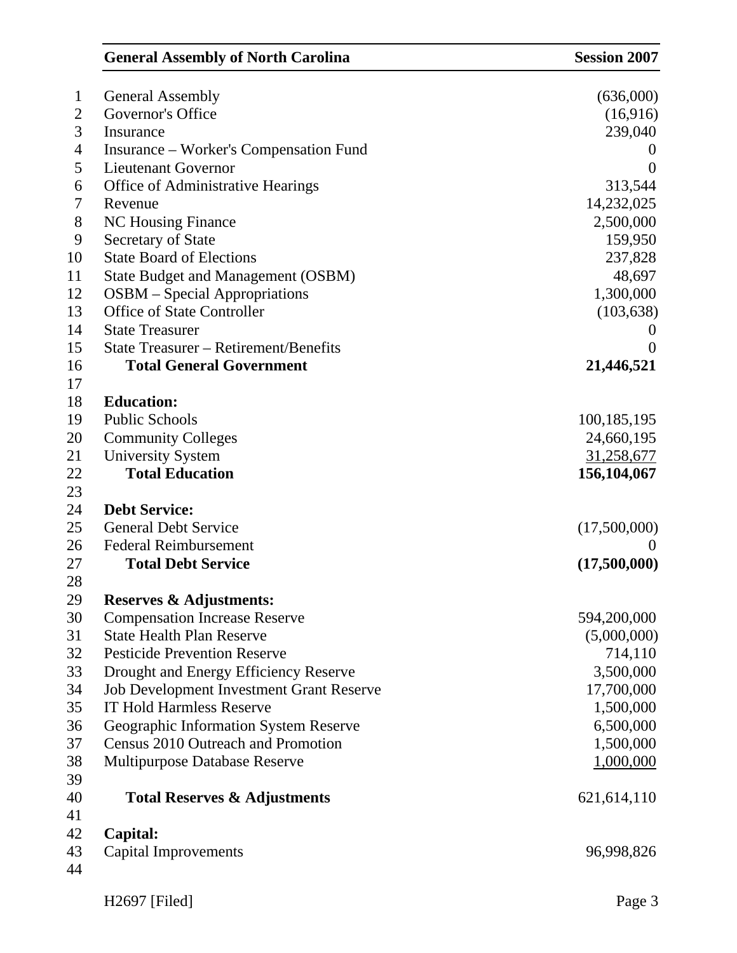|                | <b>General Assembly of North Carolina</b>       | <b>Session 2007</b> |
|----------------|-------------------------------------------------|---------------------|
| $\mathbf{1}$   | <b>General Assembly</b>                         | (636,000)           |
| $\overline{2}$ | Governor's Office                               | (16,916)            |
| 3              | Insurance                                       | 239,040             |
| $\overline{4}$ | Insurance – Worker's Compensation Fund          | $\overline{0}$      |
| 5              | Lieutenant Governor                             | $\theta$            |
| 6              | <b>Office of Administrative Hearings</b>        | 313,544             |
| 7              | Revenue                                         | 14,232,025          |
| $8\,$          | <b>NC Housing Finance</b>                       | 2,500,000           |
| 9              | <b>Secretary of State</b>                       | 159,950             |
| 10             | <b>State Board of Elections</b>                 | 237,828             |
| 11             | <b>State Budget and Management (OSBM)</b>       | 48,697              |
| 12             | <b>OSBM</b> – Special Appropriations            | 1,300,000           |
| 13             | <b>Office of State Controller</b>               | (103, 638)          |
| 14             | <b>State Treasurer</b>                          |                     |
| 15             | <b>State Treasurer – Retirement/Benefits</b>    | $\theta$            |
| 16             | <b>Total General Government</b>                 | 21,446,521          |
| 17             |                                                 |                     |
| 18             | <b>Education:</b>                               |                     |
| 19             | <b>Public Schools</b>                           | 100, 185, 195       |
| 20             | <b>Community Colleges</b>                       | 24,660,195          |
| 21             | <b>University System</b>                        | 31,258,677          |
| 22             | <b>Total Education</b>                          | 156, 104, 067       |
| 23             |                                                 |                     |
| 24             | <b>Debt Service:</b>                            |                     |
| 25             | <b>General Debt Service</b>                     | (17,500,000)        |
| 26             | <b>Federal Reimbursement</b>                    |                     |
| 27             | <b>Total Debt Service</b>                       | (17,500,000)        |
| 28             |                                                 |                     |
| 29             | <b>Reserves &amp; Adjustments:</b>              |                     |
| 30             | <b>Compensation Increase Reserve</b>            | 594,200,000         |
| 31             | <b>State Health Plan Reserve</b>                | (5,000,000)         |
| 32             | <b>Pesticide Prevention Reserve</b>             | 714,110             |
| 33             | Drought and Energy Efficiency Reserve           | 3,500,000           |
| 34             | <b>Job Development Investment Grant Reserve</b> | 17,700,000          |
| 35             | <b>IT Hold Harmless Reserve</b>                 | 1,500,000           |
| 36             | Geographic Information System Reserve           | 6,500,000           |
| 37             | Census 2010 Outreach and Promotion              | 1,500,000           |
| 38             | Multipurpose Database Reserve                   | 1,000,000           |
| 39             |                                                 |                     |
| 40             | <b>Total Reserves &amp; Adjustments</b>         | 621, 614, 110       |
| 41             |                                                 |                     |
| 42             | Capital:                                        |                     |
| 43             | <b>Capital Improvements</b>                     | 96,998,826          |
| 44             |                                                 |                     |
|                | $H2697$ [Filed]                                 | Page 3              |
|                |                                                 |                     |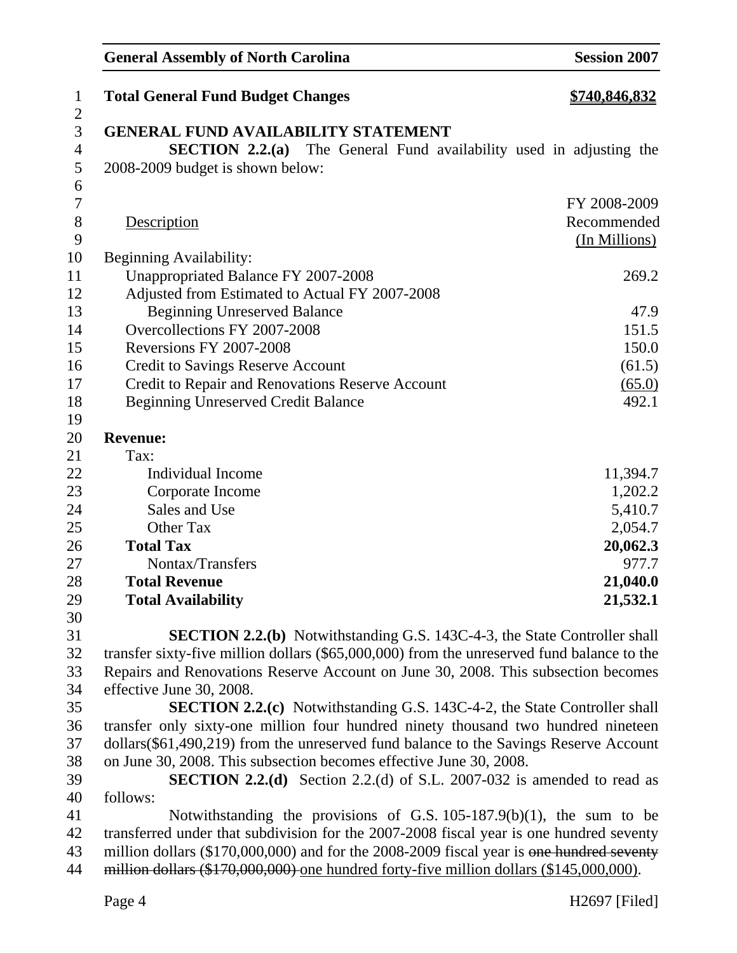| $\mathbf{1}$        | <b>Total General Fund Budget Changes</b>                                                   | <u>\$740,846,832</u> |
|---------------------|--------------------------------------------------------------------------------------------|----------------------|
| $\overline{2}$      | <b>GENERAL FUND AVAILABILITY STATEMENT</b>                                                 |                      |
| 3<br>$\overline{4}$ | <b>SECTION 2.2.(a)</b> The General Fund availability used in adjusting the                 |                      |
| 5                   | 2008-2009 budget is shown below:                                                           |                      |
| 6                   |                                                                                            |                      |
| $\overline{7}$      |                                                                                            | FY 2008-2009         |
| $8\,$               | Description                                                                                | Recommended          |
| 9                   |                                                                                            | (In Millions)        |
| 10                  | <b>Beginning Availability:</b>                                                             |                      |
| 11                  | Unappropriated Balance FY 2007-2008                                                        | 269.2                |
| 12                  | Adjusted from Estimated to Actual FY 2007-2008                                             |                      |
| 13                  | <b>Beginning Unreserved Balance</b>                                                        | 47.9                 |
| 14                  | Overcollections FY 2007-2008                                                               | 151.5                |
| 15                  | Reversions FY 2007-2008                                                                    | 150.0                |
| 16                  | <b>Credit to Savings Reserve Account</b>                                                   | (61.5)               |
| 17                  | Credit to Repair and Renovations Reserve Account                                           | (65.0)               |
| 18                  | <b>Beginning Unreserved Credit Balance</b>                                                 | 492.1                |
| 19                  |                                                                                            |                      |
| 20                  | <b>Revenue:</b>                                                                            |                      |
| 21                  | Tax:                                                                                       |                      |
| 22                  | Individual Income                                                                          | 11,394.7             |
| 23                  | Corporate Income                                                                           | 1,202.2              |
| 24                  | Sales and Use                                                                              | 5,410.7              |
| 25                  | Other Tax                                                                                  | 2,054.7              |
| 26                  | <b>Total Tax</b>                                                                           | 20,062.3             |
| 27                  | Nontax/Transfers                                                                           | 977.7                |
| 28                  | <b>Total Revenue</b>                                                                       | 21,040.0             |
| 29                  | <b>Total Availability</b>                                                                  | 21,532.1             |
| 30                  |                                                                                            |                      |
| 31                  | <b>SECTION 2.2.(b)</b> Notwithstanding G.S. 143C-4-3, the State Controller shall           |                      |
| 32                  | transfer sixty-five million dollars (\$65,000,000) from the unreserved fund balance to the |                      |
| 33                  | Repairs and Renovations Reserve Account on June 30, 2008. This subsection becomes          |                      |
| 34                  | effective June 30, 2008.                                                                   |                      |
| 35                  | <b>SECTION 2.2.(c)</b> Notwithstanding G.S. 143C-4-2, the State Controller shall           |                      |
| 36                  | transfer only sixty-one million four hundred ninety thousand two hundred nineteen          |                      |
| 37                  | dollars(\$61,490,219) from the unreserved fund balance to the Savings Reserve Account      |                      |
| 38                  | on June 30, 2008. This subsection becomes effective June 30, 2008.                         |                      |
| 39                  | <b>SECTION 2.2.(d)</b> Section 2.2.(d) of S.L. 2007-032 is amended to read as              |                      |
| 40                  | follows:                                                                                   |                      |
| 41                  | Notwithstanding the provisions of G.S. $105-187.9(b)(1)$ , the sum to be                   |                      |
| 42<br>43            | transferred under that subdivision for the 2007-2008 fiscal year is one hundred seventy    |                      |
|                     | million dollars (\$170,000,000) and for the 2008-2009 fiscal year is one hundred seventy   |                      |
| 44                  | million dollars (\$170,000,000) one hundred forty-five million dollars (\$145,000,000).    |                      |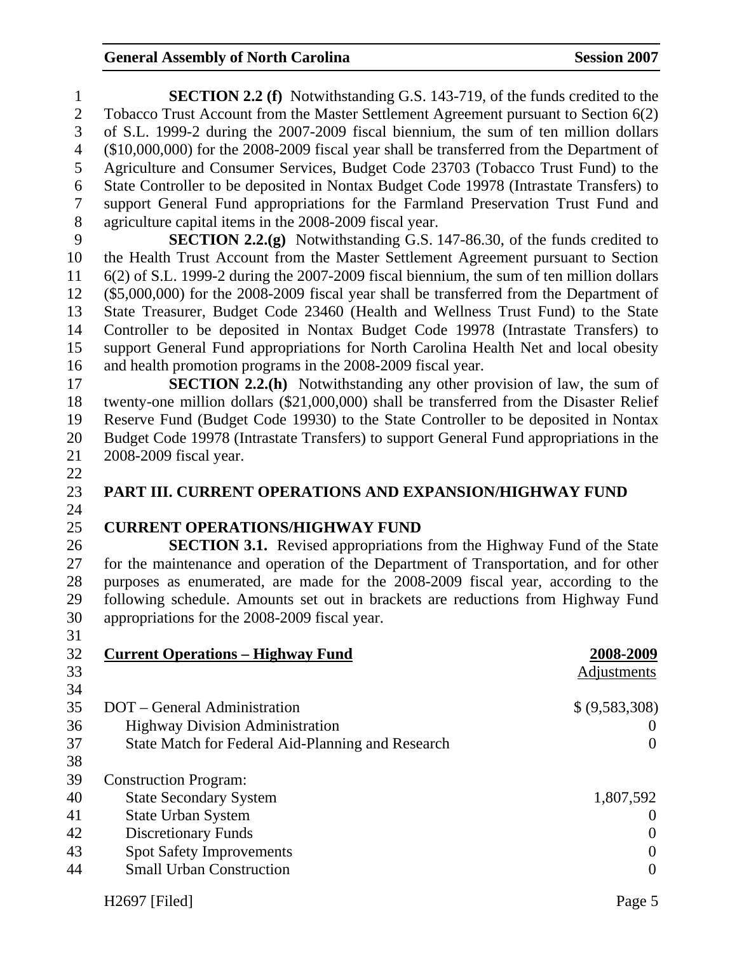| 1                        | <b>SECTION 2.2 (f)</b> Notwithstanding G.S. 143-719, of the funds credited to the          |                    |
|--------------------------|--------------------------------------------------------------------------------------------|--------------------|
| $\overline{2}$           | Tobacco Trust Account from the Master Settlement Agreement pursuant to Section 6(2)        |                    |
| 3                        | of S.L. 1999-2 during the 2007-2009 fiscal biennium, the sum of ten million dollars        |                    |
| $\overline{\mathcal{A}}$ | $(\$10,000,000)$ for the 2008-2009 fiscal year shall be transferred from the Department of |                    |
| 5                        | Agriculture and Consumer Services, Budget Code 23703 (Tobacco Trust Fund) to the           |                    |
| 6                        | State Controller to be deposited in Nontax Budget Code 19978 (Intrastate Transfers) to     |                    |
| 7                        | support General Fund appropriations for the Farmland Preservation Trust Fund and           |                    |
| $8\,$                    | agriculture capital items in the 2008-2009 fiscal year.                                    |                    |
| 9                        | <b>SECTION 2.2.(g)</b> Notwithstanding G.S. 147-86.30, of the funds credited to            |                    |
| 10                       | the Health Trust Account from the Master Settlement Agreement pursuant to Section          |                    |
| 11                       | 6(2) of S.L. 1999-2 during the 2007-2009 fiscal biennium, the sum of ten million dollars   |                    |
| 12                       | $(\$5,000,000)$ for the 2008-2009 fiscal year shall be transferred from the Department of  |                    |
| 13                       | State Treasurer, Budget Code 23460 (Health and Wellness Trust Fund) to the State           |                    |
| 14                       | Controller to be deposited in Nontax Budget Code 19978 (Intrastate Transfers) to           |                    |
| 15                       | support General Fund appropriations for North Carolina Health Net and local obesity        |                    |
| 16                       | and health promotion programs in the 2008-2009 fiscal year.                                |                    |
| 17                       | <b>SECTION 2.2.(h)</b> Notwithstanding any other provision of law, the sum of              |                    |
| 18                       | twenty-one million dollars (\$21,000,000) shall be transferred from the Disaster Relief    |                    |
| 19                       | Reserve Fund (Budget Code 19930) to the State Controller to be deposited in Nontax         |                    |
| 20                       | Budget Code 19978 (Intrastate Transfers) to support General Fund appropriations in the     |                    |
| 21                       | 2008-2009 fiscal year.                                                                     |                    |
| 22                       |                                                                                            |                    |
| 23                       | PART III. CURRENT OPERATIONS AND EXPANSION/HIGHWAY FUND                                    |                    |
| 24                       |                                                                                            |                    |
| 25                       | <b>CURRENT OPERATIONS/HIGHWAY FUND</b>                                                     |                    |
| 26                       | <b>SECTION 3.1.</b> Revised appropriations from the Highway Fund of the State              |                    |
| 27                       | for the maintenance and operation of the Department of Transportation, and for other       |                    |
| 28                       | purposes as enumerated, are made for the 2008-2009 fiscal year, according to the           |                    |
| 29                       | following schedule. Amounts set out in brackets are reductions from Highway Fund           |                    |
| 30                       | appropriations for the 2008-2009 fiscal year.                                              |                    |
| 31                       |                                                                                            |                    |
| 32                       | <b>Current Operations - Highway Fund</b>                                                   | 2008-2009          |
| 33                       |                                                                                            | <b>Adjustments</b> |
| 34                       |                                                                                            |                    |
| 35                       | DOT – General Administration                                                               | \$ (9,583,308)     |
| 36                       | <b>Highway Division Administration</b>                                                     | $\theta$           |
| 37                       | State Match for Federal Aid-Planning and Research                                          | $\overline{0}$     |
| 38                       |                                                                                            |                    |
| 39                       | <b>Construction Program:</b>                                                               |                    |
| 40                       | <b>State Secondary System</b>                                                              | 1,807,592          |
| 41                       | <b>State Urban System</b>                                                                  | $\theta$           |
| 42                       | <b>Discretionary Funds</b>                                                                 | $\boldsymbol{0}$   |
| 43                       | <b>Spot Safety Improvements</b>                                                            | $\boldsymbol{0}$   |
| 44                       | <b>Small Urban Construction</b>                                                            | $\overline{0}$     |
|                          |                                                                                            |                    |
|                          | H2697 [Filed]                                                                              | Page 5             |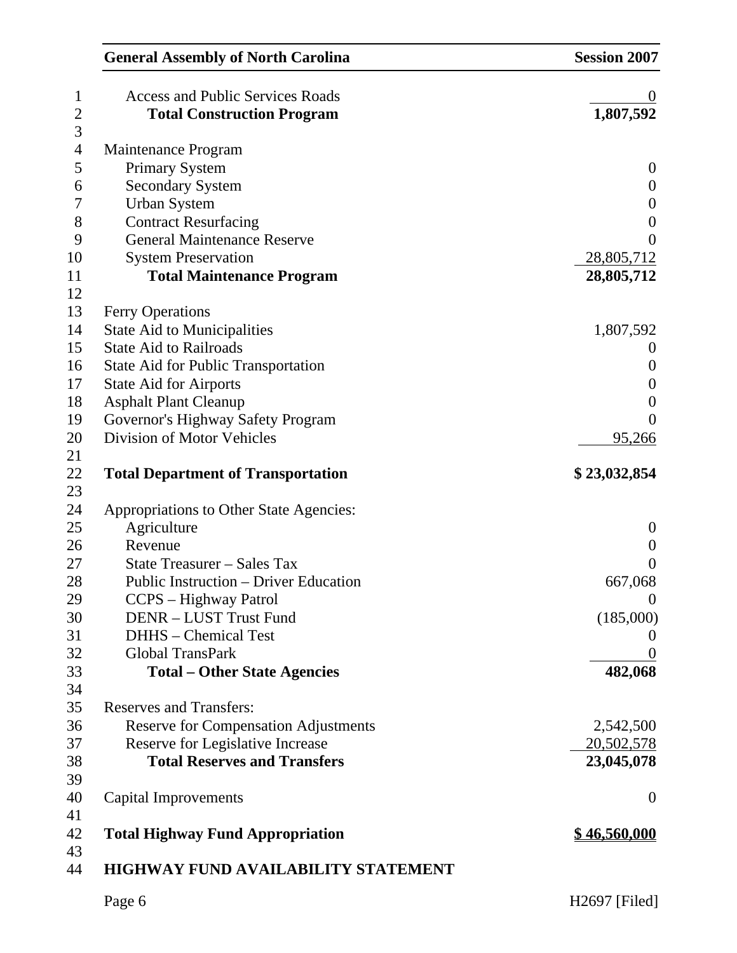| <b>General Assembly of North Carolina</b>   | <b>Session 2007</b>   |
|---------------------------------------------|-----------------------|
| <b>Access and Public Services Roads</b>     |                       |
| <b>Total Construction Program</b>           | 1,807,592             |
| Maintenance Program                         |                       |
| <b>Primary System</b>                       | $\boldsymbol{0}$      |
| <b>Secondary System</b>                     | $\boldsymbol{0}$      |
| <b>Urban System</b>                         | $\boldsymbol{0}$      |
| <b>Contract Resurfacing</b>                 | $\boldsymbol{0}$      |
| <b>General Maintenance Reserve</b>          | $\overline{0}$        |
| <b>System Preservation</b>                  | 28,805,712            |
| <b>Total Maintenance Program</b>            | 28,805,712            |
| <b>Ferry Operations</b>                     |                       |
| <b>State Aid to Municipalities</b>          | 1,807,592             |
| <b>State Aid to Railroads</b>               | $\boldsymbol{\theta}$ |
| <b>State Aid for Public Transportation</b>  | $\boldsymbol{0}$      |
| <b>State Aid for Airports</b>               | $\boldsymbol{0}$      |
| <b>Asphalt Plant Cleanup</b>                | $\boldsymbol{0}$      |
| Governor's Highway Safety Program           | $\overline{0}$        |
| Division of Motor Vehicles                  | 95,266                |
| <b>Total Department of Transportation</b>   | \$23,032,854          |
|                                             |                       |
| Appropriations to Other State Agencies:     |                       |
| Agriculture                                 | $\theta$              |
| Revenue                                     | $\boldsymbol{0}$      |
| State Treasurer - Sales Tax                 | $\overline{0}$        |
| Public Instruction – Driver Education       | 667,068               |
| CCPS – Highway Patrol                       | $\theta$              |
| <b>DENR - LUST Trust Fund</b>               | (185,000)             |
| <b>DHHS</b> – Chemical Test                 | $\overline{0}$        |
| Global TransPark                            | $\theta$              |
| <b>Total – Other State Agencies</b>         | 482,068               |
|                                             |                       |
| <b>Reserves and Transfers:</b>              |                       |
| <b>Reserve for Compensation Adjustments</b> | 2,542,500             |
| Reserve for Legislative Increase            | 20,502,578            |
| <b>Total Reserves and Transfers</b>         | 23,045,078            |
|                                             |                       |
| <b>Capital Improvements</b>                 | $\overline{0}$        |
|                                             |                       |
| <b>Total Highway Fund Appropriation</b>     | <u>\$46,560,000</u>   |
| <b>HIGHWAY FUND AVAILABILITY STATEMENT</b>  |                       |
| Page 6                                      | H2697 [Filed]         |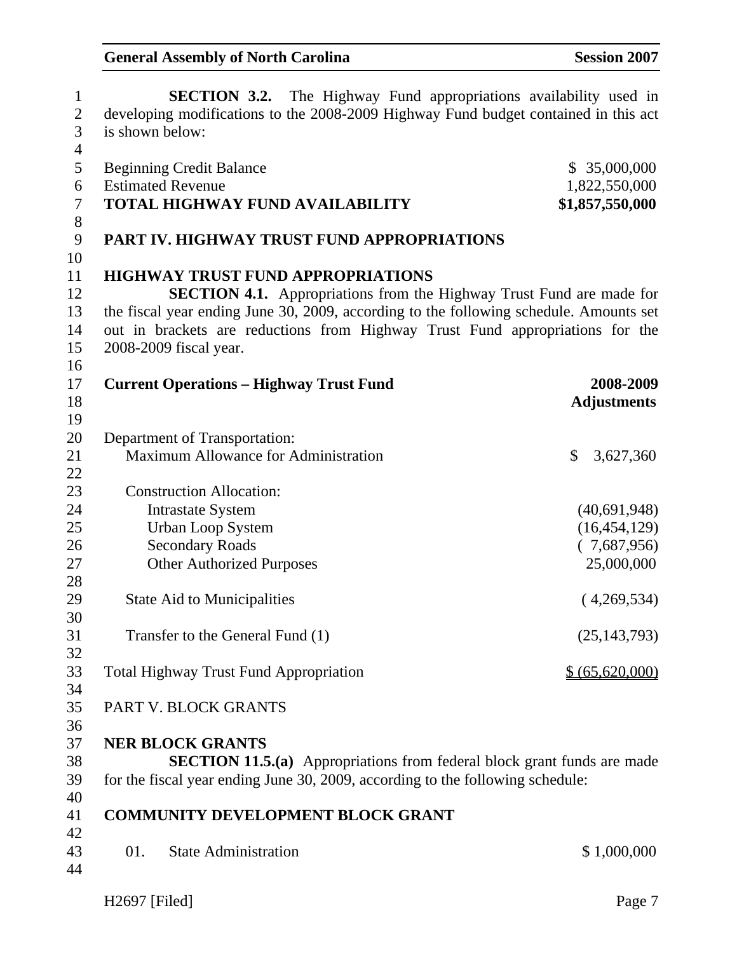| $\mathbf{1}$             | <b>SECTION 3.2.</b> The Highway Fund appropriations availability used in               |                    |
|--------------------------|----------------------------------------------------------------------------------------|--------------------|
| $\overline{2}$           | developing modifications to the 2008-2009 Highway Fund budget contained in this act    |                    |
| 3                        | is shown below:                                                                        |                    |
| $\overline{\mathcal{A}}$ |                                                                                        |                    |
| 5                        | <b>Beginning Credit Balance</b>                                                        | \$35,000,000       |
| 6                        | <b>Estimated Revenue</b>                                                               | 1,822,550,000      |
| $\boldsymbol{7}$         | <b>TOTAL HIGHWAY FUND AVAILABILITY</b>                                                 | \$1,857,550,000    |
| 8                        |                                                                                        |                    |
| 9                        | PART IV. HIGHWAY TRUST FUND APPROPRIATIONS                                             |                    |
| 10                       |                                                                                        |                    |
| 11                       | <b>HIGHWAY TRUST FUND APPROPRIATIONS</b>                                               |                    |
| 12                       | <b>SECTION 4.1.</b> Appropriations from the Highway Trust Fund are made for            |                    |
| 13                       | the fiscal year ending June 30, 2009, according to the following schedule. Amounts set |                    |
| 14                       | out in brackets are reductions from Highway Trust Fund appropriations for the          |                    |
| 15                       | 2008-2009 fiscal year.                                                                 |                    |
| 16                       |                                                                                        |                    |
| 17                       | <b>Current Operations - Highway Trust Fund</b>                                         | 2008-2009          |
| 18                       |                                                                                        | <b>Adjustments</b> |
| 19                       |                                                                                        |                    |
| 20                       | Department of Transportation:                                                          |                    |
| 21                       | Maximum Allowance for Administration                                                   | \$<br>3,627,360    |
| 22                       |                                                                                        |                    |
| 23                       | <b>Construction Allocation:</b>                                                        |                    |
| 24                       | <b>Intrastate System</b>                                                               | (40,691,948)       |
| 25                       | <b>Urban Loop System</b>                                                               | (16, 454, 129)     |
| 26                       | <b>Secondary Roads</b>                                                                 | (7,687,956)        |
| 27                       | <b>Other Authorized Purposes</b>                                                       | 25,000,000         |
| 28                       |                                                                                        |                    |
| 29                       | <b>State Aid to Municipalities</b>                                                     | (4,269,534)        |
| 30                       |                                                                                        |                    |
| 31                       | Transfer to the General Fund (1)                                                       | (25, 143, 793)     |
| 32                       |                                                                                        |                    |
| 33                       | <b>Total Highway Trust Fund Appropriation</b>                                          | \$ (65,620,000)    |
| 34                       |                                                                                        |                    |
| 35                       | PART V. BLOCK GRANTS                                                                   |                    |
| 36                       |                                                                                        |                    |
| 37                       | <b>NER BLOCK GRANTS</b>                                                                |                    |
| 38                       | <b>SECTION 11.5.(a)</b> Appropriations from federal block grant funds are made         |                    |
| 39                       | for the fiscal year ending June 30, 2009, according to the following schedule:         |                    |
| 40                       |                                                                                        |                    |
|                          |                                                                                        |                    |
| 41                       | <b>COMMUNITY DEVELOPMENT BLOCK GRANT</b>                                               |                    |
| 42                       |                                                                                        |                    |
| 43                       | <b>State Administration</b><br>01.                                                     | \$1,000,000        |
| 44                       |                                                                                        |                    |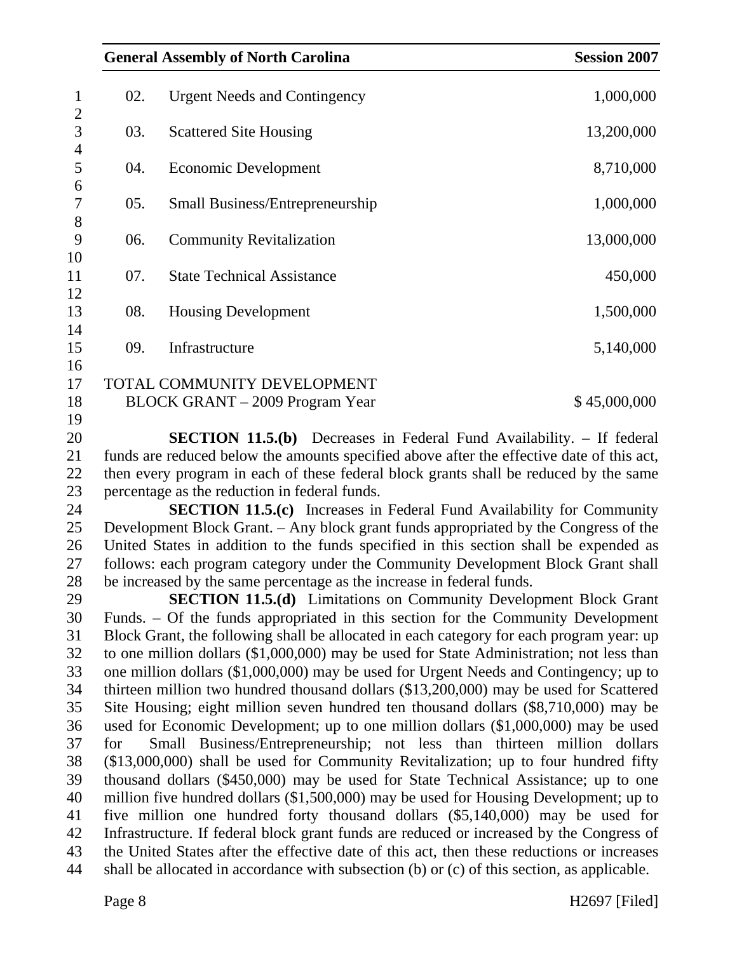|                     |     | <b>General Assembly of North Carolina</b>                                                                                                                                                           | <b>Session 2007</b> |
|---------------------|-----|-----------------------------------------------------------------------------------------------------------------------------------------------------------------------------------------------------|---------------------|
| $\mathbf{1}$        | 02. | <b>Urgent Needs and Contingency</b>                                                                                                                                                                 | 1,000,000           |
| $\overline{2}$<br>3 | 03. | <b>Scattered Site Housing</b>                                                                                                                                                                       | 13,200,000          |
| $\overline{4}$<br>5 | 04. | Economic Development                                                                                                                                                                                | 8,710,000           |
| 6<br>7              | 05. | <b>Small Business/Entrepreneurship</b>                                                                                                                                                              | 1,000,000           |
| 8<br>9              | 06. | <b>Community Revitalization</b>                                                                                                                                                                     | 13,000,000          |
| 10<br>11            | 07. | <b>State Technical Assistance</b>                                                                                                                                                                   | 450,000             |
| 12<br>13            | 08. | <b>Housing Development</b>                                                                                                                                                                          | 1,500,000           |
| 14<br>15            | 09. | Infrastructure                                                                                                                                                                                      | 5,140,000           |
| 16<br>17            |     | TOTAL COMMUNITY DEVELOPMENT                                                                                                                                                                         |                     |
| 18<br>19            |     | BLOCK GRANT – 2009 Program Year                                                                                                                                                                     | \$45,000,000        |
| ጎስ                  |     | $\mathbb{C} \mathbb{R} \cap \mathbb{C} \cap \mathbb{C}$ is $\mathbb{C} \cap \mathbb{C}$ and $\mathbb{C} \cap \mathbb{C}$ and $\mathbb{C} \cap \mathbb{C}$ is $\mathbb{C} \cap \mathbb{C}$ if formal |                     |

20 **SECTION 11.5.(b)** Decreases in Federal Fund Availability. – If federal 21 funds are reduced below the amounts specified above after the effective date of this act, 22 then every program in each of these federal block grants shall be reduced by the same 23 percentage as the reduction in federal funds.

24 **SECTION 11.5.(c)** Increases in Federal Fund Availability for Community 25 Development Block Grant. – Any block grant funds appropriated by the Congress of the 26 United States in addition to the funds specified in this section shall be expended as 27 follows: each program category under the Community Development Block Grant shall 28 be increased by the same percentage as the increase in federal funds.

29 **SECTION 11.5.(d)** Limitations on Community Development Block Grant 30 Funds. – Of the funds appropriated in this section for the Community Development 31 Block Grant, the following shall be allocated in each category for each program year: up 32 to one million dollars (\$1,000,000) may be used for State Administration; not less than 33 one million dollars (\$1,000,000) may be used for Urgent Needs and Contingency; up to 34 thirteen million two hundred thousand dollars (\$13,200,000) may be used for Scattered 35 Site Housing; eight million seven hundred ten thousand dollars (\$8,710,000) may be 36 used for Economic Development; up to one million dollars (\$1,000,000) may be used 37 for Small Business/Entrepreneurship; not less than thirteen million dollars 38 (\$13,000,000) shall be used for Community Revitalization; up to four hundred fifty 39 thousand dollars (\$450,000) may be used for State Technical Assistance; up to one 40 million five hundred dollars (\$1,500,000) may be used for Housing Development; up to 41 five million one hundred forty thousand dollars (\$5,140,000) may be used for 42 Infrastructure. If federal block grant funds are reduced or increased by the Congress of 43 the United States after the effective date of this act, then these reductions or increases 44 shall be allocated in accordance with subsection (b) or (c) of this section, as applicable.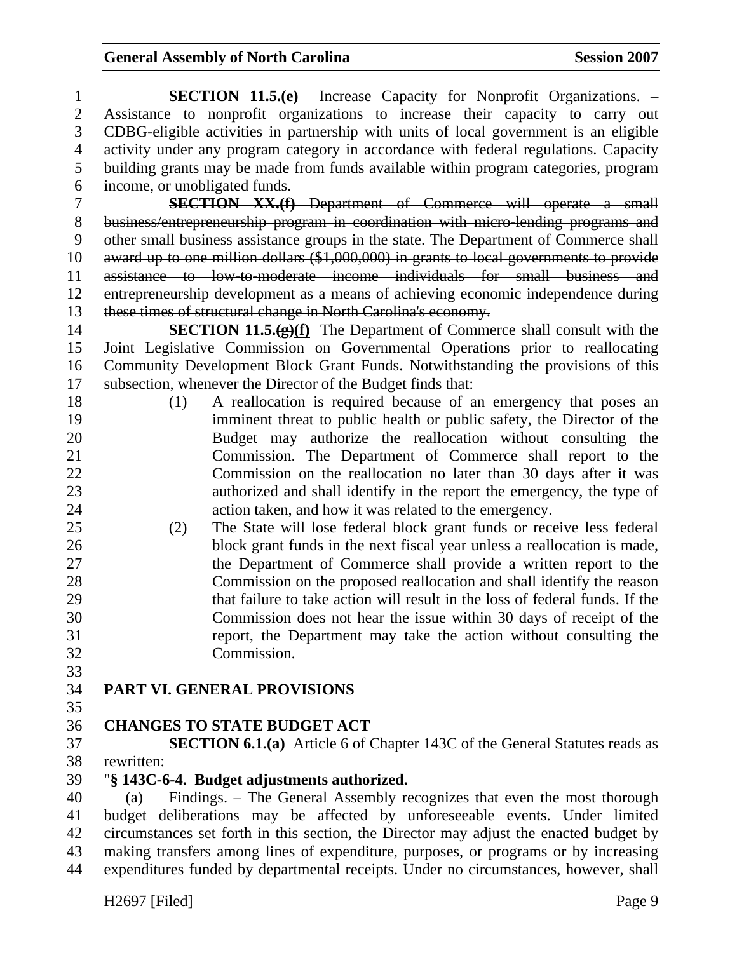| $\mathbf 1$    | <b>SECTION 11.5.(e)</b> Increase Capacity for Nonprofit Organizations. –                                                                              |
|----------------|-------------------------------------------------------------------------------------------------------------------------------------------------------|
| $\mathbf{2}$   | Assistance to nonprofit organizations to increase their capacity to carry out                                                                         |
| 3              | CDBG-eligible activities in partnership with units of local government is an eligible                                                                 |
| $\overline{4}$ | activity under any program category in accordance with federal regulations. Capacity                                                                  |
| 5              | building grants may be made from funds available within program categories, program                                                                   |
| 6              | income, or unobligated funds.                                                                                                                         |
| $\tau$         | <b>SECTION XX.(f)</b> Department of Commerce will operate a small                                                                                     |
| 8              | business/entrepreneurship program in coordination with micro-lending programs and                                                                     |
| 9              | other small business assistance groups in the state. The Department of Commerce shall                                                                 |
| 10             | award up to one million dollars (\$1,000,000) in grants to local governments to provide                                                               |
| 11             | assistance to low-to-moderate income individuals for small business and                                                                               |
| 12             | entrepreneurship development as a means of achieving economic independence during                                                                     |
| 13             | these times of structural change in North Carolina's economy.                                                                                         |
| 14             | <b>SECTION 11.5.</b> $(g)(f)$ The Department of Commerce shall consult with the                                                                       |
| 15             | Joint Legislative Commission on Governmental Operations prior to reallocating                                                                         |
| 16             | Community Development Block Grant Funds. Notwithstanding the provisions of this                                                                       |
| 17             | subsection, whenever the Director of the Budget finds that:                                                                                           |
| 18             | A reallocation is required because of an emergency that poses an<br>(1)                                                                               |
| 19             | imminent threat to public health or public safety, the Director of the                                                                                |
| 20             | Budget may authorize the reallocation without consulting the                                                                                          |
| 21             | Commission. The Department of Commerce shall report to the                                                                                            |
| 22             | Commission on the reallocation no later than 30 days after it was                                                                                     |
| 23             | authorized and shall identify in the report the emergency, the type of                                                                                |
| 24             | action taken, and how it was related to the emergency.                                                                                                |
| 25             | The State will lose federal block grant funds or receive less federal<br>(2)                                                                          |
| 26<br>27       | block grant funds in the next fiscal year unless a reallocation is made,                                                                              |
| 28             | the Department of Commerce shall provide a written report to the                                                                                      |
| 29             | Commission on the proposed reallocation and shall identify the reason<br>that failure to take action will result in the loss of federal funds. If the |
| 30             | Commission does not hear the issue within 30 days of receipt of the                                                                                   |
| 31             | report, the Department may take the action without consulting the                                                                                     |
| 32             | Commission.                                                                                                                                           |
| 33             |                                                                                                                                                       |
| 34             | <b>PART VI. GENERAL PROVISIONS</b>                                                                                                                    |
| 35             |                                                                                                                                                       |
| 36             | <b>CHANGES TO STATE BUDGET ACT</b>                                                                                                                    |
| 37             | <b>SECTION 6.1.(a)</b> Article 6 of Chapter 143C of the General Statutes reads as                                                                     |
| 38             | rewritten:                                                                                                                                            |
| 39             | "§ 143C-6-4. Budget adjustments authorized.                                                                                                           |
| 40             | Findings. – The General Assembly recognizes that even the most thorough<br>(a)                                                                        |
| 41             | budget deliberations may be affected by unforeseeable events. Under limited                                                                           |
| $\Delta$       | irounctoness set forth in this soction, the Director may ediver the engaged budget by                                                                 |

42 circumstances set forth in this section, the Director may adjust the enacted budget by 43 making transfers among lines of expenditure, purposes, or programs or by increasing 44 expenditures funded by departmental receipts. Under no circumstances, however, shall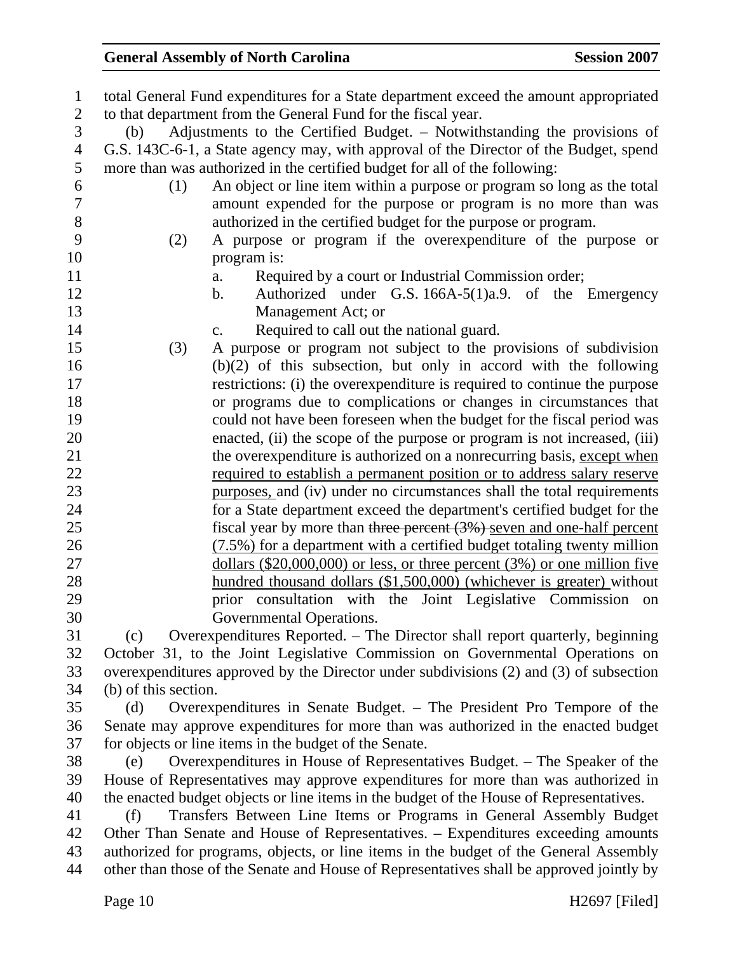| $\mathbf{1}$   | total General Fund expenditures for a State department exceed the amount appropriated    |
|----------------|------------------------------------------------------------------------------------------|
| $\mathbf{2}$   | to that department from the General Fund for the fiscal year.                            |
| 3              | Adjustments to the Certified Budget. - Notwithstanding the provisions of<br>(b)          |
| $\overline{4}$ | G.S. 143C-6-1, a State agency may, with approval of the Director of the Budget, spend    |
| 5              | more than was authorized in the certified budget for all of the following:               |
| 6              | An object or line item within a purpose or program so long as the total<br>(1)           |
| 7              | amount expended for the purpose or program is no more than was                           |
| $8\,$          | authorized in the certified budget for the purpose or program.                           |
| 9              | A purpose or program if the overexpenditure of the purpose or<br>(2)                     |
| 10             | program is:                                                                              |
| 11             | Required by a court or Industrial Commission order;<br>a.                                |
| 12             | Authorized under G.S. 166A-5(1)a.9. of the Emergency<br>$\mathbf{b}$ .                   |
| 13             | Management Act; or                                                                       |
| 14             | Required to call out the national guard.<br>$C_{\bullet}$                                |
| 15             | A purpose or program not subject to the provisions of subdivision<br>(3)                 |
| 16             | $(b)(2)$ of this subsection, but only in accord with the following                       |
| 17             | restrictions: (i) the overexpenditure is required to continue the purpose                |
| 18             | or programs due to complications or changes in circumstances that                        |
| 19             | could not have been foreseen when the budget for the fiscal period was                   |
| 20             | enacted, (ii) the scope of the purpose or program is not increased, (iii)                |
| 21             | the overexpenditure is authorized on a nonrecurring basis, except when                   |
| 22             | required to establish a permanent position or to address salary reserve                  |
| 23             | purposes, and (iv) under no circumstances shall the total requirements                   |
| 24             | for a State department exceed the department's certified budget for the                  |
| 25             | fiscal year by more than three percent (3%) seven and one-half percent                   |
| 26             | (7.5%) for a department with a certified budget totaling twenty million                  |
| 27             | dollars $(\$20,000,000)$ or less, or three percent $(3%)$ or one million five            |
| 28             | hundred thousand dollars (\$1,500,000) (whichever is greater) without                    |
| 29             | prior consultation with the Joint Legislative Commission on                              |
| 30             | Governmental Operations.                                                                 |
| 31             | Overexpenditures Reported. - The Director shall report quarterly, beginning<br>(c)       |
| 32             | October 31, to the Joint Legislative Commission on Governmental Operations on            |
| 33             | overexpenditures approved by the Director under subdivisions (2) and (3) of subsection   |
| 34             | (b) of this section.                                                                     |
| 35             | Overexpenditures in Senate Budget. – The President Pro Tempore of the<br>(d)             |
| 36             | Senate may approve expenditures for more than was authorized in the enacted budget       |
| 37             | for objects or line items in the budget of the Senate.                                   |
| 38             | Overexpenditures in House of Representatives Budget. – The Speaker of the<br>(e)         |
| 39             | House of Representatives may approve expenditures for more than was authorized in        |
| 40             | the enacted budget objects or line items in the budget of the House of Representatives.  |
| 41             | Transfers Between Line Items or Programs in General Assembly Budget<br>(f)               |
| 42             | Other Than Senate and House of Representatives. - Expenditures exceeding amounts         |
| 43             | authorized for programs, objects, or line items in the budget of the General Assembly    |
| 44             | other than those of the Senate and House of Representatives shall be approved jointly by |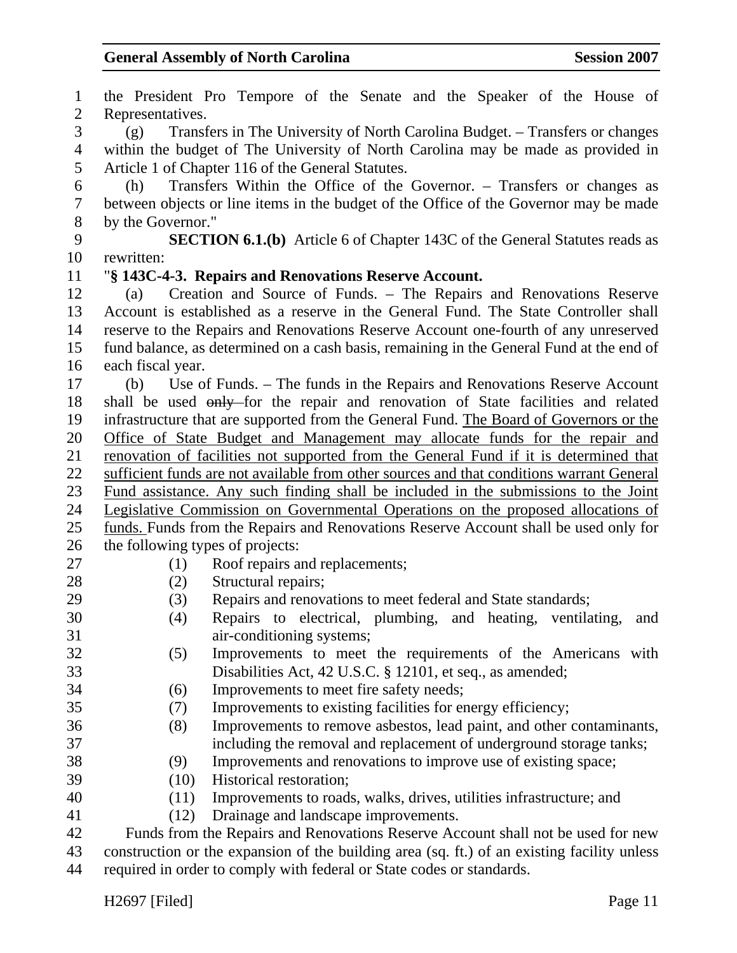1 the President Pro Tempore of the Senate and the Speaker of the House of 2 Representatives. 3 (g) Transfers in The University of North Carolina Budget. – Transfers or changes 4 within the budget of The University of North Carolina may be made as provided in 5 Article 1 of Chapter 116 of the General Statutes. 6 (h) Transfers Within the Office of the Governor. – Transfers or changes as 7 between objects or line items in the budget of the Office of the Governor may be made 8 by the Governor." 9 **SECTION 6.1.(b)** Article 6 of Chapter 143C of the General Statutes reads as 10 rewritten: 11 "**§ 143C-4-3. Repairs and Renovations Reserve Account.**  12 (a) Creation and Source of Funds. – The Repairs and Renovations Reserve 13 Account is established as a reserve in the General Fund. The State Controller shall 14 reserve to the Repairs and Renovations Reserve Account one-fourth of any unreserved 15 fund balance, as determined on a cash basis, remaining in the General Fund at the end of 16 each fiscal year. 17 (b) Use of Funds. – The funds in the Repairs and Renovations Reserve Account 18 shall be used only for the repair and renovation of State facilities and related 19 infrastructure that are supported from the General Fund. The Board of Governors or the 20 Office of State Budget and Management may allocate funds for the repair and 21 renovation of facilities not supported from the General Fund if it is determined that 22 sufficient funds are not available from other sources and that conditions warrant General 23 Fund assistance. Any such finding shall be included in the submissions to the Joint 24 Legislative Commission on Governmental Operations on the proposed allocations of 25 funds. Funds from the Repairs and Renovations Reserve Account shall be used only for 26 the following types of projects: 27 (1) Roof repairs and replacements; 28 (2) Structural repairs; 29 (3) Repairs and renovations to meet federal and State standards; 30 (4) Repairs to electrical, plumbing, and heating, ventilating, and 31 air-conditioning systems; 32 (5) Improvements to meet the requirements of the Americans with 33 Disabilities Act, 42 U.S.C. § 12101, et seq., as amended; 34 (6) Improvements to meet fire safety needs; 35 (7) Improvements to existing facilities for energy efficiency; 36 (8) Improvements to remove asbestos, lead paint, and other contaminants, 37 including the removal and replacement of underground storage tanks; 38 (9) Improvements and renovations to improve use of existing space; 39 (10) Historical restoration; 40 (11) Improvements to roads, walks, drives, utilities infrastructure; and 41 (12) Drainage and landscape improvements. 42 Funds from the Repairs and Renovations Reserve Account shall not be used for new 43 construction or the expansion of the building area (sq. ft.) of an existing facility unless 44 required in order to comply with federal or State codes or standards.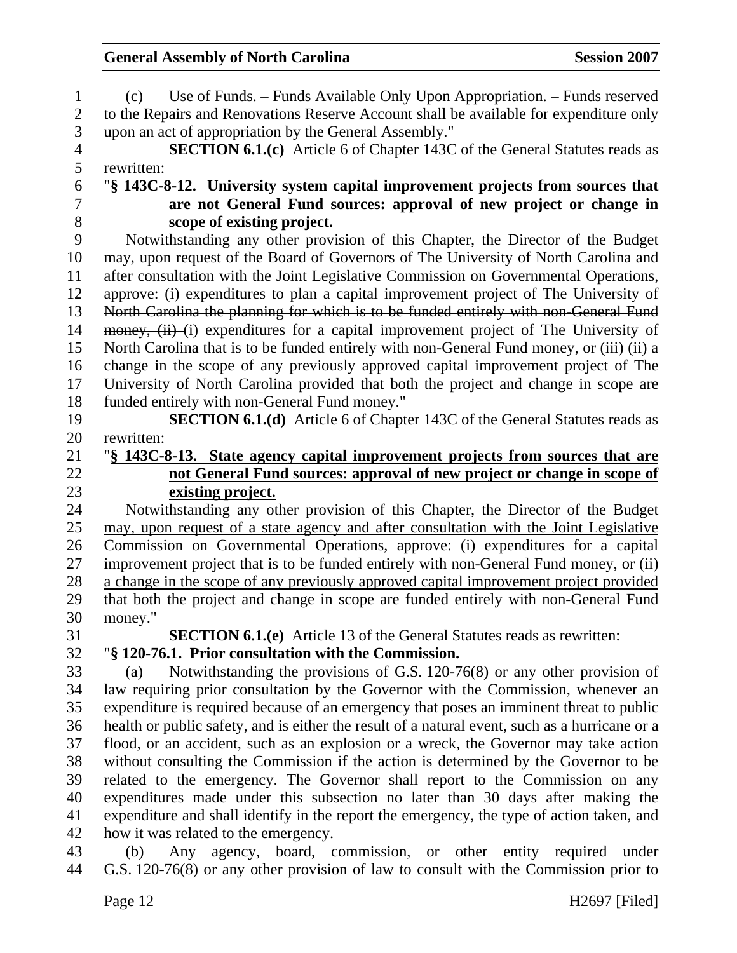| 1                        | Use of Funds. – Funds Available Only Upon Appropriation. – Funds reserved<br>(c)                                                  |
|--------------------------|-----------------------------------------------------------------------------------------------------------------------------------|
| $\mathbf{2}$             | to the Repairs and Renovations Reserve Account shall be available for expenditure only                                            |
| 3                        | upon an act of appropriation by the General Assembly."                                                                            |
| $\overline{\mathcal{A}}$ | <b>SECTION 6.1.(c)</b> Article 6 of Chapter 143C of the General Statutes reads as                                                 |
| 5                        | rewritten:                                                                                                                        |
| 6                        | "§ 143C-8-12. University system capital improvement projects from sources that                                                    |
| $\tau$                   | are not General Fund sources: approval of new project or change in                                                                |
| 8                        | scope of existing project.                                                                                                        |
| 9                        | Notwithstanding any other provision of this Chapter, the Director of the Budget                                                   |
| 10                       | may, upon request of the Board of Governors of The University of North Carolina and                                               |
| 11                       | after consultation with the Joint Legislative Commission on Governmental Operations,                                              |
| 12                       | approve: (i) expenditures to plan a capital improvement project of The University of                                              |
| 13                       | North Carolina the planning for which is to be funded entirely with non-General Fund                                              |
| 14                       | money, (ii) (i) expenditures for a capital improvement project of The University of                                               |
| 15                       | North Carolina that is to be funded entirely with non-General Fund money, or (iii)-(ii) a                                         |
| 16                       | change in the scope of any previously approved capital improvement project of The                                                 |
| 17                       | University of North Carolina provided that both the project and change in scope are                                               |
| 18                       | funded entirely with non-General Fund money."                                                                                     |
| 19                       | <b>SECTION 6.1.(d)</b> Article 6 of Chapter 143C of the General Statutes reads as                                                 |
| 20                       | rewritten:                                                                                                                        |
| 21                       | "\\$ 143C-8-13. State agency capital improvement projects from sources that are                                                   |
| 22                       | not General Fund sources: approval of new project or change in scope of                                                           |
| 23                       | existing project.                                                                                                                 |
|                          |                                                                                                                                   |
| 24                       | Notwithstanding any other provision of this Chapter, the Director of the Budget                                                   |
| 25                       | may, upon request of a state agency and after consultation with the Joint Legislative                                             |
| 26                       | Commission on Governmental Operations, approve: (i) expenditures for a capital                                                    |
| 27                       | improvement project that is to be funded entirely with non-General Fund money, or (ii)                                            |
| 28                       | a change in the scope of any previously approved capital improvement project provided                                             |
| 29                       | that both the project and change in scope are funded entirely with non-General Fund                                               |
| 30                       | money."                                                                                                                           |
| 31                       | <b>SECTION 6.1.(e)</b> Article 13 of the General Statutes reads as rewritten:                                                     |
| 32                       | "§ 120-76.1. Prior consultation with the Commission.                                                                              |
| 33                       | Notwithstanding the provisions of G.S. 120-76(8) or any other provision of<br>(a)                                                 |
| 34                       | law requiring prior consultation by the Governor with the Commission, whenever an                                                 |
| 35                       | expenditure is required because of an emergency that poses an imminent threat to public                                           |
| 36                       | health or public safety, and is either the result of a natural event, such as a hurricane or a                                    |
| 37                       | flood, or an accident, such as an explosion or a wreck, the Governor may take action                                              |
| 38                       | without consulting the Commission if the action is determined by the Governor to be                                               |
| 39                       | related to the emergency. The Governor shall report to the Commission on any                                                      |
| 40                       | expenditures made under this subsection no later than 30 days after making the                                                    |
| 41<br>42                 | expenditure and shall identify in the report the emergency, the type of action taken, and<br>how it was related to the emergency. |

43 (b) Any agency, board, commission, or other entity required under 44 G.S. 120-76(8) or any other provision of law to consult with the Commission prior to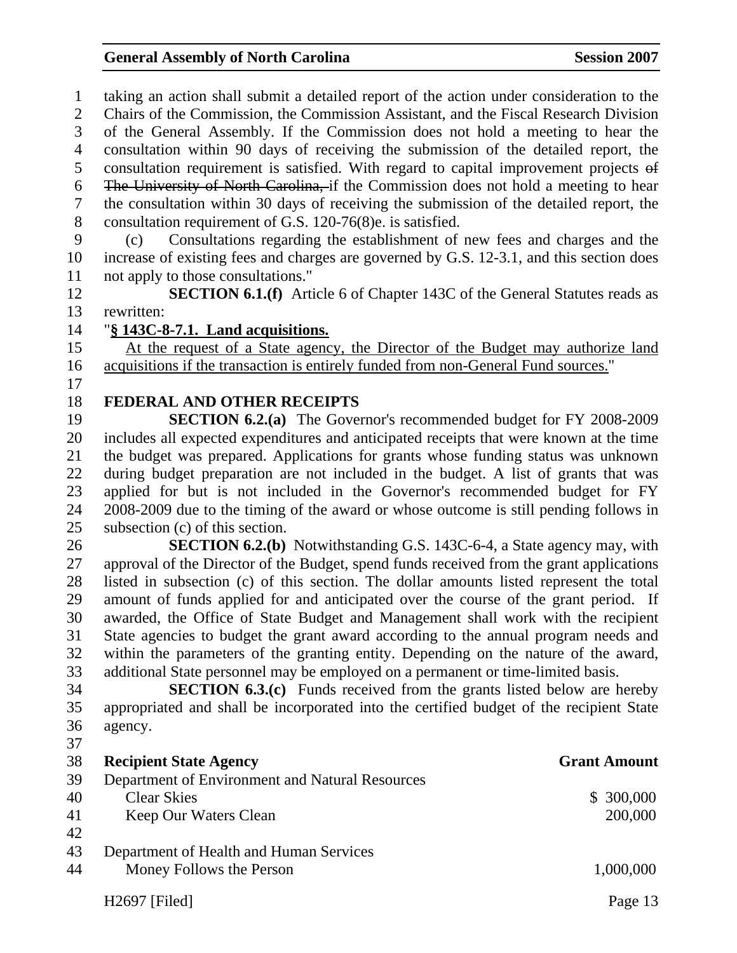1 taking an action shall submit a detailed report of the action under consideration to the 2 Chairs of the Commission, the Commission Assistant, and the Fiscal Research Division 3 of the General Assembly. If the Commission does not hold a meeting to hear the 4 consultation within 90 days of receiving the submission of the detailed report, the 5 consultation requirement is satisfied. With regard to capital improvement projects of 6 The University of North Carolina, if the Commission does not hold a meeting to hear 7 the consultation within 30 days of receiving the submission of the detailed report, the 8 consultation requirement of G.S. 120-76(8)e. is satisfied.

9 (c) Consultations regarding the establishment of new fees and charges and the 10 increase of existing fees and charges are governed by G.S. 12-3.1, and this section does 11 not apply to those consultations."

12 **SECTION 6.1.(f)** Article 6 of Chapter 143C of the General Statutes reads as 13 rewritten:

#### 14 "**§ 143C-8-7.1. Land acquisitions.**

15 At the request of a State agency, the Director of the Budget may authorize land 16 acquisitions if the transaction is entirely funded from non-General Fund sources."

17

#### 18 **FEDERAL AND OTHER RECEIPTS**

19 **SECTION 6.2.(a)** The Governor's recommended budget for FY 2008-2009 20 includes all expected expenditures and anticipated receipts that were known at the time 21 the budget was prepared. Applications for grants whose funding status was unknown 22 during budget preparation are not included in the budget. A list of grants that was 23 applied for but is not included in the Governor's recommended budget for FY 24 2008-2009 due to the timing of the award or whose outcome is still pending follows in 25 subsection (c) of this section.

26 **SECTION 6.2.(b)** Notwithstanding G.S. 143C-6-4, a State agency may, with 27 approval of the Director of the Budget, spend funds received from the grant applications 28 listed in subsection (c) of this section. The dollar amounts listed represent the total 29 amount of funds applied for and anticipated over the course of the grant period. If 30 awarded, the Office of State Budget and Management shall work with the recipient 31 State agencies to budget the grant award according to the annual program needs and 32 within the parameters of the granting entity. Depending on the nature of the award, 33 additional State personnel may be employed on a permanent or time-limited basis.

34 **SECTION 6.3.(c)** Funds received from the grants listed below are hereby 35 appropriated and shall be incorporated into the certified budget of the recipient State 36 agency.

H<sub>2697</sub> [Filed] Page 13 37 38 **Recipient State Agency Grant Amount**  39 Department of Environment and Natural Resources 40 Clear Skies \$ 300,000 41 Keep Our Waters Clean 200,000 42 43 Department of Health and Human Services 44 Money Follows the Person 1,000,000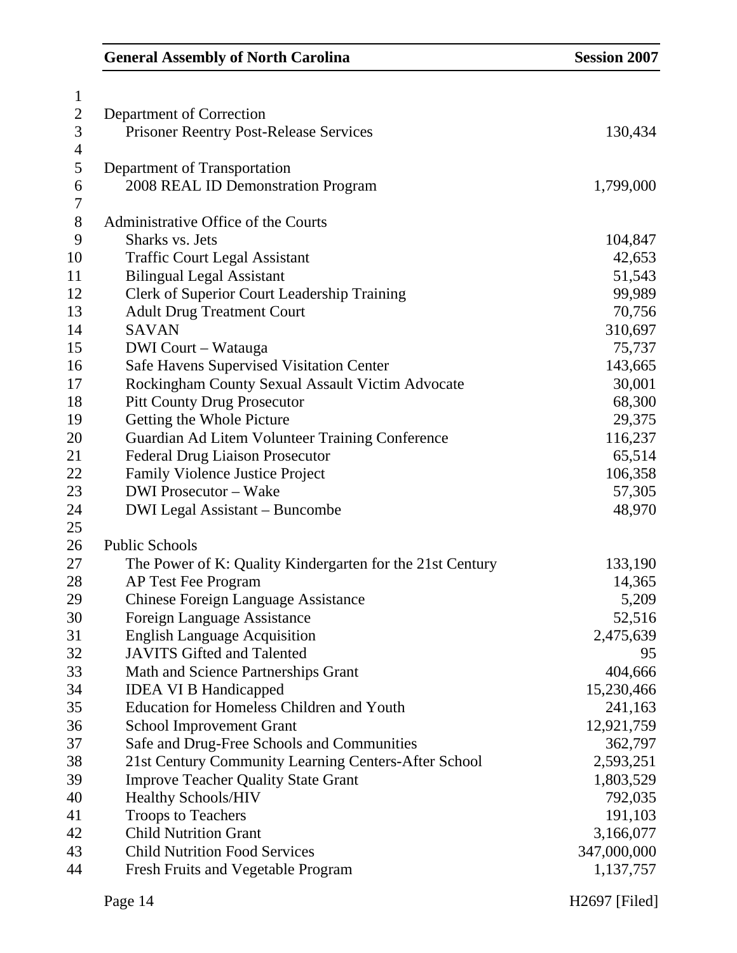| $\mathbf{1}$     |                                                           |             |
|------------------|-----------------------------------------------------------|-------------|
| $\overline{c}$   | Department of Correction                                  |             |
| 3                | <b>Prisoner Reentry Post-Release Services</b>             | 130,434     |
| 4                |                                                           |             |
| 5                | Department of Transportation                              |             |
| 6                | 2008 REAL ID Demonstration Program                        | 1,799,000   |
| $\boldsymbol{7}$ |                                                           |             |
| $8\,$            | Administrative Office of the Courts                       |             |
| 9                | Sharks vs. Jets                                           | 104,847     |
| 10               | <b>Traffic Court Legal Assistant</b>                      | 42,653      |
| 11               | <b>Bilingual Legal Assistant</b>                          | 51,543      |
| 12               | Clerk of Superior Court Leadership Training               | 99,989      |
| 13               | <b>Adult Drug Treatment Court</b>                         | 70,756      |
| 14               | <b>SAVAN</b>                                              | 310,697     |
| 15               | <b>DWI</b> Court – Watauga                                | 75,737      |
| 16               | Safe Havens Supervised Visitation Center                  | 143,665     |
| 17               | Rockingham County Sexual Assault Victim Advocate          | 30,001      |
| 18               | <b>Pitt County Drug Prosecutor</b>                        | 68,300      |
| 19               | Getting the Whole Picture                                 | 29,375      |
| 20               | Guardian Ad Litem Volunteer Training Conference           | 116,237     |
| 21               | <b>Federal Drug Liaison Prosecutor</b>                    | 65,514      |
| 22               | <b>Family Violence Justice Project</b>                    | 106,358     |
| 23               | <b>DWI</b> Prosecutor - Wake                              | 57,305      |
| 24               | <b>DWI Legal Assistant – Buncombe</b>                     | 48,970      |
| 25               |                                                           |             |
| 26               | <b>Public Schools</b>                                     |             |
| 27               | The Power of K: Quality Kindergarten for the 21st Century | 133,190     |
| 28               | AP Test Fee Program                                       | 14,365      |
| 29               | <b>Chinese Foreign Language Assistance</b>                | 5,209       |
| 30               | Foreign Language Assistance                               | 52,516      |
| 31               | <b>English Language Acquisition</b>                       | 2,475,639   |
| 32               | <b>JAVITS Gifted and Talented</b>                         | 95          |
| 33               | Math and Science Partnerships Grant                       | 404,666     |
| 34               | <b>IDEA VI B Handicapped</b>                              | 15,230,466  |
| 35               | <b>Education for Homeless Children and Youth</b>          | 241,163     |
| 36               | <b>School Improvement Grant</b>                           | 12,921,759  |
| 37               | Safe and Drug-Free Schools and Communities                | 362,797     |
| 38               | 21st Century Community Learning Centers-After School      | 2,593,251   |
| 39               | <b>Improve Teacher Quality State Grant</b>                | 1,803,529   |
| 40               | <b>Healthy Schools/HIV</b>                                | 792,035     |
| 41               | <b>Troops to Teachers</b>                                 | 191,103     |
| 42               | <b>Child Nutrition Grant</b>                              | 3,166,077   |
| 43               | <b>Child Nutrition Food Services</b>                      | 347,000,000 |
| 44               | <b>Fresh Fruits and Vegetable Program</b>                 | 1,137,757   |
|                  |                                                           |             |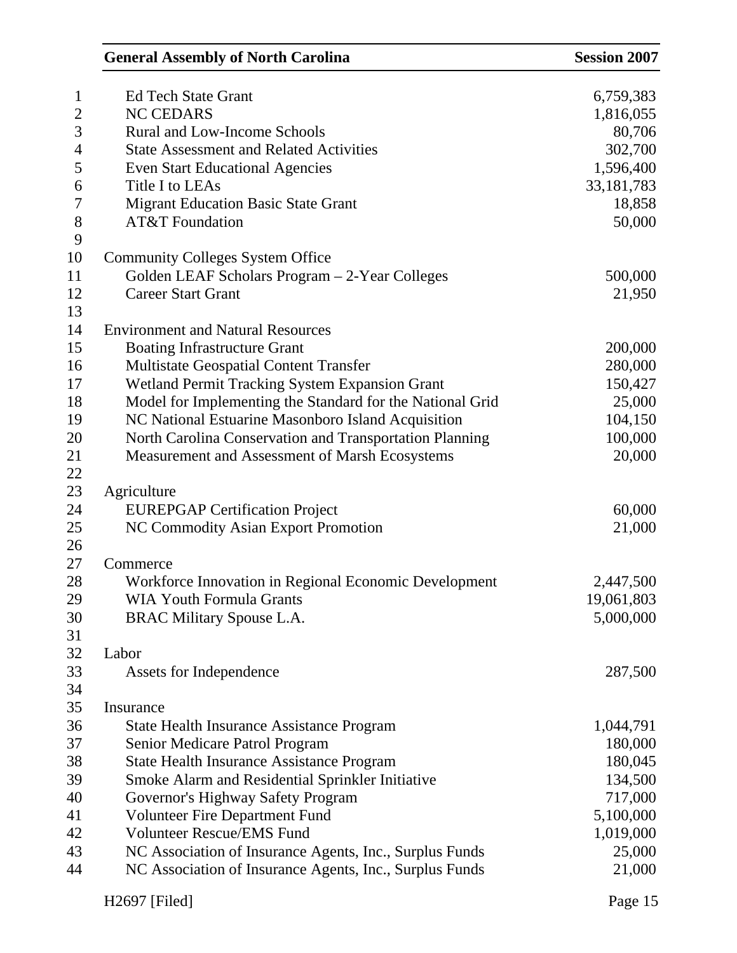| $\mathbf{1}$   | <b>Ed Tech State Grant</b>                                | 6,759,383    |
|----------------|-----------------------------------------------------------|--------------|
| $\overline{2}$ | <b>NC CEDARS</b>                                          | 1,816,055    |
| 3              | <b>Rural and Low-Income Schools</b>                       | 80,706       |
| $\overline{4}$ | <b>State Assessment and Related Activities</b>            | 302,700      |
| 5              | <b>Even Start Educational Agencies</b>                    | 1,596,400    |
| 6              | Title I to LEAs                                           | 33, 181, 783 |
| $\overline{7}$ | Migrant Education Basic State Grant                       | 18,858       |
| 8              | <b>AT&amp;T</b> Foundation                                | 50,000       |
| 9              |                                                           |              |
| 10             | <b>Community Colleges System Office</b>                   |              |
| 11             | Golden LEAF Scholars Program - 2-Year Colleges            | 500,000      |
| 12             | <b>Career Start Grant</b>                                 | 21,950       |
| 13             |                                                           |              |
| 14             | <b>Environment and Natural Resources</b>                  |              |
| 15             | <b>Boating Infrastructure Grant</b>                       | 200,000      |
| 16             | <b>Multistate Geospatial Content Transfer</b>             | 280,000      |
| 17             | Wetland Permit Tracking System Expansion Grant            | 150,427      |
| 18             | Model for Implementing the Standard for the National Grid | 25,000       |
| 19             | NC National Estuarine Masonboro Island Acquisition        | 104,150      |
| 20             | North Carolina Conservation and Transportation Planning   | 100,000      |
| 21             | Measurement and Assessment of Marsh Ecosystems            | 20,000       |
| 22             |                                                           |              |
| 23             | Agriculture                                               |              |
| 24             | <b>EUREPGAP Certification Project</b>                     | 60,000       |
| 25             | NC Commodity Asian Export Promotion                       | 21,000       |
| 26             |                                                           |              |
| 27             | Commerce                                                  |              |
| 28             | Workforce Innovation in Regional Economic Development     | 2,447,500    |
| 29             | <b>WIA Youth Formula Grants</b>                           | 19,061,803   |
| 30             | <b>BRAC Military Spouse L.A</b>                           | 5,000,000    |
| 31             |                                                           |              |
| 32             | Labor                                                     |              |
| 33             | Assets for Independence                                   | 287,500      |
| 34             |                                                           |              |
| 35             | Insurance                                                 |              |
| 36             | <b>State Health Insurance Assistance Program</b>          | 1,044,791    |
| 37             | Senior Medicare Patrol Program                            | 180,000      |
| 38             | State Health Insurance Assistance Program                 | 180,045      |
| 39             | Smoke Alarm and Residential Sprinkler Initiative          | 134,500      |
| 40             | Governor's Highway Safety Program                         | 717,000      |
| 41             | <b>Volunteer Fire Department Fund</b>                     | 5,100,000    |
| 42             | <b>Volunteer Rescue/EMS Fund</b>                          | 1,019,000    |
| 43             | NC Association of Insurance Agents, Inc., Surplus Funds   | 25,000       |
| 44             | NC Association of Insurance Agents, Inc., Surplus Funds   | 21,000       |
|                | H2697 [Filed]                                             | Page 15      |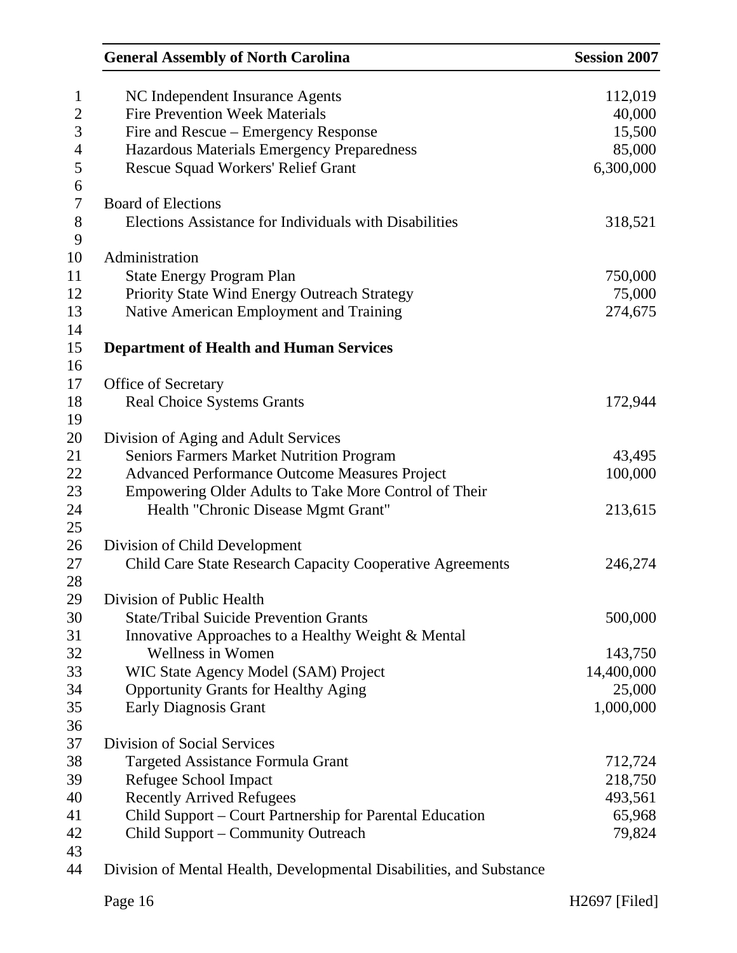| <b>General Assembly of North Carolina</b>                            | <b>Session 2007</b> |
|----------------------------------------------------------------------|---------------------|
| NC Independent Insurance Agents                                      | 112,019             |
| <b>Fire Prevention Week Materials</b>                                | 40,000              |
| Fire and Rescue – Emergency Response                                 | 15,500              |
| Hazardous Materials Emergency Preparedness                           | 85,000              |
| <b>Rescue Squad Workers' Relief Grant</b>                            | 6,300,000           |
| <b>Board of Elections</b>                                            |                     |
| Elections Assistance for Individuals with Disabilities               | 318,521             |
| Administration                                                       |                     |
| <b>State Energy Program Plan</b>                                     | 750,000             |
| Priority State Wind Energy Outreach Strategy                         | 75,000              |
| Native American Employment and Training                              | 274,675             |
| <b>Department of Health and Human Services</b>                       |                     |
|                                                                      |                     |
| Office of Secretary                                                  |                     |
| <b>Real Choice Systems Grants</b>                                    | 172,944             |
| Division of Aging and Adult Services                                 |                     |
| <b>Seniors Farmers Market Nutrition Program</b>                      | 43,495              |
| <b>Advanced Performance Outcome Measures Project</b>                 | 100,000             |
| Empowering Older Adults to Take More Control of Their                |                     |
| Health "Chronic Disease Mgmt Grant"                                  | 213,615             |
| Division of Child Development                                        |                     |
| Child Care State Research Capacity Cooperative Agreements            | 246,274             |
| Division of Public Health                                            |                     |
| <b>State/Tribal Suicide Prevention Grants</b>                        | 500,000             |
| Innovative Approaches to a Healthy Weight & Mental                   |                     |
| <b>Wellness in Women</b>                                             | 143,750             |
| WIC State Agency Model (SAM) Project                                 | 14,400,000          |
| <b>Opportunity Grants for Healthy Aging</b>                          | 25,000              |
| <b>Early Diagnosis Grant</b>                                         | 1,000,000           |
|                                                                      |                     |
| <b>Division of Social Services</b>                                   |                     |
| Targeted Assistance Formula Grant                                    | 712,724             |
| Refugee School Impact                                                | 218,750             |
| <b>Recently Arrived Refugees</b>                                     | 493,561             |
| Child Support - Court Partnership for Parental Education             | 65,968              |
| Child Support – Community Outreach                                   | 79,824              |
| Division of Mental Health, Developmental Disabilities, and Substance |                     |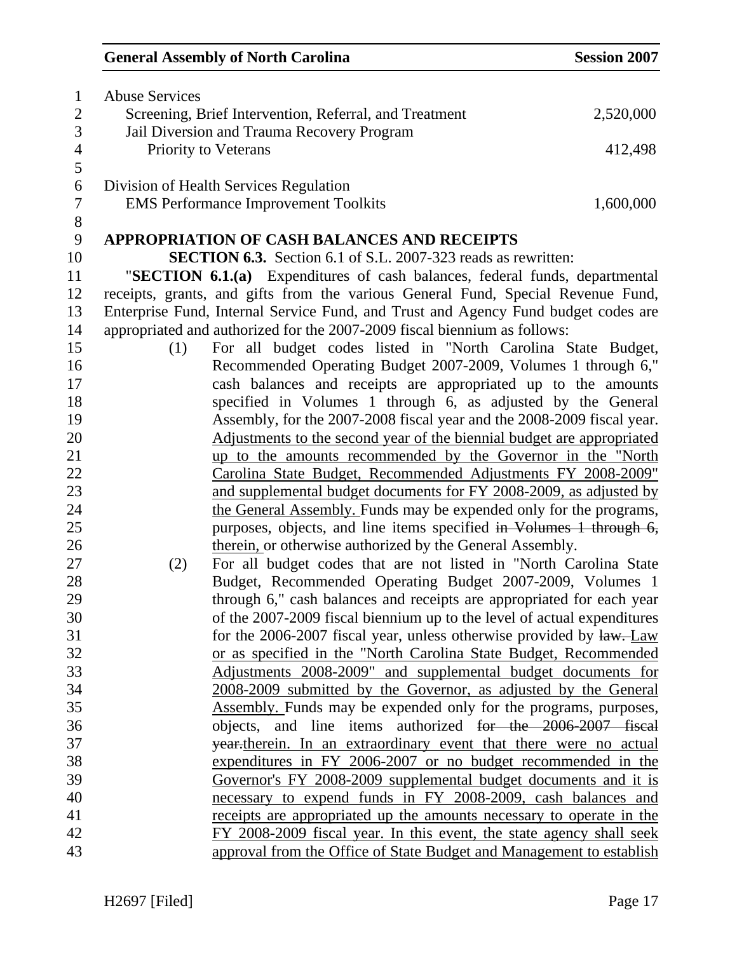| $\mathbf{1}$             | <b>Abuse Services</b> |                                                                                    |           |
|--------------------------|-----------------------|------------------------------------------------------------------------------------|-----------|
| $\overline{2}$           |                       | Screening, Brief Intervention, Referral, and Treatment                             | 2,520,000 |
| 3                        |                       | Jail Diversion and Trauma Recovery Program                                         |           |
| $\overline{\mathcal{A}}$ |                       | Priority to Veterans                                                               | 412,498   |
| 5                        |                       |                                                                                    |           |
| 6                        |                       | Division of Health Services Regulation                                             |           |
| $\tau$                   |                       | <b>EMS Performance Improvement Toolkits</b>                                        | 1,600,000 |
| $8\,$                    |                       |                                                                                    |           |
| 9                        |                       | <b>APPROPRIATION OF CASH BALANCES AND RECEIPTS</b>                                 |           |
| 10                       |                       | <b>SECTION 6.3.</b> Section 6.1 of S.L. 2007-323 reads as rewritten:               |           |
| 11                       |                       | "SECTION 6.1.(a) Expenditures of cash balances, federal funds, departmental        |           |
| 12                       |                       | receipts, grants, and gifts from the various General Fund, Special Revenue Fund,   |           |
| 13                       |                       | Enterprise Fund, Internal Service Fund, and Trust and Agency Fund budget codes are |           |
| 14                       |                       | appropriated and authorized for the 2007-2009 fiscal biennium as follows:          |           |
| 15                       | (1)                   | For all budget codes listed in "North Carolina State Budget,                       |           |
| 16                       |                       | Recommended Operating Budget 2007-2009, Volumes 1 through 6,"                      |           |
| 17                       |                       | cash balances and receipts are appropriated up to the amounts                      |           |
| 18                       |                       | specified in Volumes 1 through 6, as adjusted by the General                       |           |
| 19                       |                       | Assembly, for the 2007-2008 fiscal year and the 2008-2009 fiscal year.             |           |
| 20                       |                       | Adjustments to the second year of the biennial budget are appropriated             |           |
| 21                       |                       | up to the amounts recommended by the Governor in the "North                        |           |
| 22                       |                       | Carolina State Budget, Recommended Adjustments FY 2008-2009"                       |           |
| 23                       |                       | and supplemental budget documents for FY 2008-2009, as adjusted by                 |           |
| 24                       |                       | the General Assembly. Funds may be expended only for the programs,                 |           |
| 25                       |                       | purposes, objects, and line items specified in Volumes 1 through 6,                |           |
| 26                       |                       | therein, or otherwise authorized by the General Assembly.                          |           |
| 27                       | (2)                   | For all budget codes that are not listed in "North Carolina State                  |           |
| 28                       |                       | Budget, Recommended Operating Budget 2007-2009, Volumes 1                          |           |
| 29                       |                       | through 6," cash balances and receipts are appropriated for each year              |           |
| 30                       |                       | of the 2007-2009 fiscal biennium up to the level of actual expenditures            |           |
| 31                       |                       | for the 2006-2007 fiscal year, unless otherwise provided by $\frac{1}{2}$ . Law    |           |
| 32                       |                       | or as specified in the "North Carolina State Budget, Recommended                   |           |
| 33                       |                       | Adjustments 2008-2009" and supplemental budget documents for                       |           |
| 34                       |                       | 2008-2009 submitted by the Governor, as adjusted by the General                    |           |
| 35                       |                       | Assembly. Funds may be expended only for the programs, purposes,                   |           |
| 36                       |                       | objects, and line items authorized for the 2006-2007 fiscal                        |           |
| 37                       |                       | year-therein. In an extraordinary event that there were no actual                  |           |
| 38                       |                       | expenditures in FY 2006-2007 or no budget recommended in the                       |           |
| 39                       |                       | Governor's FY 2008-2009 supplemental budget documents and it is                    |           |
| 40                       |                       | necessary to expend funds in FY 2008-2009, cash balances and                       |           |
| 41                       |                       | receipts are appropriated up the amounts necessary to operate in the               |           |
| 42                       |                       | FY 2008-2009 fiscal year. In this event, the state agency shall seek               |           |
| 43                       |                       | approval from the Office of State Budget and Management to establish               |           |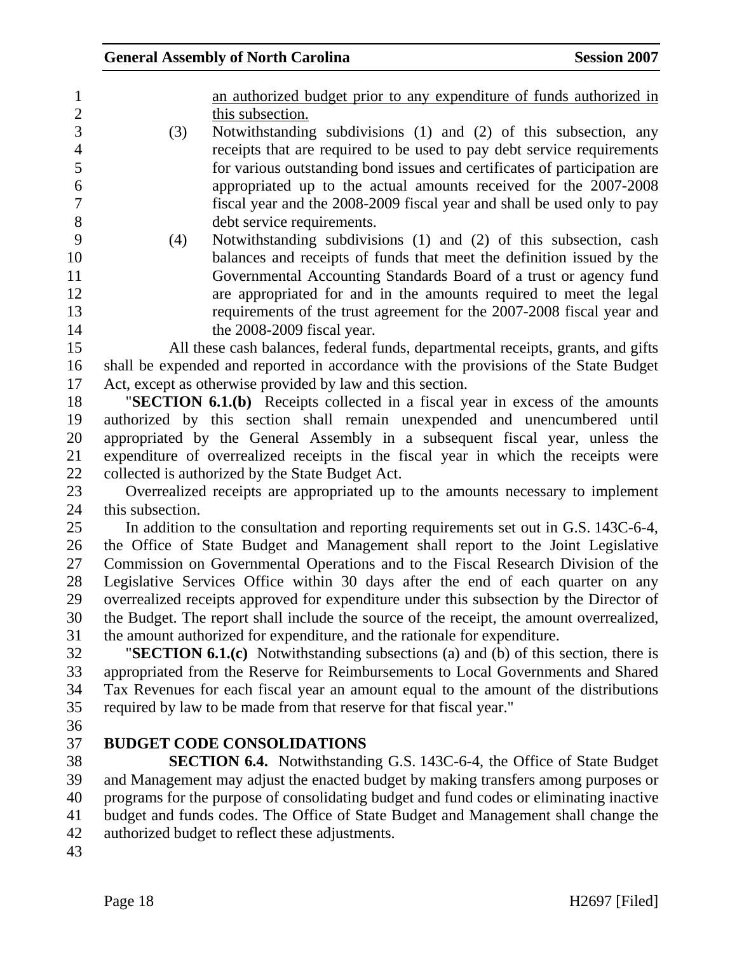|  | an authorized budget prior to any expenditure of funds authorized in                                                                                                                                                                                                                                        |
|--|-------------------------------------------------------------------------------------------------------------------------------------------------------------------------------------------------------------------------------------------------------------------------------------------------------------|
|  | this subsection.                                                                                                                                                                                                                                                                                            |
|  | $\mathbf{M}$ , $\mathbf{M}$ , $\mathbf{M}$ , $\mathbf{M}$ , $\mathbf{M}$ , $\mathbf{M}$ , $\mathbf{M}$ , $\mathbf{M}$ , $\mathbf{M}$ , $\mathbf{M}$ , $\mathbf{M}$ , $\mathbf{M}$ , $\mathbf{M}$ , $\mathbf{M}$ , $\mathbf{M}$ , $\mathbf{M}$ , $\mathbf{M}$ , $\mathbf{M}$ , $\mathbf{M}$ , $\mathbf{M}$ , |

- 3 (3) Notwithstanding subdivisions (1) and (2) of this subsection, any 4 receipts that are required to be used to pay debt service requirements 5 for various outstanding bond issues and certificates of participation are 6 appropriated up to the actual amounts received for the 2007-2008 7 fiscal year and the 2008-2009 fiscal year and shall be used only to pay 8 debt service requirements.
- 9 (4) Notwithstanding subdivisions (1) and (2) of this subsection, cash 10 balances and receipts of funds that meet the definition issued by the 11 Governmental Accounting Standards Board of a trust or agency fund 12 are appropriated for and in the amounts required to meet the legal 13 requirements of the trust agreement for the 2007-2008 fiscal year and 14 the 2008-2009 fiscal year.

15 All these cash balances, federal funds, departmental receipts, grants, and gifts 16 shall be expended and reported in accordance with the provisions of the State Budget 17 Act, except as otherwise provided by law and this section.

18 "**SECTION 6.1.(b)** Receipts collected in a fiscal year in excess of the amounts 19 authorized by this section shall remain unexpended and unencumbered until 20 appropriated by the General Assembly in a subsequent fiscal year, unless the 21 expenditure of overrealized receipts in the fiscal year in which the receipts were 22 collected is authorized by the State Budget Act.

23 Overrealized receipts are appropriated up to the amounts necessary to implement 24 this subsection.

25 In addition to the consultation and reporting requirements set out in G.S. 143C-6-4, 26 the Office of State Budget and Management shall report to the Joint Legislative 27 Commission on Governmental Operations and to the Fiscal Research Division of the 28 Legislative Services Office within 30 days after the end of each quarter on any 29 overrealized receipts approved for expenditure under this subsection by the Director of 30 the Budget. The report shall include the source of the receipt, the amount overrealized, 31 the amount authorized for expenditure, and the rationale for expenditure.

32 "**SECTION 6.1.(c)** Notwithstanding subsections (a) and (b) of this section, there is 33 appropriated from the Reserve for Reimbursements to Local Governments and Shared 34 Tax Revenues for each fiscal year an amount equal to the amount of the distributions 35 required by law to be made from that reserve for that fiscal year."

36

## 37 **BUDGET CODE CONSOLIDATIONS**

38 **SECTION 6.4.** Notwithstanding G.S. 143C-6-4, the Office of State Budget 39 and Management may adjust the enacted budget by making transfers among purposes or 40 programs for the purpose of consolidating budget and fund codes or eliminating inactive 41 budget and funds codes. The Office of State Budget and Management shall change the 42 authorized budget to reflect these adjustments.

43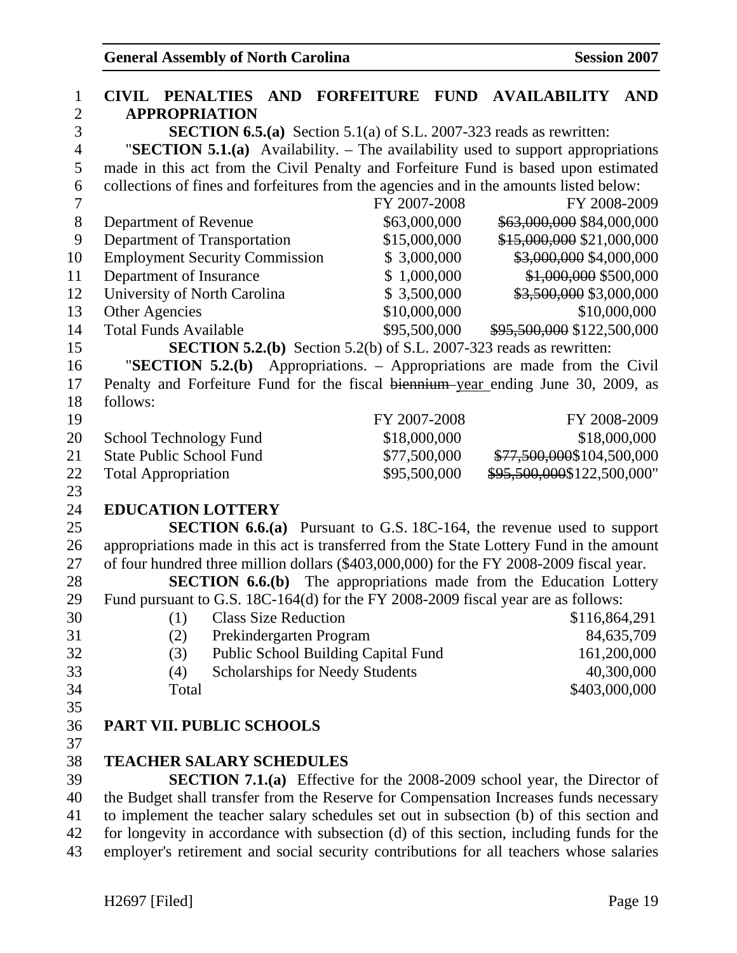| $\mathbf{1}$   | <b>CIVIL PENALTIES AND</b>                                                               |                                        | <b>FORFEITURE FUND AVAILABILITY</b>                      | <b>AND</b>   |
|----------------|------------------------------------------------------------------------------------------|----------------------------------------|----------------------------------------------------------|--------------|
| $\overline{2}$ | <b>APPROPRIATION</b>                                                                     |                                        |                                                          |              |
| 3              | <b>SECTION 6.5.(a)</b> Section 5.1(a) of S.L. 2007-323 reads as rewritten:               |                                        |                                                          |              |
| $\overline{4}$ | "SECTION 5.1.(a) Availability. $-$ The availability used to support appropriations       |                                        |                                                          |              |
| 5              | made in this act from the Civil Penalty and Forfeiture Fund is based upon estimated      |                                        |                                                          |              |
| 6              | collections of fines and forfeitures from the agencies and in the amounts listed below:  |                                        |                                                          |              |
| $\overline{7}$ |                                                                                          | FY 2007-2008                           | FY 2008-2009                                             |              |
| 8              | Department of Revenue                                                                    | \$63,000,000                           | \$63,000,000 \$84,000,000                                |              |
| 9              | Department of Transportation                                                             | \$15,000,000                           | \$15,000,000 \$21,000,000                                |              |
| 10             | <b>Employment Security Commission</b>                                                    | \$3,000,000                            | \$3,000,000 \$4,000,000                                  |              |
| 11             | Department of Insurance                                                                  | \$1,000,000                            | \$1,000,000 \$500,000                                    |              |
| 12             | University of North Carolina                                                             | \$3,500,000                            | \$3,500,000 \$3,000,000                                  |              |
| 13             | Other Agencies                                                                           | \$10,000,000                           |                                                          | \$10,000,000 |
| 14             | <b>Total Funds Available</b>                                                             | \$95,500,000                           | \$95,500,000 \$122,500,000                               |              |
| 15             | <b>SECTION 5.2.(b)</b> Section 5.2(b) of S.L. 2007-323 reads as rewritten:               |                                        |                                                          |              |
| 16             | "SECTION $5.2(b)$                                                                        |                                        | Appropriations. – Appropriations are made from the Civil |              |
| 17             | Penalty and Forfeiture Fund for the fiscal biennium-year ending June 30, 2009, as        |                                        |                                                          |              |
| 18             | follows:                                                                                 |                                        |                                                          |              |
| 19             |                                                                                          | FY 2007-2008                           | FY 2008-2009                                             |              |
| 20             | <b>School Technology Fund</b>                                                            | \$18,000,000                           |                                                          | \$18,000,000 |
| 21             | <b>State Public School Fund</b>                                                          | \$77,500,000                           | \$77,500,000\$104,500,000                                |              |
| 22             | <b>Total Appropriation</b>                                                               | \$95,500,000                           | \$95,500,000\$122,500,000"                               |              |
| 23             |                                                                                          |                                        |                                                          |              |
| 24             | <b>EDUCATION LOTTERY</b>                                                                 |                                        |                                                          |              |
| 25             | <b>SECTION 6.6.(a)</b> Pursuant to G.S. 18C-164, the revenue used to support             |                                        |                                                          |              |
| 26             | appropriations made in this act is transferred from the State Lottery Fund in the amount |                                        |                                                          |              |
| 27             | of four hundred three million dollars (\$403,000,000) for the FY 2008-2009 fiscal year.  |                                        |                                                          |              |
| 28             | <b>SECTION 6.6.(b)</b> The appropriations made from the Education Lottery                |                                        |                                                          |              |
| 29             | Fund pursuant to G.S. 18C-164(d) for the FY 2008-2009 fiscal year are as follows:        |                                        |                                                          |              |
| 30             | <b>Class Size Reduction</b><br>(1)                                                       |                                        | \$116,864,291                                            |              |
| 31             | (2)<br>Prekindergarten Program                                                           |                                        |                                                          | 84,635,709   |
| 32             | (3)                                                                                      | Public School Building Capital Fund    |                                                          | 161,200,000  |
| 33             | (4)                                                                                      | <b>Scholarships for Needy Students</b> |                                                          | 40,300,000   |
| 34             | Total                                                                                    |                                        | \$403,000,000                                            |              |
| 35             |                                                                                          |                                        |                                                          |              |
| 36             | <b>PART VII. PUBLIC SCHOOLS</b>                                                          |                                        |                                                          |              |
| 37             |                                                                                          |                                        |                                                          |              |
| 38             | <b>TEACHER SALARY SCHEDULES</b>                                                          |                                        |                                                          |              |
| 39             | <b>SECTION 7.1.(a)</b> Effective for the 2008-2009 school year, the Director of          |                                        |                                                          |              |
| 40             | the Budget shall transfer from the Reserve for Compensation Increases funds necessary    |                                        |                                                          |              |
| 41             | to implement the teacher salary schedules set out in subsection (b) of this section and  |                                        |                                                          |              |
| 42             | for longevity in accordance with subsection (d) of this section, including funds for the |                                        |                                                          |              |
| 43             | employer's retirement and social security contributions for all teachers whose salaries  |                                        |                                                          |              |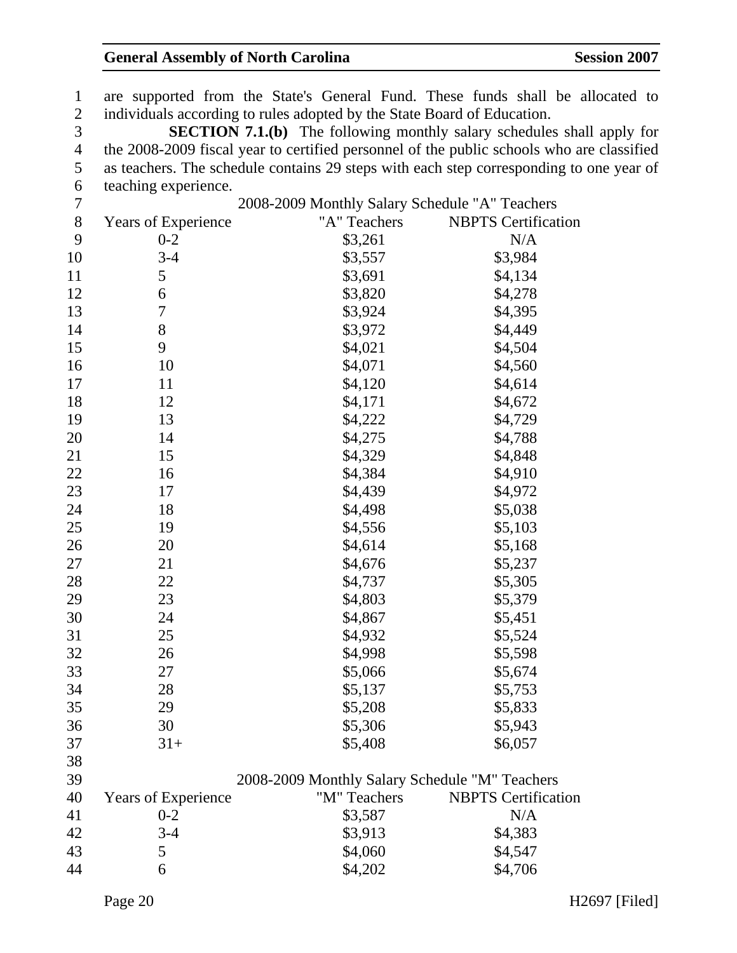1 are supported from the State's General Fund. These funds shall be allocated to 2 individuals according to rules adopted by the State Board of Education. 3 **SECTION 7.1.(b)** The following monthly salary schedules shall apply for 4 the 2008-2009 fiscal year to certified personnel of the public schools who are classified 5 as teachers. The schedule contains 29 steps with each step corresponding to one year of 6 teaching experience. 7 2008-2009 Monthly Salary Schedule "A" Teachers 8 Years of Experience "A" Teachers NBPTS Certification 9 0-2 \$3,261 N/A 10 3-4 \$3,557 \$3,984 11 5 \$3,691 \$4,134 12 6 \$3,820 \$4,278 13 7 \$3,924 \$4,395 14 8 \$3,972 \$4,449 15 9 \$4,021 \$4,504 16 10 \$4,071 \$4,560 17 11 \$4,120 \$4,614 18 12 \$4,171 \$4,672 19 13 \$4,222 \$4,729 20 14 \$4,275 \$4,788 21 15 \$4,329 \$4,848 22 16 \$4,384 \$4,910 23 17 \$4,439 \$4,972 24 18 \$4,498 \$5,038 25 19 \$4,556 \$5,103 26 20 \$4,614 \$5,168 27 21 \$4,676 \$5,237 28 22 \$4,737 \$5,305 29 23 \$4,803 \$5,379 30 24 \$4,867 \$5,451 31 25 \$4,932 \$5,524 32 26 \$4,998 \$5,598 33 27 \$5,066 \$5,674 34 28 \$5,137 \$5,753 35 29 \$5,208 \$5,833 36 30 \$5,306 \$5,943  $31+$  \$5,408 \$6,057 38 39 2008-2009 Monthly Salary Schedule "M" Teachers 40 Years of Experience "M" Teachers NBPTS Certification 41 0-2 \$3,587 N/A 42 3-4 \$3,913 \$4,383 43 5 \$4,060 \$4,547 44 6 \$4,202 \$4,706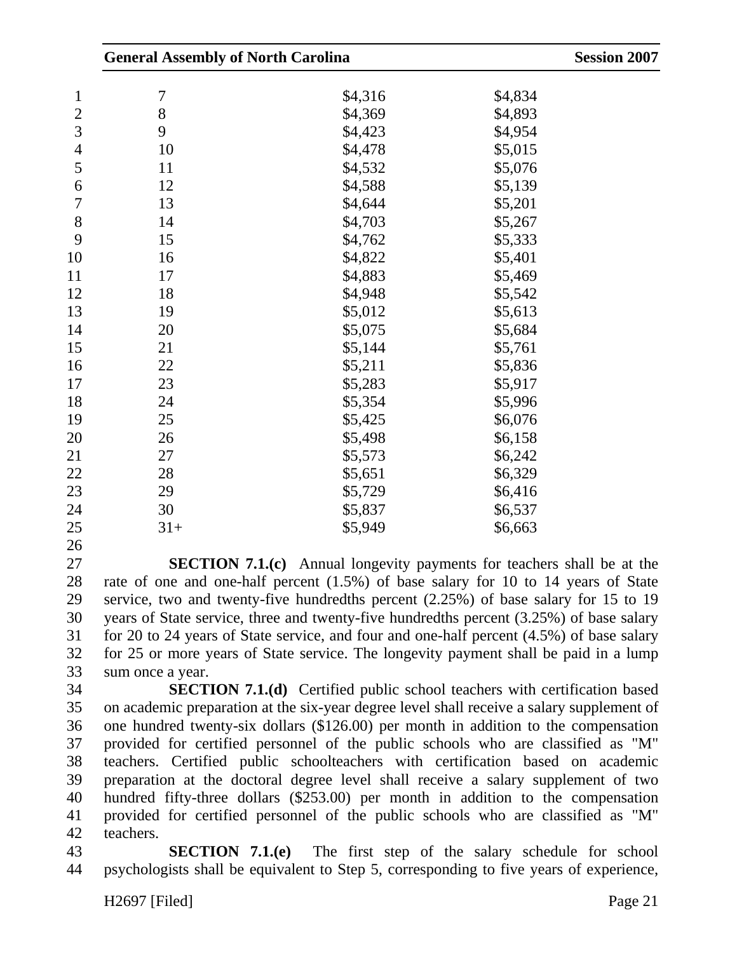|                |       | <b>General Assembly of North Carolina</b> |         |  |
|----------------|-------|-------------------------------------------|---------|--|
| $\mathbf{1}$   | 7     | \$4,316                                   | \$4,834 |  |
| $\mathbf{2}$   | 8     | \$4,369                                   | \$4,893 |  |
| 3              | 9     | \$4,423                                   | \$4,954 |  |
| $\overline{4}$ | 10    | \$4,478                                   | \$5,015 |  |
| 5              | 11    | \$4,532                                   | \$5,076 |  |
| 6              | 12    | \$4,588                                   | \$5,139 |  |
| 7              | 13    | \$4,644                                   | \$5,201 |  |
| $8\,$          | 14    | \$4,703                                   | \$5,267 |  |
| 9              | 15    | \$4,762                                   | \$5,333 |  |
| 10             | 16    | \$4,822                                   | \$5,401 |  |
| 11             | 17    | \$4,883                                   | \$5,469 |  |
| 12             | 18    | \$4,948                                   | \$5,542 |  |
| 13             | 19    | \$5,012                                   | \$5,613 |  |
| 14             | 20    | \$5,075                                   | \$5,684 |  |
| 15             | 21    | \$5,144                                   | \$5,761 |  |
| 16             | 22    | \$5,211                                   | \$5,836 |  |
| 17             | 23    | \$5,283                                   | \$5,917 |  |
| 18             | 24    | \$5,354                                   | \$5,996 |  |
| 19             | 25    | \$5,425                                   | \$6,076 |  |
| 20             | 26    | \$5,498                                   | \$6,158 |  |
| 21             | 27    | \$5,573                                   | \$6,242 |  |
| 22             | 28    | \$5,651                                   | \$6,329 |  |
| 23             | 29    | \$5,729                                   | \$6,416 |  |
| 24             | 30    | \$5,837                                   | \$6,537 |  |
| 25             | $31+$ | \$5,949                                   | \$6,663 |  |
| 26             |       |                                           |         |  |

27 **SECTION 7.1.(c)** Annual longevity payments for teachers shall be at the 28 rate of one and one-half percent (1.5%) of base salary for 10 to 14 years of State 29 service, two and twenty-five hundredths percent (2.25%) of base salary for 15 to 19 30 years of State service, three and twenty-five hundredths percent (3.25%) of base salary 31 for 20 to 24 years of State service, and four and one-half percent (4.5%) of base salary 32 for 25 or more years of State service. The longevity payment shall be paid in a lump 33 sum once a year.

34 **SECTION 7.1.(d)** Certified public school teachers with certification based 35 on academic preparation at the six-year degree level shall receive a salary supplement of 36 one hundred twenty-six dollars (\$126.00) per month in addition to the compensation 37 provided for certified personnel of the public schools who are classified as "M" 38 teachers. Certified public schoolteachers with certification based on academic 39 preparation at the doctoral degree level shall receive a salary supplement of two 40 hundred fifty-three dollars (\$253.00) per month in addition to the compensation 41 provided for certified personnel of the public schools who are classified as "M" 42 teachers.

43 **SECTION 7.1.(e)** The first step of the salary schedule for school 44 psychologists shall be equivalent to Step 5, corresponding to five years of experience,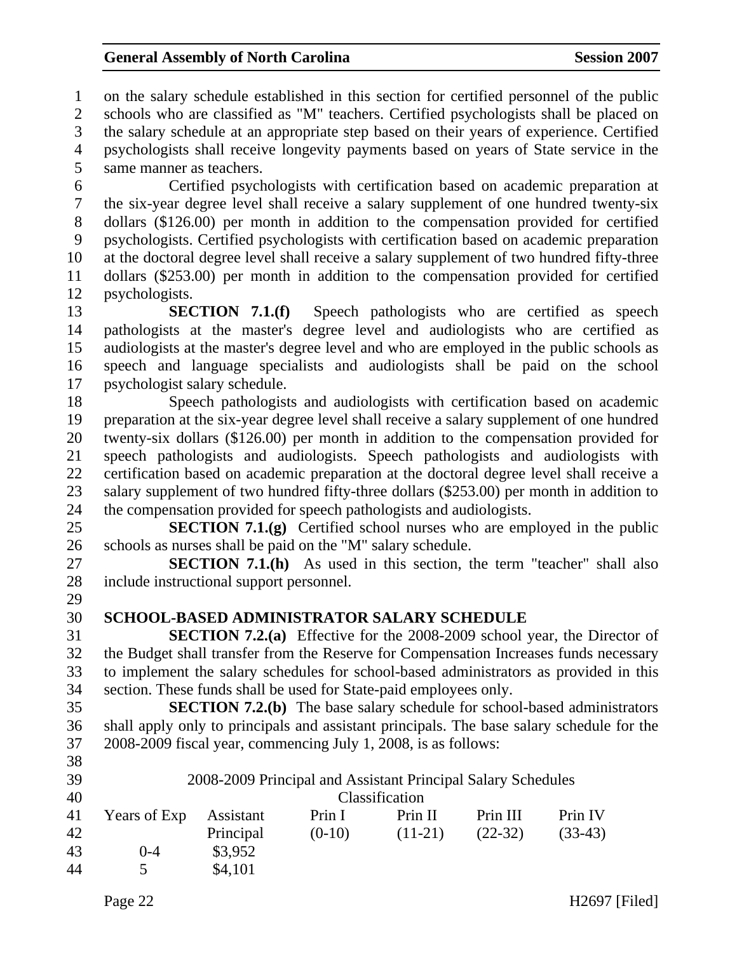1 on the salary schedule established in this section for certified personnel of the public 2 schools who are classified as "M" teachers. Certified psychologists shall be placed on 3 the salary schedule at an appropriate step based on their years of experience. Certified 4 psychologists shall receive longevity payments based on years of State service in the 5 same manner as teachers. 6 Certified psychologists with certification based on academic preparation at 7 the six-year degree level shall receive a salary supplement of one hundred twenty-six 8 dollars (\$126.00) per month in addition to the compensation provided for certified 9 psychologists. Certified psychologists with certification based on academic preparation 10 at the doctoral degree level shall receive a salary supplement of two hundred fifty-three 11 dollars (\$253.00) per month in addition to the compensation provided for certified 12 psychologists. 13 **SECTION 7.1.(f)** Speech pathologists who are certified as speech 14 pathologists at the master's degree level and audiologists who are certified as 15 audiologists at the master's degree level and who are employed in the public schools as 16 speech and language specialists and audiologists shall be paid on the school 17 psychologist salary schedule. 18 Speech pathologists and audiologists with certification based on academic 19 preparation at the six-year degree level shall receive a salary supplement of one hundred 20 twenty-six dollars (\$126.00) per month in addition to the compensation provided for 21 speech pathologists and audiologists. Speech pathologists and audiologists with 22 certification based on academic preparation at the doctoral degree level shall receive a 23 salary supplement of two hundred fifty-three dollars (\$253.00) per month in addition to 24 the compensation provided for speech pathologists and audiologists. 25 **SECTION 7.1.(g)** Certified school nurses who are employed in the public 26 schools as nurses shall be paid on the "M" salary schedule. 27 **SECTION 7.1.(h)** As used in this section, the term "teacher" shall also 28 include instructional support personnel. 29 30 **SCHOOL-BASED ADMINISTRATOR SALARY SCHEDULE**  31 **SECTION 7.2.(a)** Effective for the 2008-2009 school year, the Director of 32 the Budget shall transfer from the Reserve for Compensation Increases funds necessary 33 to implement the salary schedules for school-based administrators as provided in this 34 section. These funds shall be used for State-paid employees only. 35 **SECTION 7.2.(b)** The base salary schedule for school-based administrators 36 shall apply only to principals and assistant principals. The base salary schedule for the 37 2008-2009 fiscal year, commencing July 1, 2008, is as follows: 38 39 2008-2009 Principal and Assistant Principal Salary Schedules 40 Classification 41 Years of Exp Assistant Prin I Prin II Prin III Prin IV 42 Principal (0-10) (11-21) (22-32) (33-43)

43 0-4 \$3,952 44 5 \$4,101

Page 22 H2697 [Filed]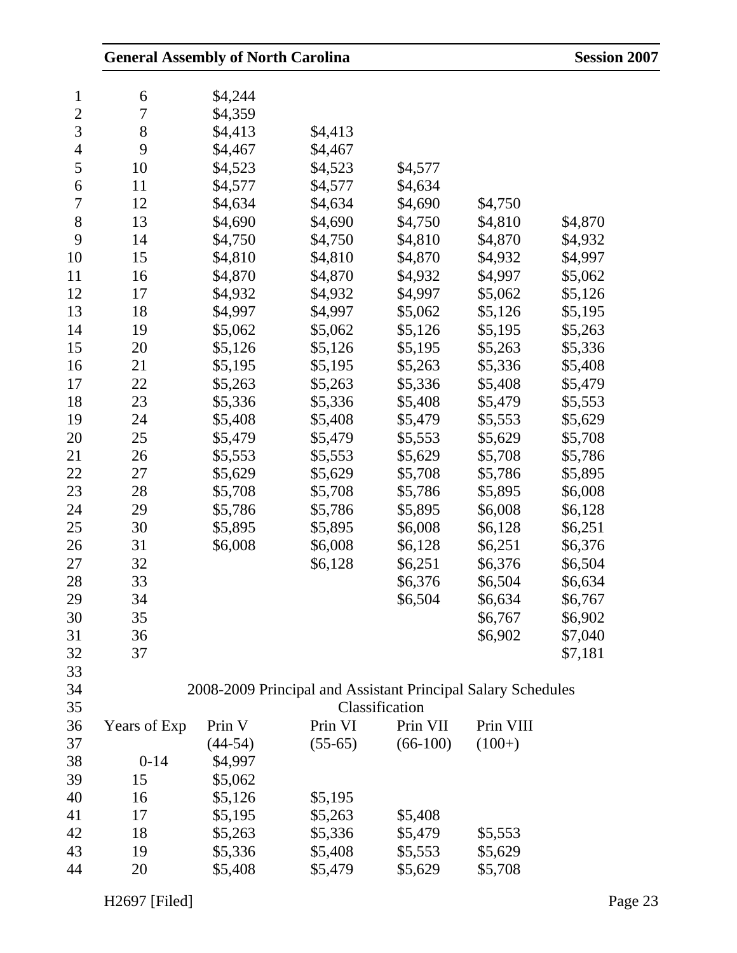|                | <b>General Assembly of North Carolina</b> |           |                                                              |                |           | <b>Session 2007</b> |
|----------------|-------------------------------------------|-----------|--------------------------------------------------------------|----------------|-----------|---------------------|
| $\mathbf{1}$   | 6                                         | \$4,244   |                                                              |                |           |                     |
| $\mathbf{2}$   | 7                                         | \$4,359   |                                                              |                |           |                     |
| 3              | 8                                         | \$4,413   | \$4,413                                                      |                |           |                     |
| 4              | 9                                         | \$4,467   | \$4,467                                                      |                |           |                     |
| 5              | 10                                        | \$4,523   | \$4,523                                                      | \$4,577        |           |                     |
| 6              | 11                                        | \$4,577   | \$4,577                                                      | \$4,634        |           |                     |
| $\overline{7}$ | 12                                        | \$4,634   | \$4,634                                                      | \$4,690        | \$4,750   |                     |
| $8\,$          | 13                                        | \$4,690   | \$4,690                                                      | \$4,750        | \$4,810   | \$4,870             |
| 9              | 14                                        | \$4,750   | \$4,750                                                      | \$4,810        | \$4,870   | \$4,932             |
| 10             | 15                                        | \$4,810   | \$4,810                                                      | \$4,870        | \$4,932   | \$4,997             |
| 11             | 16                                        | \$4,870   | \$4,870                                                      | \$4,932        | \$4,997   | \$5,062             |
| 12             | 17                                        | \$4,932   | \$4,932                                                      | \$4,997        | \$5,062   | \$5,126             |
| 13             | 18                                        | \$4,997   | \$4,997                                                      | \$5,062        | \$5,126   | \$5,195             |
| 14             | 19                                        | \$5,062   | \$5,062                                                      | \$5,126        | \$5,195   | \$5,263             |
| 15             | 20                                        | \$5,126   | \$5,126                                                      | \$5,195        | \$5,263   | \$5,336             |
| 16             | 21                                        | \$5,195   | \$5,195                                                      | \$5,263        | \$5,336   | \$5,408             |
| 17             | 22                                        | \$5,263   | \$5,263                                                      | \$5,336        | \$5,408   | \$5,479             |
| 18             | 23                                        | \$5,336   | \$5,336                                                      | \$5,408        | \$5,479   | \$5,553             |
| 19             | 24                                        | \$5,408   | \$5,408                                                      | \$5,479        | \$5,553   | \$5,629             |
| 20             | 25                                        | \$5,479   | \$5,479                                                      | \$5,553        | \$5,629   | \$5,708             |
| 21             | 26                                        | \$5,553   | \$5,553                                                      | \$5,629        | \$5,708   | \$5,786             |
| 22             | 27                                        | \$5,629   | \$5,629                                                      | \$5,708        | \$5,786   | \$5,895             |
| 23             | 28                                        | \$5,708   | \$5,708                                                      | \$5,786        | \$5,895   | \$6,008             |
| 24             | 29                                        | \$5,786   | \$5,786                                                      | \$5,895        | \$6,008   | \$6,128             |
| 25             | 30                                        | \$5,895   | \$5,895                                                      | \$6,008        | \$6,128   | \$6,251             |
| 26             | 31                                        | \$6,008   | \$6,008                                                      | \$6,128        | \$6,251   | \$6,376             |
| 27             | 32                                        |           | \$6,128                                                      | \$6,251        | \$6,376   | \$6,504             |
| 28             | 33                                        |           |                                                              | \$6,376        | \$6,504   | \$6,634             |
| 29             | 34                                        |           |                                                              | \$6,504        | \$6,634   | \$6,767             |
| 30             | 35                                        |           |                                                              |                | \$6,767   | \$6,902             |
| 31             | 36                                        |           |                                                              |                | \$6,902   | \$7,040             |
| 32             | 37                                        |           |                                                              |                |           | \$7,181             |
| 33             |                                           |           |                                                              |                |           |                     |
| 34             |                                           |           | 2008-2009 Principal and Assistant Principal Salary Schedules |                |           |                     |
| 35             |                                           |           |                                                              | Classification |           |                     |
| 36             | Years of Exp                              | Prin V    | Prin VI                                                      | Prin VII       | Prin VIII |                     |
| 37             |                                           | $(44-54)$ | $(55-65)$                                                    | $(66-100)$     | $(100+)$  |                     |
| 38             | $0-14$                                    | \$4,997   |                                                              |                |           |                     |
| 39             | 15                                        | \$5,062   |                                                              |                |           |                     |
| 40             | 16                                        | \$5,126   | \$5,195                                                      |                |           |                     |
| 41             | 17                                        | \$5,195   | \$5,263                                                      | \$5,408        |           |                     |
| 42             | 18                                        | \$5,263   | \$5,336                                                      | \$5,479        | \$5,553   |                     |
| 43             | 19                                        | \$5,336   | \$5,408                                                      | \$5,553        | \$5,629   |                     |
|                |                                           |           |                                                              |                |           |                     |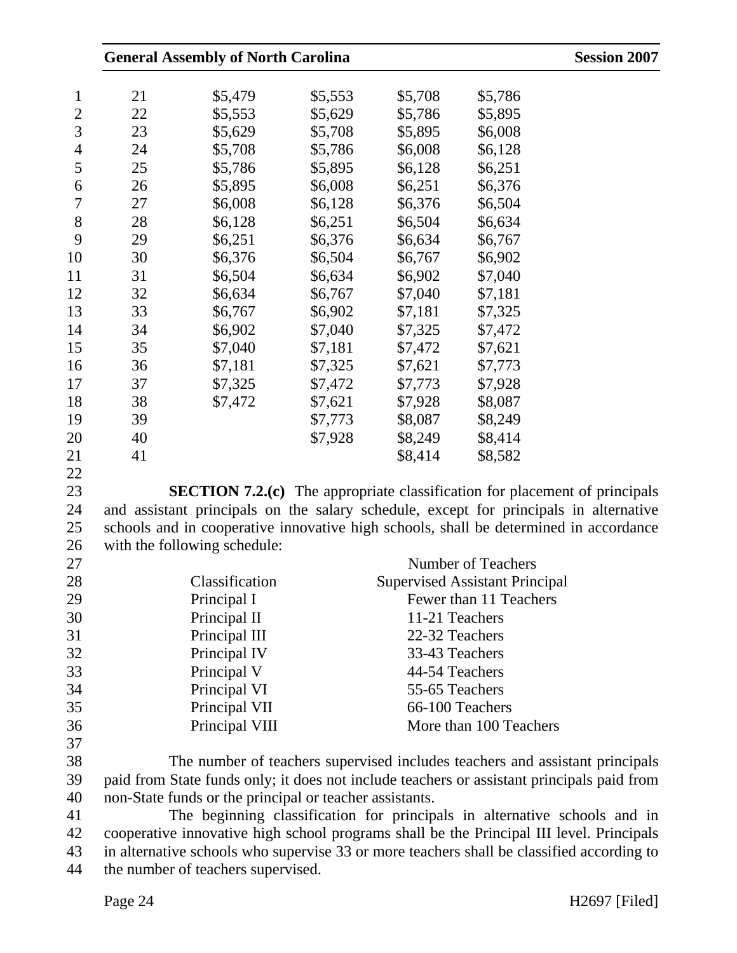|    | <b>General Assembly of North Carolina</b>                                                  |         |                |                                       | <b>Session 2007</b> |
|----|--------------------------------------------------------------------------------------------|---------|----------------|---------------------------------------|---------------------|
| 21 | \$5,479                                                                                    | \$5,553 | \$5,708        | \$5,786                               |                     |
| 22 | \$5,553                                                                                    | \$5,629 | \$5,786        | \$5,895                               |                     |
| 23 | \$5,629                                                                                    | \$5,708 | \$5,895        | \$6,008                               |                     |
| 24 | \$5,708                                                                                    | \$5,786 | \$6,008        | \$6,128                               |                     |
| 25 | \$5,786                                                                                    | \$5,895 | \$6,128        | \$6,251                               |                     |
| 26 | \$5,895                                                                                    | \$6,008 | \$6,251        | \$6,376                               |                     |
| 27 | \$6,008                                                                                    | \$6,128 | \$6,376        | \$6,504                               |                     |
| 28 | \$6,128                                                                                    | \$6,251 | \$6,504        | \$6,634                               |                     |
|    |                                                                                            |         |                |                                       |                     |
| 29 | \$6,251                                                                                    | \$6,376 | \$6,634        | \$6,767                               |                     |
| 30 | \$6,376                                                                                    | \$6,504 | \$6,767        | \$6,902                               |                     |
| 31 | \$6,504                                                                                    | \$6,634 | \$6,902        | \$7,040                               |                     |
| 32 | \$6,634                                                                                    | \$6,767 | \$7,040        | \$7,181                               |                     |
| 33 | \$6,767                                                                                    | \$6,902 | \$7,181        | \$7,325                               |                     |
| 34 | \$6,902                                                                                    | \$7,040 | \$7,325        | \$7,472                               |                     |
| 35 | \$7,040                                                                                    | \$7,181 | \$7,472        | \$7,621                               |                     |
| 36 | \$7,181                                                                                    | \$7,325 | \$7,621        | \$7,773                               |                     |
| 37 | \$7,325                                                                                    | \$7,472 | \$7,773        | \$7,928                               |                     |
| 38 | \$7,472                                                                                    | \$7,621 | \$7,928        | \$8,087                               |                     |
| 39 |                                                                                            | \$7,773 | \$8,087        | \$8,249                               |                     |
| 40 |                                                                                            | \$7,928 | \$8,249        | \$8,414                               |                     |
| 41 |                                                                                            |         | \$8,414        | \$8,582                               |                     |
|    |                                                                                            |         |                |                                       |                     |
|    | <b>SECTION 7.2.(c)</b> The appropriate classification for placement of principals          |         |                |                                       |                     |
|    | and assistant principals on the salary schedule, except for principals in alternative      |         |                |                                       |                     |
|    | schools and in cooperative innovative high schools, shall be determined in accordance      |         |                |                                       |                     |
|    | with the following schedule:                                                               |         |                |                                       |                     |
|    |                                                                                            |         |                | <b>Number of Teachers</b>             |                     |
|    | Classification                                                                             |         |                | <b>Supervised Assistant Principal</b> |                     |
|    | Principal I                                                                                |         |                | Fewer than 11 Teachers                |                     |
|    | Principal II                                                                               |         | 11-21 Teachers |                                       |                     |
|    | Principal III                                                                              |         | 22-32 Teachers |                                       |                     |
|    | Principal IV                                                                               |         | 33-43 Teachers |                                       |                     |
|    | Principal V                                                                                |         | 44-54 Teachers |                                       |                     |
|    | Principal VI                                                                               |         | 55-65 Teachers |                                       |                     |
|    | Principal VII                                                                              |         |                | 66-100 Teachers                       |                     |
|    | Principal VIII                                                                             |         |                | More than 100 Teachers                |                     |
|    | The number of teachers supervised includes teachers and assistant principals               |         |                |                                       |                     |
|    | paid from State funds only; it does not include teachers or assistant principals paid from |         |                |                                       |                     |
|    | non-State funds or the principal or teacher assistants.                                    |         |                |                                       |                     |
|    |                                                                                            |         |                |                                       |                     |
|    | The beginning classification for principals in alternative schools and in                  |         |                |                                       |                     |
|    | cooperative innovative high school programs shall be the Principal III level. Principals   |         |                |                                       |                     |
|    | in alternative schools who supervise 33 or more teachers shall be classified according to  |         |                |                                       |                     |
|    | the number of teachers supervised.                                                         |         |                |                                       |                     |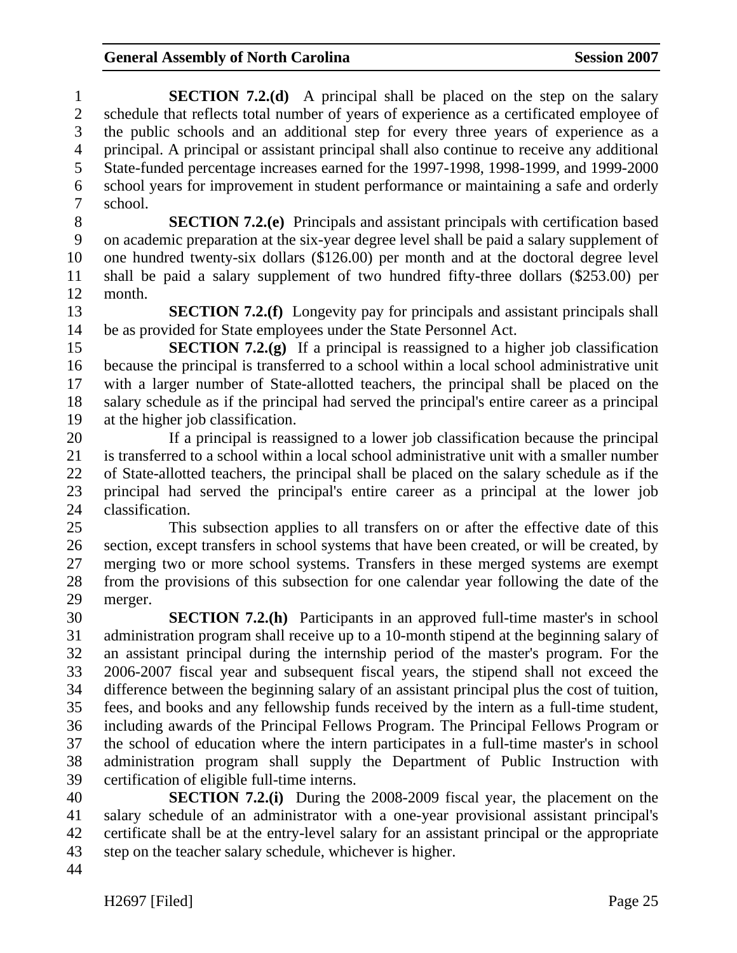1 **SECTION 7.2.(d)** A principal shall be placed on the step on the salary 2 schedule that reflects total number of years of experience as a certificated employee of 3 the public schools and an additional step for every three years of experience as a 4 principal. A principal or assistant principal shall also continue to receive any additional 5 State-funded percentage increases earned for the 1997-1998, 1998-1999, and 1999-2000 6 school years for improvement in student performance or maintaining a safe and orderly 7 school.

8 **SECTION 7.2.(e)** Principals and assistant principals with certification based 9 on academic preparation at the six-year degree level shall be paid a salary supplement of 10 one hundred twenty-six dollars (\$126.00) per month and at the doctoral degree level 11 shall be paid a salary supplement of two hundred fifty-three dollars (\$253.00) per 12 month.

13 **SECTION 7.2.(f)** Longevity pay for principals and assistant principals shall 14 be as provided for State employees under the State Personnel Act.

15 **SECTION 7.2.(g)** If a principal is reassigned to a higher job classification 16 because the principal is transferred to a school within a local school administrative unit 17 with a larger number of State-allotted teachers, the principal shall be placed on the 18 salary schedule as if the principal had served the principal's entire career as a principal 19 at the higher job classification.

20 If a principal is reassigned to a lower job classification because the principal 21 is transferred to a school within a local school administrative unit with a smaller number 22 of State-allotted teachers, the principal shall be placed on the salary schedule as if the 23 principal had served the principal's entire career as a principal at the lower job 24 classification.

25 This subsection applies to all transfers on or after the effective date of this 26 section, except transfers in school systems that have been created, or will be created, by 27 merging two or more school systems. Transfers in these merged systems are exempt 28 from the provisions of this subsection for one calendar year following the date of the 29 merger.

30 **SECTION 7.2.(h)** Participants in an approved full-time master's in school 31 administration program shall receive up to a 10-month stipend at the beginning salary of 32 an assistant principal during the internship period of the master's program. For the 33 2006-2007 fiscal year and subsequent fiscal years, the stipend shall not exceed the 34 difference between the beginning salary of an assistant principal plus the cost of tuition, 35 fees, and books and any fellowship funds received by the intern as a full-time student, 36 including awards of the Principal Fellows Program. The Principal Fellows Program or 37 the school of education where the intern participates in a full-time master's in school 38 administration program shall supply the Department of Public Instruction with 39 certification of eligible full-time interns.

40 **SECTION 7.2.(i)** During the 2008-2009 fiscal year, the placement on the 41 salary schedule of an administrator with a one-year provisional assistant principal's 42 certificate shall be at the entry-level salary for an assistant principal or the appropriate 43 step on the teacher salary schedule, whichever is higher.

44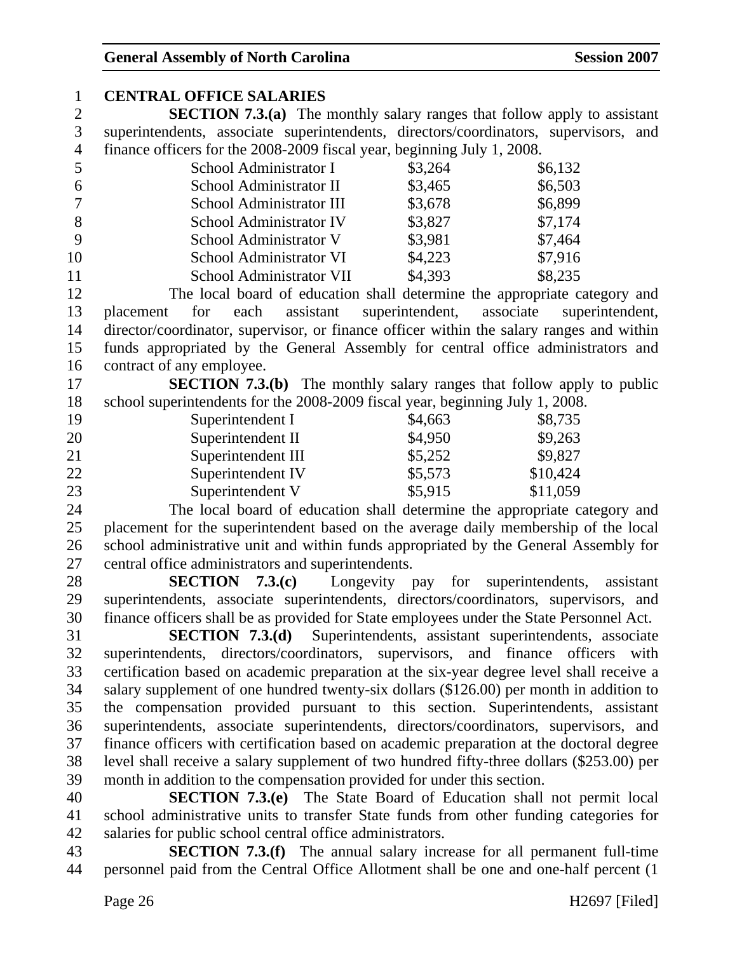| $\mathbf{1}$   | <b>CENTRAL OFFICE SALARIES</b>                                                            |                              |                                |
|----------------|-------------------------------------------------------------------------------------------|------------------------------|--------------------------------|
| $\mathbf{2}$   | <b>SECTION 7.3.(a)</b> The monthly salary ranges that follow apply to assistant           |                              |                                |
| $\mathfrak{Z}$ | superintendents, associate superintendents, directors/coordinators, supervisors, and      |                              |                                |
| $\overline{4}$ | finance officers for the 2008-2009 fiscal year, beginning July 1, 2008.                   |                              |                                |
| 5              | School Administrator I                                                                    | \$3,264                      | \$6,132                        |
| 6              | School Administrator II                                                                   | \$3,465                      | \$6,503                        |
| $\overline{7}$ | School Administrator III                                                                  | \$3,678                      | \$6,899                        |
| 8              | School Administrator IV                                                                   | \$3,827                      | \$7,174                        |
| 9              | School Administrator V                                                                    | \$3,981                      | \$7,464                        |
| 10             | School Administrator VI                                                                   | \$4,223                      | \$7,916                        |
| 11             | School Administrator VII                                                                  | \$4,393                      | \$8,235                        |
| 12             | The local board of education shall determine the appropriate category and                 |                              |                                |
| 13             | assistant<br>for<br>each<br>placement                                                     | superintendent,<br>associate | superintendent,                |
| 14             | director/coordinator, supervisor, or finance officer within the salary ranges and within  |                              |                                |
| 15             | funds appropriated by the General Assembly for central office administrators and          |                              |                                |
| 16             | contract of any employee.                                                                 |                              |                                |
| 17             | <b>SECTION 7.3.(b)</b> The monthly salary ranges that follow apply to public              |                              |                                |
| 18             | school superintendents for the 2008-2009 fiscal year, beginning July 1, 2008.             |                              |                                |
| 19             | Superintendent I                                                                          | \$4,663                      | \$8,735                        |
| 20             | Superintendent II                                                                         | \$4,950                      | \$9,263                        |
| 21             | Superintendent III                                                                        | \$5,252                      | \$9,827                        |
| 22             | Superintendent IV                                                                         | \$5,573                      | \$10,424                       |
| 23             | Superintendent V                                                                          | \$5,915                      | \$11,059                       |
| 24             | The local board of education shall determine the appropriate category and                 |                              |                                |
| 25             | placement for the superintendent based on the average daily membership of the local       |                              |                                |
| 26             | school administrative unit and within funds appropriated by the General Assembly for      |                              |                                |
| 27             | central office administrators and superintendents.                                        |                              |                                |
| 28             | SECTION 7.3(c)<br>Longevity pay                                                           |                              | for superintendents, assistant |
| 29             | superintendents, associate superintendents, directors/coordinators, supervisors, and      |                              |                                |
| 30             | finance officers shall be as provided for State employees under the State Personnel Act.  |                              |                                |
| 31             | <b>SECTION 7.3.(d)</b> Superintendents, assistant superintendents, associate              |                              |                                |
| 32             | superintendents, directors/coordinators, supervisors, and finance officers                |                              | with                           |
| 33             | certification based on academic preparation at the six-year degree level shall receive a  |                              |                                |
| 34             | salary supplement of one hundred twenty-six dollars (\$126.00) per month in addition to   |                              |                                |
| 35             | the compensation provided pursuant to this section. Superintendents, assistant            |                              |                                |
| 36             | superintendents, associate superintendents, directors/coordinators, supervisors, and      |                              |                                |
| 37             | finance officers with certification based on academic preparation at the doctoral degree  |                              |                                |
| 38             | level shall receive a salary supplement of two hundred fifty-three dollars (\$253.00) per |                              |                                |
| 39             | month in addition to the compensation provided for under this section.                    |                              |                                |
| 40             | <b>SECTION 7.3.(e)</b> The State Board of Education shall not permit local                |                              |                                |
| 41             | school administrative units to transfer State funds from other funding categories for     |                              |                                |
| 42             | salaries for public school central office administrators.                                 |                              |                                |
| 43             | <b>SECTION 7.3.(f)</b> The annual salary increase for all permanent full-time             |                              |                                |

44 personnel paid from the Central Office Allotment shall be one and one-half percent (1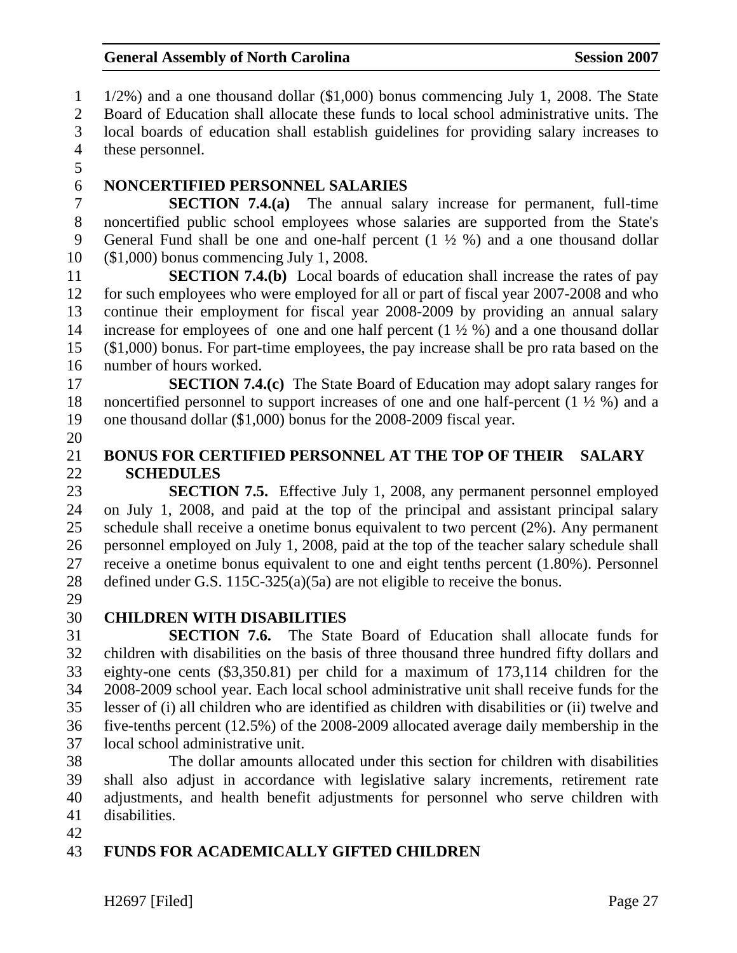1 1/2%) and a one thousand dollar (\$1,000) bonus commencing July 1, 2008. The State 2 Board of Education shall allocate these funds to local school administrative units. The 3 local boards of education shall establish guidelines for providing salary increases to 4 these personnel. 5 6 **NONCERTIFIED PERSONNEL SALARIES**  7 **SECTION 7.4.(a)** The annual salary increase for permanent, full-time 8 noncertified public school employees whose salaries are supported from the State's 9 General Fund shall be one and one-half percent (1 ½ %) and a one thousand dollar 10 (\$1,000) bonus commencing July 1, 2008. 11 **SECTION 7.4.(b)** Local boards of education shall increase the rates of pay 12 for such employees who were employed for all or part of fiscal year 2007-2008 and who 13 continue their employment for fiscal year 2008-2009 by providing an annual salary

14 increase for employees of one and one half percent  $(1 \frac{1}{2} \%)$  and a one thousand dollar 15 (\$1,000) bonus. For part-time employees, the pay increase shall be pro rata based on the 16 number of hours worked.

17 **SECTION 7.4.(c)** The State Board of Education may adopt salary ranges for 18 noncertified personnel to support increases of one and one half-percent (1 ½ %) and a 19 one thousand dollar (\$1,000) bonus for the 2008-2009 fiscal year.

20

### 21 **BONUS FOR CERTIFIED PERSONNEL AT THE TOP OF THEIR SALARY**  22 **SCHEDULES**

23 **SECTION 7.5.** Effective July 1, 2008, any permanent personnel employed 24 on July 1, 2008, and paid at the top of the principal and assistant principal salary 25 schedule shall receive a onetime bonus equivalent to two percent (2%). Any permanent 26 personnel employed on July 1, 2008, paid at the top of the teacher salary schedule shall 27 receive a onetime bonus equivalent to one and eight tenths percent (1.80%). Personnel 28 defined under G.S. 115C-325(a)(5a) are not eligible to receive the bonus.

29

## 30 **CHILDREN WITH DISABILITIES**

31 **SECTION 7.6.** The State Board of Education shall allocate funds for 32 children with disabilities on the basis of three thousand three hundred fifty dollars and 33 eighty-one cents (\$3,350.81) per child for a maximum of 173,114 children for the 34 2008-2009 school year. Each local school administrative unit shall receive funds for the 35 lesser of (i) all children who are identified as children with disabilities or (ii) twelve and 36 five-tenths percent (12.5%) of the 2008-2009 allocated average daily membership in the 37 local school administrative unit.

38 The dollar amounts allocated under this section for children with disabilities 39 shall also adjust in accordance with legislative salary increments, retirement rate 40 adjustments, and health benefit adjustments for personnel who serve children with 41 disabilities.

42

## 43 **FUNDS FOR ACADEMICALLY GIFTED CHILDREN**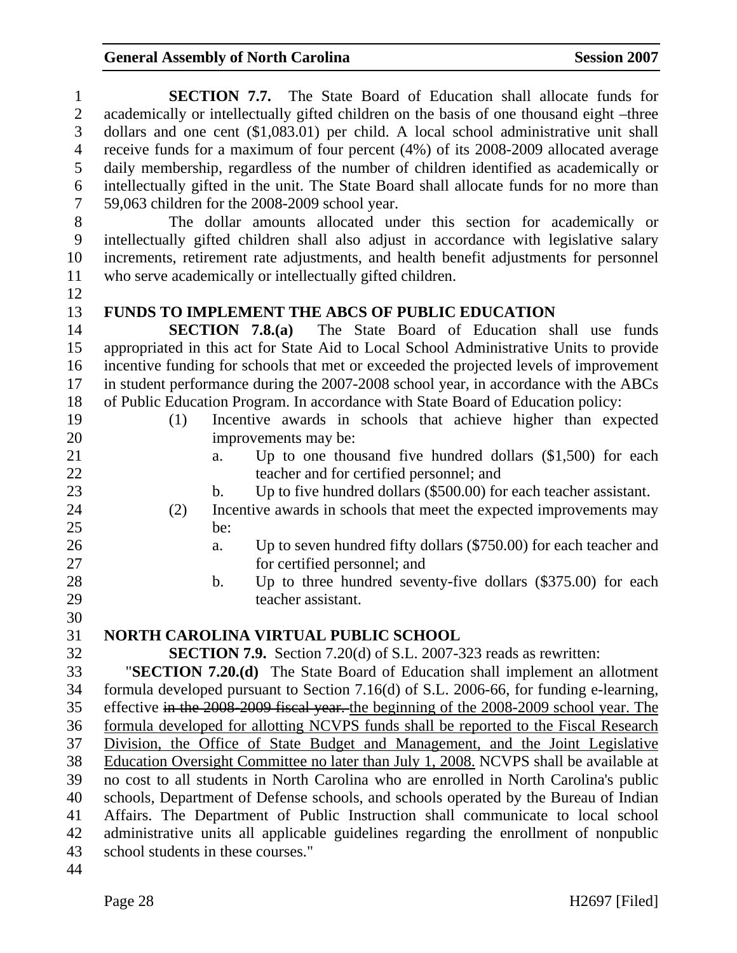| $\mathbf{1}$     | <b>SECTION 7.7.</b> The State Board of Education shall allocate funds for                |
|------------------|------------------------------------------------------------------------------------------|
| $\mathbf{2}$     | academically or intellectually gifted children on the basis of one thousand eight -three |
| 3                | dollars and one cent $(\$1,083.01)$ per child. A local school administrative unit shall  |
| $\overline{4}$   | receive funds for a maximum of four percent (4%) of its 2008-2009 allocated average      |
| 5                | daily membership, regardless of the number of children identified as academically or     |
| 6                | intellectually gifted in the unit. The State Board shall allocate funds for no more than |
| $\boldsymbol{7}$ | 59,063 children for the 2008-2009 school year.                                           |
| 8                | The dollar amounts allocated under this section for academically or                      |
| 9                | intellectually gifted children shall also adjust in accordance with legislative salary   |
| 10               | increments, retirement rate adjustments, and health benefit adjustments for personnel    |
| 11               | who serve academically or intellectually gifted children.                                |
| 12               |                                                                                          |
| 13               | <b>FUNDS TO IMPLEMENT THE ABCS OF PUBLIC EDUCATION</b>                                   |
| 14               | <b>SECTION 7.8.(a)</b> The State Board of Education shall use funds                      |
| 15               | appropriated in this act for State Aid to Local School Administrative Units to provide   |
| 16               | incentive funding for schools that met or exceeded the projected levels of improvement   |
| 17               | in student performance during the 2007-2008 school year, in accordance with the ABCs     |
| 18               | of Public Education Program. In accordance with State Board of Education policy:         |
| 19               | Incentive awards in schools that achieve higher than expected<br>(1)                     |
| 20               | improvements may be:                                                                     |
| 21               | Up to one thousand five hundred dollars $(\$1,500)$ for each<br>a.                       |
| 22               | teacher and for certified personnel; and                                                 |
| 23               | Up to five hundred dollars (\$500.00) for each teacher assistant.<br>$\mathbf b$ .       |
| 24               | Incentive awards in schools that meet the expected improvements may<br>(2)               |
| 25               | be:                                                                                      |
| 26               | Up to seven hundred fifty dollars (\$750.00) for each teacher and<br>a.                  |
| 27<br>28         | for certified personnel; and                                                             |
| 29               | Up to three hundred seventy-five dollars (\$375.00) for each<br>b.<br>teacher assistant. |
| 30               |                                                                                          |
| 31               | NORTH CAROLINA VIRTUAL PUBLIC SCHOOL                                                     |
| 32               | <b>SECTION 7.9.</b> Section 7.20(d) of S.L. 2007-323 reads as rewritten:                 |
| 33               | "SECTION 7.20.(d) The State Board of Education shall implement an allotment              |
| 34               | formula developed pursuant to Section 7.16(d) of S.L. 2006-66, for funding e-learning,   |
| 35               | effective in the 2008-2009 fiscal year. the beginning of the 2008-2009 school year. The  |
| 36               | formula developed for allotting NCVPS funds shall be reported to the Fiscal Research     |
| 37               | Division, the Office of State Budget and Management, and the Joint Legislative           |
| 38               | Education Oversight Committee no later than July 1, 2008. NCVPS shall be available at    |
| 39               | no cost to all students in North Carolina who are enrolled in North Carolina's public    |
| 40               | schools, Department of Defense schools, and schools operated by the Bureau of Indian     |
| 41               | Affairs. The Department of Public Instruction shall communicate to local school          |
| 42               | administrative units all applicable guidelines regarding the enrollment of nonpublic     |
| 43               | school students in these courses."                                                       |
| 44               |                                                                                          |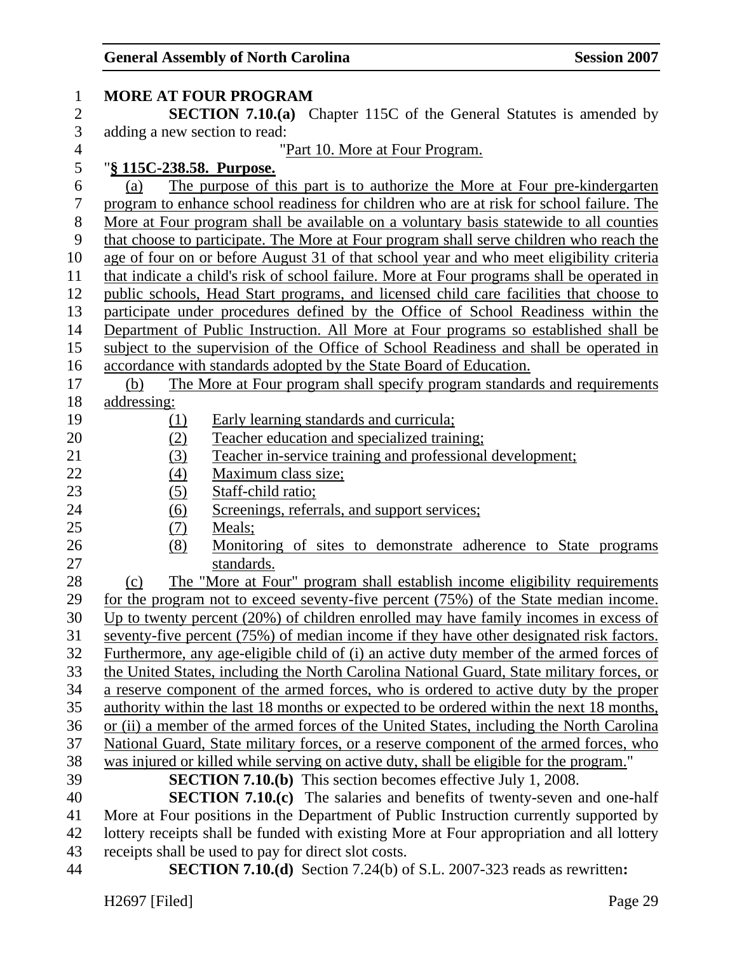| 1              | <b>MORE AT FOUR PROGRAM</b>                                                                |
|----------------|--------------------------------------------------------------------------------------------|
| $\mathbf{2}$   | <b>SECTION 7.10.(a)</b> Chapter 115C of the General Statutes is amended by                 |
| 3              | adding a new section to read:                                                              |
| $\overline{4}$ | "Part 10. More at Four Program.                                                            |
| 5              | "§ 115C-238.58. Purpose.                                                                   |
| 6              | The purpose of this part is to authorize the More at Four pre-kindergarten<br>(a)          |
| $\tau$         | program to enhance school readiness for children who are at risk for school failure. The   |
| $8\,$          | More at Four program shall be available on a voluntary basis statewide to all counties     |
| 9              | that choose to participate. The More at Four program shall serve children who reach the    |
| 10             | age of four on or before August 31 of that school year and who meet eligibility criteria   |
| 11             | that indicate a child's risk of school failure. More at Four programs shall be operated in |
| 12             | public schools, Head Start programs, and licensed child care facilities that choose to     |
| 13             | participate under procedures defined by the Office of School Readiness within the          |
| 14             | Department of Public Instruction. All More at Four programs so established shall be        |
| 15             | subject to the supervision of the Office of School Readiness and shall be operated in      |
| 16             | accordance with standards adopted by the State Board of Education.                         |
| 17             | The More at Four program shall specify program standards and requirements<br>(b)           |
| 18             | addressing:                                                                                |
| 19             | Early learning standards and curricula;<br>(1)                                             |
| 20             | Teacher education and specialized training;<br>(2)                                         |
| 21             | Teacher in-service training and professional development;<br>(3)                           |
| 22             | (4)<br>Maximum class size;                                                                 |
| 23             | (5)<br>Staff-child ratio;                                                                  |
| 24             | <u>(6)</u><br>Screenings, referrals, and support services;                                 |
| 25             | (7)<br>Meals;                                                                              |
| 26             | (8)<br>Monitoring of sites to demonstrate adherence to State programs                      |
| 27             | standards.                                                                                 |
| 28             | The "More at Four" program shall establish income eligibility requirements<br>(c)          |
| 29             | for the program not to exceed seventy-five percent (75%) of the State median income.       |
| 30             | Up to twenty percent (20%) of children enrolled may have family incomes in excess of       |
| 31             | seventy-five percent (75%) of median income if they have other designated risk factors.    |
| 32             | Furthermore, any age-eligible child of (i) an active duty member of the armed forces of    |
| 33             | the United States, including the North Carolina National Guard, State military forces, or  |
| 34             | a reserve component of the armed forces, who is ordered to active duty by the proper       |
| 35             | authority within the last 18 months or expected to be ordered within the next 18 months,   |
| 36             | or (ii) a member of the armed forces of the United States, including the North Carolina    |
| 37             | National Guard, State military forces, or a reserve component of the armed forces, who     |
| 38             | was injured or killed while serving on active duty, shall be eligible for the program."    |
| 39             | <b>SECTION 7.10.(b)</b> This section becomes effective July 1, 2008.                       |
| 40             | <b>SECTION 7.10.(c)</b> The salaries and benefits of twenty-seven and one-half             |
| 41             | More at Four positions in the Department of Public Instruction currently supported by      |
| 42             | lottery receipts shall be funded with existing More at Four appropriation and all lottery  |
| 43             | receipts shall be used to pay for direct slot costs.                                       |
| 44             | <b>SECTION 7.10.(d)</b> Section 7.24(b) of S.L. 2007-323 reads as rewritten:               |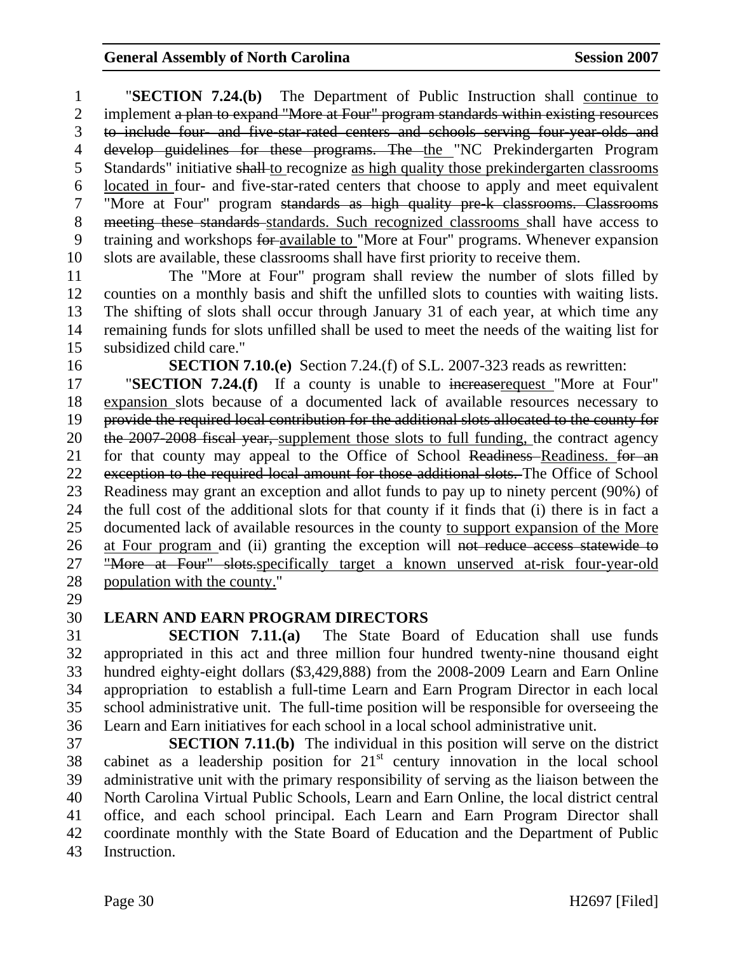1 "**SECTION 7.24.(b)** The Department of Public Instruction shall continue to 2 implement a plan to expand "More at Four" program standards within existing resources 3 to include four- and five-star-rated centers and schools serving four-year-olds and 4 develop guidelines for these programs. The the "NC Prekindergarten Program 5 Standards" initiative shall to recognize as high quality those prekindergarten classrooms 6 located in four- and five-star-rated centers that choose to apply and meet equivalent 7 "More at Four" program standards as high quality pre-k classrooms. Classrooms 8 meeting these standards standards. Such recognized classrooms shall have access to 9 training and workshops for available to "More at Four" programs. Whenever expansion 10 slots are available, these classrooms shall have first priority to receive them.

11 The "More at Four" program shall review the number of slots filled by 12 counties on a monthly basis and shift the unfilled slots to counties with waiting lists. 13 The shifting of slots shall occur through January 31 of each year, at which time any 14 remaining funds for slots unfilled shall be used to meet the needs of the waiting list for 15 subsidized child care."

16 **SECTION 7.10.(e)** Section 7.24.(f) of S.L. 2007-323 reads as rewritten:

17 "**SECTION 7.24.(f)** If a county is unable to increaserequest "More at Four" 18 expansion slots because of a documented lack of available resources necessary to 19 provide the required local contribution for the additional slots allocated to the county for 20 the 2007-2008 fiscal year, supplement those slots to full funding, the contract agency 21 for that county may appeal to the Office of School Readiness Readiness. for an 22 exception to the required local amount for those additional slots. The Office of School 23 Readiness may grant an exception and allot funds to pay up to ninety percent (90%) of 24 the full cost of the additional slots for that county if it finds that (i) there is in fact a 25 documented lack of available resources in the county to support expansion of the More 26 at Four program and (ii) granting the exception will not reduce access statewide to 27 "More at Four" slots.specifically target a known unserved at-risk four-year-old 28 population with the county."

29

### 30 **LEARN AND EARN PROGRAM DIRECTORS**

31 **SECTION 7.11.(a)** The State Board of Education shall use funds 32 appropriated in this act and three million four hundred twenty-nine thousand eight 33 hundred eighty-eight dollars (\$3,429,888) from the 2008-2009 Learn and Earn Online 34 appropriation to establish a full-time Learn and Earn Program Director in each local 35 school administrative unit. The full-time position will be responsible for overseeing the 36 Learn and Earn initiatives for each school in a local school administrative unit.

37 **SECTION 7.11.(b)** The individual in this position will serve on the district 38 cabinet as a leadership position for  $21<sup>st</sup>$  century innovation in the local school 39 administrative unit with the primary responsibility of serving as the liaison between the 40 North Carolina Virtual Public Schools, Learn and Earn Online, the local district central 41 office, and each school principal. Each Learn and Earn Program Director shall 42 coordinate monthly with the State Board of Education and the Department of Public 43 Instruction.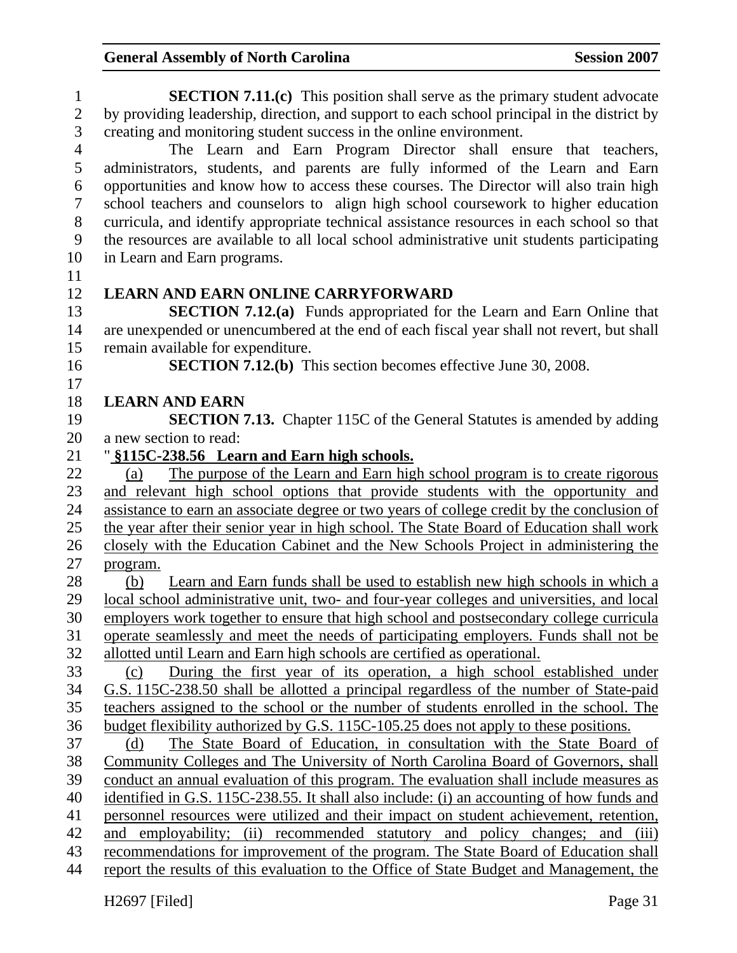1 **SECTION 7.11.(c)** This position shall serve as the primary student advocate 2 by providing leadership, direction, and support to each school principal in the district by 3 creating and monitoring student success in the online environment. 4 The Learn and Earn Program Director shall ensure that teachers, 5 administrators, students, and parents are fully informed of the Learn and Earn 6 opportunities and know how to access these courses. The Director will also train high 7 school teachers and counselors to align high school coursework to higher education 8 curricula, and identify appropriate technical assistance resources in each school so that 9 the resources are available to all local school administrative unit students participating 10 in Learn and Earn programs. 11 12 **LEARN AND EARN ONLINE CARRYFORWARD**  13 **SECTION 7.12.(a)** Funds appropriated for the Learn and Earn Online that 14 are unexpended or unencumbered at the end of each fiscal year shall not revert, but shall 15 remain available for expenditure. 16 **SECTION 7.12.(b)** This section becomes effective June 30, 2008. 17 18 **LEARN AND EARN**  19 **SECTION 7.13.** Chapter 115C of the General Statutes is amended by adding 20 a new section to read: 21 " **§115C-238.56 Learn and Earn high schools.** 22 (a) The purpose of the Learn and Earn high school program is to create rigorous 23 and relevant high school options that provide students with the opportunity and 24 assistance to earn an associate degree or two years of college credit by the conclusion of 25 the year after their senior year in high school. The State Board of Education shall work 26 closely with the Education Cabinet and the New Schools Project in administering the 27 program. 28 (b) Learn and Earn funds shall be used to establish new high schools in which a 29 local school administrative unit, two- and four-year colleges and universities, and local 30 employers work together to ensure that high school and postsecondary college curricula 31 operate seamlessly and meet the needs of participating employers. Funds shall not be 32 allotted until Learn and Earn high schools are certified as operational. 33 (c) During the first year of its operation, a high school established under 34 G.S. 115C-238.50 shall be allotted a principal regardless of the number of State-paid 35 teachers assigned to the school or the number of students enrolled in the school. The 36 budget flexibility authorized by G.S. 115C-105.25 does not apply to these positions. 37 (d) The State Board of Education, in consultation with the State Board of 38 Community Colleges and The University of North Carolina Board of Governors, shall 39 conduct an annual evaluation of this program. The evaluation shall include measures as 40 identified in G.S. 115C-238.55. It shall also include: (i) an accounting of how funds and 41 personnel resources were utilized and their impact on student achievement, retention, 42 and employability; (ii) recommended statutory and policy changes; and (iii) 43 recommendations for improvement of the program. The State Board of Education shall 44 report the results of this evaluation to the Office of State Budget and Management, the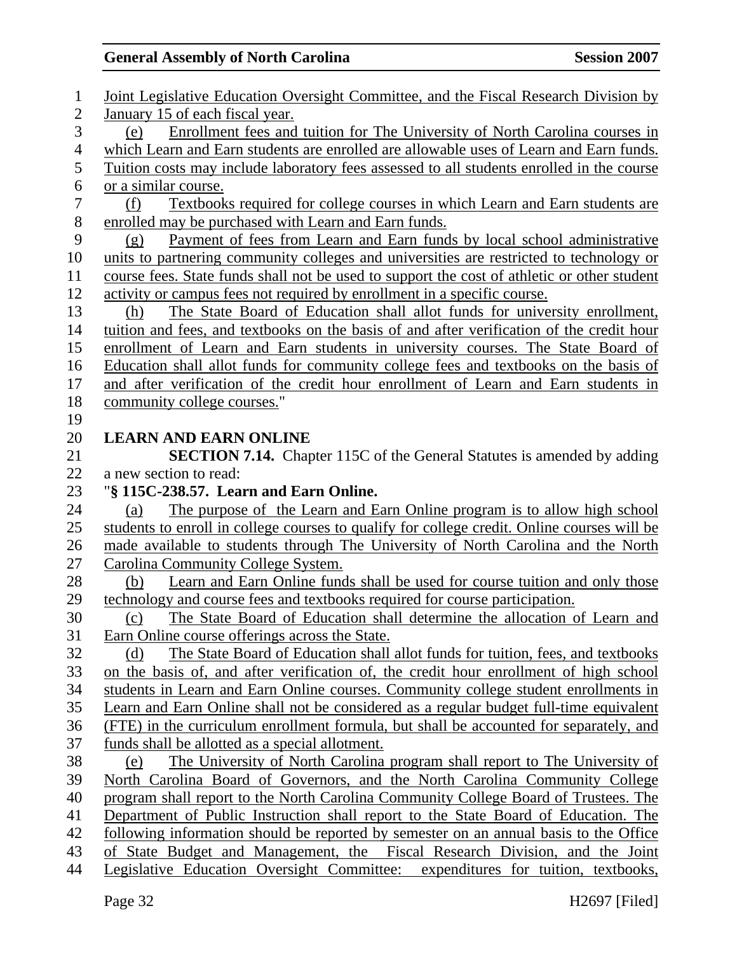| $\mathbf{1}$   | Joint Legislative Education Oversight Committee, and the Fiscal Research Division by                                                                           |
|----------------|----------------------------------------------------------------------------------------------------------------------------------------------------------------|
| $\overline{2}$ | January 15 of each fiscal year.                                                                                                                                |
| 3              | Enrollment fees and tuition for The University of North Carolina courses in<br>(e)                                                                             |
| $\overline{4}$ | which Learn and Earn students are enrolled are allowable uses of Learn and Earn funds.                                                                         |
| 5              | <u>Tuition costs may include laboratory fees assessed to all students enrolled in the course</u>                                                               |
| 6              | or a similar course.                                                                                                                                           |
| $\overline{7}$ | Textbooks required for college courses in which Learn and Earn students are<br>(f)                                                                             |
| $8\,$          | enrolled may be purchased with Learn and Earn funds.                                                                                                           |
| 9              | Payment of fees from Learn and Earn funds by local school administrative<br>(g)                                                                                |
| 10             | units to partnering community colleges and universities are restricted to technology or                                                                        |
| 11             | course fees. State funds shall not be used to support the cost of athletic or other student                                                                    |
| 12             | activity or campus fees not required by enrollment in a specific course.                                                                                       |
| 13             | The State Board of Education shall allot funds for university enrollment,<br>(h)                                                                               |
| 14             | tuition and fees, and textbooks on the basis of and after verification of the credit hour                                                                      |
| 15             | enrollment of Learn and Earn students in university courses. The State Board of                                                                                |
| 16             | Education shall allot funds for community college fees and textbooks on the basis of                                                                           |
| 17             | and after verification of the credit hour enrollment of Learn and Earn students in                                                                             |
| 18             | community college courses."                                                                                                                                    |
| 19             |                                                                                                                                                                |
| 20             | <b>LEARN AND EARN ONLINE</b>                                                                                                                                   |
| 21             | <b>SECTION 7.14.</b> Chapter 115C of the General Statutes is amended by adding                                                                                 |
| 22             | a new section to read:                                                                                                                                         |
| 23             | "§ 115C-238.57. Learn and Earn Online.                                                                                                                         |
| 24             | The purpose of the Learn and Earn Online program is to allow high school<br>(a)                                                                                |
| 25             | students to enroll in college courses to qualify for college credit. Online courses will be                                                                    |
| 26             | made available to students through The University of North Carolina and the North                                                                              |
| 27             | Carolina Community College System.                                                                                                                             |
| 28             | Learn and Earn Online funds shall be used for course tuition and only those<br>(b)                                                                             |
| 29             | technology and course fees and textbooks required for course participation.                                                                                    |
| 30             | The State Board of Education shall determine the allocation of Learn and<br>(c)                                                                                |
| 31             |                                                                                                                                                                |
|                | Earn Online course offerings across the State.                                                                                                                 |
| 32             | The State Board of Education shall allot funds for tuition, fees, and textbooks<br>(d)                                                                         |
| 33             | on the basis of, and after verification of, the credit hour enrollment of high school                                                                          |
| 34             | students in Learn and Earn Online courses. Community college student enrollments in                                                                            |
| 35             | Learn and Earn Online shall not be considered as a regular budget full-time equivalent                                                                         |
| 36             | (FTE) in the curriculum enrollment formula, but shall be accounted for separately, and                                                                         |
| 37             | funds shall be allotted as a special allotment.                                                                                                                |
| 38             | The University of North Carolina program shall report to The University of<br>(e)                                                                              |
| 39             | North Carolina Board of Governors, and the North Carolina Community College                                                                                    |
| 40             | program shall report to the North Carolina Community College Board of Trustees. The                                                                            |
| 41             | Department of Public Instruction shall report to the State Board of Education. The                                                                             |
| 42             | following information should be reported by semester on an annual basis to the Office                                                                          |
| 43<br>44       | of State Budget and Management, the Fiscal Research Division, and the Joint<br>Legislative Education Oversight Committee: expenditures for tuition, textbooks, |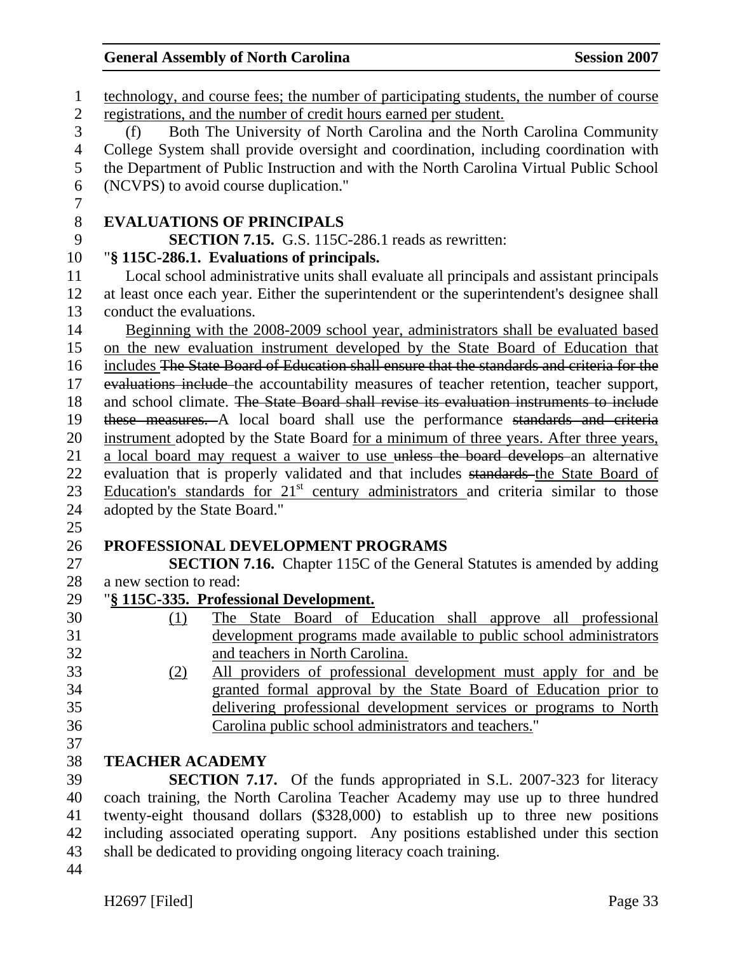| $\mathbf{1}$   | technology, and course fees; the number of participating students, the number of course    |
|----------------|--------------------------------------------------------------------------------------------|
| $\mathbf{2}$   | registrations, and the number of credit hours earned per student.                          |
| 3              | Both The University of North Carolina and the North Carolina Community<br>(f)              |
| $\overline{4}$ | College System shall provide oversight and coordination, including coordination with       |
| 5              | the Department of Public Instruction and with the North Carolina Virtual Public School     |
| 6              | (NCVPS) to avoid course duplication."                                                      |
| $\overline{7}$ |                                                                                            |
| $8\,$          | <b>EVALUATIONS OF PRINCIPALS</b>                                                           |
| 9              | <b>SECTION 7.15.</b> G.S. 115C-286.1 reads as rewritten:                                   |
| 10             | "§ 115C-286.1. Evaluations of principals.                                                  |
| 11             | Local school administrative units shall evaluate all principals and assistant principals   |
| 12             | at least once each year. Either the superintendent or the superintendent's designee shall  |
| 13             | conduct the evaluations.                                                                   |
| 14             | Beginning with the 2008-2009 school year, administrators shall be evaluated based          |
| 15             | on the new evaluation instrument developed by the State Board of Education that            |
| 16             | includes The State Board of Education shall ensure that the standards and criteria for the |
| 17             | evaluations include the accountability measures of teacher retention, teacher support,     |
| 18             | and school climate. The State Board shall revise its evaluation instruments to include     |
| 19             | these measures. A local board shall use the performance standards and criteria             |
| 20             | instrument adopted by the State Board for a minimum of three years. After three years,     |
| 21             | a local board may request a waiver to use unless the board develops an alternative         |
| 22             | evaluation that is properly validated and that includes standards the State Board of       |
| 23             | Education's standards for $21st$ century administrators and criteria similar to those      |
| 24             | adopted by the State Board."                                                               |
| 25             |                                                                                            |
| 26             | PROFESSIONAL DEVELOPMENT PROGRAMS                                                          |
| 27             | <b>SECTION 7.16.</b> Chapter 115C of the General Statutes is amended by adding             |
| 28             | a new section to read:                                                                     |
| 29             | "§ 115C-335. Professional Development.                                                     |
| 30             | The State Board of Education shall approve all professional<br>(1)                         |
| 31             | development programs made available to public school administrators                        |
| 32             | and teachers in North Carolina.                                                            |
| 33             | All providers of professional development must apply for and be<br>(2)                     |
| 34             | granted formal approval by the State Board of Education prior to                           |
| 35             | delivering professional development services or programs to North                          |
| 36             | Carolina public school administrators and teachers."                                       |
| 37             |                                                                                            |
| 38             | <b>TEACHER ACADEMY</b>                                                                     |
| 39             | <b>SECTION 7.17.</b> Of the funds appropriated in S.L. 2007-323 for literacy               |
| 40             | coach training, the North Carolina Teacher Academy may use up to three hundred             |
| 41             | twenty-eight thousand dollars (\$328,000) to establish up to three new positions           |
| 42             | including associated operating support. Any positions established under this section       |
| 43             | shall be dedicated to providing ongoing literacy coach training.                           |
| 44             |                                                                                            |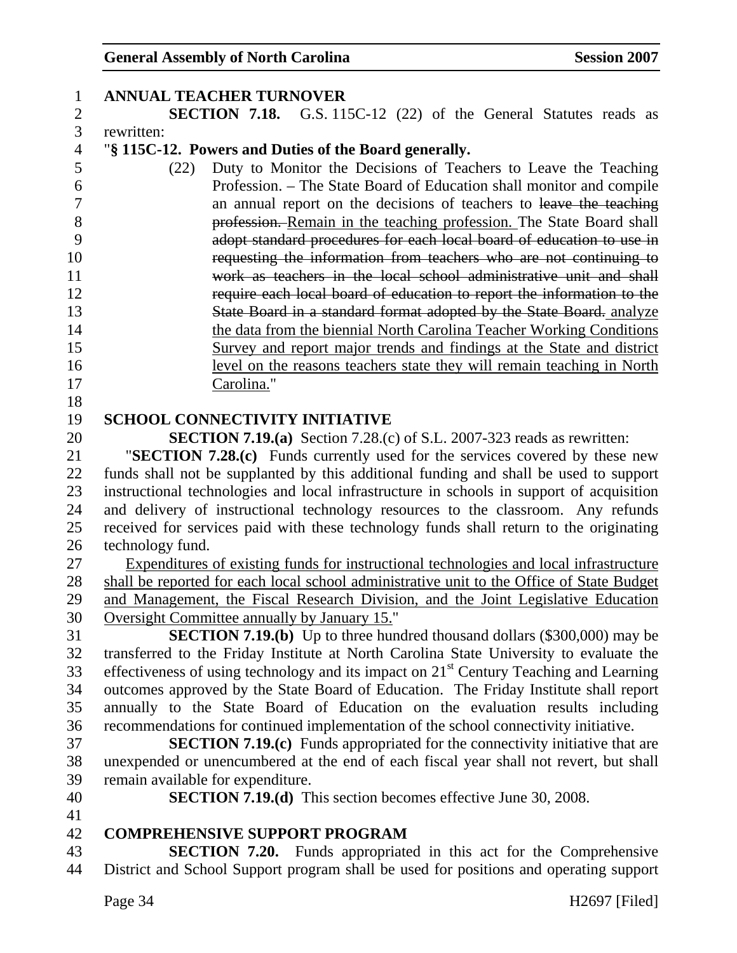| $\mathbf{1}$   | <b>ANNUAL TEACHER TURNOVER</b>                                                                                                                                             |
|----------------|----------------------------------------------------------------------------------------------------------------------------------------------------------------------------|
| $\mathbf{2}$   | <b>SECTION 7.18.</b> G.S. 115C-12 (22) of the General Statutes reads as                                                                                                    |
| 3              | rewritten:                                                                                                                                                                 |
| $\overline{4}$ | "§ 115C-12. Powers and Duties of the Board generally.                                                                                                                      |
| 5              | Duty to Monitor the Decisions of Teachers to Leave the Teaching<br>(22)                                                                                                    |
| 6              | Profession. – The State Board of Education shall monitor and compile                                                                                                       |
| $\overline{7}$ | an annual report on the decisions of teachers to leave the teaching                                                                                                        |
| 8              | profession. Remain in the teaching profession. The State Board shall                                                                                                       |
| 9              | adopt standard procedures for each local board of education to use in                                                                                                      |
| 10             | requesting the information from teachers who are not continuing to                                                                                                         |
| 11             | work as teachers in the local school administrative unit and shall                                                                                                         |
| 12             | require each local board of education to report the information to the                                                                                                     |
| 13             | State Board in a standard format adopted by the State Board. analyze                                                                                                       |
| 14             | the data from the biennial North Carolina Teacher Working Conditions                                                                                                       |
| 15             | Survey and report major trends and findings at the State and district                                                                                                      |
| 16             | level on the reasons teachers state they will remain teaching in North                                                                                                     |
| 17             | Carolina."                                                                                                                                                                 |
| 18             |                                                                                                                                                                            |
| 19             | <b>SCHOOL CONNECTIVITY INITIATIVE</b>                                                                                                                                      |
| 20             | <b>SECTION 7.19.(a)</b> Section 7.28.(c) of S.L. 2007-323 reads as rewritten:                                                                                              |
| 21             | "SECTION 7.28.(c) Funds currently used for the services covered by these new                                                                                               |
| 22             | funds shall not be supplanted by this additional funding and shall be used to support                                                                                      |
| 23             | instructional technologies and local infrastructure in schools in support of acquisition                                                                                   |
| 24             | and delivery of instructional technology resources to the classroom. Any refunds                                                                                           |
| 25             | received for services paid with these technology funds shall return to the originating                                                                                     |
| $26\,$         | technology fund.                                                                                                                                                           |
| 27             | Expenditures of existing funds for instructional technologies and local infrastructure                                                                                     |
| 28             | shall be reported for each local school administrative unit to the Office of State Budget                                                                                  |
| 29             | and Management, the Fiscal Research Division, and the Joint Legislative Education                                                                                          |
| 30             | Oversight Committee annually by January 15."                                                                                                                               |
| 31             | <b>SECTION 7.19.(b)</b> Up to three hundred thousand dollars (\$300,000) may be                                                                                            |
| 32             | transferred to the Friday Institute at North Carolina State University to evaluate the                                                                                     |
| 33             | effectiveness of using technology and its impact on $21st$ Century Teaching and Learning                                                                                   |
| 34             | outcomes approved by the State Board of Education. The Friday Institute shall report                                                                                       |
| 35             | annually to the State Board of Education on the evaluation results including                                                                                               |
| 36<br>37       | recommendations for continued implementation of the school connectivity initiative.<br><b>SECTION 7.19.(c)</b> Funds appropriated for the connectivity initiative that are |
| 38             |                                                                                                                                                                            |
| 39             | unexpended or unencumbered at the end of each fiscal year shall not revert, but shall<br>remain available for expenditure.                                                 |
| 40             | <b>SECTION 7.19.(d)</b> This section becomes effective June 30, 2008.                                                                                                      |
| 41             |                                                                                                                                                                            |
| 42             | <b>COMPREHENSIVE SUPPORT PROGRAM</b>                                                                                                                                       |
| 43             | <b>SECTION 7.20.</b> Funds appropriated in this act for the Comprehensive                                                                                                  |
| 44             | District and School Support program shall be used for positions and operating support                                                                                      |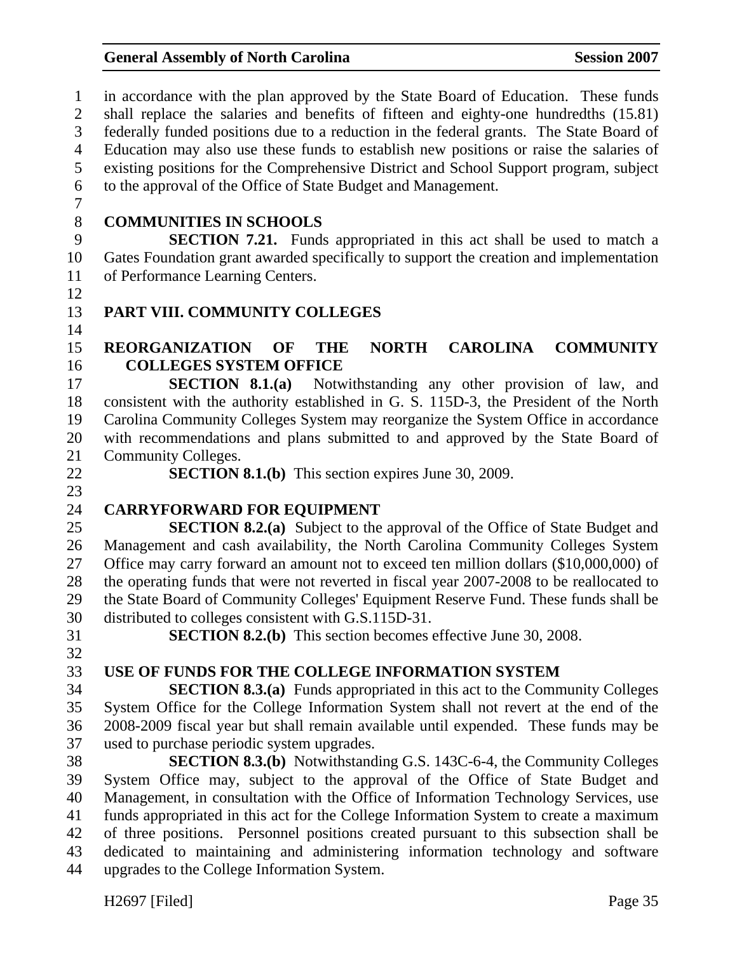1 in accordance with the plan approved by the State Board of Education. These funds 2 shall replace the salaries and benefits of fifteen and eighty-one hundredths (15.81) 3 federally funded positions due to a reduction in the federal grants. The State Board of 4 Education may also use these funds to establish new positions or raise the salaries of 5 existing positions for the Comprehensive District and School Support program, subject 6 to the approval of the Office of State Budget and Management. 7 8 **COMMUNITIES IN SCHOOLS**  9 **SECTION 7.21.** Funds appropriated in this act shall be used to match a 10 Gates Foundation grant awarded specifically to support the creation and implementation 11 of Performance Learning Centers. 12 13 **PART VIII. COMMUNITY COLLEGES**  14 15 **REORGANIZATION OF THE NORTH CAROLINA COMMUNITY**  16 **COLLEGES SYSTEM OFFICE**  17 **SECTION 8.1.(a)** Notwithstanding any other provision of law, and 18 consistent with the authority established in G. S. 115D-3, the President of the North 19 Carolina Community Colleges System may reorganize the System Office in accordance 20 with recommendations and plans submitted to and approved by the State Board of 21 Community Colleges. 22 **SECTION 8.1.(b)** This section expires June 30, 2009. 23 24 **CARRYFORWARD FOR EQUIPMENT**  25 **SECTION 8.2.(a)** Subject to the approval of the Office of State Budget and 26 Management and cash availability, the North Carolina Community Colleges System 27 Office may carry forward an amount not to exceed ten million dollars (\$10,000,000) of 28 the operating funds that were not reverted in fiscal year 2007-2008 to be reallocated to 29 the State Board of Community Colleges' Equipment Reserve Fund. These funds shall be 30 distributed to colleges consistent with G.S.115D-31. 31 **SECTION 8.2.(b)** This section becomes effective June 30, 2008. 32 33 **USE OF FUNDS FOR THE COLLEGE INFORMATION SYSTEM**  34 **SECTION 8.3.(a)** Funds appropriated in this act to the Community Colleges 35 System Office for the College Information System shall not revert at the end of the 36 2008-2009 fiscal year but shall remain available until expended. These funds may be 37 used to purchase periodic system upgrades. 38 **SECTION 8.3.(b)** Notwithstanding G.S. 143C-6-4, the Community Colleges 39 System Office may, subject to the approval of the Office of State Budget and 40 Management, in consultation with the Office of Information Technology Services, use 41 funds appropriated in this act for the College Information System to create a maximum 42 of three positions. Personnel positions created pursuant to this subsection shall be 43 dedicated to maintaining and administering information technology and software 44 upgrades to the College Information System.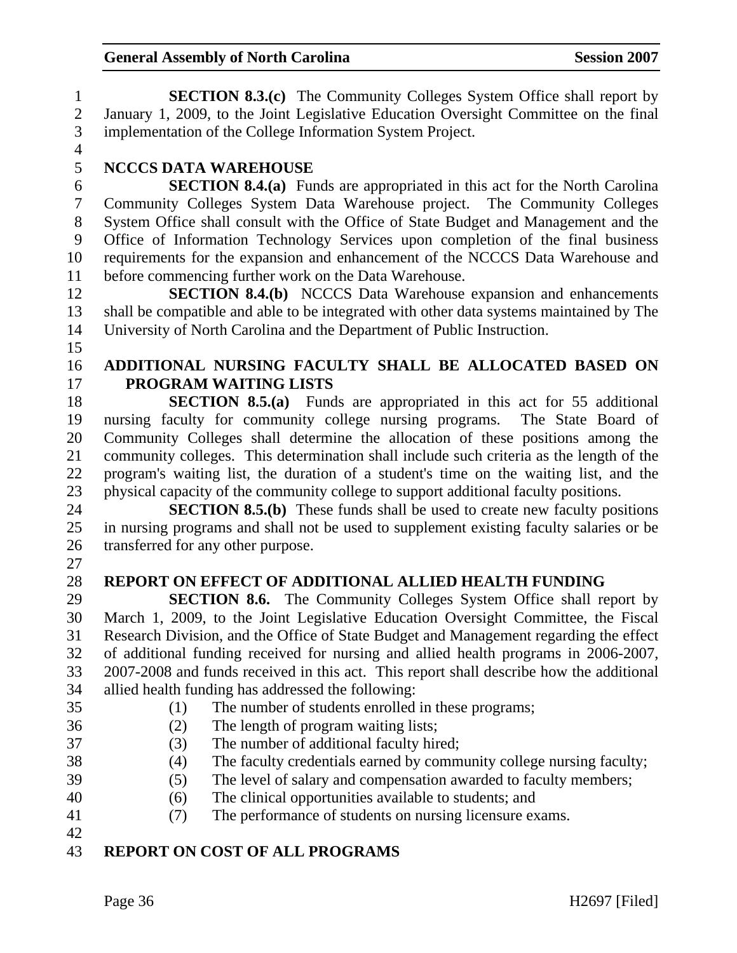1 **SECTION 8.3.(c)** The Community Colleges System Office shall report by 2 January 1, 2009, to the Joint Legislative Education Oversight Committee on the final 3 implementation of the College Information System Project.  $\frac{4}{5}$ 5 **NCCCS DATA WAREHOUSE**  6 **SECTION 8.4.(a)** Funds are appropriated in this act for the North Carolina 7 Community Colleges System Data Warehouse project. The Community Colleges 8 System Office shall consult with the Office of State Budget and Management and the 9 Office of Information Technology Services upon completion of the final business 10 requirements for the expansion and enhancement of the NCCCS Data Warehouse and 11 before commencing further work on the Data Warehouse. 12 **SECTION 8.4.(b)** NCCCS Data Warehouse expansion and enhancements 13 shall be compatible and able to be integrated with other data systems maintained by The 14 University of North Carolina and the Department of Public Instruction. 15 16 **ADDITIONAL NURSING FACULTY SHALL BE ALLOCATED BASED ON**  17 **PROGRAM WAITING LISTS**  18 **SECTION 8.5.(a)** Funds are appropriated in this act for 55 additional 19 nursing faculty for community college nursing programs. The State Board of 20 Community Colleges shall determine the allocation of these positions among the 21 community colleges. This determination shall include such criteria as the length of the 22 program's waiting list, the duration of a student's time on the waiting list, and the 23 physical capacity of the community college to support additional faculty positions. 24 **SECTION 8.5.(b)** These funds shall be used to create new faculty positions 25 in nursing programs and shall not be used to supplement existing faculty salaries or be 26 transferred for any other purpose. 27 28 **REPORT ON EFFECT OF ADDITIONAL ALLIED HEALTH FUNDING**  29 **SECTION 8.6.** The Community Colleges System Office shall report by 30 March 1, 2009, to the Joint Legislative Education Oversight Committee, the Fiscal 31 Research Division, and the Office of State Budget and Management regarding the effect 32 of additional funding received for nursing and allied health programs in 2006-2007, 33 2007-2008 and funds received in this act. This report shall describe how the additional 34 allied health funding has addressed the following: 35 (1) The number of students enrolled in these programs; 36 (2) The length of program waiting lists; 37 (3) The number of additional faculty hired; 38 (4) The faculty credentials earned by community college nursing faculty; 39 (5) The level of salary and compensation awarded to faculty members; 40 (6) The clinical opportunities available to students; and 41 (7) The performance of students on nursing licensure exams. 42

## 43 **REPORT ON COST OF ALL PROGRAMS**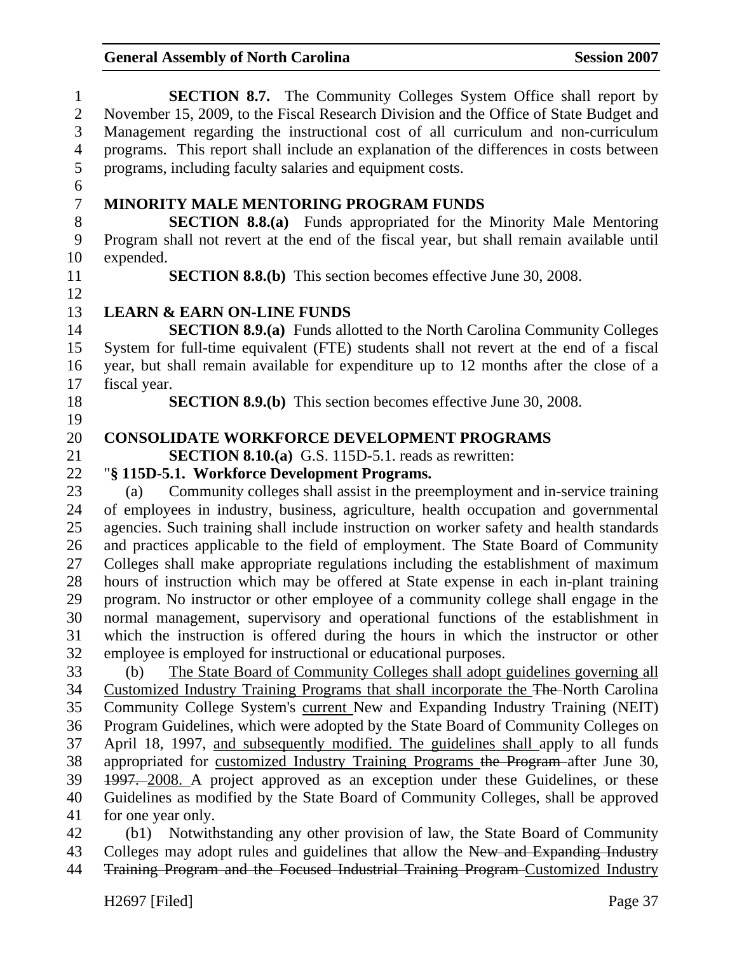| $\mathbf{1}$   | <b>SECTION 8.7.</b> The Community Colleges System Office shall report by                                                                                          |  |  |  |  |
|----------------|-------------------------------------------------------------------------------------------------------------------------------------------------------------------|--|--|--|--|
| $\overline{2}$ | November 15, 2009, to the Fiscal Research Division and the Office of State Budget and                                                                             |  |  |  |  |
| 3              | Management regarding the instructional cost of all curriculum and non-curriculum                                                                                  |  |  |  |  |
| $\overline{4}$ | programs. This report shall include an explanation of the differences in costs between                                                                            |  |  |  |  |
| 5              | programs, including faculty salaries and equipment costs.                                                                                                         |  |  |  |  |
| 6              |                                                                                                                                                                   |  |  |  |  |
| $\overline{7}$ | <b>MINORITY MALE MENTORING PROGRAM FUNDS</b>                                                                                                                      |  |  |  |  |
| $8\,$          | <b>SECTION 8.8.(a)</b> Funds appropriated for the Minority Male Mentoring                                                                                         |  |  |  |  |
| 9              | Program shall not revert at the end of the fiscal year, but shall remain available until                                                                          |  |  |  |  |
| 10             | expended.                                                                                                                                                         |  |  |  |  |
| 11             | <b>SECTION 8.8.(b)</b> This section becomes effective June 30, 2008.                                                                                              |  |  |  |  |
| 12             |                                                                                                                                                                   |  |  |  |  |
| 13             | <b>LEARN &amp; EARN ON-LINE FUNDS</b>                                                                                                                             |  |  |  |  |
| 14             | <b>SECTION 8.9.(a)</b> Funds allotted to the North Carolina Community Colleges                                                                                    |  |  |  |  |
| 15             | System for full-time equivalent (FTE) students shall not revert at the end of a fiscal                                                                            |  |  |  |  |
| 16             | year, but shall remain available for expenditure up to 12 months after the close of a                                                                             |  |  |  |  |
| 17             | fiscal year.                                                                                                                                                      |  |  |  |  |
| 18             | <b>SECTION 8.9.(b)</b> This section becomes effective June 30, 2008.                                                                                              |  |  |  |  |
| 19             |                                                                                                                                                                   |  |  |  |  |
| 20             | <b>CONSOLIDATE WORKFORCE DEVELOPMENT PROGRAMS</b>                                                                                                                 |  |  |  |  |
| 21             | <b>SECTION 8.10.(a)</b> G.S. 115D-5.1. reads as rewritten:                                                                                                        |  |  |  |  |
| 22             | "§ 115D-5.1. Workforce Development Programs.                                                                                                                      |  |  |  |  |
| 23             | Community colleges shall assist in the preemployment and in-service training<br>(a)                                                                               |  |  |  |  |
| 24             | of employees in industry, business, agriculture, health occupation and governmental                                                                               |  |  |  |  |
| 25             | agencies. Such training shall include instruction on worker safety and health standards                                                                           |  |  |  |  |
| 26             | and practices applicable to the field of employment. The State Board of Community                                                                                 |  |  |  |  |
| 27             | Colleges shall make appropriate regulations including the establishment of maximum                                                                                |  |  |  |  |
| 28             | hours of instruction which may be offered at State expense in each in-plant training                                                                              |  |  |  |  |
| 29             | program. No instructor or other employee of a community college shall engage in the                                                                               |  |  |  |  |
| 30             | normal management, supervisory and operational functions of the establishment in                                                                                  |  |  |  |  |
| 31             | which the instruction is offered during the hours in which the instructor or other                                                                                |  |  |  |  |
| 32             | employee is employed for instructional or educational purposes.                                                                                                   |  |  |  |  |
| 33             | The State Board of Community Colleges shall adopt guidelines governing all<br>(b)                                                                                 |  |  |  |  |
| 34             | Customized Industry Training Programs that shall incorporate the The-North Carolina                                                                               |  |  |  |  |
| 35             | Community College System's current New and Expanding Industry Training (NEIT)                                                                                     |  |  |  |  |
| 36             | Program Guidelines, which were adopted by the State Board of Community Colleges on                                                                                |  |  |  |  |
| 37             | April 18, 1997, and subsequently modified. The guidelines shall apply to all funds                                                                                |  |  |  |  |
| 38             | appropriated for customized Industry Training Programs the Program-after June 30,                                                                                 |  |  |  |  |
| 39             | 1997. 2008. A project approved as an exception under these Guidelines, or these                                                                                   |  |  |  |  |
| 40             | Guidelines as modified by the State Board of Community Colleges, shall be approved                                                                                |  |  |  |  |
| 41             | for one year only.                                                                                                                                                |  |  |  |  |
| 42<br>$\Delta$ | (b1) Notwithstanding any other provision of law, the State Board of Community<br>Colleges may adopt mlas and quidelines that allow the New and Expending Industry |  |  |  |  |
|                |                                                                                                                                                                   |  |  |  |  |

43 Colleges may adopt rules and guidelines that allow the New and Expanding Industry 44 Training Program and the Focused Industrial Training Program Customized Industry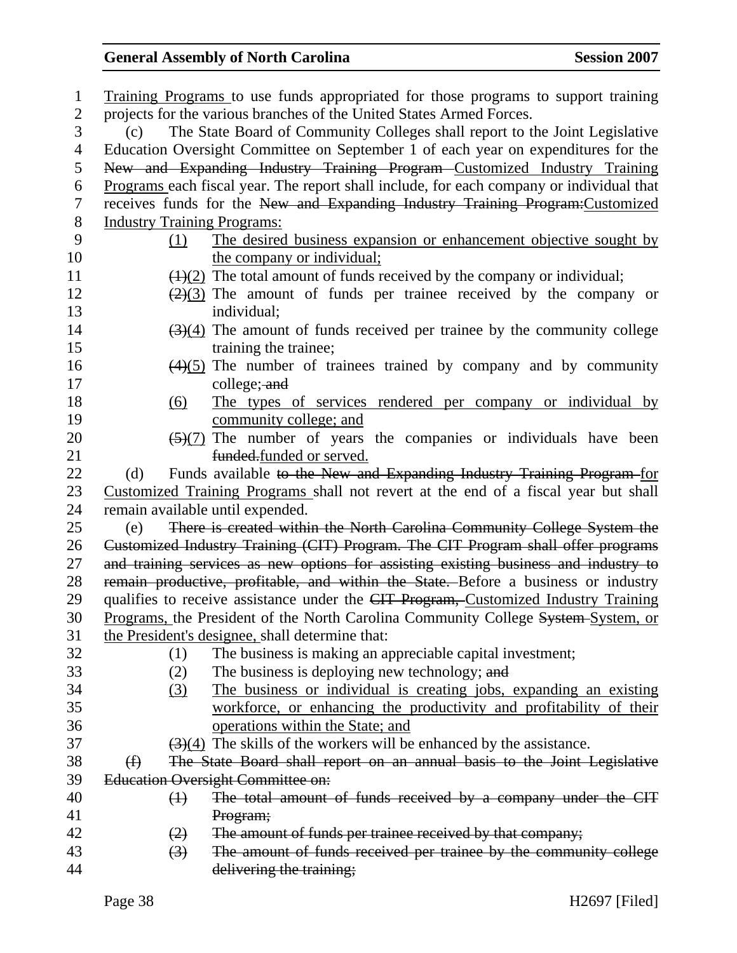| $\mathbf 1$    | Training Programs to use funds appropriated for those programs to support training           |
|----------------|----------------------------------------------------------------------------------------------|
| $\mathbf{2}$   | projects for the various branches of the United States Armed Forces.                         |
| 3              | The State Board of Community Colleges shall report to the Joint Legislative<br>(c)           |
| 4              | Education Oversight Committee on September 1 of each year on expenditures for the            |
| 5              | New and Expanding Industry Training Program Customized Industry Training                     |
| 6              | Programs each fiscal year. The report shall include, for each company or individual that     |
| 7              | receives funds for the New and Expanding Industry Training Program: Customized               |
| $8\phantom{1}$ | <b>Industry Training Programs:</b>                                                           |
| 9              | The desired business expansion or enhancement objective sought by<br>(1)                     |
| 10             | the company or individual;                                                                   |
| 11             | $\left(\frac{1}{2}\right)$ The total amount of funds received by the company or individual;  |
| 12             | $\left(\frac{2}{3}\right)$ The amount of funds per trainee received by the company or        |
| 13             | individual;                                                                                  |
| 14             | $\left(\frac{3}{4}\right)$ The amount of funds received per trainee by the community college |
| 15             | training the trainee;                                                                        |
| 16             | $\left(\frac{4}{5}\right)$ The number of trainees trained by company and by community        |
| 17             | college; and                                                                                 |
| 18             | The types of services rendered per company or individual by<br>(6)                           |
| 19             | community college; and                                                                       |
| 20             | $\frac{5(7)}{2}$ The number of years the companies or individuals have been                  |
| 21             | funded.funded or served.                                                                     |
| 22             | Funds available to the New and Expanding Industry Training Program-for<br>(d)                |
| 23             | Customized Training Programs shall not revert at the end of a fiscal year but shall          |
| 24             | remain available until expended.                                                             |
| 25             | There is created within the North Carolina Community College System the<br>(e)               |
| 26             | Customized Industry Training (CIT) Program. The CIT Program shall offer programs             |
| 27             | and training services as new options for assisting existing business and industry to         |
| 28             | remain productive, profitable, and within the State. Before a business or industry           |
| 29             | qualifies to receive assistance under the CIT Program, Customized Industry Training          |
| 30             | Programs, the President of the North Carolina Community College System-System, or            |
| 31             | the President's designee, shall determine that:                                              |
| 32             | The business is making an appreciable capital investment;<br>(1)                             |
| 33             | The business is deploying new technology; and<br>(2)                                         |
| 34             | The business or individual is creating jobs, expanding an existing<br>(3)                    |
| 35             | workforce, or enhancing the productivity and profitability of their                          |
| 36             | operations within the State; and                                                             |
| 37             | $\left(\frac{3}{4}\right)$ The skills of the workers will be enhanced by the assistance.     |
| 38             | The State Board shall report on an annual basis to the Joint Legislative<br>$\bigoplus$      |
| 39             | <b>Education Oversight Committee on:</b>                                                     |
| 40             | The total amount of funds received by a company under the CIT<br>$\leftrightarrow$           |
| 41             | Program;                                                                                     |
| 42             | The amount of funds per trainee received by that company;<br>(2)                             |
| 43             | The amount of funds received per trainee by the community college<br>$\left(3\right)$        |
| 44             | delivering the training;                                                                     |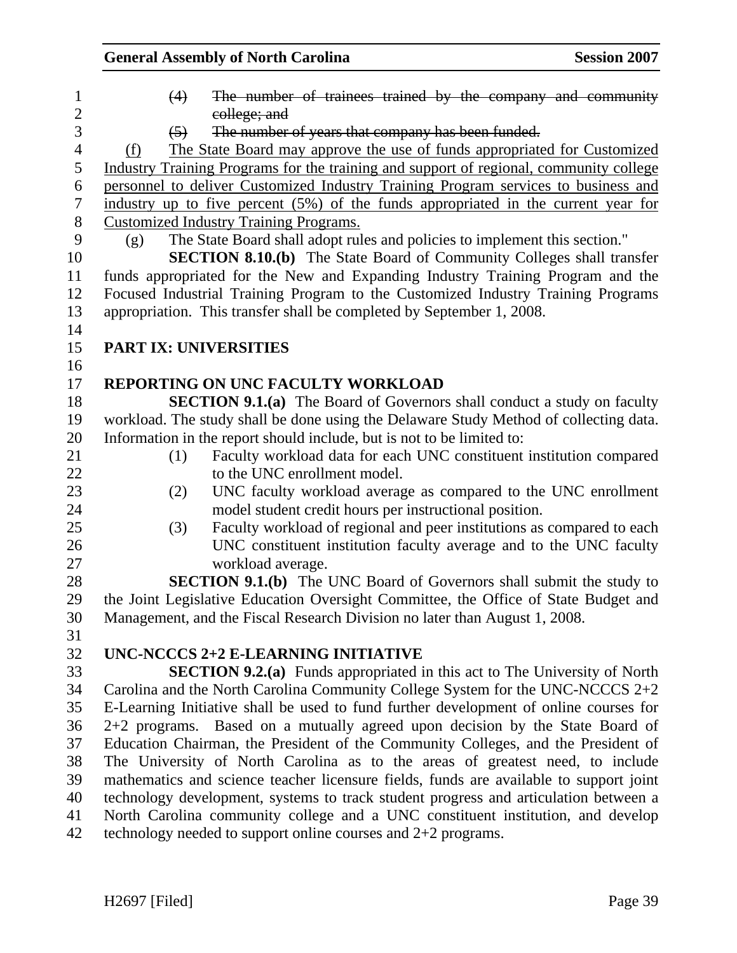| $\mathbf{1}$             | The number of trainees trained by the company and community<br>(4)                     |
|--------------------------|----------------------------------------------------------------------------------------|
| $\sqrt{2}$               | college; and                                                                           |
| 3                        | The number of years that company has been funded.<br>$\left(5\right)$                  |
| $\overline{\mathcal{L}}$ | The State Board may approve the use of funds appropriated for Customized<br>(f)        |
| 5                        | Industry Training Programs for the training and support of regional, community college |
| 6                        | personnel to deliver Customized Industry Training Program services to business and     |
| $\overline{7}$           | industry up to five percent (5%) of the funds appropriated in the current year for     |
| $8\phantom{1}$           | <b>Customized Industry Training Programs.</b>                                          |
| 9                        | The State Board shall adopt rules and policies to implement this section."<br>(g)      |
| 10                       | SECTION 8.10.(b) The State Board of Community Colleges shall transfer                  |
| 11                       | funds appropriated for the New and Expanding Industry Training Program and the         |
| 12                       | Focused Industrial Training Program to the Customized Industry Training Programs       |
| 13                       | appropriation. This transfer shall be completed by September 1, 2008.                  |
| 14                       |                                                                                        |
| 15                       | <b>PART IX: UNIVERSITIES</b>                                                           |
| 16                       |                                                                                        |
| 17                       | <b>REPORTING ON UNC FACULTY WORKLOAD</b>                                               |
| 18                       | <b>SECTION 9.1.(a)</b> The Board of Governors shall conduct a study on faculty         |
| 19                       | workload. The study shall be done using the Delaware Study Method of collecting data.  |
| 20                       | Information in the report should include, but is not to be limited to:                 |
| 21                       | Faculty workload data for each UNC constituent institution compared<br>(1)             |
| 22                       | to the UNC enrollment model.                                                           |
| 23                       | UNC faculty workload average as compared to the UNC enrollment<br>(2)                  |
| 24                       | model student credit hours per instructional position.                                 |
| 25                       | Faculty workload of regional and peer institutions as compared to each<br>(3)          |
| 26                       | UNC constituent institution faculty average and to the UNC faculty                     |
| 27                       | workload average.                                                                      |
| 28                       | <b>SECTION 9.1.(b)</b> The UNC Board of Governors shall submit the study to            |
| 29                       | the Joint Legislative Education Oversight Committee, the Office of State Budget and    |
| 30                       | Management, and the Fiscal Research Division no later than August 1, 2008.             |
| 31                       |                                                                                        |
| 32                       | UNC-NCCCS 2+2 E-LEARNING INITIATIVE                                                    |
| 33                       | <b>SECTION 9.2.(a)</b> Funds appropriated in this act to The University of North       |
| 34                       | Carolina and the North Carolina Community College System for the UNC-NCCCS 2+2         |
| 35                       | E-Learning Initiative shall be used to fund further development of online courses for  |
| 36                       | 2+2 programs. Based on a mutually agreed upon decision by the State Board of           |
| 37                       | Education Chairman, the President of the Community Colleges, and the President of      |
| 38                       | The University of North Carolina as to the areas of greatest need, to include          |
| 39                       | mathematics and science teacher licensure fields, funds are available to support joint |
| 40                       | technology development, systems to track student progress and articulation between a   |
| 41                       | North Carolina community college and a UNC constituent institution, and develop        |
| 42                       | technology needed to support online courses and $2+2$ programs.                        |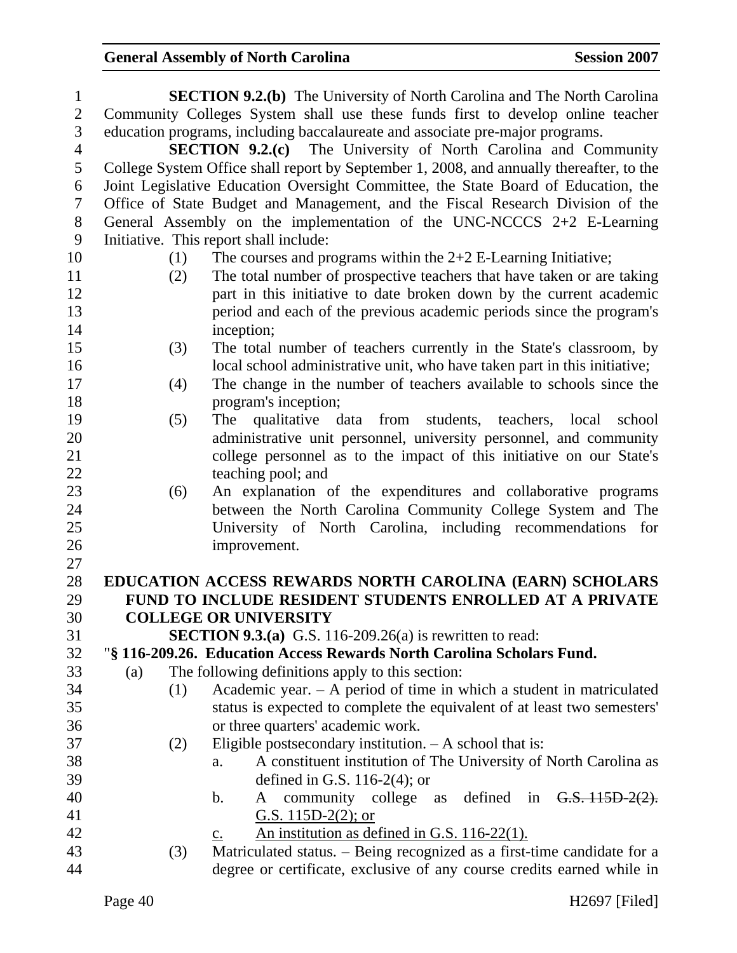| $\mathbf{1}$   |     | <b>SECTION 9.2.(b)</b> The University of North Carolina and The North Carolina           |
|----------------|-----|------------------------------------------------------------------------------------------|
| $\overline{2}$ |     | Community Colleges System shall use these funds first to develop online teacher          |
| 3              |     | education programs, including baccalaureate and associate pre-major programs.            |
| $\overline{4}$ |     | <b>SECTION 9.2.(c)</b> The University of North Carolina and Community                    |
| 5              |     | College System Office shall report by September 1, 2008, and annually thereafter, to the |
| 6              |     | Joint Legislative Education Oversight Committee, the State Board of Education, the       |
| $\tau$         |     | Office of State Budget and Management, and the Fiscal Research Division of the           |
| 8              |     | General Assembly on the implementation of the UNC-NCCCS $2+2$ E-Learning                 |
| 9              |     | Initiative. This report shall include:                                                   |
| 10             | (1) | The courses and programs within the $2+2$ E-Learning Initiative;                         |
| 11             | (2) | The total number of prospective teachers that have taken or are taking                   |
| 12             |     | part in this initiative to date broken down by the current academic                      |
| 13             |     | period and each of the previous academic periods since the program's                     |
| 14             |     | inception;                                                                               |
| 15             | (3) | The total number of teachers currently in the State's classroom, by                      |
| 16             |     | local school administrative unit, who have taken part in this initiative;                |
| 17             | (4) | The change in the number of teachers available to schools since the                      |
| 18             |     | program's inception;                                                                     |
| 19             | (5) | qualitative data from students, teachers, local<br>The<br>school                         |
| 20             |     | administrative unit personnel, university personnel, and community                       |
| 21             |     | college personnel as to the impact of this initiative on our State's                     |
| 22             |     | teaching pool; and                                                                       |
| 23             | (6) | An explanation of the expenditures and collaborative programs                            |
| 24             |     | between the North Carolina Community College System and The                              |
| 25             |     | University of North Carolina, including recommendations for                              |
| 26             |     | improvement.                                                                             |
| 27             |     |                                                                                          |
| 28             |     | EDUCATION ACCESS REWARDS NORTH CAROLINA (EARN) SCHOLARS                                  |
| 29             |     | FUND TO INCLUDE RESIDENT STUDENTS ENROLLED AT A PRIVATE                                  |
| 30             |     | <b>COLLEGE OR UNIVERSITY</b>                                                             |
| 31             |     | <b>SECTION 9.3.(a)</b> G.S. 116-209.26(a) is rewritten to read:                          |
| 32             |     | "§ 116-209.26. Education Access Rewards North Carolina Scholars Fund.                    |
| 33             | (a) | The following definitions apply to this section:                                         |
| 34             | (1) | Academic year. $-$ A period of time in which a student in matriculated                   |
| 35             |     | status is expected to complete the equivalent of at least two semesters'                 |
| 36             |     | or three quarters' academic work.                                                        |
| 37             | (2) | Eligible postsecondary institution. $- A$ school that is:                                |
| 38             |     | A constituent institution of The University of North Carolina as<br>a.                   |
| 39             |     | defined in G.S. 116-2(4); or                                                             |
| 40             |     | community college as defined in $G.S. 115D-2(2)$ .<br>b.<br>A                            |
| 41             |     | G.S. 115D-2(2); or                                                                       |
| 42             |     | An institution as defined in G.S. 116-22(1).<br>$\underline{c}$ .                        |
| 43             | (3) | Matriculated status. - Being recognized as a first-time candidate for a                  |
| 44             |     | degree or certificate, exclusive of any course credits earned while in                   |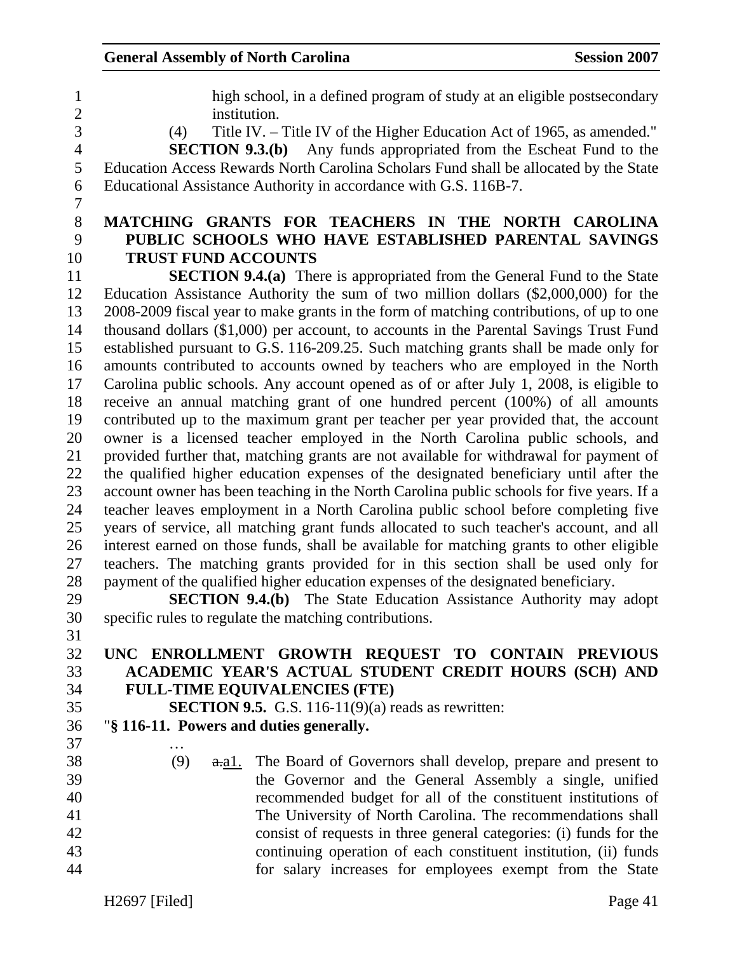1 high school, in a defined program of study at an eligible postsecondary 2 institution. 3 (4) Title IV. – Title IV of the Higher Education Act of 1965, as amended." 4 **SECTION 9.3.(b)** Any funds appropriated from the Escheat Fund to the 5 Education Access Rewards North Carolina Scholars Fund shall be allocated by the State 6 Educational Assistance Authority in accordance with G.S. 116B-7. 7 8 **MATCHING GRANTS FOR TEACHERS IN THE NORTH CAROLINA**  9 **PUBLIC SCHOOLS WHO HAVE ESTABLISHED PARENTAL SAVINGS**  10 **TRUST FUND ACCOUNTS**  11 **SECTION 9.4.(a)** There is appropriated from the General Fund to the State 12 Education Assistance Authority the sum of two million dollars (\$2,000,000) for the 13 2008-2009 fiscal year to make grants in the form of matching contributions, of up to one 14 thousand dollars (\$1,000) per account, to accounts in the Parental Savings Trust Fund 15 established pursuant to G.S. 116-209.25. Such matching grants shall be made only for 16 amounts contributed to accounts owned by teachers who are employed in the North 17 Carolina public schools. Any account opened as of or after July 1, 2008, is eligible to 18 receive an annual matching grant of one hundred percent (100%) of all amounts 19 contributed up to the maximum grant per teacher per year provided that, the account 20 owner is a licensed teacher employed in the North Carolina public schools, and 21 provided further that, matching grants are not available for withdrawal for payment of 22 the qualified higher education expenses of the designated beneficiary until after the 23 account owner has been teaching in the North Carolina public schools for five years. If a 24 teacher leaves employment in a North Carolina public school before completing five 25 years of service, all matching grant funds allocated to such teacher's account, and all 26 interest earned on those funds, shall be available for matching grants to other eligible 27 teachers. The matching grants provided for in this section shall be used only for 28 payment of the qualified higher education expenses of the designated beneficiary. 29 **SECTION 9.4.(b)** The State Education Assistance Authority may adopt 30 specific rules to regulate the matching contributions. 31 32 **UNC ENROLLMENT GROWTH REQUEST TO CONTAIN PREVIOUS**  33 **ACADEMIC YEAR'S ACTUAL STUDENT CREDIT HOURS (SCH) AND**  34 **FULL-TIME EQUIVALENCIES (FTE)**  35 **SECTION 9.5.** G.S. 116-11(9)(a) reads as rewritten: 36 "**§ 116-11. Powers and duties generally.**  37 … 38 (9) a.a1. The Board of Governors shall develop, prepare and present to 39 the Governor and the General Assembly a single, unified 40 recommended budget for all of the constituent institutions of 41 The University of North Carolina. The recommendations shall 42 consist of requests in three general categories: (i) funds for the 43 continuing operation of each constituent institution, (ii) funds

44 for salary increases for employees exempt from the State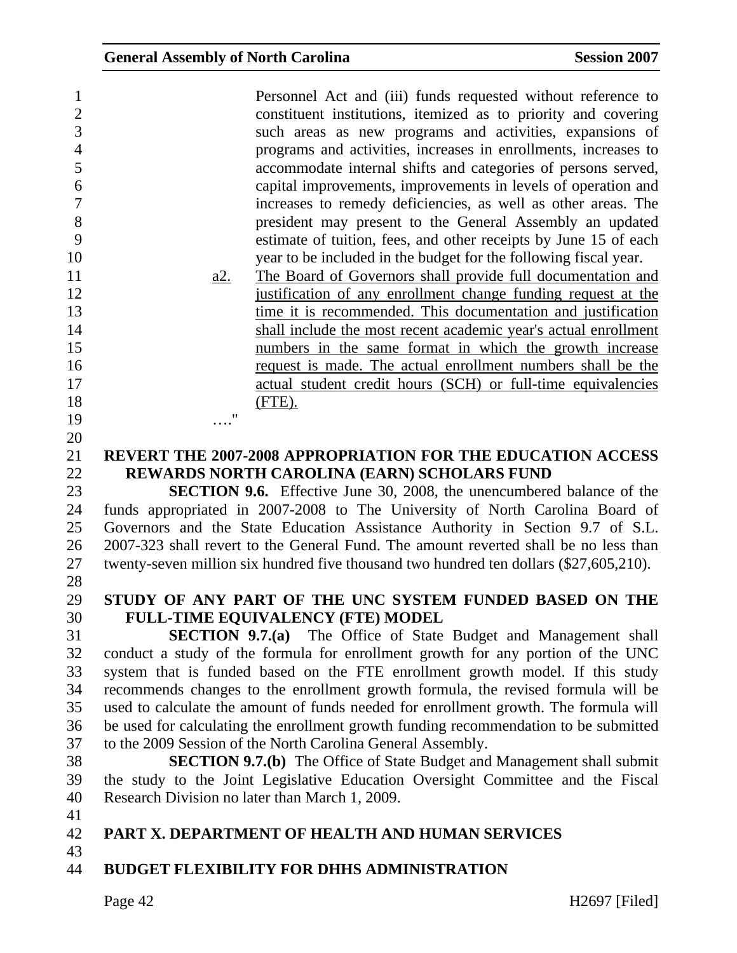| $\mathbf{1}$<br>$\overline{2}$<br>3<br>$\overline{4}$ |            | Personnel Act and (iii) funds requested without reference to<br>constituent institutions, itemized as to priority and covering<br>such areas as new programs and activities, expansions of<br>programs and activities, increases in enrollments, increases to |
|-------------------------------------------------------|------------|---------------------------------------------------------------------------------------------------------------------------------------------------------------------------------------------------------------------------------------------------------------|
| 5                                                     |            | accommodate internal shifts and categories of persons served,                                                                                                                                                                                                 |
| 6                                                     |            | capital improvements, improvements in levels of operation and                                                                                                                                                                                                 |
| 7                                                     |            | increases to remedy deficiencies, as well as other areas. The                                                                                                                                                                                                 |
| 8                                                     |            | president may present to the General Assembly an updated                                                                                                                                                                                                      |
| 9                                                     |            | estimate of tuition, fees, and other receipts by June 15 of each                                                                                                                                                                                              |
| 10                                                    |            | year to be included in the budget for the following fiscal year.                                                                                                                                                                                              |
| 11                                                    | <u>a2.</u> | The Board of Governors shall provide full documentation and                                                                                                                                                                                                   |
| 12                                                    |            | justification of any enrollment change funding request at the                                                                                                                                                                                                 |
| 13<br>14                                              |            | time it is recommended. This documentation and justification                                                                                                                                                                                                  |
| 15                                                    |            | shall include the most recent academic year's actual enrollment                                                                                                                                                                                               |
| 16                                                    |            | numbers in the same format in which the growth increase                                                                                                                                                                                                       |
| 17                                                    |            | request is made. The actual enrollment numbers shall be the<br>actual student credit hours (SCH) or full-time equivalencies                                                                                                                                   |
| 18                                                    |            | (FTE).                                                                                                                                                                                                                                                        |
| 19                                                    |            |                                                                                                                                                                                                                                                               |
| 20                                                    |            |                                                                                                                                                                                                                                                               |
| 21                                                    |            | <b>REVERT THE 2007-2008 APPROPRIATION FOR THE EDUCATION ACCESS</b>                                                                                                                                                                                            |
| 22                                                    |            | REWARDS NORTH CAROLINA (EARN) SCHOLARS FUND                                                                                                                                                                                                                   |
| 23                                                    |            | <b>SECTION 9.6.</b> Effective June 30, 2008, the unencumbered balance of the                                                                                                                                                                                  |
| 24                                                    |            | funds appropriated in 2007-2008 to The University of North Carolina Board of                                                                                                                                                                                  |
| 25                                                    |            | Governors and the State Education Assistance Authority in Section 9.7 of S.L.                                                                                                                                                                                 |
| 26                                                    |            | 2007-323 shall revert to the General Fund. The amount reverted shall be no less than                                                                                                                                                                          |
| 27                                                    |            | twenty-seven million six hundred five thousand two hundred ten dollars (\$27,605,210).                                                                                                                                                                        |
| 28                                                    |            |                                                                                                                                                                                                                                                               |
| 29                                                    |            | STUDY OF ANY PART OF THE UNC SYSTEM FUNDED BASED ON THE                                                                                                                                                                                                       |
| 30                                                    |            | <b>FULL-TIME EQUIVALENCY (FTE) MODEL</b>                                                                                                                                                                                                                      |
| 31                                                    |            | <b>SECTION 9.7.(a)</b> The Office of State Budget and Management shall                                                                                                                                                                                        |
| 32                                                    |            | conduct a study of the formula for enrollment growth for any portion of the UNC                                                                                                                                                                               |
| 33                                                    |            | system that is funded based on the FTE enrollment growth model. If this study                                                                                                                                                                                 |
| 34                                                    |            | recommends changes to the enrollment growth formula, the revised formula will be                                                                                                                                                                              |
| 35                                                    |            | used to calculate the amount of funds needed for enrollment growth. The formula will                                                                                                                                                                          |
| 36                                                    |            | be used for calculating the enrollment growth funding recommendation to be submitted                                                                                                                                                                          |
| 37                                                    |            | to the 2009 Session of the North Carolina General Assembly.                                                                                                                                                                                                   |
| 38                                                    |            | <b>SECTION 9.7.(b)</b> The Office of State Budget and Management shall submit                                                                                                                                                                                 |
| 39                                                    |            | the study to the Joint Legislative Education Oversight Committee and the Fiscal                                                                                                                                                                               |
| 40                                                    |            | Research Division no later than March 1, 2009.                                                                                                                                                                                                                |
| 41                                                    |            |                                                                                                                                                                                                                                                               |
| 42                                                    |            | <b>PART X. DEPARTMENT OF HEALTH AND HUMAN SERVICES</b>                                                                                                                                                                                                        |
| 43<br>44                                              |            | <b>BUDGET FLEXIBILITY FOR DHHS ADMINISTRATION</b>                                                                                                                                                                                                             |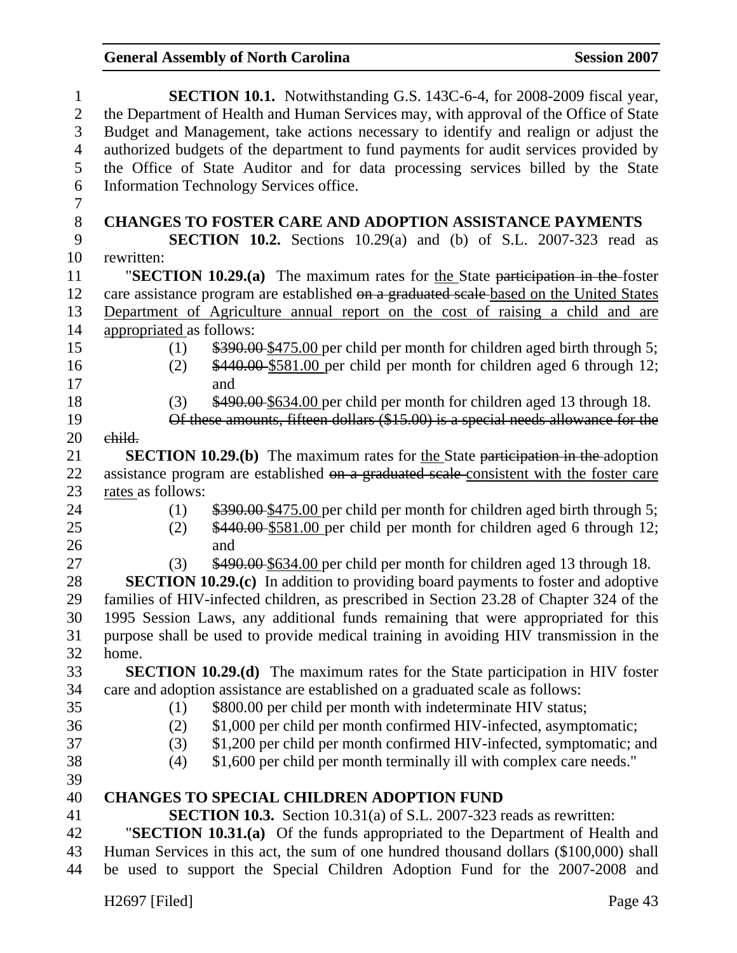| $\mathbf 1$    | SECTION 10.1. Notwithstanding G.S. 143C-6-4, for 2008-2009 fiscal year,                 |  |  |
|----------------|-----------------------------------------------------------------------------------------|--|--|
| $\overline{2}$ | the Department of Health and Human Services may, with approval of the Office of State   |  |  |
| 3              | Budget and Management, take actions necessary to identify and realign or adjust the     |  |  |
| $\overline{4}$ | authorized budgets of the department to fund payments for audit services provided by    |  |  |
| 5              | the Office of State Auditor and for data processing services billed by the State        |  |  |
| 6              | Information Technology Services office.                                                 |  |  |
| $\tau$         |                                                                                         |  |  |
| $8\,$          | <b>CHANGES TO FOSTER CARE AND ADOPTION ASSISTANCE PAYMENTS</b>                          |  |  |
| 9              | <b>SECTION 10.2.</b> Sections $10.29(a)$ and (b) of S.L. $2007-323$ read as             |  |  |
| 10             | rewritten:                                                                              |  |  |
| 11             | "SECTION $10.29(a)$ The maximum rates for the State participation in the foster         |  |  |
| 12             | care assistance program are established on a graduated scale-based on the United States |  |  |
| 13             | Department of Agriculture annual report on the cost of raising a child and are          |  |  |
| 14             | appropriated as follows:                                                                |  |  |
| 15             | \$390.00 \$475.00 per child per month for children aged birth through 5;<br>(1)         |  |  |
| 16             | \$440.00 \$581.00 per child per month for children aged 6 through 12;<br>(2)            |  |  |
| 17             | and                                                                                     |  |  |
| 18             | \$490.00 \$634.00 per child per month for children aged 13 through 18.<br>(3)           |  |  |
| 19             | Of these amounts, fifteen dollars (\$15.00) is a special needs allowance for the        |  |  |
| 20             | child.                                                                                  |  |  |
| 21             | <b>SECTION 10.29.(b)</b> The maximum rates for the State participation in the adoption  |  |  |
| 22             | assistance program are established on a graduated scale-consistent with the foster care |  |  |
| 23             | rates as follows:                                                                       |  |  |
| 24             | \$390.00 \$475.00 per child per month for children aged birth through 5;<br>(1)         |  |  |
| 25             | \$440.00 \$581.00 per child per month for children aged 6 through 12;<br>(2)            |  |  |
| 26             | and                                                                                     |  |  |
| 27             | \$490.00 \$634.00 per child per month for children aged 13 through 18.<br>(3)           |  |  |
| 28             | <b>SECTION 10.29.(c)</b> In addition to providing board payments to foster and adoptive |  |  |
| 29             | families of HIV-infected children, as prescribed in Section 23.28 of Chapter 324 of the |  |  |
| 30             | 1995 Session Laws, any additional funds remaining that were appropriated for this       |  |  |
| 31             | purpose shall be used to provide medical training in avoiding HIV transmission in the   |  |  |
| 32             | home.                                                                                   |  |  |
| 33             | <b>SECTION 10.29.(d)</b> The maximum rates for the State participation in HIV foster    |  |  |
| 34             | care and adoption assistance are established on a graduated scale as follows:           |  |  |
| 35             | \$800.00 per child per month with indeterminate HIV status;<br>(1)                      |  |  |
| 36             | \$1,000 per child per month confirmed HIV-infected, asymptomatic;<br>(2)                |  |  |
| 37             | \$1,200 per child per month confirmed HIV-infected, symptomatic; and<br>(3)             |  |  |
| 38             | \$1,600 per child per month terminally ill with complex care needs."<br>(4)             |  |  |
| 39             |                                                                                         |  |  |
| 40             | <b>CHANGES TO SPECIAL CHILDREN ADOPTION FUND</b>                                        |  |  |
| 41             | <b>SECTION 10.3.</b> Section 10.31(a) of S.L. 2007-323 reads as rewritten:              |  |  |
| 42             | "SECTION 10.31.(a) Of the funds appropriated to the Department of Health and            |  |  |
| 43             | Human Services in this act, the sum of one hundred thousand dollars (\$100,000) shall   |  |  |
| 44             | be used to support the Special Children Adoption Fund for the 2007-2008 and             |  |  |
|                |                                                                                         |  |  |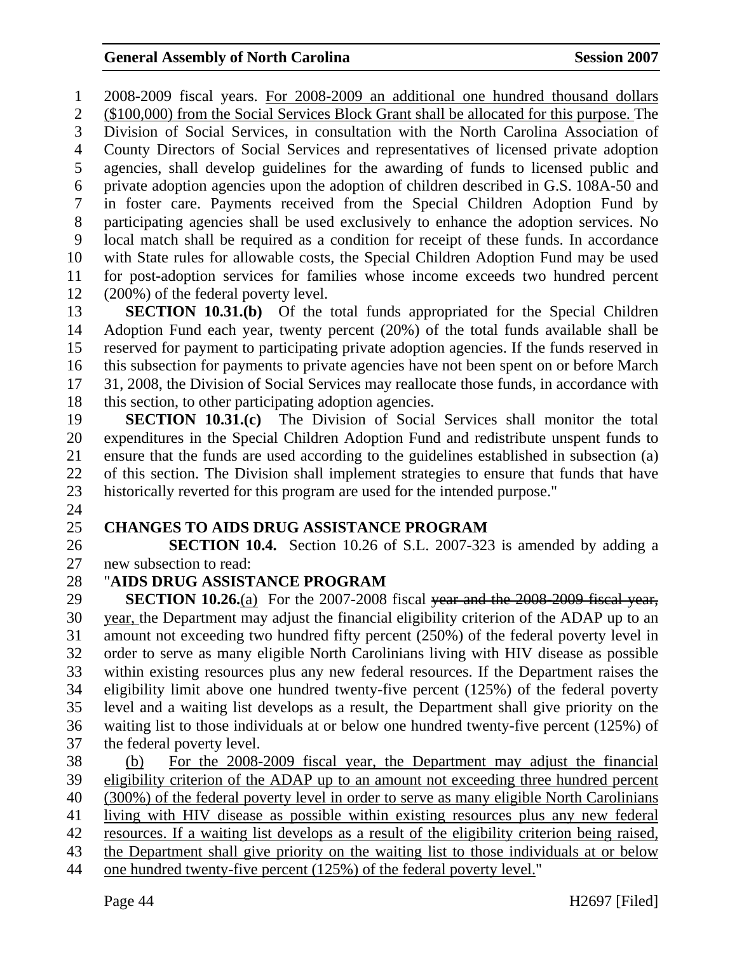1 2008-2009 fiscal years. For 2008-2009 an additional one hundred thousand dollars 2 (\$100,000) from the Social Services Block Grant shall be allocated for this purpose. The 3 Division of Social Services, in consultation with the North Carolina Association of 4 County Directors of Social Services and representatives of licensed private adoption 5 agencies, shall develop guidelines for the awarding of funds to licensed public and 6 private adoption agencies upon the adoption of children described in G.S. 108A-50 and 7 in foster care. Payments received from the Special Children Adoption Fund by 8 participating agencies shall be used exclusively to enhance the adoption services. No 9 local match shall be required as a condition for receipt of these funds. In accordance 10 with State rules for allowable costs, the Special Children Adoption Fund may be used 11 for post-adoption services for families whose income exceeds two hundred percent 12 (200%) of the federal poverty level.

13 **SECTION 10.31.(b)** Of the total funds appropriated for the Special Children 14 Adoption Fund each year, twenty percent (20%) of the total funds available shall be 15 reserved for payment to participating private adoption agencies. If the funds reserved in 16 this subsection for payments to private agencies have not been spent on or before March 17 31, 2008, the Division of Social Services may reallocate those funds, in accordance with 18 this section, to other participating adoption agencies.

19 **SECTION 10.31.(c)** The Division of Social Services shall monitor the total 20 expenditures in the Special Children Adoption Fund and redistribute unspent funds to 21 ensure that the funds are used according to the guidelines established in subsection (a) 22 of this section. The Division shall implement strategies to ensure that funds that have 23 historically reverted for this program are used for the intended purpose."

24

## 25 **CHANGES TO AIDS DRUG ASSISTANCE PROGRAM**

26 **SECTION 10.4.** Section 10.26 of S.L. 2007-323 is amended by adding a 27 new subsection to read:

#### 28 "**AIDS DRUG ASSISTANCE PROGRAM**

29 **SECTION 10.26.**(a) For the 2007-2008 fiscal year and the 2008-2009 fiscal year, 30 year, the Department may adjust the financial eligibility criterion of the ADAP up to an 31 amount not exceeding two hundred fifty percent (250%) of the federal poverty level in 32 order to serve as many eligible North Carolinians living with HIV disease as possible 33 within existing resources plus any new federal resources. If the Department raises the 34 eligibility limit above one hundred twenty-five percent (125%) of the federal poverty 35 level and a waiting list develops as a result, the Department shall give priority on the 36 waiting list to those individuals at or below one hundred twenty-five percent (125%) of 37 the federal poverty level.

38 (b) For the 2008-2009 fiscal year, the Department may adjust the financial 39 eligibility criterion of the ADAP up to an amount not exceeding three hundred percent 40 (300%) of the federal poverty level in order to serve as many eligible North Carolinians 41 living with HIV disease as possible within existing resources plus any new federal 42 resources. If a waiting list develops as a result of the eligibility criterion being raised, 43 the Department shall give priority on the waiting list to those individuals at or below 44 one hundred twenty-five percent (125%) of the federal poverty level."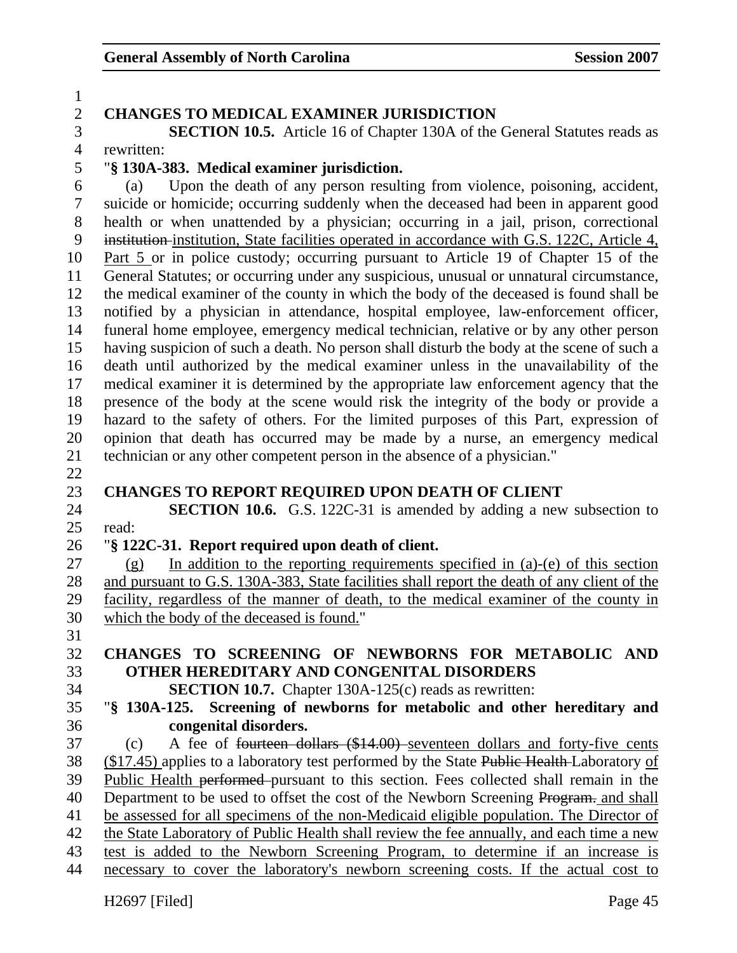#### H<sub>2697</sub> [Filed] Page 45 1 2 **CHANGES TO MEDICAL EXAMINER JURISDICTION**  3 **SECTION 10.5.** Article 16 of Chapter 130A of the General Statutes reads as 4 rewritten: 5 "**§ 130A-383. Medical examiner jurisdiction.**  6 (a) Upon the death of any person resulting from violence, poisoning, accident, 7 suicide or homicide; occurring suddenly when the deceased had been in apparent good 8 health or when unattended by a physician; occurring in a jail, prison, correctional 9 institution institution, State facilities operated in accordance with G.S. 122C, Article 4, 10 Part 5 or in police custody; occurring pursuant to Article 19 of Chapter 15 of the 11 General Statutes; or occurring under any suspicious, unusual or unnatural circumstance, 12 the medical examiner of the county in which the body of the deceased is found shall be 13 notified by a physician in attendance, hospital employee, law-enforcement officer, 14 funeral home employee, emergency medical technician, relative or by any other person 15 having suspicion of such a death. No person shall disturb the body at the scene of such a 16 death until authorized by the medical examiner unless in the unavailability of the 17 medical examiner it is determined by the appropriate law enforcement agency that the 18 presence of the body at the scene would risk the integrity of the body or provide a 19 hazard to the safety of others. For the limited purposes of this Part, expression of 20 opinion that death has occurred may be made by a nurse, an emergency medical 21 technician or any other competent person in the absence of a physician." 22 23 **CHANGES TO REPORT REQUIRED UPON DEATH OF CLIENT**  24 **SECTION 10.6.** G.S. 122C-31 is amended by adding a new subsection to 25 read: 26 "**§ 122C-31. Report required upon death of client.**  27 (g) In addition to the reporting requirements specified in (a)-(e) of this section 28 and pursuant to G.S. 130A-383, State facilities shall report the death of any client of the 29 facility, regardless of the manner of death, to the medical examiner of the county in 30 which the body of the deceased is found." 31 32 **CHANGES TO SCREENING OF NEWBORNS FOR METABOLIC AND**  33 **OTHER HEREDITARY AND CONGENITAL DISORDERS**  34 **SECTION 10.7.** Chapter 130A-125(c) reads as rewritten: 35 "**§ 130A-125. Screening of newborns for metabolic and other hereditary and**  36 **congenital disorders.**  37 (c) A fee of fourteen dollars (\$14.00) seventeen dollars and forty-five cents 38 (\$17.45) applies to a laboratory test performed by the State Public Health-Laboratory of 39 Public Health performed pursuant to this section. Fees collected shall remain in the 40 Department to be used to offset the cost of the Newborn Screening Program. and shall 41 be assessed for all specimens of the non-Medicaid eligible population. The Director of 42 the State Laboratory of Public Health shall review the fee annually, and each time a new 43 test is added to the Newborn Screening Program, to determine if an increase is 44 necessary to cover the laboratory's newborn screening costs. If the actual cost to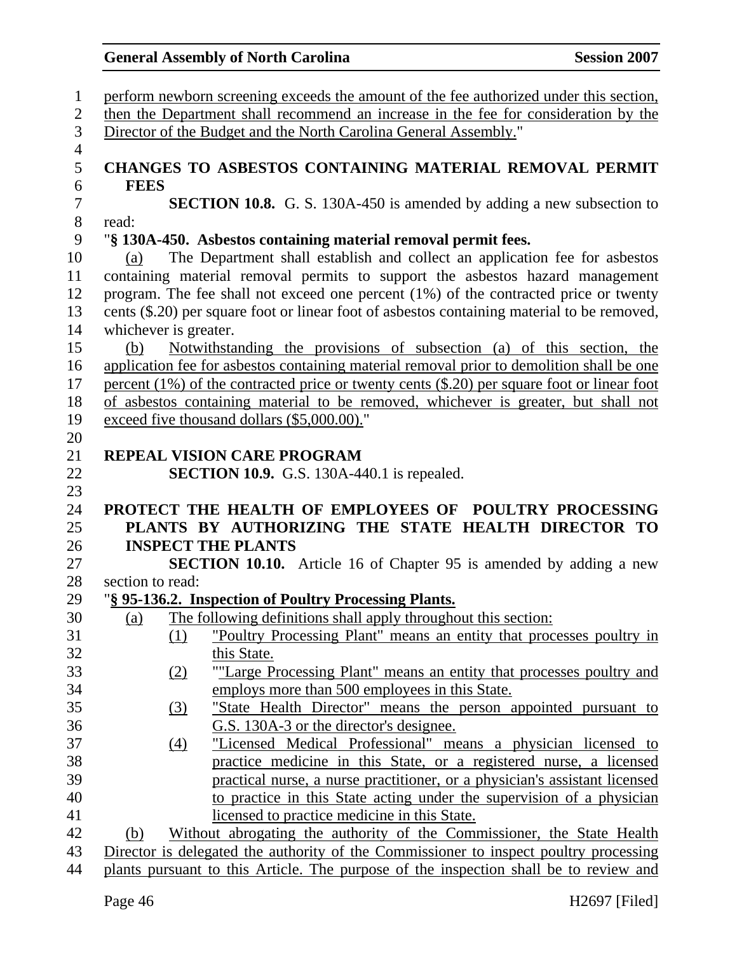| $\mathbf{1}$   | perform newborn screening exceeds the amount of the fee authorized under this section,           |  |  |  |
|----------------|--------------------------------------------------------------------------------------------------|--|--|--|
| $\overline{2}$ | then the Department shall recommend an increase in the fee for consideration by the              |  |  |  |
| $\overline{3}$ | Director of the Budget and the North Carolina General Assembly."                                 |  |  |  |
| $\overline{4}$ |                                                                                                  |  |  |  |
| 5              | CHANGES TO ASBESTOS CONTAINING MATERIAL REMOVAL PERMIT                                           |  |  |  |
| 6              | <b>FEES</b>                                                                                      |  |  |  |
| $\tau$         | <b>SECTION 10.8.</b> G. S. 130A-450 is amended by adding a new subsection to                     |  |  |  |
| $8\,$          | read:                                                                                            |  |  |  |
| 9              | "§ 130A-450. Asbestos containing material removal permit fees.                                   |  |  |  |
| 10             | The Department shall establish and collect an application fee for asbestos<br>(a)                |  |  |  |
| 11             | containing material removal permits to support the asbestos hazard management                    |  |  |  |
| 12             | program. The fee shall not exceed one percent $(1%)$ of the contracted price or twenty           |  |  |  |
| 13             | cents (\$.20) per square foot or linear foot of asbestos containing material to be removed,      |  |  |  |
| 14             | whichever is greater.                                                                            |  |  |  |
| 15             | Notwithstanding the provisions of subsection (a) of this section, the<br>(b)                     |  |  |  |
| 16             | application fee for asbestos containing material removal prior to demolition shall be one        |  |  |  |
| 17             | percent $(1\%)$ of the contracted price or twenty cents $(\$.20)$ per square foot or linear foot |  |  |  |
| 18             | of asbestos containing material to be removed, whichever is greater, but shall not               |  |  |  |
| 19             | exceed five thousand dollars (\$5,000.00)."                                                      |  |  |  |
| 20             |                                                                                                  |  |  |  |
| 21             | <b>REPEAL VISION CARE PROGRAM</b>                                                                |  |  |  |
| 22             | <b>SECTION 10.9.</b> G.S. 130A-440.1 is repealed.                                                |  |  |  |
| 23             |                                                                                                  |  |  |  |
| 24             | PROTECT THE HEALTH OF EMPLOYEES OF POULTRY PROCESSING                                            |  |  |  |
| 25             | PLANTS BY AUTHORIZING THE STATE HEALTH DIRECTOR TO                                               |  |  |  |
| 26             | <b>INSPECT THE PLANTS</b>                                                                        |  |  |  |
| 27             | <b>SECTION 10.10.</b> Article 16 of Chapter 95 is amended by adding a new                        |  |  |  |
| 28             | section to read:                                                                                 |  |  |  |
| 29             | "§ 95-136.2. Inspection of Poultry Processing Plants.                                            |  |  |  |
| 30             | The following definitions shall apply throughout this section:<br>(a)                            |  |  |  |
| 31             | "Poultry Processing Plant" means an entity that processes poultry in<br>(1)                      |  |  |  |
| 32             | this State.                                                                                      |  |  |  |
| 33             | "Large Processing Plant" means an entity that processes poultry and<br>(2)                       |  |  |  |
| 34             | employs more than 500 employees in this State.                                                   |  |  |  |
| 35             | "State Health Director" means the person appointed pursuant to<br>$\left(3\right)$               |  |  |  |
| 36             | G.S. 130A-3 or the director's designee.                                                          |  |  |  |
| 37             | "Licensed Medical Professional" means a physician licensed to<br>(4)                             |  |  |  |
| 38             | practice medicine in this State, or a registered nurse, a licensed                               |  |  |  |
| 39             | practical nurse, a nurse practitioner, or a physician's assistant licensed                       |  |  |  |
| 40             | to practice in this State acting under the supervision of a physician                            |  |  |  |
| 41             | licensed to practice medicine in this State.                                                     |  |  |  |
|                |                                                                                                  |  |  |  |
| 42             | Without abrogating the authority of the Commissioner, the State Health<br>(b)                    |  |  |  |
| 43             | Director is delegated the authority of the Commissioner to inspect poultry processing            |  |  |  |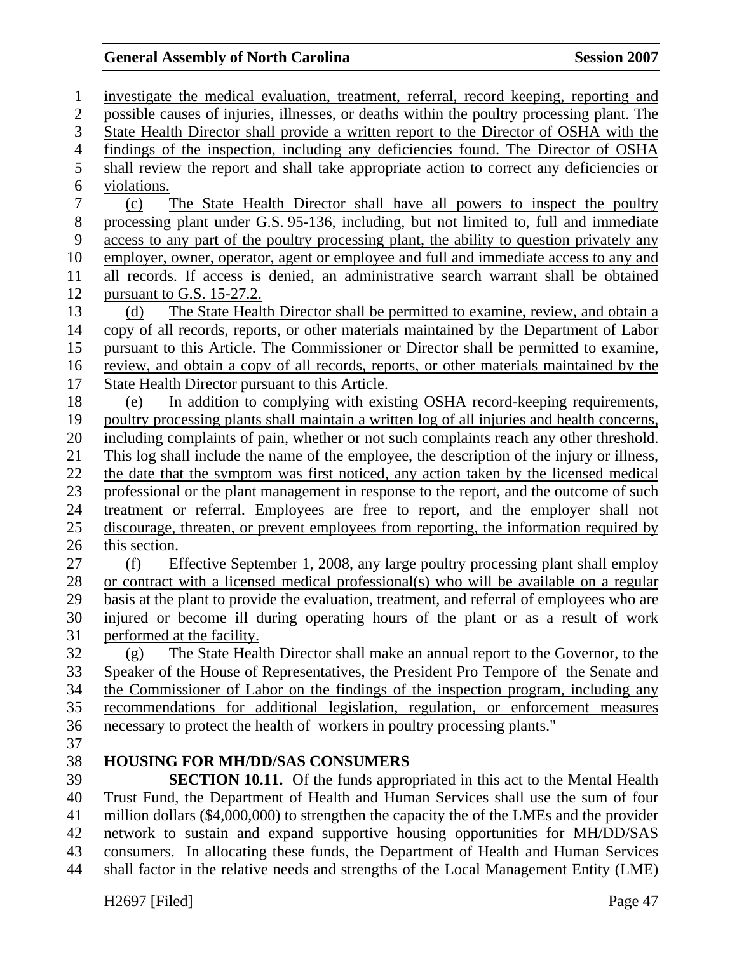1 investigate the medical evaluation, treatment, referral, record keeping, reporting and 2 possible causes of injuries, illnesses, or deaths within the poultry processing plant. The 3 State Health Director shall provide a written report to the Director of OSHA with the 4 findings of the inspection, including any deficiencies found. The Director of OSHA 5 shall review the report and shall take appropriate action to correct any deficiencies or 6 violations. 7 (c) The State Health Director shall have all powers to inspect the poultry 8 processing plant under G.S. 95-136, including, but not limited to, full and immediate 9 access to any part of the poultry processing plant, the ability to question privately any 10 employer, owner, operator, agent or employee and full and immediate access to any and 11 all records. If access is denied, an administrative search warrant shall be obtained 12 pursuant to G.S. 15-27.2. 13 (d) The State Health Director shall be permitted to examine, review, and obtain a 14 copy of all records, reports, or other materials maintained by the Department of Labor 15 pursuant to this Article. The Commissioner or Director shall be permitted to examine, 16 review, and obtain a copy of all records, reports, or other materials maintained by the 17 State Health Director pursuant to this Article. 18 (e) In addition to complying with existing OSHA record-keeping requirements, 19 poultry processing plants shall maintain a written log of all injuries and health concerns, 20 including complaints of pain, whether or not such complaints reach any other threshold. 21 This log shall include the name of the employee, the description of the injury or illness, 22 the date that the symptom was first noticed, any action taken by the licensed medical 23 professional or the plant management in response to the report, and the outcome of such 24 treatment or referral. Employees are free to report, and the employer shall not 25 discourage, threaten, or prevent employees from reporting, the information required by 26 this section. 27 (f) Effective September 1, 2008, any large poultry processing plant shall employ 28 or contract with a licensed medical professional(s) who will be available on a regular 29 basis at the plant to provide the evaluation, treatment, and referral of employees who are 30 injured or become ill during operating hours of the plant or as a result of work 31 performed at the facility. 32 (g) The State Health Director shall make an annual report to the Governor, to the 33 Speaker of the House of Representatives, the President Pro Tempore of the Senate and 34 the Commissioner of Labor on the findings of the inspection program, including any 35 recommendations for additional legislation, regulation, or enforcement measures 36 necessary to protect the health of workers in poultry processing plants." 37 38 **HOUSING FOR MH/DD/SAS CONSUMERS**  39 **SECTION 10.11.** Of the funds appropriated in this act to the Mental Health 40 Trust Fund, the Department of Health and Human Services shall use the sum of four 41 million dollars (\$4,000,000) to strengthen the capacity the of the LMEs and the provider 42 network to sustain and expand supportive housing opportunities for MH/DD/SAS 43 consumers. In allocating these funds, the Department of Health and Human Services 44 shall factor in the relative needs and strengths of the Local Management Entity (LME)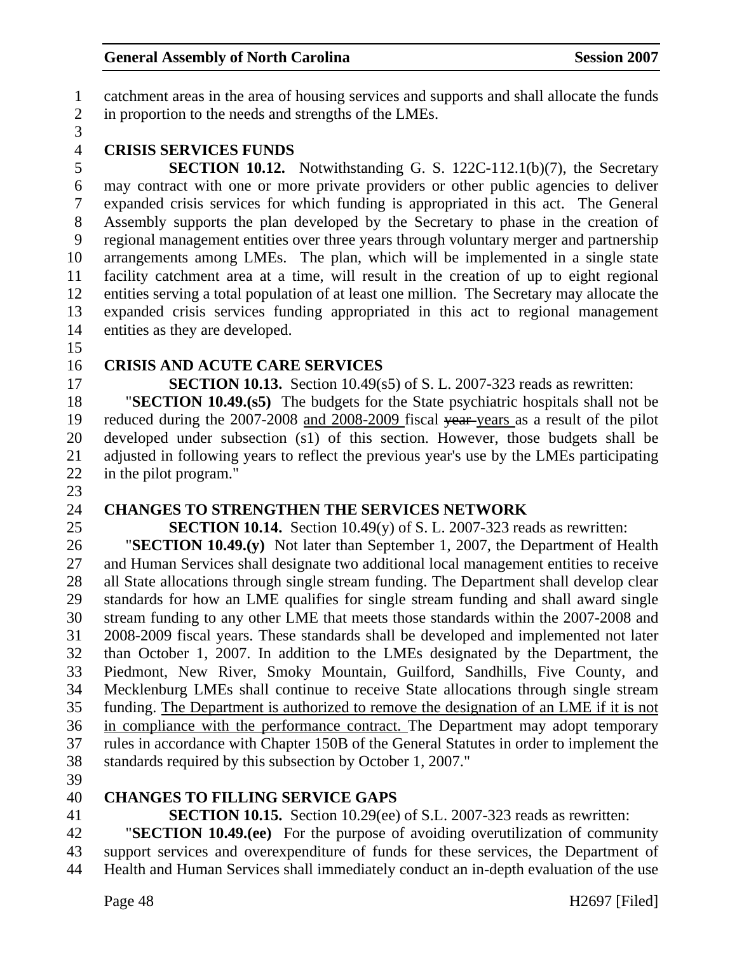1 catchment areas in the area of housing services and supports and shall allocate the funds 2 in proportion to the needs and strengths of the LMEs.

3

#### 4 **CRISIS SERVICES FUNDS**

5 **SECTION 10.12.** Notwithstanding G. S. 122C-112.1(b)(7), the Secretary 6 may contract with one or more private providers or other public agencies to deliver 7 expanded crisis services for which funding is appropriated in this act. The General 8 Assembly supports the plan developed by the Secretary to phase in the creation of 9 regional management entities over three years through voluntary merger and partnership 10 arrangements among LMEs. The plan, which will be implemented in a single state 11 facility catchment area at a time, will result in the creation of up to eight regional 12 entities serving a total population of at least one million. The Secretary may allocate the 13 expanded crisis services funding appropriated in this act to regional management 14 entities as they are developed.

15

## 16 **CRISIS AND ACUTE CARE SERVICES**

17 **SECTION 10.13.** Section 10.49(s5) of S. L. 2007-323 reads as rewritten:

18 "**SECTION 10.49.(s5)** The budgets for the State psychiatric hospitals shall not be 19 reduced during the 2007-2008 and 2008-2009 fiscal year years as a result of the pilot 20 developed under subsection (s1) of this section. However, those budgets shall be 21 adjusted in following years to reflect the previous year's use by the LMEs participating 22 in the pilot program."

- 23
- 

## 24 **CHANGES TO STRENGTHEN THE SERVICES NETWORK**

25 **SECTION 10.14.** Section 10.49(y) of S. L. 2007-323 reads as rewritten:

26 "**SECTION 10.49.(y)** Not later than September 1, 2007, the Department of Health 27 and Human Services shall designate two additional local management entities to receive 28 all State allocations through single stream funding. The Department shall develop clear 29 standards for how an LME qualifies for single stream funding and shall award single 30 stream funding to any other LME that meets those standards within the 2007-2008 and 31 2008-2009 fiscal years. These standards shall be developed and implemented not later 32 than October 1, 2007. In addition to the LMEs designated by the Department, the 33 Piedmont, New River, Smoky Mountain, Guilford, Sandhills, Five County, and 34 Mecklenburg LMEs shall continue to receive State allocations through single stream 35 funding. The Department is authorized to remove the designation of an LME if it is not 36 in compliance with the performance contract. The Department may adopt temporary 37 rules in accordance with Chapter 150B of the General Statutes in order to implement the 38 standards required by this subsection by October 1, 2007."

39

#### 40 **CHANGES TO FILLING SERVICE GAPS**

41 **SECTION 10.15.** Section 10.29(ee) of S.L. 2007-323 reads as rewritten:

42 "**SECTION 10.49.(ee)** For the purpose of avoiding overutilization of community 43 support services and overexpenditure of funds for these services, the Department of 44 Health and Human Services shall immediately conduct an in-depth evaluation of the use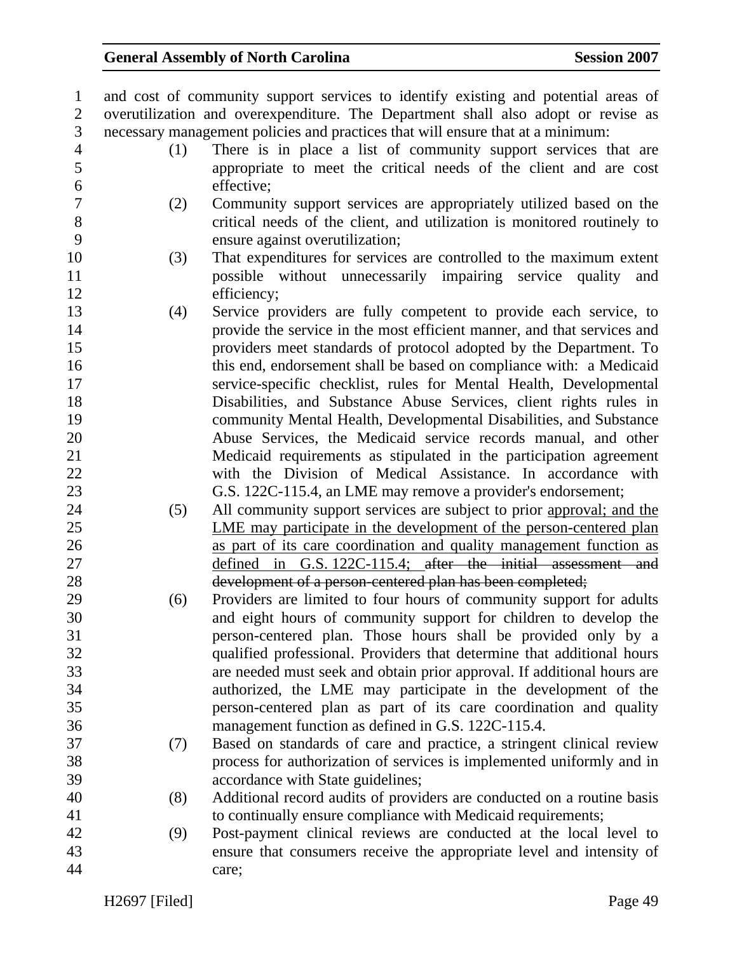| $\mathbf{1}$   |     | and cost of community support services to identify existing and potential areas of |
|----------------|-----|------------------------------------------------------------------------------------|
| $\overline{2}$ |     | overutilization and overexpenditure. The Department shall also adopt or revise as  |
| 3              |     | necessary management policies and practices that will ensure that at a minimum:    |
| $\overline{4}$ | (1) | There is in place a list of community support services that are                    |
| 5              |     | appropriate to meet the critical needs of the client and are cost                  |
| 6              |     | effective;                                                                         |
| $\overline{7}$ | (2) | Community support services are appropriately utilized based on the                 |
| 8              |     | critical needs of the client, and utilization is monitored routinely to            |
| 9              |     | ensure against overutilization;                                                    |
| 10             | (3) | That expenditures for services are controlled to the maximum extent                |
| 11             |     | possible without unnecessarily impairing service quality<br>and                    |
| 12             |     | efficiency;                                                                        |
| 13             | (4) | Service providers are fully competent to provide each service, to                  |
| 14             |     | provide the service in the most efficient manner, and that services and            |
| 15             |     | providers meet standards of protocol adopted by the Department. To                 |
| 16             |     | this end, endorsement shall be based on compliance with: a Medicaid                |
| 17             |     | service-specific checklist, rules for Mental Health, Developmental                 |
| 18             |     | Disabilities, and Substance Abuse Services, client rights rules in                 |
| 19             |     | community Mental Health, Developmental Disabilities, and Substance                 |
| 20             |     | Abuse Services, the Medicaid service records manual, and other                     |
| 21             |     | Medicaid requirements as stipulated in the participation agreement                 |
| 22             |     | with the Division of Medical Assistance. In accordance with                        |
| 23             |     | G.S. 122C-115.4, an LME may remove a provider's endorsement;                       |
| 24             | (5) | All community support services are subject to prior approval; and the              |
| 25             |     | LME may participate in the development of the person-centered plan                 |
| 26             |     | as part of its care coordination and quality management function as                |
| 27             |     | defined in G.S. 122C-115.4; after the initial assessment and                       |
| 28             |     | development of a person-centered plan has been completed;                          |
| 29             | (6) | Providers are limited to four hours of community support for adults                |
| 30             |     | and eight hours of community support for children to develop the                   |
| 31             |     | person-centered plan. Those hours shall be provided only by a                      |
| 32             |     | qualified professional. Providers that determine that additional hours             |
| 33             |     | are needed must seek and obtain prior approval. If additional hours are            |
| 34             |     | authorized, the LME may participate in the development of the                      |
| 35             |     | person-centered plan as part of its care coordination and quality                  |
| 36             |     | management function as defined in G.S. 122C-115.4.                                 |
| 37             | (7) | Based on standards of care and practice, a stringent clinical review               |
| 38             |     | process for authorization of services is implemented uniformly and in              |
| 39             |     | accordance with State guidelines;                                                  |
| 40             | (8) | Additional record audits of providers are conducted on a routine basis             |
| 41             |     | to continually ensure compliance with Medicaid requirements;                       |
| 42             | (9) | Post-payment clinical reviews are conducted at the local level to                  |
| 43             |     | ensure that consumers receive the appropriate level and intensity of               |
| 44             |     | care;                                                                              |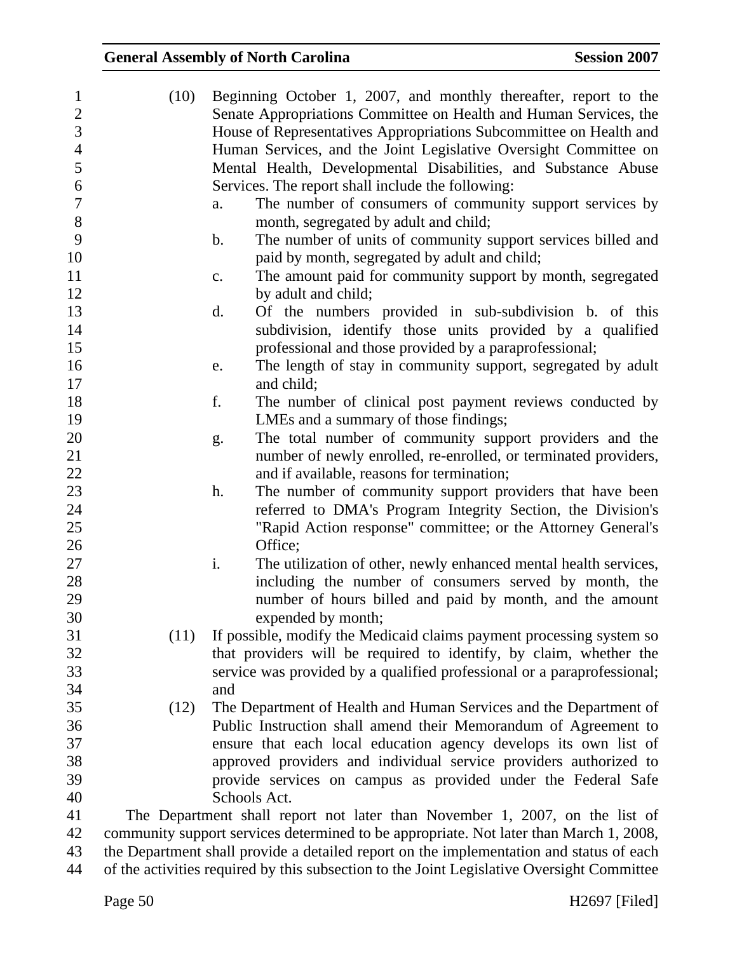| $\mathbf{1}$     | (10) | Beginning October 1, 2007, and monthly thereafter, report to the                          |
|------------------|------|-------------------------------------------------------------------------------------------|
| $\sqrt{2}$       |      | Senate Appropriations Committee on Health and Human Services, the                         |
| 3                |      | House of Representatives Appropriations Subcommittee on Health and                        |
| $\overline{4}$   |      | Human Services, and the Joint Legislative Oversight Committee on                          |
| 5                |      | Mental Health, Developmental Disabilities, and Substance Abuse                            |
| $\boldsymbol{6}$ |      | Services. The report shall include the following:                                         |
| $\tau$           |      | The number of consumers of community support services by<br>a.                            |
| $8\,$            |      | month, segregated by adult and child;                                                     |
| 9                |      | The number of units of community support services billed and<br>$\mathbf b$ .             |
| 10               |      | paid by month, segregated by adult and child;                                             |
| 11               |      | The amount paid for community support by month, segregated<br>c.                          |
| 12               |      | by adult and child;                                                                       |
| 13               |      | Of the numbers provided in sub-subdivision b. of this<br>d.                               |
| 14               |      | subdivision, identify those units provided by a qualified                                 |
| 15               |      | professional and those provided by a paraprofessional;                                    |
| 16               |      | The length of stay in community support, segregated by adult<br>e.                        |
| 17               |      | and child;                                                                                |
| 18               |      | f.<br>The number of clinical post payment reviews conducted by                            |
| 19               |      |                                                                                           |
|                  |      | LMEs and a summary of those findings;                                                     |
| 20               |      | The total number of community support providers and the<br>g.                             |
| 21               |      | number of newly enrolled, re-enrolled, or terminated providers,                           |
| 22               |      | and if available, reasons for termination;                                                |
| 23               |      | The number of community support providers that have been<br>h.                            |
| 24               |      | referred to DMA's Program Integrity Section, the Division's                               |
| 25               |      | "Rapid Action response" committee; or the Attorney General's                              |
| 26               |      | Office;                                                                                   |
| 27               |      | i.<br>The utilization of other, newly enhanced mental health services,                    |
| 28               |      | including the number of consumers served by month, the                                    |
| 29               |      | number of hours billed and paid by month, and the amount                                  |
| 30               |      | expended by month;                                                                        |
| 31               | (11) | If possible, modify the Medicaid claims payment processing system so                      |
| 32               |      | that providers will be required to identify, by claim, whether the                        |
| 33               |      | service was provided by a qualified professional or a paraprofessional;                   |
| 34               |      | and                                                                                       |
| 35               | (12) | The Department of Health and Human Services and the Department of                         |
| 36               |      | Public Instruction shall amend their Memorandum of Agreement to                           |
| 37               |      | ensure that each local education agency develops its own list of                          |
| 38               |      | approved providers and individual service providers authorized to                         |
| 39               |      | provide services on campus as provided under the Federal Safe                             |
| 40               |      | Schools Act.                                                                              |
| 41               |      | The Department shall report not later than November 1, 2007, on the list of               |
| 42               |      | community support services determined to be appropriate. Not later than March 1, 2008,    |
| $\Lambda$        |      | the Demontreant shall masside a detailed nonent on the insulamentation and status of each |

43 the Department shall provide a detailed report on the implementation and status of each 44 of the activities required by this subsection to the Joint Legislative Oversight Committee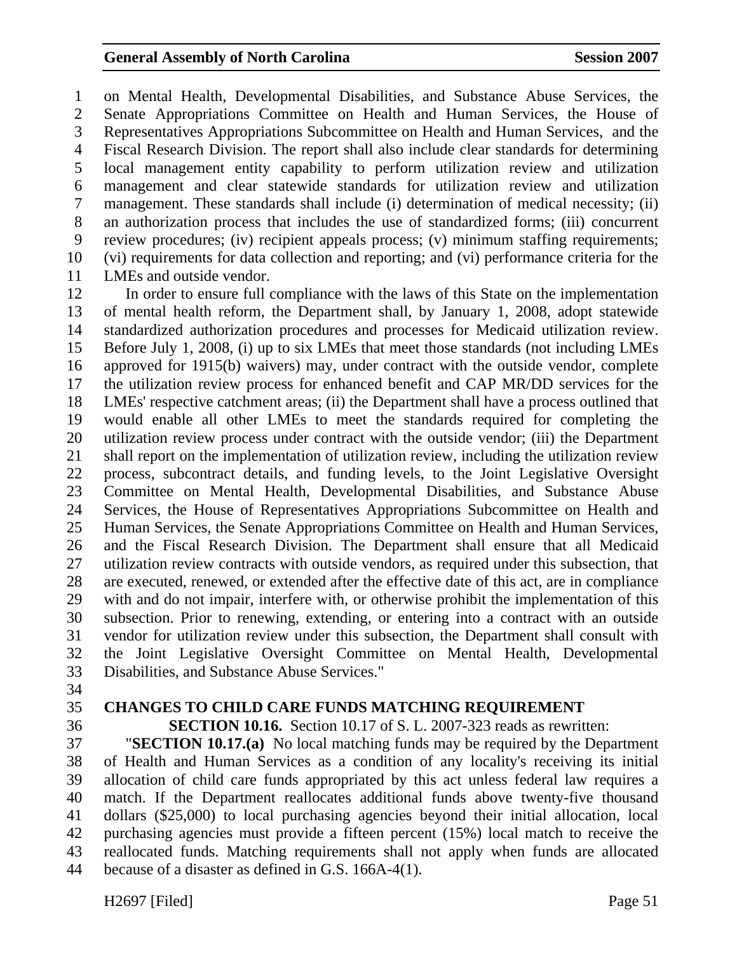1 on Mental Health, Developmental Disabilities, and Substance Abuse Services, the 2 Senate Appropriations Committee on Health and Human Services, the House of 3 Representatives Appropriations Subcommittee on Health and Human Services, and the 4 Fiscal Research Division. The report shall also include clear standards for determining 5 local management entity capability to perform utilization review and utilization 6 management and clear statewide standards for utilization review and utilization 7 management. These standards shall include (i) determination of medical necessity; (ii) 8 an authorization process that includes the use of standardized forms; (iii) concurrent 9 review procedures; (iv) recipient appeals process; (v) minimum staffing requirements; 10 (vi) requirements for data collection and reporting; and (vi) performance criteria for the 11 LMEs and outside vendor.

12 In order to ensure full compliance with the laws of this State on the implementation 13 of mental health reform, the Department shall, by January 1, 2008, adopt statewide 14 standardized authorization procedures and processes for Medicaid utilization review. 15 Before July 1, 2008, (i) up to six LMEs that meet those standards (not including LMEs 16 approved for 1915(b) waivers) may, under contract with the outside vendor, complete 17 the utilization review process for enhanced benefit and CAP MR/DD services for the 18 LMEs' respective catchment areas; (ii) the Department shall have a process outlined that 19 would enable all other LMEs to meet the standards required for completing the 20 utilization review process under contract with the outside vendor; (iii) the Department 21 shall report on the implementation of utilization review, including the utilization review 22 process, subcontract details, and funding levels, to the Joint Legislative Oversight 23 Committee on Mental Health, Developmental Disabilities, and Substance Abuse 24 Services, the House of Representatives Appropriations Subcommittee on Health and 25 Human Services, the Senate Appropriations Committee on Health and Human Services, 26 and the Fiscal Research Division. The Department shall ensure that all Medicaid 27 utilization review contracts with outside vendors, as required under this subsection, that 28 are executed, renewed, or extended after the effective date of this act, are in compliance 29 with and do not impair, interfere with, or otherwise prohibit the implementation of this 30 subsection. Prior to renewing, extending, or entering into a contract with an outside 31 vendor for utilization review under this subsection, the Department shall consult with 32 the Joint Legislative Oversight Committee on Mental Health, Developmental 33 Disabilities, and Substance Abuse Services."

- 34
- 

#### 35 **CHANGES TO CHILD CARE FUNDS MATCHING REQUIREMENT**

36 **SECTION 10.16.** Section 10.17 of S. L. 2007-323 reads as rewritten:

37 "**SECTION 10.17.(a)** No local matching funds may be required by the Department 38 of Health and Human Services as a condition of any locality's receiving its initial 39 allocation of child care funds appropriated by this act unless federal law requires a 40 match. If the Department reallocates additional funds above twenty-five thousand 41 dollars (\$25,000) to local purchasing agencies beyond their initial allocation, local 42 purchasing agencies must provide a fifteen percent (15%) local match to receive the 43 reallocated funds. Matching requirements shall not apply when funds are allocated 44 because of a disaster as defined in G.S. 166A-4(1).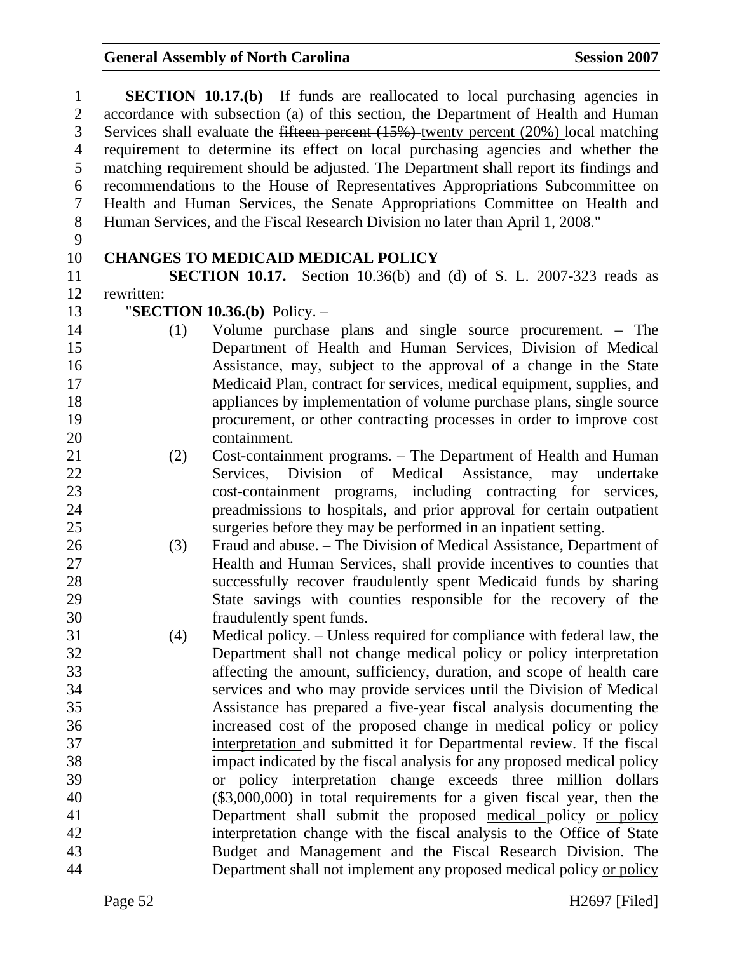| $\mathbf{1}$   |                                                                                            | <b>SECTION 10.17.(b)</b> If funds are reallocated to local purchasing agencies in     |  |
|----------------|--------------------------------------------------------------------------------------------|---------------------------------------------------------------------------------------|--|
| $\overline{2}$ |                                                                                            | accordance with subsection (a) of this section, the Department of Health and Human    |  |
| 3              | Services shall evaluate the fifteen percent $(15%)$ -twenty percent $(20%)$ local matching |                                                                                       |  |
| $\overline{4}$ |                                                                                            | requirement to determine its effect on local purchasing agencies and whether the      |  |
| 5              |                                                                                            | matching requirement should be adjusted. The Department shall report its findings and |  |
| 6              |                                                                                            | recommendations to the House of Representatives Appropriations Subcommittee on        |  |
| $\overline{7}$ |                                                                                            | Health and Human Services, the Senate Appropriations Committee on Health and          |  |
| 8              |                                                                                            | Human Services, and the Fiscal Research Division no later than April 1, 2008."        |  |
| 9              |                                                                                            |                                                                                       |  |
| 10             |                                                                                            | <b>CHANGES TO MEDICAID MEDICAL POLICY</b>                                             |  |
| 11             |                                                                                            | SECTION 10.17. Section 10.36(b) and (d) of S. L. 2007-323 reads as                    |  |
| 12             | rewritten:                                                                                 |                                                                                       |  |
| 13             |                                                                                            | "SECTION $10.36(b)$ Policy. -                                                         |  |
| 14             | (1)                                                                                        | Volume purchase plans and single source procurement. – The                            |  |
| 15             |                                                                                            | Department of Health and Human Services, Division of Medical                          |  |
| 16             |                                                                                            | Assistance, may, subject to the approval of a change in the State                     |  |
| 17             |                                                                                            | Medicaid Plan, contract for services, medical equipment, supplies, and                |  |
| 18             |                                                                                            | appliances by implementation of volume purchase plans, single source                  |  |
| 19             |                                                                                            | procurement, or other contracting processes in order to improve cost                  |  |
| 20             |                                                                                            | containment.                                                                          |  |
| 21             | (2)                                                                                        | Cost-containment programs. – The Department of Health and Human                       |  |
| 22             |                                                                                            | of Medical Assistance, may undertake<br>Services, Division                            |  |
| 23             |                                                                                            | cost-containment programs, including contracting for services,                        |  |
| 24             |                                                                                            | preadmissions to hospitals, and prior approval for certain outpatient                 |  |
| 25             |                                                                                            | surgeries before they may be performed in an inpatient setting.                       |  |
| 26             | (3)                                                                                        | Fraud and abuse. – The Division of Medical Assistance, Department of                  |  |
| 27             |                                                                                            | Health and Human Services, shall provide incentives to counties that                  |  |
| 28             |                                                                                            | successfully recover fraudulently spent Medicaid funds by sharing                     |  |
| 29             |                                                                                            | State savings with counties responsible for the recovery of the                       |  |
| 30             |                                                                                            | fraudulently spent funds.                                                             |  |
| 31             | (4)                                                                                        | Medical policy. – Unless required for compliance with federal law, the                |  |
| 32             |                                                                                            | Department shall not change medical policy or policy interpretation                   |  |
| 33             |                                                                                            | affecting the amount, sufficiency, duration, and scope of health care                 |  |
| 34             |                                                                                            | services and who may provide services until the Division of Medical                   |  |
| 35             |                                                                                            | Assistance has prepared a five-year fiscal analysis documenting the                   |  |
| 36             |                                                                                            | increased cost of the proposed change in medical policy or policy                     |  |
| 37             |                                                                                            | interpretation and submitted it for Departmental review. If the fiscal                |  |
| 38             |                                                                                            | impact indicated by the fiscal analysis for any proposed medical policy               |  |
| 39             |                                                                                            | or policy interpretation change exceeds three million dollars                         |  |
| 40             |                                                                                            | $(\$3,000,000)$ in total requirements for a given fiscal year, then the               |  |
| 41             |                                                                                            | Department shall submit the proposed medical policy or policy                         |  |
| 42             |                                                                                            | interpretation change with the fiscal analysis to the Office of State                 |  |
| 43             |                                                                                            | Budget and Management and the Fiscal Research Division. The                           |  |
| 44             |                                                                                            | Department shall not implement any proposed medical policy or policy                  |  |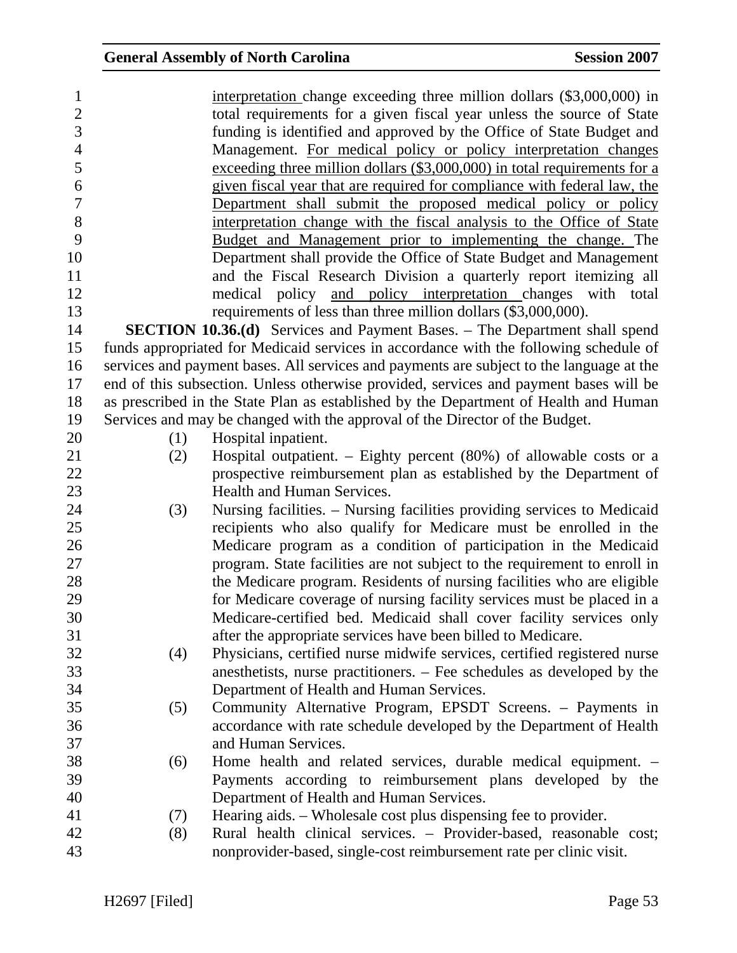| $\mathbf{1}$             |     | interpretation change exceeding three million dollars (\$3,000,000) in                   |
|--------------------------|-----|------------------------------------------------------------------------------------------|
| $\overline{2}$           |     | total requirements for a given fiscal year unless the source of State                    |
| 3                        |     | funding is identified and approved by the Office of State Budget and                     |
| $\overline{\mathcal{A}}$ |     | Management. For medical policy or policy interpretation changes                          |
| 5                        |     | exceeding three million dollars (\$3,000,000) in total requirements for a                |
| 6                        |     | given fiscal year that are required for compliance with federal law, the                 |
| 7                        |     | Department shall submit the proposed medical policy or policy                            |
| 8                        |     | interpretation change with the fiscal analysis to the Office of State                    |
| 9                        |     | Budget and Management prior to implementing the change. The                              |
| 10                       |     | Department shall provide the Office of State Budget and Management                       |
| 11                       |     | and the Fiscal Research Division a quarterly report itemizing all                        |
| 12                       |     | medical policy and policy interpretation changes with total                              |
| 13                       |     | requirements of less than three million dollars (\$3,000,000).                           |
| 14                       |     | <b>SECTION 10.36.(d)</b> Services and Payment Bases. - The Department shall spend        |
| 15                       |     | funds appropriated for Medicaid services in accordance with the following schedule of    |
| 16                       |     | services and payment bases. All services and payments are subject to the language at the |
| 17                       |     | end of this subsection. Unless otherwise provided, services and payment bases will be    |
| 18                       |     | as prescribed in the State Plan as established by the Department of Health and Human     |
| 19                       |     | Services and may be changed with the approval of the Director of the Budget.             |
| 20                       | (1) | Hospital inpatient.                                                                      |
| 21                       | (2) | Hospital outpatient. – Eighty percent $(80%)$ of allowable costs or a                    |
| 22                       |     | prospective reimbursement plan as established by the Department of                       |
| 23                       |     | Health and Human Services.                                                               |
| 24                       | (3) | Nursing facilities. - Nursing facilities providing services to Medicaid                  |
| 25                       |     | recipients who also qualify for Medicare must be enrolled in the                         |
| 26                       |     | Medicare program as a condition of participation in the Medicaid                         |
| 27                       |     | program. State facilities are not subject to the requirement to enroll in                |
| 28                       |     | the Medicare program. Residents of nursing facilities who are eligible                   |
| 29                       |     | for Medicare coverage of nursing facility services must be placed in a                   |
| 30                       |     | Medicare-certified bed. Medicaid shall cover facility services only                      |
| 31                       |     | after the appropriate services have been billed to Medicare.                             |
| 32                       | (4) | Physicians, certified nurse midwife services, certified registered nurse                 |
| 33                       |     | anesthetists, nurse practitioners. – Fee schedules as developed by the                   |
| 34                       |     | Department of Health and Human Services.                                                 |
| 35                       | (5) | Community Alternative Program, EPSDT Screens. - Payments in                              |
| 36                       |     | accordance with rate schedule developed by the Department of Health                      |
| 37                       |     | and Human Services.                                                                      |
| 38                       | (6) | Home health and related services, durable medical equipment. –                           |
| 39                       |     | Payments according to reimbursement plans developed by the                               |
| 40                       |     | Department of Health and Human Services.                                                 |
| 41                       | (7) | Hearing aids. – Wholesale cost plus dispensing fee to provider.                          |
| 42                       | (8) | Rural health clinical services. – Provider-based, reasonable cost;                       |
| 43                       |     | nonprovider-based, single-cost reimbursement rate per clinic visit.                      |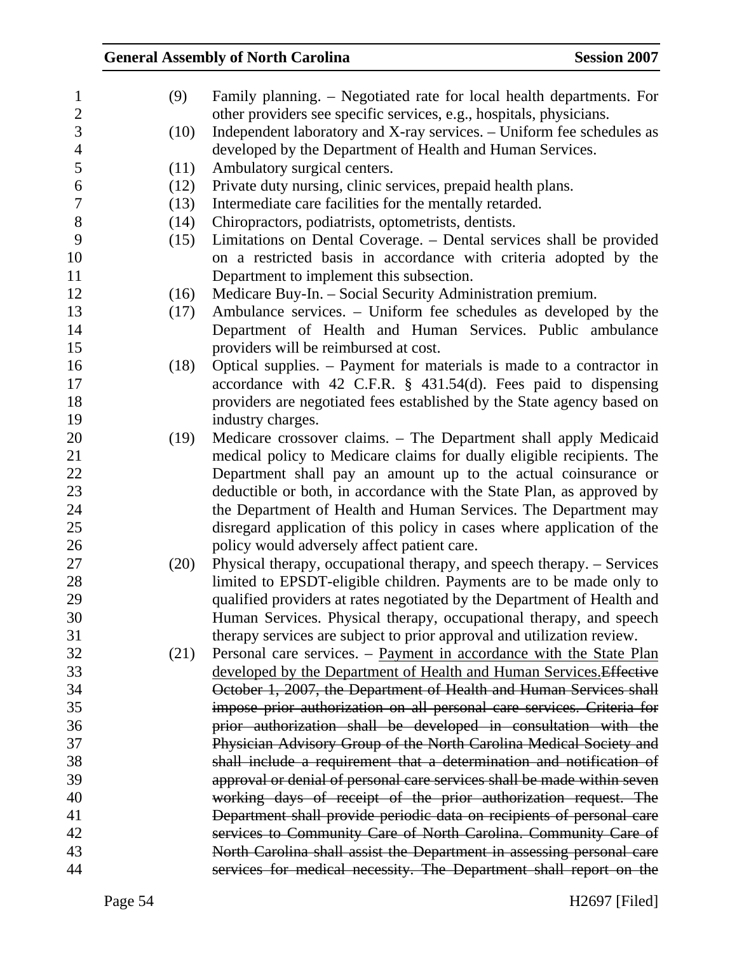| $\mathbf{1}$   | (9)  | Family planning. – Negotiated rate for local health departments. For    |
|----------------|------|-------------------------------------------------------------------------|
| $\mathbf{2}$   |      | other providers see specific services, e.g., hospitals, physicians.     |
| 3              | (10) | Independent laboratory and X-ray services. - Uniform fee schedules as   |
| $\overline{4}$ |      | developed by the Department of Health and Human Services.               |
| 5              | (11) | Ambulatory surgical centers.                                            |
| 6              | (12) | Private duty nursing, clinic services, prepaid health plans.            |
| $\overline{7}$ | (13) | Intermediate care facilities for the mentally retarded.                 |
| $8\,$          | (14) | Chiropractors, podiatrists, optometrists, dentists.                     |
| 9              | (15) | Limitations on Dental Coverage. – Dental services shall be provided     |
| 10             |      | on a restricted basis in accordance with criteria adopted by the        |
| 11             |      | Department to implement this subsection.                                |
| 12             | (16) | Medicare Buy-In. - Social Security Administration premium.              |
| 13             | (17) | Ambulance services. – Uniform fee schedules as developed by the         |
| 14             |      | Department of Health and Human Services. Public ambulance               |
| 15             |      | providers will be reimbursed at cost.                                   |
| 16             | (18) | Optical supplies. – Payment for materials is made to a contractor in    |
| 17             |      | accordance with 42 C.F.R. § 431.54(d). Fees paid to dispensing          |
| 18             |      | providers are negotiated fees established by the State agency based on  |
| 19             |      | industry charges.                                                       |
| 20             | (19) | Medicare crossover claims. - The Department shall apply Medicaid        |
| 21             |      | medical policy to Medicare claims for dually eligible recipients. The   |
| 22             |      | Department shall pay an amount up to the actual coinsurance or          |
| 23             |      | deductible or both, in accordance with the State Plan, as approved by   |
| 24             |      | the Department of Health and Human Services. The Department may         |
| 25             |      | disregard application of this policy in cases where application of the  |
| 26             |      | policy would adversely affect patient care.                             |
| 27             | (20) | Physical therapy, occupational therapy, and speech therapy. – Services  |
| 28             |      | limited to EPSDT-eligible children. Payments are to be made only to     |
| 29             |      | qualified providers at rates negotiated by the Department of Health and |
| 30             |      | Human Services. Physical therapy, occupational therapy, and speech      |
| 31             |      | therapy services are subject to prior approval and utilization review.  |
| 32             | (21) | Personal care services. – Payment in accordance with the State Plan     |
| 33             |      | developed by the Department of Health and Human Services. Effective     |
| 34             |      | October 1, 2007, the Department of Health and Human Services shall      |
| 35             |      | impose prior authorization on all personal care services. Criteria for  |
| 36             |      | prior authorization shall be developed in consultation with the         |
| 37             |      | Physician Advisory Group of the North Carolina Medical Society and      |
| 38             |      | shall include a requirement that a determination and notification of    |
| 39             |      | approval or denial of personal care services shall be made within seven |
| 40             |      | working days of receipt of the prior authorization request. The         |
| 41             |      | Department shall provide periodic data on recipients of personal care   |
| 42             |      | services to Community Care of North Carolina. Community Care of         |
| 43             |      | North Carolina shall assist the Department in assessing personal care   |
| 44             |      | services for medical necessity. The Department shall report on the      |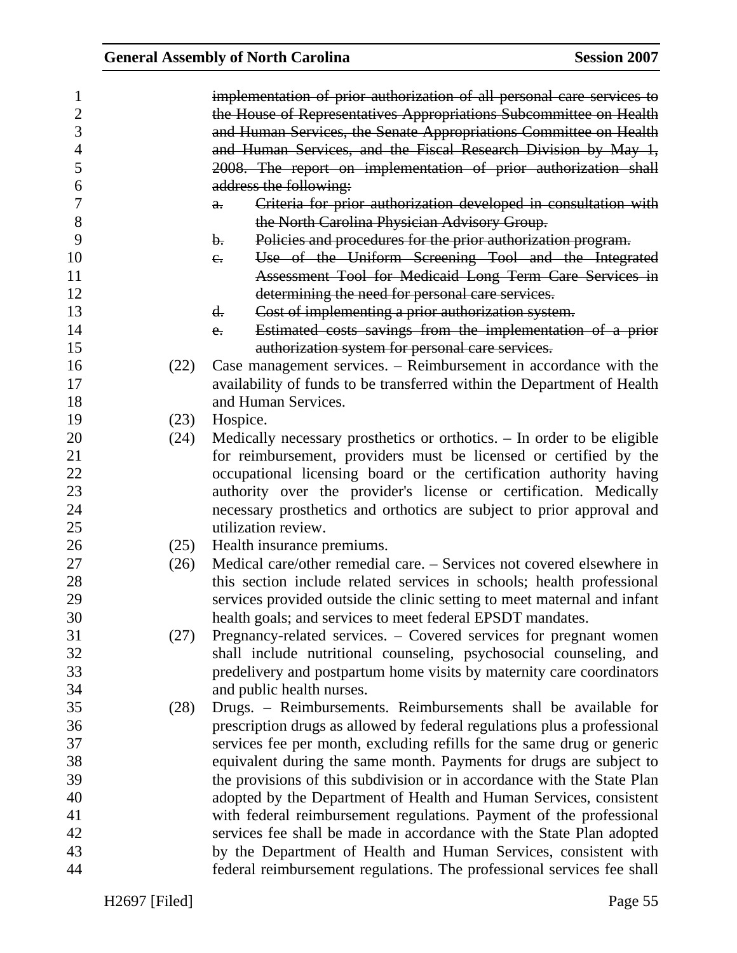| 1              |      | implementation of prior authorization of all personal care services to   |
|----------------|------|--------------------------------------------------------------------------|
| $\overline{2}$ |      | the House of Representatives Appropriations Subcommittee on Health       |
| 3              |      | and Human Services, the Senate Appropriations Committee on Health        |
| $\overline{4}$ |      | and Human Services, and the Fiscal Research Division by May 1,           |
| 5              |      | 2008. The report on implementation of prior authorization shall          |
| 6              |      | address the following:                                                   |
| 7              |      | Criteria for prior authorization developed in consultation with<br>a.    |
| 8              |      | the North Carolina Physician Advisory Group.                             |
| 9              |      | Policies and procedures for the prior authorization program.<br>b.       |
| 10             |      | Use of the Uniform Screening Tool and the Integrated<br>$e_{\cdot}$      |
| 11             |      | Assessment Tool for Medicaid Long Term Care Services in                  |
| 12             |      | determining the need for personal care services.                         |
| 13             |      | Cost of implementing a prior authorization system.<br>d.                 |
| 14             |      |                                                                          |
|                |      | Estimated costs savings from the implementation of a prior<br>$e_{i}$    |
| 15             |      | authorization system for personal care services.                         |
| 16             | (22) | Case management services. – Reimbursement in accordance with the         |
| 17             |      | availability of funds to be transferred within the Department of Health  |
| 18             |      | and Human Services.                                                      |
| 19             | (23) | Hospice.                                                                 |
| 20             | (24) | Medically necessary prosthetics or orthotics. – In order to be eligible  |
| 21             |      | for reimbursement, providers must be licensed or certified by the        |
| 22             |      | occupational licensing board or the certification authority having       |
| 23             |      | authority over the provider's license or certification. Medically        |
| 24             |      | necessary prosthetics and orthotics are subject to prior approval and    |
| 25             |      | utilization review.                                                      |
| 26             | (25) | Health insurance premiums.                                               |
| 27             | (26) | Medical care/other remedial care. – Services not covered elsewhere in    |
| 28             |      | this section include related services in schools; health professional    |
| 29             |      | services provided outside the clinic setting to meet maternal and infant |
| 30             |      | health goals; and services to meet federal EPSDT mandates.               |
| 31             | (27) | Pregnancy-related services. – Covered services for pregnant women        |
| 32             |      | shall include nutritional counseling, psychosocial counseling, and       |
| 33             |      | predelivery and postpartum home visits by maternity care coordinators    |
| 34             |      | and public health nurses.                                                |
| 35             | (28) | Drugs. - Reimbursements. Reimbursements shall be available for           |
| 36             |      | prescription drugs as allowed by federal regulations plus a professional |
| 37             |      | services fee per month, excluding refills for the same drug or generic   |
| 38             |      | equivalent during the same month. Payments for drugs are subject to      |
| 39             |      | the provisions of this subdivision or in accordance with the State Plan  |
| 40             |      | adopted by the Department of Health and Human Services, consistent       |
| 41             |      | with federal reimbursement regulations. Payment of the professional      |
| 42             |      | services fee shall be made in accordance with the State Plan adopted     |
| 43             |      | by the Department of Health and Human Services, consistent with          |
| 44             |      | federal reimbursement regulations. The professional services fee shall   |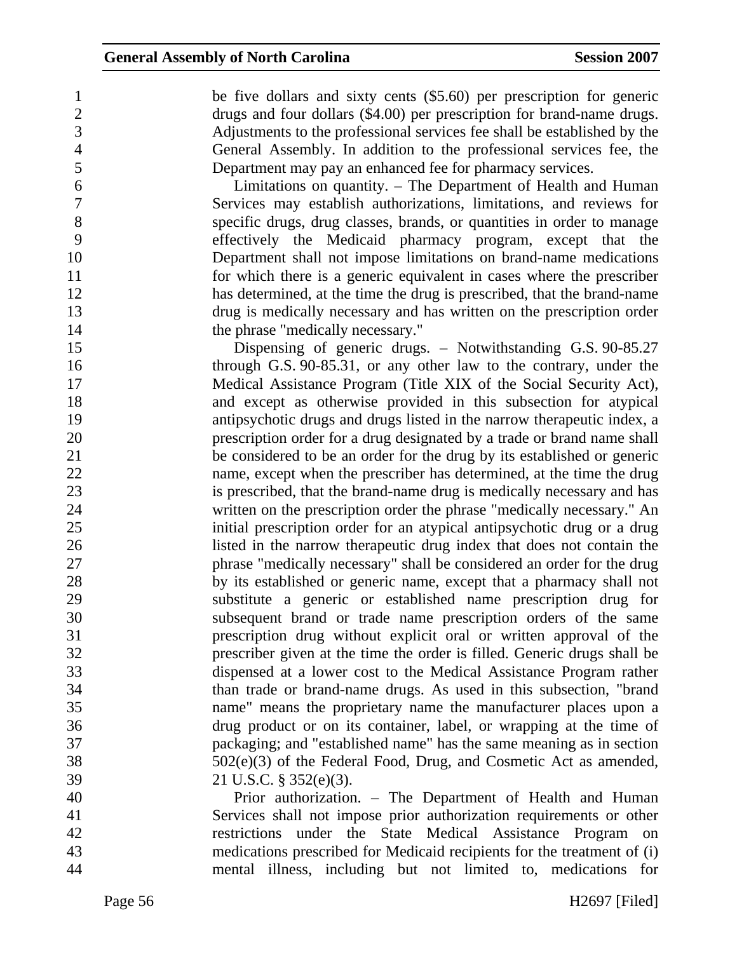1 be five dollars and sixty cents (\$5.60) per prescription for generic 2 drugs and four dollars (\$4.00) per prescription for brand-name drugs. 3 Adjustments to the professional services fee shall be established by the 4 General Assembly. In addition to the professional services fee, the 5 Department may pay an enhanced fee for pharmacy services.

6 Limitations on quantity. – The Department of Health and Human Services may establish authorizations, limitations, and reviews for Services may establish authorizations, limitations, and reviews for 8 specific drugs, drug classes, brands, or quantities in order to manage 9 effectively the Medicaid pharmacy program, except that the 10 Department shall not impose limitations on brand-name medications 11 for which there is a generic equivalent in cases where the prescriber 12 has determined, at the time the drug is prescribed, that the brand-name 13 drug is medically necessary and has written on the prescription order 14 the phrase "medically necessary."

15 Dispensing of generic drugs. – Notwithstanding G.S. 90-85.27 16 through G.S. 90-85.31, or any other law to the contrary, under the 17 Medical Assistance Program (Title XIX of the Social Security Act), 18 and except as otherwise provided in this subsection for atypical 19 antipsychotic drugs and drugs listed in the narrow therapeutic index, a 20 prescription order for a drug designated by a trade or brand name shall 21 be considered to be an order for the drug by its established or generic 22 name, except when the prescriber has determined, at the time the drug 23 is prescribed, that the brand-name drug is medically necessary and has 24 written on the prescription order the phrase "medically necessary." An 25 initial prescription order for an atypical antipsychotic drug or a drug 26 listed in the narrow therapeutic drug index that does not contain the 27 phrase "medically necessary" shall be considered an order for the drug 28 by its established or generic name, except that a pharmacy shall not 29 substitute a generic or established name prescription drug for 30 subsequent brand or trade name prescription orders of the same 31 prescription drug without explicit oral or written approval of the 32 prescriber given at the time the order is filled. Generic drugs shall be 33 dispensed at a lower cost to the Medical Assistance Program rather 34 than trade or brand-name drugs. As used in this subsection, "brand 35 name" means the proprietary name the manufacturer places upon a 36 drug product or on its container, label, or wrapping at the time of 37 packaging; and "established name" has the same meaning as in section 38 502(e)(3) of the Federal Food, Drug, and Cosmetic Act as amended, 39 21 U.S.C. § 352(e)(3).

40 Prior authorization. – The Department of Health and Human 41 Services shall not impose prior authorization requirements or other 42 restrictions under the State Medical Assistance Program on 43 medications prescribed for Medicaid recipients for the treatment of (i) 44 mental illness, including but not limited to, medications for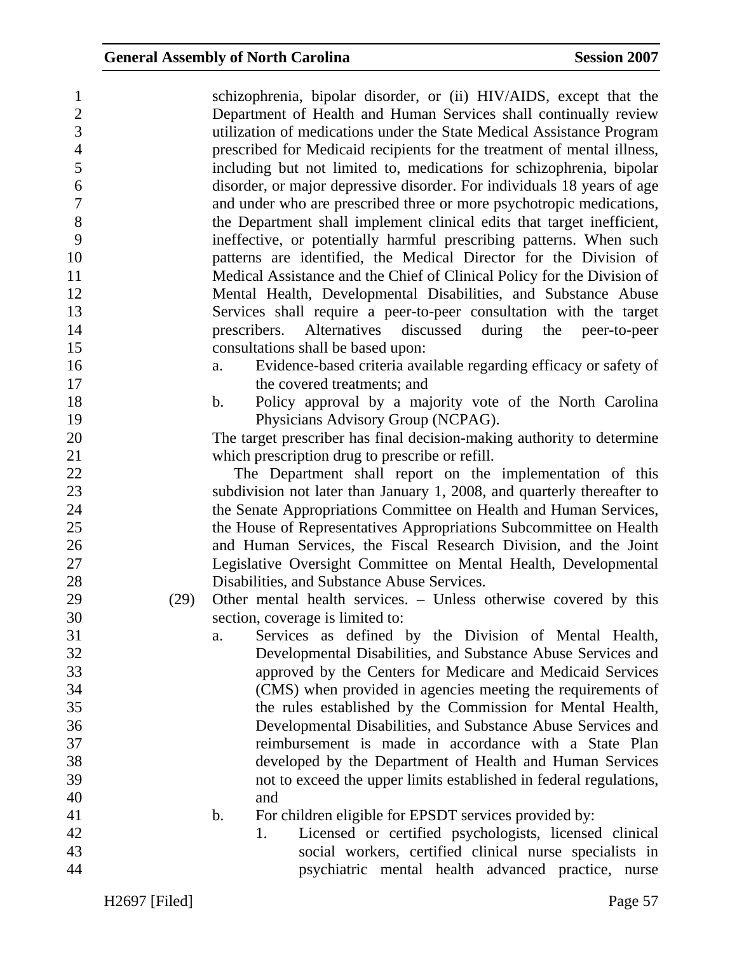| $\mathbf{1}$   |      | schizophrenia, bipolar disorder, or (ii) HIV/AIDS, except that the         |
|----------------|------|----------------------------------------------------------------------------|
| $\overline{2}$ |      | Department of Health and Human Services shall continually review           |
| 3              |      | utilization of medications under the State Medical Assistance Program      |
| $\overline{4}$ |      | prescribed for Medicaid recipients for the treatment of mental illness,    |
| 5              |      | including but not limited to, medications for schizophrenia, bipolar       |
| 6              |      | disorder, or major depressive disorder. For individuals 18 years of age    |
| $\tau$         |      | and under who are prescribed three or more psychotropic medications,       |
| 8              |      | the Department shall implement clinical edits that target inefficient,     |
| 9              |      | ineffective, or potentially harmful prescribing patterns. When such        |
| 10             |      | patterns are identified, the Medical Director for the Division of          |
| 11             |      | Medical Assistance and the Chief of Clinical Policy for the Division of    |
| 12             |      | Mental Health, Developmental Disabilities, and Substance Abuse             |
| 13             |      | Services shall require a peer-to-peer consultation with the target         |
| 14             |      | Alternatives discussed during<br>prescribers.<br>the<br>peer-to-peer       |
| 15             |      | consultations shall be based upon:                                         |
| 16             |      | Evidence-based criteria available regarding efficacy or safety of<br>a.    |
| 17             |      | the covered treatments; and                                                |
| 18             |      | Policy approval by a majority vote of the North Carolina<br>$\mathbf{b}$ . |
| 19             |      | Physicians Advisory Group (NCPAG).                                         |
| 20             |      | The target prescriber has final decision-making authority to determine     |
| 21             |      | which prescription drug to prescribe or refill.                            |
| 22             |      | The Department shall report on the implementation of this                  |
| 23             |      | subdivision not later than January 1, 2008, and quarterly thereafter to    |
| 24             |      | the Senate Appropriations Committee on Health and Human Services,          |
| 25             |      | the House of Representatives Appropriations Subcommittee on Health         |
| 26             |      | and Human Services, the Fiscal Research Division, and the Joint            |
| 27             |      | Legislative Oversight Committee on Mental Health, Developmental            |
| 28             |      | Disabilities, and Substance Abuse Services.                                |
| 29             | (29) | Other mental health services. – Unless otherwise covered by this           |
| 30             |      | section, coverage is limited to:                                           |
| 31             |      | Services as defined by the Division of Mental Health,<br>a.                |
| 32             |      | Developmental Disabilities, and Substance Abuse Services and               |
| 33             |      | approved by the Centers for Medicare and Medicaid Services                 |
| 34             |      | (CMS) when provided in agencies meeting the requirements of                |
| 35             |      | the rules established by the Commission for Mental Health,                 |
| 36             |      | Developmental Disabilities, and Substance Abuse Services and               |
| 37             |      | reimbursement is made in accordance with a State Plan                      |
| 38             |      | developed by the Department of Health and Human Services                   |
| 39             |      | not to exceed the upper limits established in federal regulations,         |
| 40             |      | and                                                                        |
| 41             |      | For children eligible for EPSDT services provided by:<br>b.                |
| 42             |      | Licensed or certified psychologists, licensed clinical<br>1.               |
| 43             |      | social workers, certified clinical nurse specialists in                    |
| 44             |      | psychiatric mental health advanced practice, nurse                         |
|                |      |                                                                            |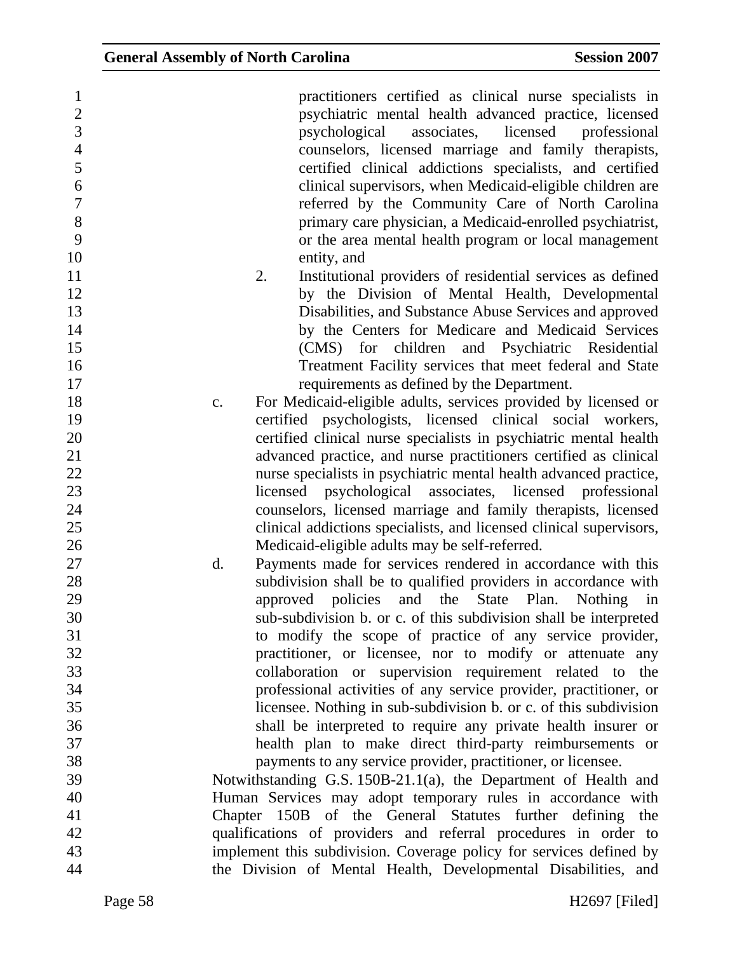| $\mathbf{1}$   | practitioners certified as clinical nurse specialists in                                                              |
|----------------|-----------------------------------------------------------------------------------------------------------------------|
| $\mathbf{2}$   | psychiatric mental health advanced practice, licensed                                                                 |
| $\overline{3}$ | psychological<br>associates, licensed<br>professional                                                                 |
| $\overline{4}$ | counselors, licensed marriage and family therapists,                                                                  |
| 5              | certified clinical addictions specialists, and certified                                                              |
| 6              | clinical supervisors, when Medicaid-eligible children are                                                             |
| $\overline{7}$ | referred by the Community Care of North Carolina                                                                      |
| 8              | primary care physician, a Medicaid-enrolled psychiatrist,                                                             |
| 9              | or the area mental health program or local management                                                                 |
| 10             | entity, and                                                                                                           |
| 11             | Institutional providers of residential services as defined<br>2.                                                      |
| 12             | by the Division of Mental Health, Developmental                                                                       |
| 13             | Disabilities, and Substance Abuse Services and approved                                                               |
| 14             | by the Centers for Medicare and Medicaid Services                                                                     |
| 15             | (CMS) for children and Psychiatric Residential                                                                        |
| 16             | Treatment Facility services that meet federal and State                                                               |
| 17             | requirements as defined by the Department.                                                                            |
| 18             | For Medicaid-eligible adults, services provided by licensed or<br>c.                                                  |
| 19             | certified psychologists, licensed clinical social workers,                                                            |
| 20             | certified clinical nurse specialists in psychiatric mental health                                                     |
| 21             | advanced practice, and nurse practitioners certified as clinical                                                      |
| 22             | nurse specialists in psychiatric mental health advanced practice,                                                     |
| 23             | psychological associates, licensed professional<br>licensed                                                           |
| 24             | counselors, licensed marriage and family therapists, licensed                                                         |
| 25             | clinical addictions specialists, and licensed clinical supervisors,                                                   |
| 26             | Medicaid-eligible adults may be self-referred.                                                                        |
| 27             | Payments made for services rendered in accordance with this<br>$\mathbf{d}$ .                                         |
| 28             | subdivision shall be to qualified providers in accordance with                                                        |
| 29             | approved policies and the State Plan.<br>Nothing in                                                                   |
| 30             |                                                                                                                       |
| 31             | sub-subdivision b. or c. of this subdivision shall be interpreted                                                     |
| 32             | to modify the scope of practice of any service provider,<br>practitioner, or licensee, nor to modify or attenuate any |
| 33             | collaboration or supervision requirement related to the                                                               |
| 34             | professional activities of any service provider, practitioner, or                                                     |
| 35             | licensee. Nothing in sub-subdivision b. or c. of this subdivision                                                     |
| 36             | shall be interpreted to require any private health insurer or                                                         |
| 37             |                                                                                                                       |
| 38             | health plan to make direct third-party reimbursements or                                                              |
|                | payments to any service provider, practitioner, or licensee.                                                          |
| 39             | Notwithstanding G.S. 150B-21.1(a), the Department of Health and                                                       |
| 40             | Human Services may adopt temporary rules in accordance with                                                           |
| 41             | Chapter 150B of the General Statutes further defining the                                                             |
| 42             | qualifications of providers and referral procedures in order to                                                       |
| 43             | implement this subdivision. Coverage policy for services defined by                                                   |
| 44             | the Division of Mental Health, Developmental Disabilities, and                                                        |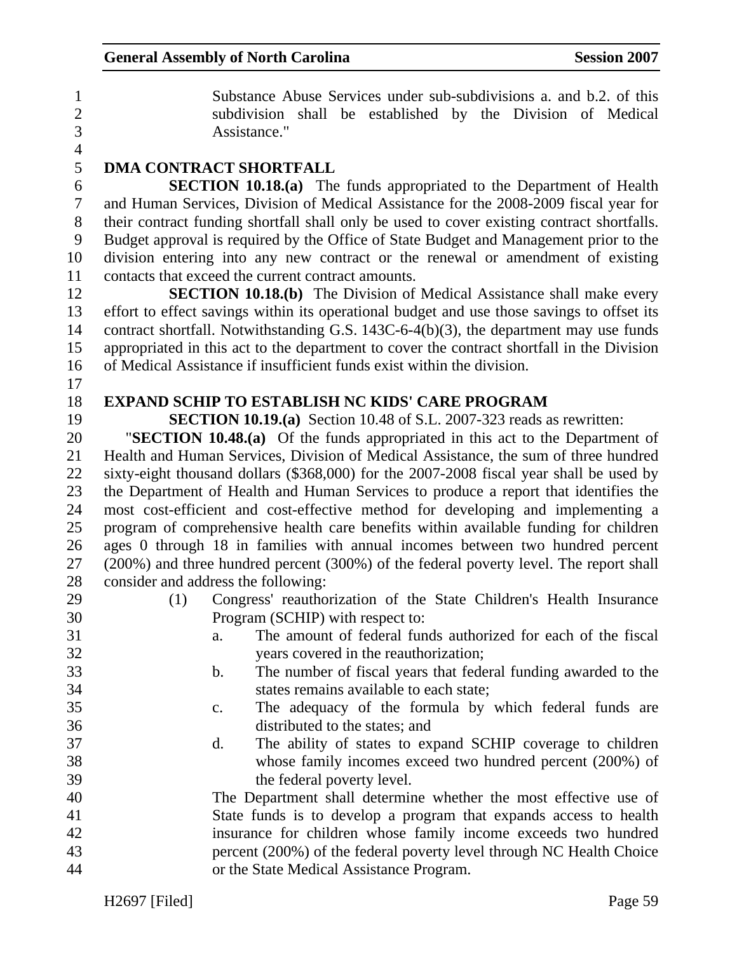1 Substance Abuse Services under sub-subdivisions a. and b.2. of this 2 subdivision shall be established by the Division of Medical 3 Assistance."

4

## 5 **DMA CONTRACT SHORTFALL**

6 **SECTION 10.18.(a)** The funds appropriated to the Department of Health 7 and Human Services, Division of Medical Assistance for the 2008-2009 fiscal year for 8 their contract funding shortfall shall only be used to cover existing contract shortfalls. 9 Budget approval is required by the Office of State Budget and Management prior to the 10 division entering into any new contract or the renewal or amendment of existing 11 contacts that exceed the current contract amounts.

12 **SECTION 10.18.(b)** The Division of Medical Assistance shall make every 13 effort to effect savings within its operational budget and use those savings to offset its 14 contract shortfall. Notwithstanding G.S. 143C-6-4(b)(3), the department may use funds 15 appropriated in this act to the department to cover the contract shortfall in the Division 16 of Medical Assistance if insufficient funds exist within the division.

17

#### 18 **EXPAND SCHIP TO ESTABLISH NC KIDS' CARE PROGRAM**

19 **SECTION 10.19.(a)** Section 10.48 of S.L. 2007-323 reads as rewritten:

20 "**SECTION 10.48.(a)** Of the funds appropriated in this act to the Department of 21 Health and Human Services, Division of Medical Assistance, the sum of three hundred 22 sixty-eight thousand dollars (\$368,000) for the 2007-2008 fiscal year shall be used by 23 the Department of Health and Human Services to produce a report that identifies the 24 most cost-efficient and cost-effective method for developing and implementing a 25 program of comprehensive health care benefits within available funding for children 26 ages 0 through 18 in families with annual incomes between two hundred percent 27 (200%) and three hundred percent (300%) of the federal poverty level. The report shall 28 consider and address the following:

- 
- 29 (1) Congress' reauthorization of the State Children's Health Insurance 30 Program (SCHIP) with respect to:
- 31 a. The amount of federal funds authorized for each of the fiscal 32 years covered in the reauthorization;
- 33 b. The number of fiscal years that federal funding awarded to the 34 states remains available to each state;
- 35 c. The adequacy of the formula by which federal funds are 36 distributed to the states; and
- 37 d. The ability of states to expand SCHIP coverage to children 38 whose family incomes exceed two hundred percent (200%) of 39 the federal poverty level.

40 The Department shall determine whether the most effective use of 41 State funds is to develop a program that expands access to health 42 insurance for children whose family income exceeds two hundred 43 percent (200%) of the federal poverty level through NC Health Choice 44 or the State Medical Assistance Program.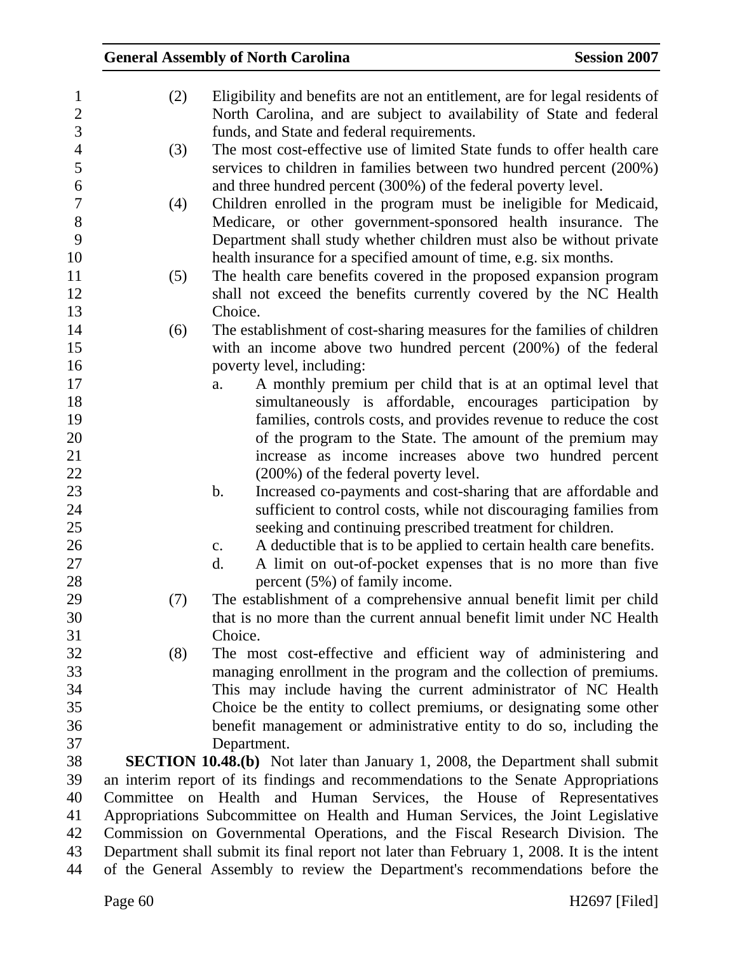| $\mathbf{1}$   | (2) | Eligibility and benefits are not an entitlement, are for legal residents of                |
|----------------|-----|--------------------------------------------------------------------------------------------|
| $\mathbf{2}$   |     | North Carolina, and are subject to availability of State and federal                       |
| 3              |     | funds, and State and federal requirements.                                                 |
| $\overline{4}$ | (3) | The most cost-effective use of limited State funds to offer health care                    |
| 5              |     | services to children in families between two hundred percent (200%)                        |
| 6              |     | and three hundred percent (300%) of the federal poverty level.                             |
| $\overline{7}$ | (4) | Children enrolled in the program must be ineligible for Medicaid,                          |
| $8\,$          |     | Medicare, or other government-sponsored health insurance. The                              |
| 9              |     | Department shall study whether children must also be without private                       |
| 10             |     | health insurance for a specified amount of time, e.g. six months.                          |
| 11             | (5) | The health care benefits covered in the proposed expansion program                         |
| 12             |     | shall not exceed the benefits currently covered by the NC Health                           |
| 13             |     | Choice.                                                                                    |
| 14             | (6) | The establishment of cost-sharing measures for the families of children                    |
| 15             |     | with an income above two hundred percent (200%) of the federal                             |
| 16             |     | poverty level, including:                                                                  |
| 17             |     | A monthly premium per child that is at an optimal level that<br>a.                         |
| 18             |     | simultaneously is affordable, encourages participation by                                  |
| 19             |     | families, controls costs, and provides revenue to reduce the cost                          |
| 20             |     | of the program to the State. The amount of the premium may                                 |
| 21             |     | increase as income increases above two hundred percent                                     |
| 22             |     | (200%) of the federal poverty level.                                                       |
| 23             |     | Increased co-payments and cost-sharing that are affordable and<br>b.                       |
| 24             |     | sufficient to control costs, while not discouraging families from                          |
| 25             |     | seeking and continuing prescribed treatment for children.                                  |
| 26             |     | A deductible that is to be applied to certain health care benefits.<br>$\mathbf{c}$ .      |
| 27             |     | A limit on out-of-pocket expenses that is no more than five<br>d.                          |
| 28             |     | percent $(5\%)$ of family income.                                                          |
| 29             | (7) | The establishment of a comprehensive annual benefit limit per child                        |
| 30             |     | that is no more than the current annual benefit limit under NC Health                      |
| 31             |     | Choice.                                                                                    |
| 32             | (8) | The most cost-effective and efficient way of administering and                             |
| 33             |     | managing enrollment in the program and the collection of premiums.                         |
| 34             |     | This may include having the current administrator of NC Health                             |
| 35             |     | Choice be the entity to collect premiums, or designating some other                        |
| 36             |     | benefit management or administrative entity to do so, including the                        |
| 37             |     | Department.                                                                                |
| 38             |     | <b>SECTION 10.48.(b)</b> Not later than January 1, 2008, the Department shall submit       |
| 39             |     | an interim report of its findings and recommendations to the Senate Appropriations         |
| 40             |     | Committee on Health and Human Services, the House of Representatives                       |
| 41             |     | Appropriations Subcommittee on Health and Human Services, the Joint Legislative            |
| 42             |     | Commission on Governmental Operations, and the Fiscal Research Division. The               |
| 43             |     | Department shall submit its final report not later than February 1, 2008. It is the intent |
| 44             |     | of the General Assembly to review the Department's recommendations before the              |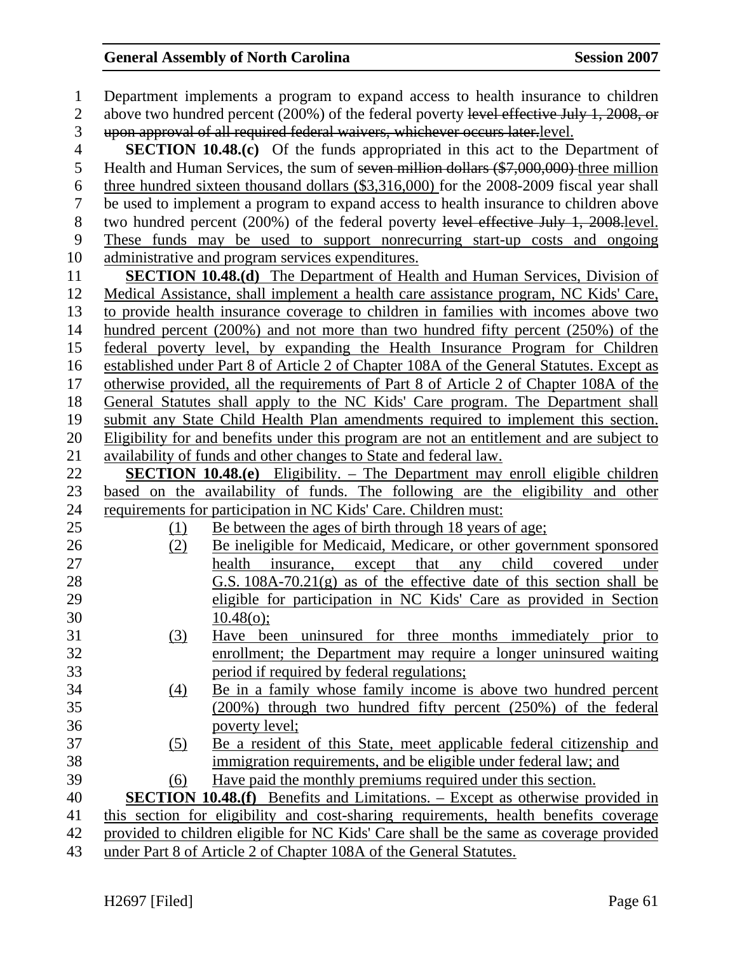| $\mathbf{1}$   | Department implements a program to expand access to health insurance to children           |
|----------------|--------------------------------------------------------------------------------------------|
| $\overline{2}$ | above two hundred percent (200%) of the federal poverty level effective July 1, 2008, or   |
| 3              | upon approval of all required federal waivers, whichever occurs later.level.               |
| $\overline{4}$ | SECTION 10.48.(c) Of the funds appropriated in this act to the Department of               |
| 5              | Health and Human Services, the sum of seven million dollars (\$7,000,000) three million    |
| 6              | three hundred sixteen thousand dollars $(\$3,316,000)$ for the 2008-2009 fiscal year shall |
| $\tau$         | be used to implement a program to expand access to health insurance to children above      |
| $8\,$          | two hundred percent (200%) of the federal poverty level effective July 1, 2008.level.      |
| 9              | These funds may be used to support nonrecurring start-up costs and ongoing                 |
| 10             | administrative and program services expenditures.                                          |
| 11             | <b>SECTION 10.48.(d)</b> The Department of Health and Human Services, Division of          |
| 12             | Medical Assistance, shall implement a health care assistance program, NC Kids' Care,       |
| 13             | to provide health insurance coverage to children in families with incomes above two        |
| 14             | hundred percent $(200\%)$ and not more than two hundred fifty percent $(250\%)$ of the     |
| 15             | federal poverty level, by expanding the Health Insurance Program for Children              |
| 16             | established under Part 8 of Article 2 of Chapter 108A of the General Statutes. Except as   |
| 17             | otherwise provided, all the requirements of Part 8 of Article 2 of Chapter 108A of the     |
| 18             | General Statutes shall apply to the NC Kids' Care program. The Department shall            |
| 19             | submit any State Child Health Plan amendments required to implement this section.          |
| 20             | Eligibility for and benefits under this program are not an entitlement and are subject to  |
| 21             | availability of funds and other changes to State and federal law.                          |
| 22             | <b>SECTION 10.48.(e)</b> Eligibility. – The Department may enroll eligible children        |
| 23             | based on the availability of funds. The following are the eligibility and other            |
| 24             | requirements for participation in NC Kids' Care. Children must:                            |
| 25             | Be between the ages of birth through 18 years of age;<br>(1)                               |
| 26             | Be ineligible for Medicaid, Medicare, or other government sponsored<br>(2)                 |
| 27             | child<br>that<br>health<br>insurance, except<br>covered<br>any<br>under                    |
| 28             | $G.S. 108A-70.21(g)$ as of the effective date of this section shall be                     |
| 29             | eligible for participation in NC Kids' Care as provided in Section                         |
| 30             | 10.48(o);                                                                                  |
| 31             | Have been uninsured for three months immediately prior to<br><u>(3)</u>                    |
| 32             | enrollment; the Department may require a longer uninsured waiting                          |
| 33             | period if required by federal regulations;                                                 |
| 34             | Be in a family whose family income is above two hundred percent<br>(4)                     |
| 35             | (200%) through two hundred fifty percent (250%) of the federal                             |
| 36             | poverty level;                                                                             |
| 37             | Be a resident of this State, meet applicable federal citizenship and<br>(5)                |
| 38             | immigration requirements, and be eligible under federal law; and                           |
| 39             | Have paid the monthly premiums required under this section.<br>(6)                         |
| 40             | <b>SECTION 10.48.(f)</b> Benefits and Limitations. – Except as otherwise provided in       |
| 41             | this section for eligibility and cost-sharing requirements, health benefits coverage       |
| 42             | provided to children eligible for NC Kids' Care shall be the same as coverage provided     |
| 43             | under Part 8 of Article 2 of Chapter 108A of the General Statutes.                         |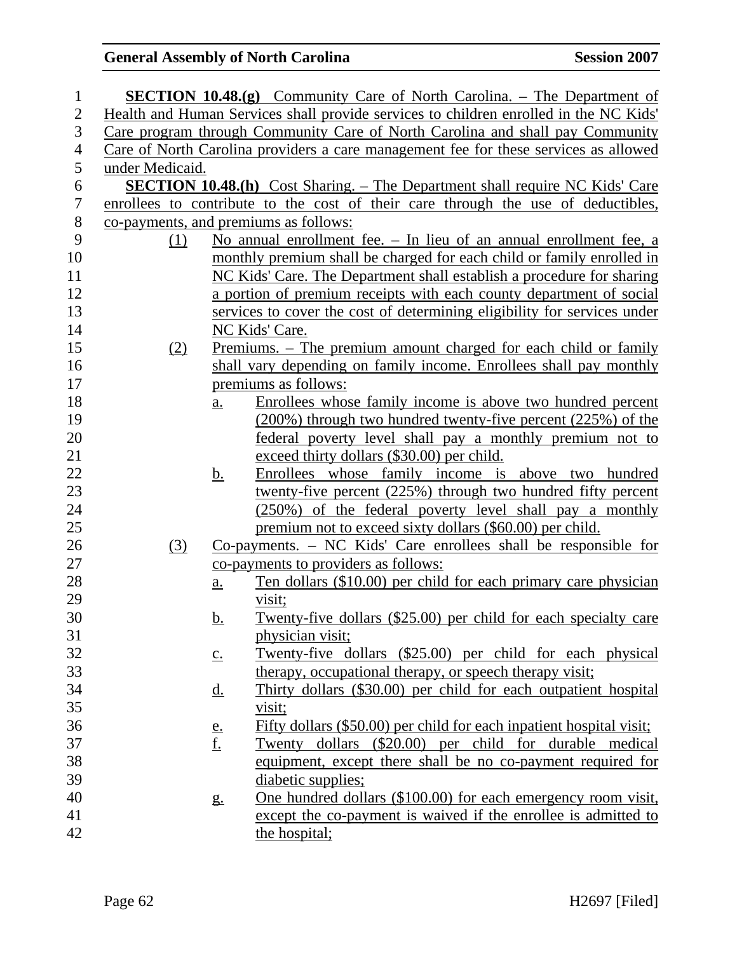| $\mathbf{1}$   |                 |                   | <b>SECTION 10.48.(g)</b> Community Care of North Carolina. – The Department of        |
|----------------|-----------------|-------------------|---------------------------------------------------------------------------------------|
| $\overline{2}$ |                 |                   | Health and Human Services shall provide services to children enrolled in the NC Kids' |
| 3              |                 |                   | Care program through Community Care of North Carolina and shall pay Community         |
| 4              |                 |                   | Care of North Carolina providers a care management fee for these services as allowed  |
| 5              | under Medicaid. |                   |                                                                                       |
| 6              |                 |                   | <b>SECTION 10.48.(h)</b> Cost Sharing. – The Department shall require NC Kids' Care   |
| 7              |                 |                   | enrollees to contribute to the cost of their care through the use of deductibles,     |
| $8\,$          |                 |                   | co-payments, and premiums as follows:                                                 |
| 9              | (1)             |                   | No annual enrollment fee. – In lieu of an annual enrollment fee, a                    |
| 10             |                 |                   | monthly premium shall be charged for each child or family enrolled in                 |
| 11             |                 |                   | NC Kids' Care. The Department shall establish a procedure for sharing                 |
| 12             |                 |                   | a portion of premium receipts with each county department of social                   |
| 13             |                 |                   | services to cover the cost of determining eligibility for services under              |
| 14             |                 |                   | NC Kids' Care.                                                                        |
| 15             | (2)             |                   | <u>Premiums. – The premium amount charged for each child or family</u>                |
| 16             |                 |                   | shall vary depending on family income. Enrollees shall pay monthly                    |
| 17             |                 |                   | premiums as follows:                                                                  |
| 18             |                 | $\underline{a}$ . | Enrollees whose family income is above two hundred percent                            |
| 19             |                 |                   | (200%) through two hundred twenty-five percent (225%) of the                          |
| 20             |                 |                   | federal poverty level shall pay a monthly premium not to                              |
| 21             |                 |                   | exceed thirty dollars (\$30.00) per child.                                            |
| 22             |                 | <u>b.</u>         | Enrollees whose family income is above two hundred                                    |
| 23             |                 |                   | twenty-five percent (225%) through two hundred fifty percent                          |
| 24             |                 |                   | (250%) of the federal poverty level shall pay a monthly                               |
| 25             |                 |                   | premium not to exceed sixty dollars (\$60.00) per child.                              |
| 26             | (3)             |                   | $Co$ -payments. $- NC$ Kids' Care enrollees shall be responsible for                  |
| 27             |                 |                   | co-payments to providers as follows:                                                  |
| 28             |                 | $\underline{a}$ . | Ten dollars (\$10.00) per child for each primary care physician                       |
| 29             |                 |                   | visit;                                                                                |
| 30             |                 | <u>b.</u>         | Twenty-five dollars (\$25.00) per child for each specialty care                       |
| 31             |                 |                   | physician visit;                                                                      |
| 32             |                 | $\underline{c}$ . | Twenty-five dollars (\$25.00) per child for each physical                             |
| 33             |                 |                   | therapy, occupational therapy, or speech therapy visit;                               |
| 34             |                 | <u>d.</u>         | Thirty dollars (\$30.00) per child for each outpatient hospital                       |
| 35             |                 |                   | visit;                                                                                |
| 36             |                 |                   | Fifty dollars (\$50.00) per child for each inpatient hospital visit;                  |
| 37             |                 | $\frac{e}{f}$     | Twenty dollars (\$20.00) per child for durable medical                                |
| 38             |                 |                   | equipment, except there shall be no co-payment required for                           |
| 39             |                 |                   | diabetic supplies;                                                                    |
| 40             |                 | $g_{\cdot}$       | One hundred dollars (\$100.00) for each emergency room visit,                         |
| 41             |                 |                   | except the co-payment is waived if the enrollee is admitted to                        |
| 42             |                 |                   | the hospital;                                                                         |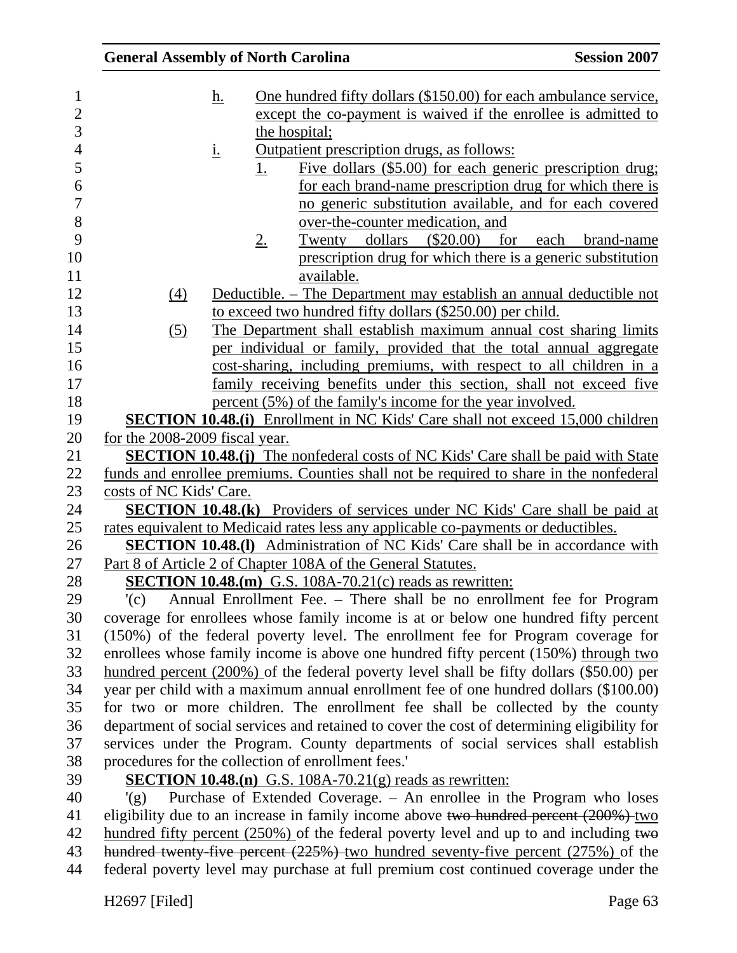| <b>General Assembly of North Carolina</b> |             |                                                                                                                                                      | <b>Session 2007</b>                                         |
|-------------------------------------------|-------------|------------------------------------------------------------------------------------------------------------------------------------------------------|-------------------------------------------------------------|
|                                           | <u>h.</u>   | <u>One hundred fifty dollars (\$150.00) for each ambulance service,</u>                                                                              |                                                             |
|                                           |             | except the co-payment is waived if the enrollee is admitted to                                                                                       |                                                             |
|                                           |             | the hospital;                                                                                                                                        |                                                             |
| <u>i.</u>                                 |             | <u>Outpatient prescription drugs, as follows:</u>                                                                                                    |                                                             |
|                                           | <u>1.</u>   |                                                                                                                                                      | Five dollars (\$5.00) for each generic prescription drug;   |
|                                           |             |                                                                                                                                                      | for each brand-name prescription drug for which there is    |
|                                           |             |                                                                                                                                                      | no generic substitution available, and for each covered     |
|                                           |             | over-the-counter medication, and                                                                                                                     |                                                             |
|                                           | $2_{\cdot}$ | Twenty dollars<br>$(\$20.00)$                                                                                                                        | for<br>each brand-name                                      |
|                                           |             |                                                                                                                                                      | prescription drug for which there is a generic substitution |
|                                           |             | available.                                                                                                                                           |                                                             |
| (4)                                       |             | Deductible. – The Department may establish an annual deductible not                                                                                  |                                                             |
|                                           |             | to exceed two hundred fifty dollars (\$250.00) per child.                                                                                            |                                                             |
| (5)                                       |             | The Department shall establish maximum annual cost sharing limits                                                                                    |                                                             |
|                                           |             | per individual or family, provided that the total annual aggregate                                                                                   |                                                             |
|                                           |             | cost-sharing, including premiums, with respect to all children in a                                                                                  |                                                             |
|                                           |             | family receiving benefits under this section, shall not exceed five                                                                                  |                                                             |
|                                           |             | percent (5%) of the family's income for the year involved.                                                                                           |                                                             |
|                                           |             | <b>SECTION 10.48.(i)</b> Enrollment in NC Kids' Care shall not exceed 15,000 children                                                                |                                                             |
| for the 2008-2009 fiscal year.            |             |                                                                                                                                                      |                                                             |
|                                           |             | <b>SECTION 10.48.(j)</b> The nonfederal costs of NC Kids' Care shall be paid with State                                                              |                                                             |
|                                           |             | funds and enrollee premiums. Counties shall not be required to share in the nonfederal                                                               |                                                             |
| costs of NC Kids' Care.                   |             |                                                                                                                                                      |                                                             |
|                                           |             | <b>SECTION 10.48.(k)</b> Providers of services under NC Kids' Care shall be paid at                                                                  |                                                             |
|                                           |             | rates equivalent to Medicaid rates less any applicable co-payments or deductibles.                                                                   |                                                             |
|                                           |             | <b>SECTION 10.48.(1)</b> Administration of NC Kids' Care shall be in accordance with<br>Part 8 of Article 2 of Chapter 108A of the General Statutes. |                                                             |
|                                           |             | <b>SECTION 10.48.(m)</b> G.S. 108A-70.21(c) reads as rewritten:                                                                                      |                                                             |
| '(c)                                      |             | Annual Enrollment Fee. – There shall be no enrollment fee for Program                                                                                |                                                             |
|                                           |             | coverage for enrollees whose family income is at or below one hundred fifty percent                                                                  |                                                             |
|                                           |             | (150%) of the federal poverty level. The enrollment fee for Program coverage for                                                                     |                                                             |
|                                           |             | enrollees whose family income is above one hundred fifty percent (150%) through two                                                                  |                                                             |
|                                           |             | hundred percent $(200\%)$ of the federal poverty level shall be fifty dollars $(\$50.00)$ per                                                        |                                                             |
|                                           |             | year per child with a maximum annual enrollment fee of one hundred dollars (\$100.00)                                                                |                                                             |
|                                           |             | for two or more children. The enrollment fee shall be collected by the county                                                                        |                                                             |
|                                           |             | department of social services and retained to cover the cost of determining eligibility for                                                          |                                                             |
|                                           |             | services under the Program. County departments of social services shall establish                                                                    |                                                             |
|                                           |             | procedures for the collection of enrollment fees.'                                                                                                   |                                                             |
|                                           |             | <b>SECTION 10.48.(n)</b> G.S. $108A-70.21(g)$ reads as rewritten:                                                                                    |                                                             |
| $'(\mathfrak{g})$                         |             | Purchase of Extended Coverage. - An enrollee in the Program who loses                                                                                |                                                             |
|                                           |             | eligibility due to an increase in family income above two hundred percent (200%) two                                                                 |                                                             |
|                                           |             | hundred fifty percent $(250\%)$ of the federal poverty level and up to and including two                                                             |                                                             |
|                                           |             | hundred twenty-five percent (225%) two hundred seventy-five percent (275%) of the                                                                    |                                                             |
|                                           |             | federal poverty level may purchase at full premium cost continued coverage under the                                                                 |                                                             |
|                                           |             |                                                                                                                                                      |                                                             |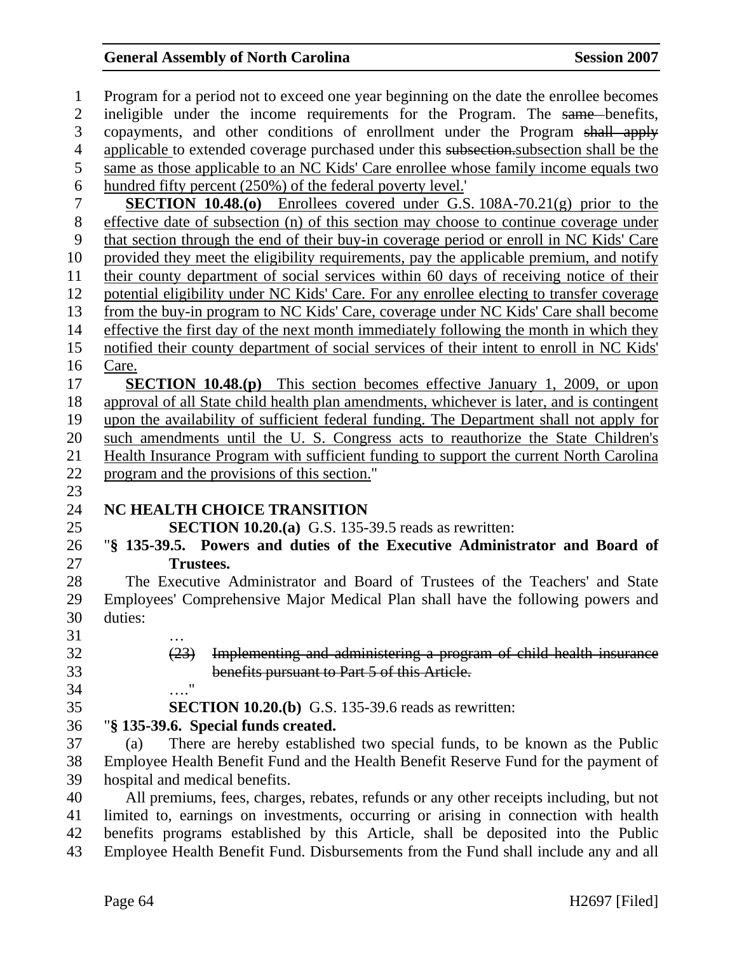| $\mathbf{1}$   | Program for a period not to exceed one year beginning on the date the enrollee becomes    |
|----------------|-------------------------------------------------------------------------------------------|
| $\overline{2}$ | ineligible under the income requirements for the Program. The same-benefits,              |
| $\overline{3}$ | copayments, and other conditions of enrollment under the Program shall apply              |
| $\overline{4}$ | applicable to extended coverage purchased under this subsection subsection shall be the   |
| 5              | same as those applicable to an NC Kids' Care enrollee whose family income equals two      |
| 6              | hundred fifty percent (250%) of the federal poverty level.                                |
| 7              | <b>SECTION 10.48.(0)</b> Enrollees covered under G.S. $108A-70.21(g)$ prior to the        |
| $8\,$          | effective date of subsection (n) of this section may choose to continue coverage under    |
| 9              | that section through the end of their buy-in coverage period or enroll in NC Kids' Care   |
| 10             | provided they meet the eligibility requirements, pay the applicable premium, and notify   |
| 11             | their county department of social services within 60 days of receiving notice of their    |
| 12             | potential eligibility under NC Kids' Care. For any enrollee electing to transfer coverage |
| 13             | from the buy-in program to NC Kids' Care, coverage under NC Kids' Care shall become       |
| 14             | effective the first day of the next month immediately following the month in which they   |
| 15             | notified their county department of social services of their intent to enroll in NC Kids' |
| 16             | Care.                                                                                     |
| 17             | <b>SECTION 10.48.(p)</b> This section becomes effective January 1, 2009, or upon          |
| 18             | approval of all State child health plan amendments, whichever is later, and is contingent |
| 19             | upon the availability of sufficient federal funding. The Department shall not apply for   |
| 20             | such amendments until the U. S. Congress acts to reauthorize the State Children's         |
| 21             | Health Insurance Program with sufficient funding to support the current North Carolina    |
| 22             | program and the provisions of this section."                                              |
| 23             |                                                                                           |
| 24             | NC HEALTH CHOICE TRANSITION                                                               |
| 25             | SECTION 10.20.(a) G.S. 135-39.5 reads as rewritten:                                       |
| 26             | "§ 135-39.5. Powers and duties of the Executive Administrator and Board of                |
| 27             | <b>Trustees.</b>                                                                          |
| 28             | The Executive Administrator and Board of Trustees of the Teachers' and State              |
| 29             | Employees' Comprehensive Major Medical Plan shall have the following powers and           |
| 30             | duties:                                                                                   |
| 31             |                                                                                           |
| 32             | (23)<br>Implementing and administering a program of child health insurance                |
| 33             | benefits pursuant to Part 5 of this Article.                                              |
| 34             | 11                                                                                        |
| 35             | <b>SECTION 10.20.(b)</b> G.S. 135-39.6 reads as rewritten:                                |
| 36             | "§ 135-39.6. Special funds created.                                                       |
| 37             | There are hereby established two special funds, to be known as the Public<br>(a)          |
| 38             | Employee Health Benefit Fund and the Health Benefit Reserve Fund for the payment of       |
| 39             | hospital and medical benefits.                                                            |
| 40             | All premiums, fees, charges, rebates, refunds or any other receipts including, but not    |
| 41             | limited to, earnings on investments, occurring or arising in connection with health       |
| 42             | benefits programs established by this Article, shall be deposited into the Public         |
| 43             | Employee Health Benefit Fund. Disbursements from the Fund shall include any and all       |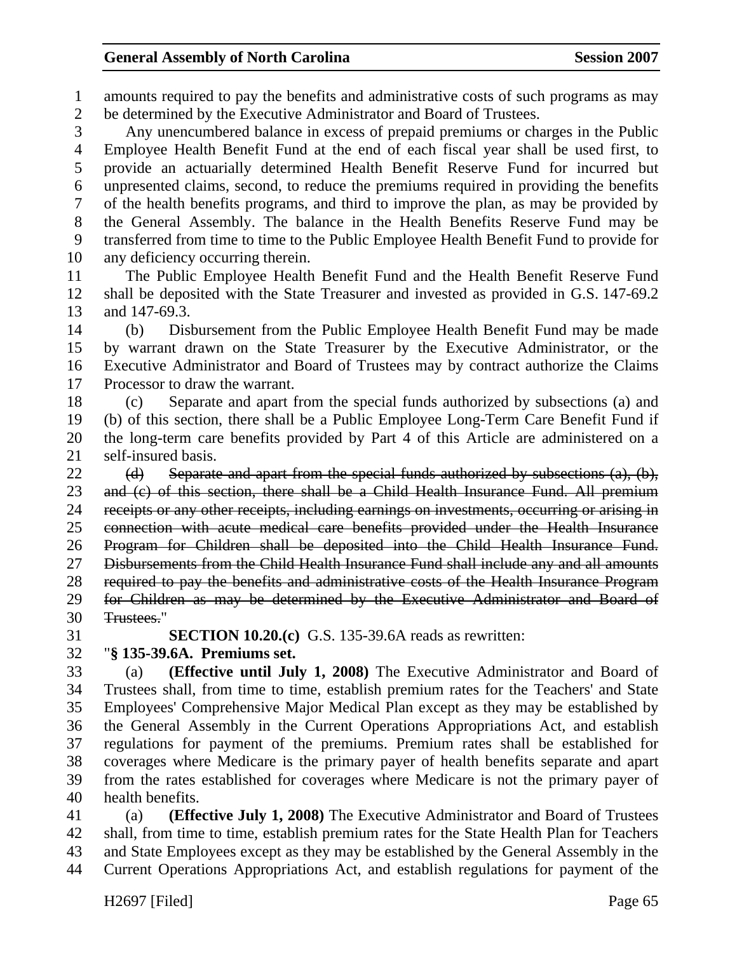1 amounts required to pay the benefits and administrative costs of such programs as may 2 be determined by the Executive Administrator and Board of Trustees.

3 Any unencumbered balance in excess of prepaid premiums or charges in the Public 4 Employee Health Benefit Fund at the end of each fiscal year shall be used first, to 5 provide an actuarially determined Health Benefit Reserve Fund for incurred but 6 unpresented claims, second, to reduce the premiums required in providing the benefits 7 of the health benefits programs, and third to improve the plan, as may be provided by 8 the General Assembly. The balance in the Health Benefits Reserve Fund may be 9 transferred from time to time to the Public Employee Health Benefit Fund to provide for 10 any deficiency occurring therein.

11 The Public Employee Health Benefit Fund and the Health Benefit Reserve Fund 12 shall be deposited with the State Treasurer and invested as provided in G.S. 147-69.2 13 and 147-69.3.

14 (b) Disbursement from the Public Employee Health Benefit Fund may be made 15 by warrant drawn on the State Treasurer by the Executive Administrator, or the 16 Executive Administrator and Board of Trustees may by contract authorize the Claims 17 Processor to draw the warrant.

18 (c) Separate and apart from the special funds authorized by subsections (a) and 19 (b) of this section, there shall be a Public Employee Long-Term Care Benefit Fund if 20 the long-term care benefits provided by Part 4 of this Article are administered on a 21 self-insured basis.

22 (d) Separate and apart from the special funds authorized by subsections (a), (b), 23 and (c) of this section, there shall be a Child Health Insurance Fund. All premium 24 receipts or any other receipts, including earnings on investments, occurring or arising in 25 connection with acute medical care benefits provided under the Health Insurance 26 Program for Children shall be deposited into the Child Health Insurance Fund. 27 Disbursements from the Child Health Insurance Fund shall include any and all amounts 28 required to pay the benefits and administrative costs of the Health Insurance Program 29 for Children as may be determined by the Executive Administrator and Board of 30 Trustees."

31 **SECTION 10.20.(c)** G.S. 135-39.6A reads as rewritten:

#### 32 "**§ 135-39.6A. Premiums set.**

33 (a) **(Effective until July 1, 2008)** The Executive Administrator and Board of 34 Trustees shall, from time to time, establish premium rates for the Teachers' and State 35 Employees' Comprehensive Major Medical Plan except as they may be established by 36 the General Assembly in the Current Operations Appropriations Act, and establish 37 regulations for payment of the premiums. Premium rates shall be established for 38 coverages where Medicare is the primary payer of health benefits separate and apart 39 from the rates established for coverages where Medicare is not the primary payer of 40 health benefits.

41 (a) **(Effective July 1, 2008)** The Executive Administrator and Board of Trustees 42 shall, from time to time, establish premium rates for the State Health Plan for Teachers 43 and State Employees except as they may be established by the General Assembly in the 44 Current Operations Appropriations Act, and establish regulations for payment of the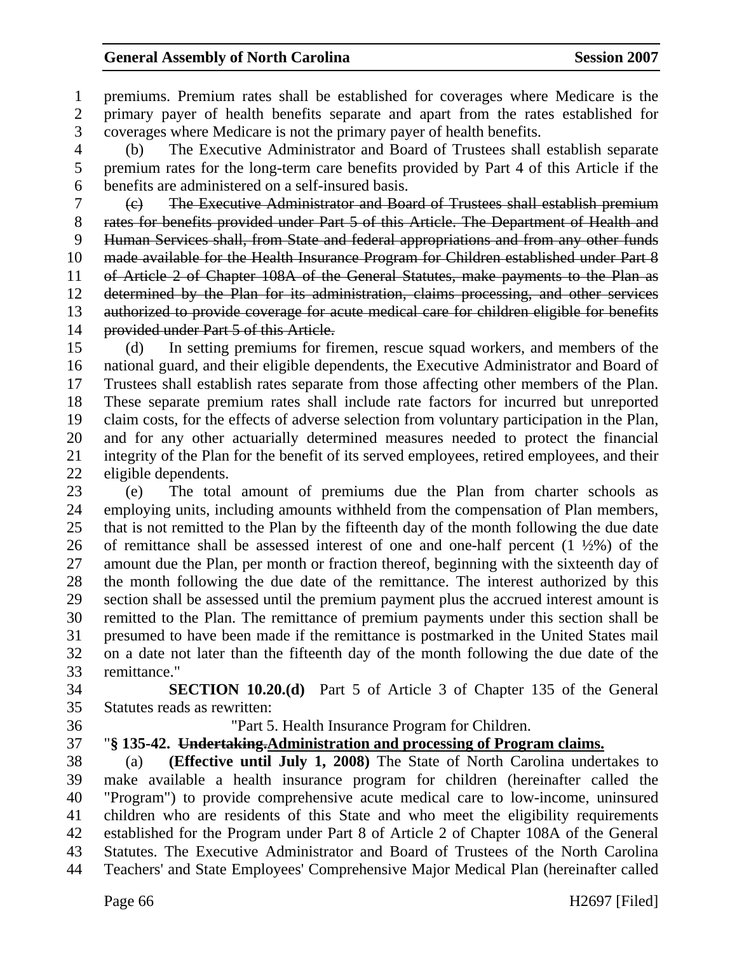1 premiums. Premium rates shall be established for coverages where Medicare is the 2 primary payer of health benefits separate and apart from the rates established for 3 coverages where Medicare is not the primary payer of health benefits.

4 (b) The Executive Administrator and Board of Trustees shall establish separate 5 premium rates for the long-term care benefits provided by Part 4 of this Article if the 6 benefits are administered on a self-insured basis.

7 (c) The Executive Administrator and Board of Trustees shall establish premium 8 rates for benefits provided under Part 5 of this Article. The Department of Health and 9 Human Services shall, from State and federal appropriations and from any other funds 10 made available for the Health Insurance Program for Children established under Part 8 11 of Article 2 of Chapter 108A of the General Statutes, make payments to the Plan as 12 determined by the Plan for its administration, claims processing, and other services 13 authorized to provide coverage for acute medical care for children eligible for benefits 14 provided under Part 5 of this Article.

15 (d) In setting premiums for firemen, rescue squad workers, and members of the 16 national guard, and their eligible dependents, the Executive Administrator and Board of 17 Trustees shall establish rates separate from those affecting other members of the Plan. 18 These separate premium rates shall include rate factors for incurred but unreported 19 claim costs, for the effects of adverse selection from voluntary participation in the Plan, 20 and for any other actuarially determined measures needed to protect the financial 21 integrity of the Plan for the benefit of its served employees, retired employees, and their 22 eligible dependents.

23 (e) The total amount of premiums due the Plan from charter schools as 24 employing units, including amounts withheld from the compensation of Plan members, 25 that is not remitted to the Plan by the fifteenth day of the month following the due date 26 of remittance shall be assessed interest of one and one-half percent  $(1 \frac{1}{2}\%)$  of the 27 amount due the Plan, per month or fraction thereof, beginning with the sixteenth day of 28 the month following the due date of the remittance. The interest authorized by this 29 section shall be assessed until the premium payment plus the accrued interest amount is 30 remitted to the Plan. The remittance of premium payments under this section shall be 31 presumed to have been made if the remittance is postmarked in the United States mail 32 on a date not later than the fifteenth day of the month following the due date of the 33 remittance."

34 **SECTION 10.20.(d)** Part 5 of Article 3 of Chapter 135 of the General 35 Statutes reads as rewritten:

36 "Part 5. Health Insurance Program for Children.

#### 37 "**§ 135-42. Undertaking.Administration and processing of Program claims.**

38 (a) **(Effective until July 1, 2008)** The State of North Carolina undertakes to 39 make available a health insurance program for children (hereinafter called the 40 "Program") to provide comprehensive acute medical care to low-income, uninsured 41 children who are residents of this State and who meet the eligibility requirements 42 established for the Program under Part 8 of Article 2 of Chapter 108A of the General 43 Statutes. The Executive Administrator and Board of Trustees of the North Carolina 44 Teachers' and State Employees' Comprehensive Major Medical Plan (hereinafter called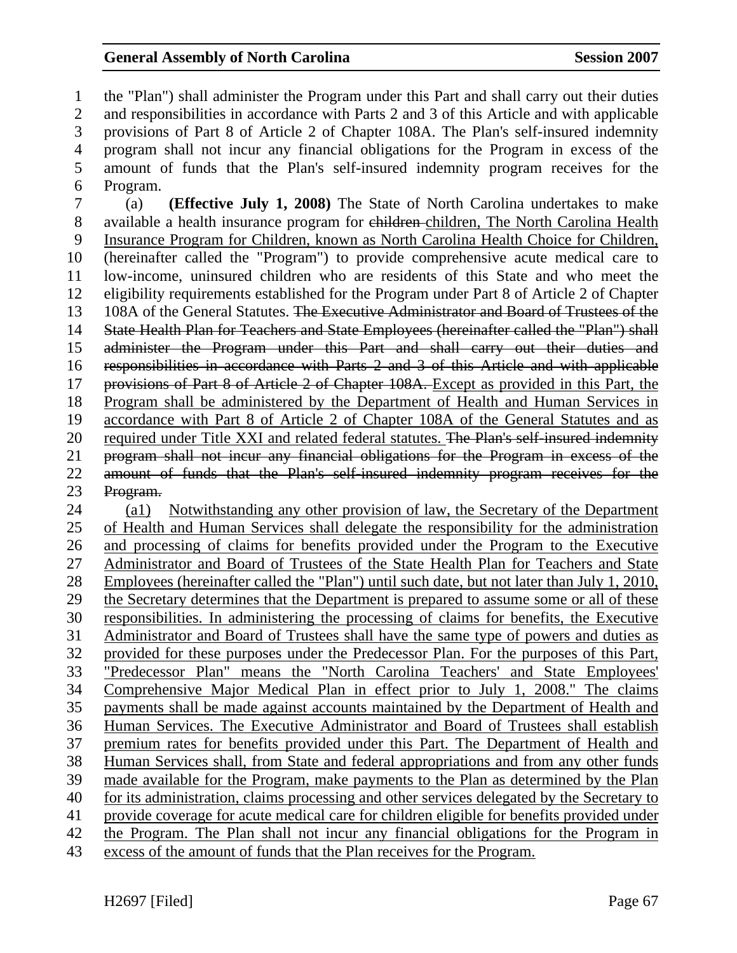1 the "Plan") shall administer the Program under this Part and shall carry out their duties 2 and responsibilities in accordance with Parts 2 and 3 of this Article and with applicable 3 provisions of Part 8 of Article 2 of Chapter 108A. The Plan's self-insured indemnity 4 program shall not incur any financial obligations for the Program in excess of the 5 amount of funds that the Plan's self-insured indemnity program receives for the 6 Program. 7 (a) **(Effective July 1, 2008)** The State of North Carolina undertakes to make 8 available a health insurance program for children children, The North Carolina Health 9 Insurance Program for Children, known as North Carolina Health Choice for Children, 10 (hereinafter called the "Program") to provide comprehensive acute medical care to 11 low-income, uninsured children who are residents of this State and who meet the 12 eligibility requirements established for the Program under Part 8 of Article 2 of Chapter 13 108A of the General Statutes. The Executive Administrator and Board of Trustees of the 14 State Health Plan for Teachers and State Employees (hereinafter called the "Plan") shall 15 administer the Program under this Part and shall carry out their duties and 16 responsibilities in accordance with Parts 2 and 3 of this Article and with applicable 17 provisions of Part 8 of Article 2 of Chapter 108A. Except as provided in this Part, the 18 Program shall be administered by the Department of Health and Human Services in 19 accordance with Part 8 of Article 2 of Chapter 108A of the General Statutes and as 20 required under Title XXI and related federal statutes. The Plan's self-insured indemnity 21 program shall not incur any financial obligations for the Program in excess of the 22 amount of funds that the Plan's self-insured indemnity program receives for the 23 Program. 24 (a1) Notwithstanding any other provision of law, the Secretary of the Department 25 of Health and Human Services shall delegate the responsibility for the administration 26 and processing of claims for benefits provided under the Program to the Executive 27 Administrator and Board of Trustees of the State Health Plan for Teachers and State

28 Employees (hereinafter called the "Plan") until such date, but not later than July 1, 2010, 29 the Secretary determines that the Department is prepared to assume some or all of these 30 responsibilities. In administering the processing of claims for benefits, the Executive 31 Administrator and Board of Trustees shall have the same type of powers and duties as 32 provided for these purposes under the Predecessor Plan. For the purposes of this Part, 33 "Predecessor Plan" means the "North Carolina Teachers' and State Employees' 34 Comprehensive Major Medical Plan in effect prior to July 1, 2008." The claims 35 payments shall be made against accounts maintained by the Department of Health and 36 Human Services. The Executive Administrator and Board of Trustees shall establish 37 premium rates for benefits provided under this Part. The Department of Health and 38 Human Services shall, from State and federal appropriations and from any other funds 39 made available for the Program, make payments to the Plan as determined by the Plan 40 for its administration, claims processing and other services delegated by the Secretary to 41 provide coverage for acute medical care for children eligible for benefits provided under 42 the Program. The Plan shall not incur any financial obligations for the Program in

43 excess of the amount of funds that the Plan receives for the Program.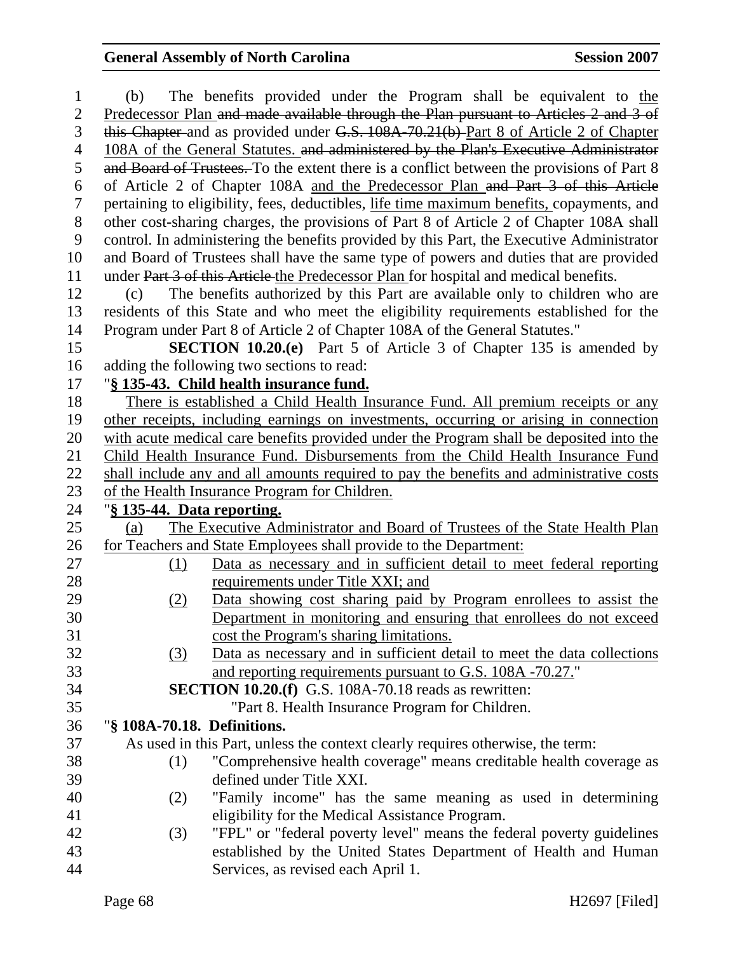| $\mathbf{1}$   | (b)                         | The benefits provided under the Program shall be equivalent to the                                    |
|----------------|-----------------------------|-------------------------------------------------------------------------------------------------------|
| $\overline{2}$ |                             | Predecessor Plan and made available through the Plan pursuant to Articles 2 and 3 of                  |
| 3              |                             | this Chapter-and as provided under G.S. 108A-70.21(b)-Part 8 of Article 2 of Chapter                  |
| 4              |                             | 108A of the General Statutes. and administered by the Plan's Executive Administrator                  |
| 5              |                             | and Board of Trustees. To the extent there is a conflict between the provisions of Part 8             |
| 6              |                             | of Article 2 of Chapter 108A and the Predecessor Plan and Part 3 of this Article                      |
| $\tau$         |                             | pertaining to eligibility, fees, deductibles, life time maximum benefits, copayments, and             |
| 8              |                             | other cost-sharing charges, the provisions of Part 8 of Article 2 of Chapter 108A shall               |
| 9              |                             | control. In administering the benefits provided by this Part, the Executive Administrator             |
| 10             |                             | and Board of Trustees shall have the same type of powers and duties that are provided                 |
| 11             |                             | under Part 3 of this Article the Predecessor Plan for hospital and medical benefits.                  |
| 12             | (c)                         | The benefits authorized by this Part are available only to children who are                           |
| 13             |                             | residents of this State and who meet the eligibility requirements established for the                 |
| 14             |                             | Program under Part 8 of Article 2 of Chapter 108A of the General Statutes."                           |
| 15             |                             | <b>SECTION 10.20.(e)</b> Part 5 of Article 3 of Chapter 135 is amended by                             |
| 16             |                             | adding the following two sections to read:                                                            |
| 17             |                             | "§ 135-43. Child health insurance fund.                                                               |
| 18             |                             | There is established a Child Health Insurance Fund. All premium receipts or any                       |
| 19             |                             | other receipts, including earnings on investments, occurring or arising in connection                 |
| 20             |                             | with acute medical care benefits provided under the Program shall be deposited into the               |
| 21             |                             | Child Health Insurance Fund. Disbursements from the Child Health Insurance Fund                       |
| 22             |                             | shall include any and all amounts required to pay the benefits and administrative costs               |
| 23             |                             | of the Health Insurance Program for Children.                                                         |
| 24             | "§ 135-44. Data reporting.  |                                                                                                       |
| 25             | (a)                         | The Executive Administrator and Board of Trustees of the State Health Plan                            |
| 26             |                             | for Teachers and State Employees shall provide to the Department:                                     |
| 27             | (1)                         | Data as necessary and in sufficient detail to meet federal reporting                                  |
| 28             |                             | requirements under Title XXI; and                                                                     |
| 29             | (2)                         | Data showing cost sharing paid by Program enrollees to assist the                                     |
| 30             |                             | Department in monitoring and ensuring that enrollees do not exceed                                    |
| 31             |                             | cost the Program's sharing limitations.                                                               |
| 32             | (3)                         | Data as necessary and in sufficient detail to meet the data collections                               |
| 33             |                             | and reporting requirements pursuant to G.S. 108A -70.27."                                             |
| 34             |                             | <b>SECTION 10.20.(f)</b> G.S. 108A-70.18 reads as rewritten:                                          |
| 35             |                             | "Part 8. Health Insurance Program for Children.                                                       |
| 36             | "§ 108A-70.18. Definitions. |                                                                                                       |
| 37             |                             | As used in this Part, unless the context clearly requires otherwise, the term:                        |
| 38             | (1)                         | "Comprehensive health coverage" means creditable health coverage as                                   |
| 39             |                             | defined under Title XXI.                                                                              |
| 40             | (2)                         | "Family income" has the same meaning as used in determining                                           |
| 41             |                             | eligibility for the Medical Assistance Program.                                                       |
| 42             | (3)                         | "FPL" or "federal poverty level" means the federal poverty guidelines                                 |
| 43             |                             |                                                                                                       |
| 44             |                             | established by the United States Department of Health and Human<br>Services, as revised each April 1. |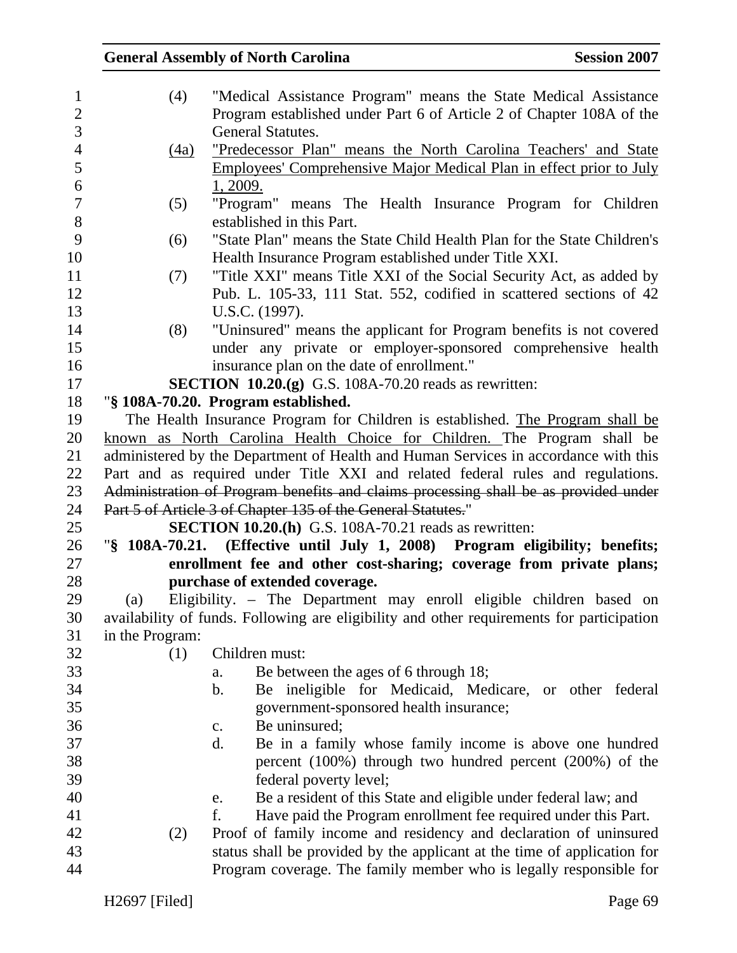## General Assembly of North Carolina Session 2007 1 (4) "Medical Assistance Program" means the State Medical Assistance 2 Program established under Part 6 of Article 2 of Chapter 108A of the 3 General Statutes. 4 (4a) "Predecessor Plan" means the North Carolina Teachers' and State 5 Employees' Comprehensive Major Medical Plan in effect prior to July 6 1, 2009. 7 (5) "Program" means The Health Insurance Program for Children 8 established in this Part. 9 (6) "State Plan" means the State Child Health Plan for the State Children's 10 Health Insurance Program established under Title XXI. 11 (7) "Title XXI" means Title XXI of the Social Security Act, as added by 12 Pub. L. 105-33, 111 Stat. 552, codified in scattered sections of 42 13 U.S.C. (1997). 14 (8) "Uninsured" means the applicant for Program benefits is not covered 15 under any private or employer-sponsored comprehensive health 16 insurance plan on the date of enrollment." 17 **SECTION 10.20.(g)** G.S. 108A-70.20 reads as rewritten: 18 "**§ 108A-70.20. Program established.**  19 The Health Insurance Program for Children is established. The Program shall be 20 known as North Carolina Health Choice for Children. The Program shall be 21 administered by the Department of Health and Human Services in accordance with this 22 Part and as required under Title XXI and related federal rules and regulations. 23 Administration of Program benefits and claims processing shall be as provided under 24 Part 5 of Article 3 of Chapter 135 of the General Statutes." 25 **SECTION 10.20.(h)** G.S. 108A-70.21 reads as rewritten: 26 "**§ 108A-70.21. (Effective until July 1, 2008) Program eligibility; benefits;**  27 **enrollment fee and other cost-sharing; coverage from private plans;**  28 **purchase of extended coverage.**  29 (a) Eligibility. – The Department may enroll eligible children based on 30 availability of funds. Following are eligibility and other requirements for participation 31 in the Program: 32 (1) Children must: 33 a. Be between the ages of 6 through 18; 34 b. Be ineligible for Medicaid, Medicare, or other federal 35 government-sponsored health insurance; 36 c. Be uninsured; 37 d. Be in a family whose family income is above one hundred 38 percent (100%) through two hundred percent (200%) of the 39 federal poverty level; 40 e. Be a resident of this State and eligible under federal law; and 41 f. Have paid the Program enrollment fee required under this Part. 42 (2) Proof of family income and residency and declaration of uninsured 43 status shall be provided by the applicant at the time of application for 44 Program coverage. The family member who is legally responsible for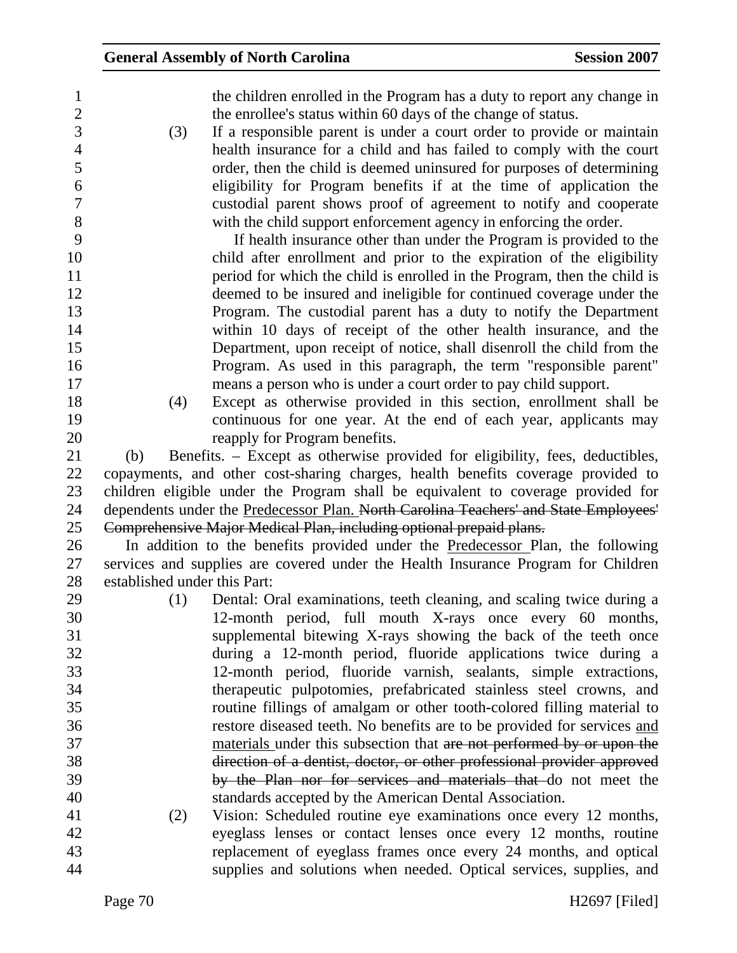- 1 the children enrolled in the Program has a duty to report any change in 2 the enrollee's status within 60 days of the change of status.
- 3 (3) If a responsible parent is under a court order to provide or maintain 4 health insurance for a child and has failed to comply with the court 5 order, then the child is deemed uninsured for purposes of determining 6 eligibility for Program benefits if at the time of application the 7 custodial parent shows proof of agreement to notify and cooperate 8 with the child support enforcement agency in enforcing the order.

9 If health insurance other than under the Program is provided to the 10 child after enrollment and prior to the expiration of the eligibility 11 period for which the child is enrolled in the Program, then the child is 12 deemed to be insured and ineligible for continued coverage under the 13 Program. The custodial parent has a duty to notify the Department 14 within 10 days of receipt of the other health insurance, and the 15 Department, upon receipt of notice, shall disenroll the child from the 16 Program. As used in this paragraph, the term "responsible parent" 17 means a person who is under a court order to pay child support.

18 (4) Except as otherwise provided in this section, enrollment shall be 19 continuous for one year. At the end of each year, applicants may 20 reapply for Program benefits.

21 (b) Benefits. – Except as otherwise provided for eligibility, fees, deductibles, 22 copayments, and other cost-sharing charges, health benefits coverage provided to 23 children eligible under the Program shall be equivalent to coverage provided for 24 dependents under the Predecessor Plan. North Carolina Teachers' and State Employees' 25 Comprehensive Major Medical Plan, including optional prepaid plans.

26 In addition to the benefits provided under the Predecessor Plan, the following 27 services and supplies are covered under the Health Insurance Program for Children 28 established under this Part:

- 29 (1) Dental: Oral examinations, teeth cleaning, and scaling twice during a 30 12-month period, full mouth X-rays once every 60 months, 31 supplemental bitewing X-rays showing the back of the teeth once 32 during a 12-month period, fluoride applications twice during a 33 12-month period, fluoride varnish, sealants, simple extractions, 34 therapeutic pulpotomies, prefabricated stainless steel crowns, and 35 routine fillings of amalgam or other tooth-colored filling material to 36 restore diseased teeth. No benefits are to be provided for services and 37 materials under this subsection that are not performed by or upon the 38 direction of a dentist, doctor, or other professional provider approved 39 by the Plan nor for services and materials that do not meet the 40 standards accepted by the American Dental Association.
- 41 (2) Vision: Scheduled routine eye examinations once every 12 months, 42 eyeglass lenses or contact lenses once every 12 months, routine 43 replacement of eyeglass frames once every 24 months, and optical 44 supplies and solutions when needed. Optical services, supplies, and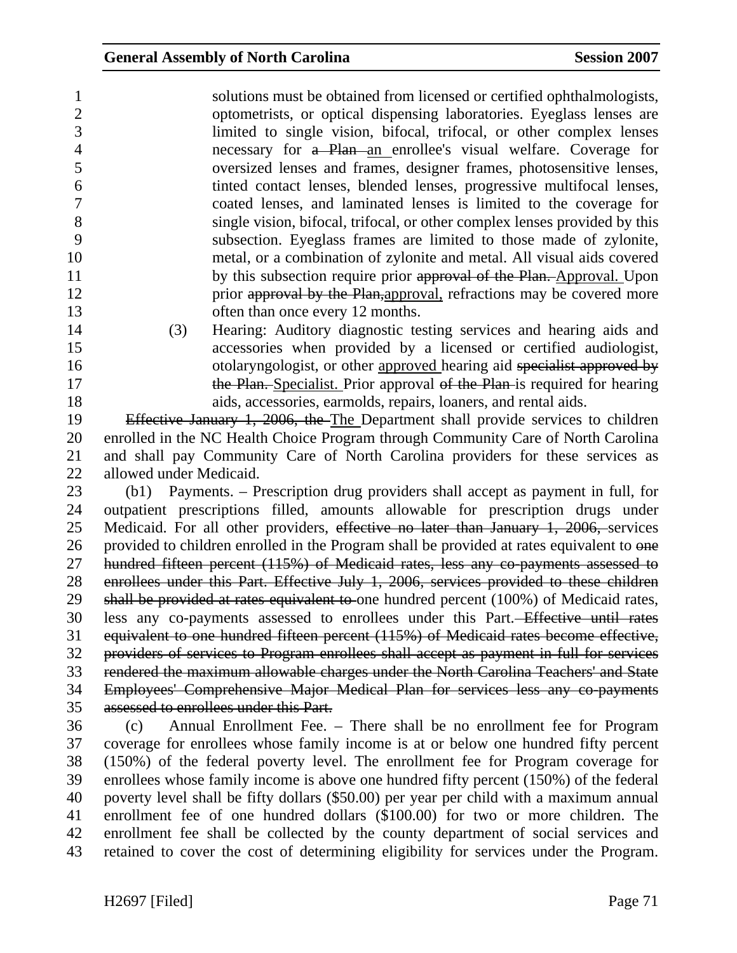1 solutions must be obtained from licensed or certified ophthalmologists, 2 optometrists, or optical dispensing laboratories. Eyeglass lenses are 3 limited to single vision, bifocal, trifocal, or other complex lenses 4 necessary for a Plan an enrollee's visual welfare. Coverage for 5 oversized lenses and frames, designer frames, photosensitive lenses, 6 tinted contact lenses, blended lenses, progressive multifocal lenses, 7 coated lenses, and laminated lenses is limited to the coverage for 8 single vision, bifocal, trifocal, or other complex lenses provided by this 9 subsection. Eyeglass frames are limited to those made of zylonite, 10 metal, or a combination of zylonite and metal. All visual aids covered 11 by this subsection require prior approval of the Plan. Approval. Upon 12 prior approval by the Plan,approval, refractions may be covered more 13 often than once every 12 months.

14 (3) Hearing: Auditory diagnostic testing services and hearing aids and 15 accessories when provided by a licensed or certified audiologist, 16 otolaryngologist, or other approved hearing aid specialist approved by 17 the Plan. Specialist. Prior approval of the Plan is required for hearing 18 aids, accessories, earmolds, repairs, loaners, and rental aids.

19 Effective January 1, 2006, the The Department shall provide services to children 20 enrolled in the NC Health Choice Program through Community Care of North Carolina 21 and shall pay Community Care of North Carolina providers for these services as 22 allowed under Medicaid.

23 (b1) Payments. – Prescription drug providers shall accept as payment in full, for 24 outpatient prescriptions filled, amounts allowable for prescription drugs under 25 Medicaid. For all other providers, effective no later than January 1, 2006, services 26 provided to children enrolled in the Program shall be provided at rates equivalent to one 27 hundred fifteen percent (115%) of Medicaid rates, less any co-payments assessed to 28 enrollees under this Part. Effective July 1, 2006, services provided to these children 29 shall be provided at rates equivalent to one hundred percent (100%) of Medicaid rates, 30 less any co-payments assessed to enrollees under this Part. Effective until rates 31 equivalent to one hundred fifteen percent (115%) of Medicaid rates become effective, 32 providers of services to Program enrollees shall accept as payment in full for services 33 rendered the maximum allowable charges under the North Carolina Teachers' and State 34 Employees' Comprehensive Major Medical Plan for services less any co-payments 35 assessed to enrollees under this Part.

36 (c) Annual Enrollment Fee. – There shall be no enrollment fee for Program 37 coverage for enrollees whose family income is at or below one hundred fifty percent 38 (150%) of the federal poverty level. The enrollment fee for Program coverage for 39 enrollees whose family income is above one hundred fifty percent (150%) of the federal 40 poverty level shall be fifty dollars (\$50.00) per year per child with a maximum annual 41 enrollment fee of one hundred dollars (\$100.00) for two or more children. The 42 enrollment fee shall be collected by the county department of social services and 43 retained to cover the cost of determining eligibility for services under the Program.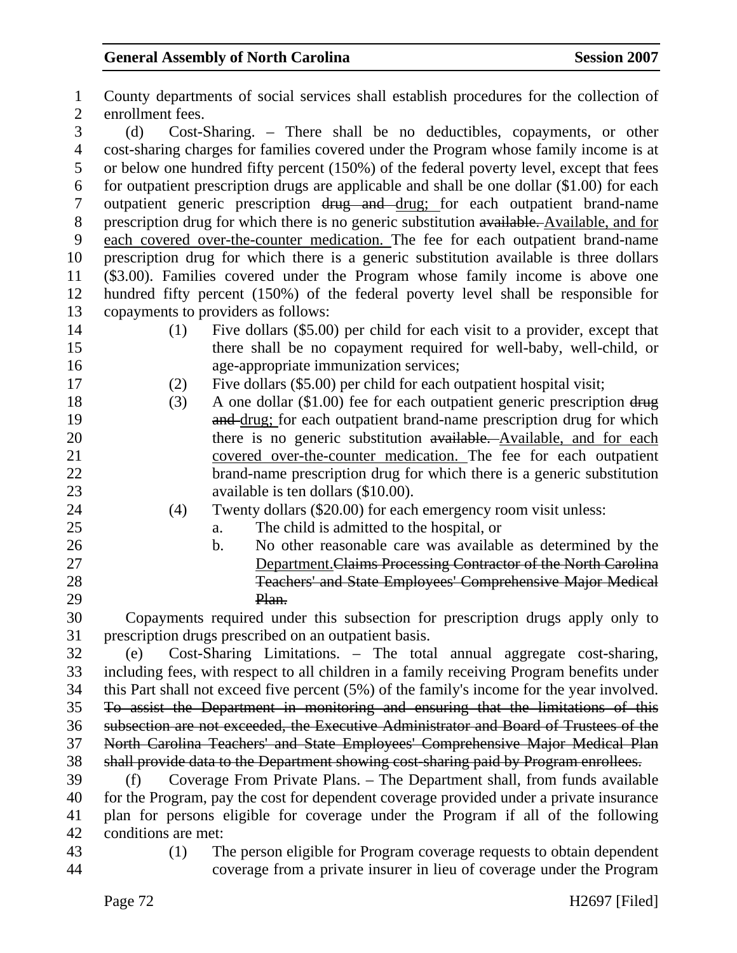1 County departments of social services shall establish procedures for the collection of 2 enrollment fees. 3 (d) Cost-Sharing. – There shall be no deductibles, copayments, or other 4 cost-sharing charges for families covered under the Program whose family income is at 5 or below one hundred fifty percent (150%) of the federal poverty level, except that fees 6 for outpatient prescription drugs are applicable and shall be one dollar (\$1.00) for each 7 outpatient generic prescription drug and drug; for each outpatient brand-name 8 prescription drug for which there is no generic substitution available. Available, and for 9 each covered over-the-counter medication. The fee for each outpatient brand-name 10 prescription drug for which there is a generic substitution available is three dollars 11 (\$3.00). Families covered under the Program whose family income is above one 12 hundred fifty percent (150%) of the federal poverty level shall be responsible for 13 copayments to providers as follows: 14 (1) Five dollars (\$5.00) per child for each visit to a provider, except that 15 there shall be no copayment required for well-baby, well-child, or 16 age-appropriate immunization services; 17 (2) Five dollars (\$5.00) per child for each outpatient hospital visit; 18 (3) A one dollar (\$1.00) fee for each outpatient generic prescription drug 19 **and drug**; for each outpatient brand-name prescription drug for which 20 there is no generic substitution available. Available, and for each 21 covered over-the-counter medication. The fee for each outpatient 22 brand-name prescription drug for which there is a generic substitution 23 available is ten dollars (\$10.00). 24 (4) Twenty dollars (\$20.00) for each emergency room visit unless: 25 a. The child is admitted to the hospital, or 26 b. No other reasonable care was available as determined by the 27 Department.Claims Processing Contractor of the North Carolina 28 Teachers' and State Employees' Comprehensive Major Medical 29 Plan. 30 Copayments required under this subsection for prescription drugs apply only to 31 prescription drugs prescribed on an outpatient basis. 32 (e) Cost-Sharing Limitations. – The total annual aggregate cost-sharing, 33 including fees, with respect to all children in a family receiving Program benefits under 34 this Part shall not exceed five percent (5%) of the family's income for the year involved. 35 To assist the Department in monitoring and ensuring that the limitations of this 36 subsection are not exceeded, the Executive Administrator and Board of Trustees of the 37 North Carolina Teachers' and State Employees' Comprehensive Major Medical Plan 38 shall provide data to the Department showing cost-sharing paid by Program enrollees. 39 (f) Coverage From Private Plans. – The Department shall, from funds available 40 for the Program, pay the cost for dependent coverage provided under a private insurance 41 plan for persons eligible for coverage under the Program if all of the following 42 conditions are met: 43 (1) The person eligible for Program coverage requests to obtain dependent 44 coverage from a private insurer in lieu of coverage under the Program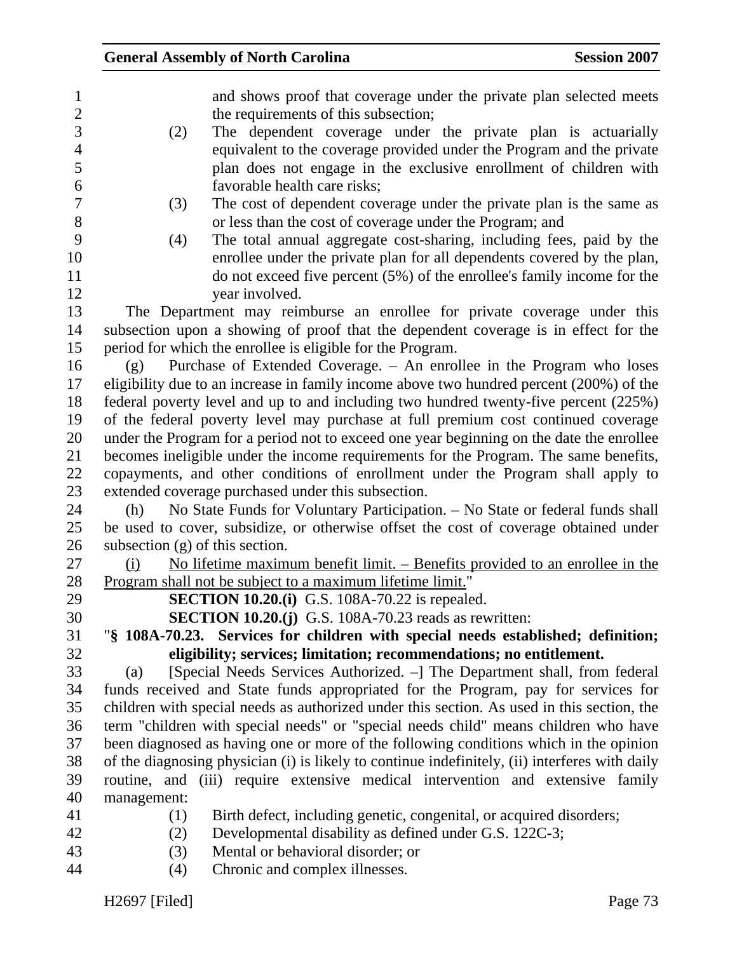| $\mathbf{1}$<br>$\mathbf{2}$ | and shows proof that coverage under the private plan selected meets<br>the requirements of this subsection; |
|------------------------------|-------------------------------------------------------------------------------------------------------------|
| 3                            | The dependent coverage under the private plan is actuarially                                                |
| $\overline{4}$               | (2)<br>equivalent to the coverage provided under the Program and the private                                |
| 5                            |                                                                                                             |
| 6                            | plan does not engage in the exclusive enrollment of children with<br>favorable health care risks;           |
| 7                            | The cost of dependent coverage under the private plan is the same as                                        |
| 8                            | (3)<br>or less than the cost of coverage under the Program; and                                             |
| 9                            | The total annual aggregate cost-sharing, including fees, paid by the<br>(4)                                 |
| 10                           | enrollee under the private plan for all dependents covered by the plan,                                     |
| 11                           | do not exceed five percent $(5\%)$ of the enrollee's family income for the                                  |
| 12                           | year involved.                                                                                              |
| 13                           | The Department may reimburse an enrollee for private coverage under this                                    |
| 14                           | subsection upon a showing of proof that the dependent coverage is in effect for the                         |
| 15                           | period for which the enrollee is eligible for the Program.                                                  |
| 16                           | Purchase of Extended Coverage. - An enrollee in the Program who loses<br>(g)                                |
| 17                           | eligibility due to an increase in family income above two hundred percent (200%) of the                     |
| 18                           | federal poverty level and up to and including two hundred twenty-five percent (225%)                        |
| 19                           | of the federal poverty level may purchase at full premium cost continued coverage                           |
| 20                           | under the Program for a period not to exceed one year beginning on the date the enrollee                    |
| 21                           | becomes ineligible under the income requirements for the Program. The same benefits,                        |
| 22                           | copayments, and other conditions of enrollment under the Program shall apply to                             |
| 23                           | extended coverage purchased under this subsection.                                                          |
| 24                           | No State Funds for Voluntary Participation. - No State or federal funds shall<br>(h)                        |
| 25                           | be used to cover, subsidize, or otherwise offset the cost of coverage obtained under                        |
| 26                           | subsection $(g)$ of this section.                                                                           |
| 27                           | No lifetime maximum benefit limit. – Benefits provided to an enrollee in the<br>(i)                         |
| 28                           | Program shall not be subject to a maximum lifetime limit."                                                  |
| 29                           | <b>SECTION 10.20.(i)</b> G.S. 108A-70.22 is repealed.                                                       |
| 30                           | <b>SECTION 10.20.(j)</b> G.S. 108A-70.23 reads as rewritten:                                                |
| 31                           | "§ 108A-70.23. Services for children with special needs established; definition;                            |
| 32                           | eligibility; services; limitation; recommendations; no entitlement.                                         |
| 33                           | [Special Needs Services Authorized. –] The Department shall, from federal<br>(a)                            |
| 34                           | funds received and State funds appropriated for the Program, pay for services for                           |
| 35                           | children with special needs as authorized under this section. As used in this section, the                  |
| 36                           | term "children with special needs" or "special needs child" means children who have                         |
| 37                           | been diagnosed as having one or more of the following conditions which in the opinion                       |
| 38                           | of the diagnosing physician (i) is likely to continue indefinitely, (ii) interferes with daily              |
| 39                           | routine, and (iii) require extensive medical intervention and extensive family                              |
| 40                           | management:                                                                                                 |
| 41                           | Birth defect, including genetic, congenital, or acquired disorders;<br>(1)                                  |
| 42                           | Developmental disability as defined under G.S. 122C-3;<br>(2)                                               |
| 43                           | Mental or behavioral disorder; or<br>(3)                                                                    |

44 (4) Chronic and complex illnesses.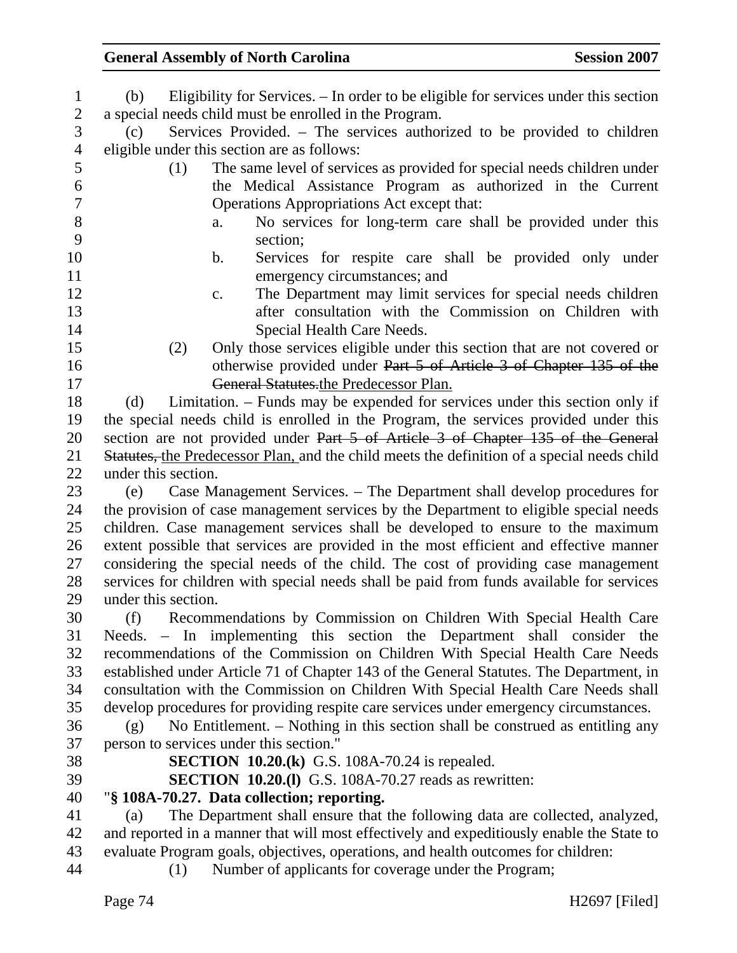| $\mathbf{1}$   | Eligibility for Services. – In order to be eligible for services under this section<br>(b)                                                |
|----------------|-------------------------------------------------------------------------------------------------------------------------------------------|
| $\sqrt{2}$     | a special needs child must be enrolled in the Program.                                                                                    |
| $\overline{3}$ | Services Provided. - The services authorized to be provided to children<br>(c)                                                            |
| $\overline{4}$ | eligible under this section are as follows:                                                                                               |
| 5              | The same level of services as provided for special needs children under<br>(1)                                                            |
| 6              | the Medical Assistance Program as authorized in the Current                                                                               |
| $\overline{7}$ | Operations Appropriations Act except that:                                                                                                |
| $8\,$          | No services for long-term care shall be provided under this<br>a.                                                                         |
| 9              | section;                                                                                                                                  |
| 10             | Services for respite care shall be provided only under<br>b.                                                                              |
| 11             | emergency circumstances; and                                                                                                              |
| 12             | The Department may limit services for special needs children<br>c.                                                                        |
| 13             | after consultation with the Commission on Children with                                                                                   |
| 14             | Special Health Care Needs.                                                                                                                |
| 15             | Only those services eligible under this section that are not covered or<br>(2)                                                            |
| 16             | otherwise provided under Part 5 of Article 3 of Chapter 135 of the                                                                        |
| 17             | General Statutes.the Predecessor Plan.                                                                                                    |
| 18             | Limitation. – Funds may be expended for services under this section only if<br>(d)                                                        |
| 19             | the special needs child is enrolled in the Program, the services provided under this                                                      |
| 20             | section are not provided under Part 5 of Article 3 of Chapter 135 of the General                                                          |
| 21             | Statutes, the Predecessor Plan, and the child meets the definition of a special needs child                                               |
| 22             | under this section.                                                                                                                       |
| 23             | Case Management Services. – The Department shall develop procedures for<br>(e)                                                            |
| 24             | the provision of case management services by the Department to eligible special needs                                                     |
| 25             | children. Case management services shall be developed to ensure to the maximum                                                            |
| 26             | extent possible that services are provided in the most efficient and effective manner                                                     |
| 27             | considering the special needs of the child. The cost of providing case management                                                         |
| 28             | services for children with special needs shall be paid from funds available for services                                                  |
| 29             | under this section.                                                                                                                       |
| 30             | Recommendations by Commission on Children With Special Health Care<br>(f)                                                                 |
| 31             | Needs. – In implementing this section the Department shall consider the                                                                   |
| 32             | recommendations of the Commission on Children With Special Health Care Needs                                                              |
| 33             | established under Article 71 of Chapter 143 of the General Statutes. The Department, in                                                   |
| 34             | consultation with the Commission on Children With Special Health Care Needs shall                                                         |
| 35             | develop procedures for providing respite care services under emergency circumstances.                                                     |
| 36             | No Entitlement. – Nothing in this section shall be construed as entitling any<br>(g)                                                      |
| 37             | person to services under this section."                                                                                                   |
| 38             | <b>SECTION 10.20.(k)</b> G.S. 108A-70.24 is repealed.                                                                                     |
| 39             | <b>SECTION 10.20.(1)</b> G.S. 108A-70.27 reads as rewritten:                                                                              |
| 40             | "§ 108A-70.27. Data collection; reporting.                                                                                                |
| 41             | The Department shall ensure that the following data are collected, analyzed,<br>(a)                                                       |
| 42             | and reported in a manner that will most effectively and expeditiously enable the State to                                                 |
|                |                                                                                                                                           |
| 43<br>44       | evaluate Program goals, objectives, operations, and health outcomes for children:<br>Number of applicants for coverage under the Program; |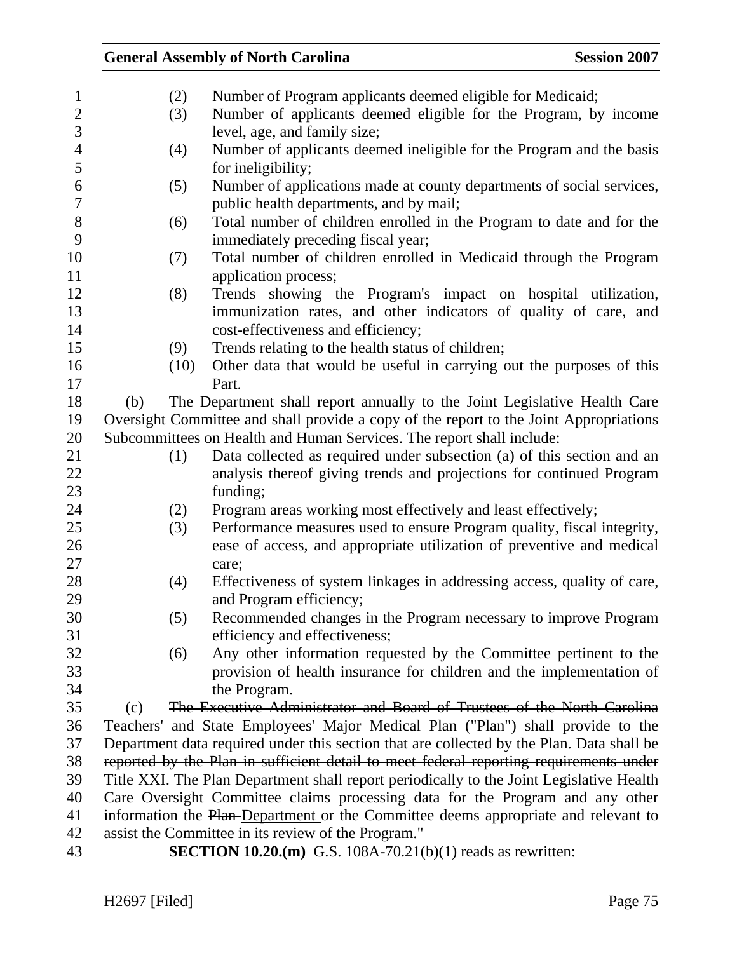### 1 (2) Number of Program applicants deemed eligible for Medicaid; 2 (3) Number of applicants deemed eligible for the Program, by income 3 level, age, and family size; 4 (4) Number of applicants deemed ineligible for the Program and the basis 5 for ineligibility; 6 (5) Number of applications made at county departments of social services, 7 public health departments, and by mail; 8 (6) Total number of children enrolled in the Program to date and for the 9 immediately preceding fiscal year; 10 (7) Total number of children enrolled in Medicaid through the Program 11 application process; 12 (8) Trends showing the Program's impact on hospital utilization, 13 immunization rates, and other indicators of quality of care, and 14 cost-effectiveness and efficiency; 15 (9) Trends relating to the health status of children; 16 (10) Other data that would be useful in carrying out the purposes of this 17 Part. 18 (b) The Department shall report annually to the Joint Legislative Health Care 19 Oversight Committee and shall provide a copy of the report to the Joint Appropriations 20 Subcommittees on Health and Human Services. The report shall include: 21 (1) Data collected as required under subsection (a) of this section and an 22 analysis thereof giving trends and projections for continued Program 23 funding; 24 (2) Program areas working most effectively and least effectively; 25 (3) Performance measures used to ensure Program quality, fiscal integrity, 26 ease of access, and appropriate utilization of preventive and medical 27 care: 28 (4) Effectiveness of system linkages in addressing access, quality of care, 29 and Program efficiency; 30 (5) Recommended changes in the Program necessary to improve Program 31 efficiency and effectiveness; 32 (6) Any other information requested by the Committee pertinent to the 33 provision of health insurance for children and the implementation of 34 the Program. 35 (c) The Executive Administrator and Board of Trustees of the North Carolina 36 Teachers' and State Employees' Major Medical Plan ("Plan") shall provide to the 37 Department data required under this section that are collected by the Plan. Data shall be 38 reported by the Plan in sufficient detail to meet federal reporting requirements under 39 Title XXI. The Plan-Department shall report periodically to the Joint Legislative Health 40 Care Oversight Committee claims processing data for the Program and any other 41 information the Plan-Department or the Committee deems appropriate and relevant to 42 assist the Committee in its review of the Program." 43 **SECTION 10.20.(m)** G.S. 108A-70.21(b)(1) reads as rewritten: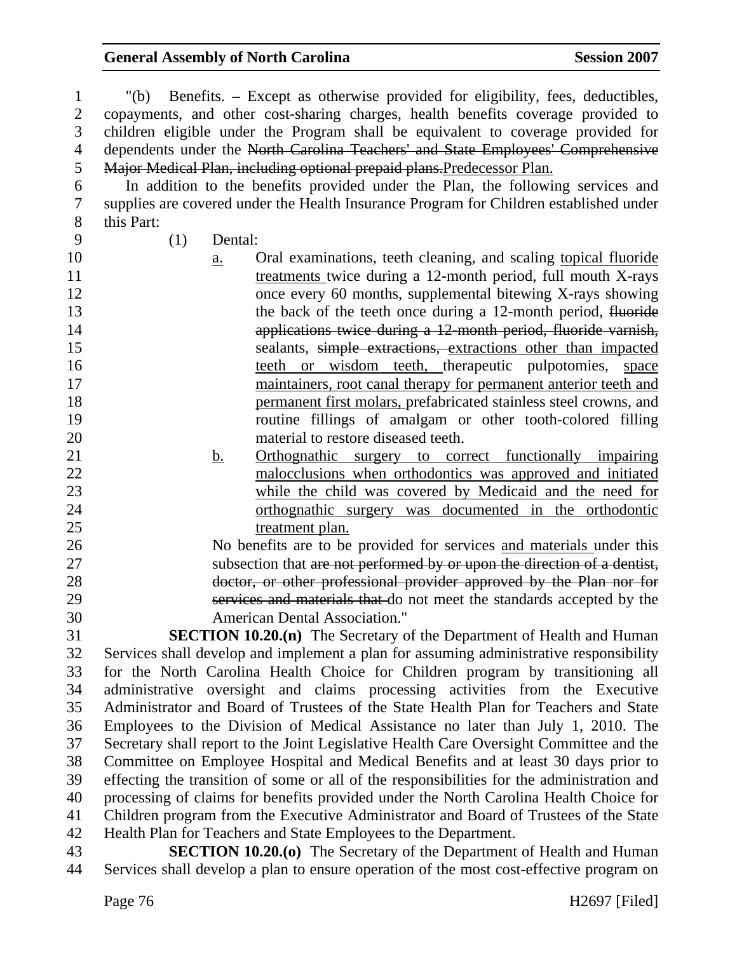1 "(b) Benefits. – Except as otherwise provided for eligibility, fees, deductibles, 2 copayments, and other cost-sharing charges, health benefits coverage provided to 3 children eligible under the Program shall be equivalent to coverage provided for 4 dependents under the North Carolina Teachers' and State Employees' Comprehensive 5 Major Medical Plan, including optional prepaid plans.Predecessor Plan. 6 In addition to the benefits provided under the Plan, the following services and 7 supplies are covered under the Health Insurance Program for Children established under 8 this Part:

9 (1) Dental:

- 10 a. Oral examinations, teeth cleaning, and scaling topical fluoride 11 treatments twice during a 12-month period, full mouth X-rays 12 once every 60 months, supplemental bitewing X-rays showing 13 the back of the teeth once during a 12-month period, fluoride 14 applications twice during a 12-month period, fluoride varnish, 15 sealants, simple extractions, extractions other than impacted 16 teeth or wisdom teeth, therapeutic pulpotomies, space 17 maintainers, root canal therapy for permanent anterior teeth and 18 permanent first molars, prefabricated stainless steel crowns, and 19 routine fillings of amalgam or other tooth-colored filling 20 material to restore diseased teeth.
- 21 b. Orthognathic surgery to correct functionally impairing 22 malocclusions when orthodontics was approved and initiated 23 while the child was covered by Medicaid and the need for 24 orthognathic surgery was documented in the orthodontic 25 treatment plan.

26 No benefits are to be provided for services and materials under this 27 subsection that are not performed by or upon the direction of a dentist, 28 doctor, or other professional provider approved by the Plan nor for 29 services and materials that do not meet the standards accepted by the 30 American Dental Association."

31 **SECTION 10.20.(n)** The Secretary of the Department of Health and Human 32 Services shall develop and implement a plan for assuming administrative responsibility 33 for the North Carolina Health Choice for Children program by transitioning all 34 administrative oversight and claims processing activities from the Executive 35 Administrator and Board of Trustees of the State Health Plan for Teachers and State 36 Employees to the Division of Medical Assistance no later than July 1, 2010. The 37 Secretary shall report to the Joint Legislative Health Care Oversight Committee and the 38 Committee on Employee Hospital and Medical Benefits and at least 30 days prior to 39 effecting the transition of some or all of the responsibilities for the administration and 40 processing of claims for benefits provided under the North Carolina Health Choice for 41 Children program from the Executive Administrator and Board of Trustees of the State 42 Health Plan for Teachers and State Employees to the Department.

43 **SECTION 10.20.(o)** The Secretary of the Department of Health and Human 44 Services shall develop a plan to ensure operation of the most cost-effective program on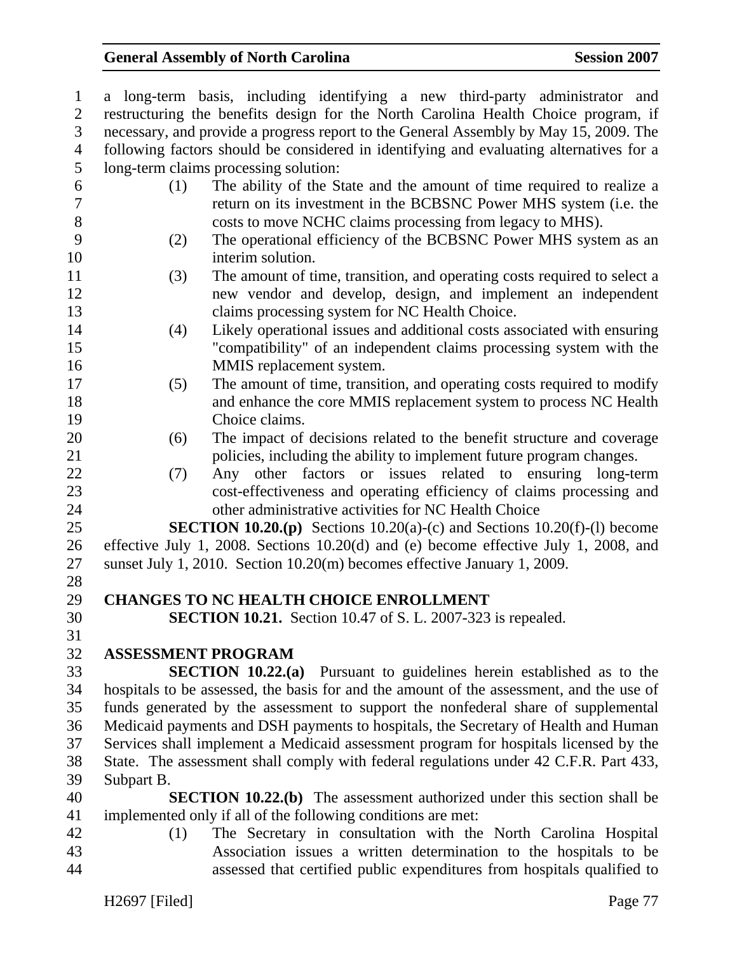| $\mathbf{1}$   | a long-term basis, including identifying a new third-party administrator and             |
|----------------|------------------------------------------------------------------------------------------|
| $\overline{2}$ | restructuring the benefits design for the North Carolina Health Choice program, if       |
| 3              | necessary, and provide a progress report to the General Assembly by May 15, 2009. The    |
| $\overline{4}$ | following factors should be considered in identifying and evaluating alternatives for a  |
| 5              | long-term claims processing solution:                                                    |
| 6              | The ability of the State and the amount of time required to realize a<br>(1)             |
| $\tau$         | return on its investment in the BCBSNC Power MHS system (i.e. the                        |
| $8\,$          | costs to move NCHC claims processing from legacy to MHS).                                |
| 9              | The operational efficiency of the BCBSNC Power MHS system as an<br>(2)                   |
| 10             | interim solution.                                                                        |
| 11             | The amount of time, transition, and operating costs required to select a<br>(3)          |
| 12             | new vendor and develop, design, and implement an independent                             |
| 13             | claims processing system for NC Health Choice.                                           |
| 14             | Likely operational issues and additional costs associated with ensuring<br>(4)           |
| 15             | "compatibility" of an independent claims processing system with the                      |
| 16             | MMIS replacement system.                                                                 |
| 17             | The amount of time, transition, and operating costs required to modify<br>(5)            |
| 18             | and enhance the core MMIS replacement system to process NC Health                        |
| 19             | Choice claims.                                                                           |
| 20             | The impact of decisions related to the benefit structure and coverage<br>(6)             |
| 21             | policies, including the ability to implement future program changes.                     |
| 22             | Any other factors or issues related to ensuring long-term<br>(7)                         |
| 23             | cost-effectiveness and operating efficiency of claims processing and                     |
| 24             | other administrative activities for NC Health Choice                                     |
| 25             | <b>SECTION 10.20.(p)</b> Sections $10.20(a)-(c)$ and Sections $10.20(f)-(1)$ become      |
| 26             | effective July 1, 2008. Sections 10.20(d) and (e) become effective July 1, 2008, and     |
| 27             | sunset July 1, 2010. Section 10.20(m) becomes effective January 1, 2009.                 |
| 28             |                                                                                          |
| 29             | <b>CHANGES TO NC HEALTH CHOICE ENROLLMENT</b>                                            |
| 30             | <b>SECTION 10.21.</b> Section 10.47 of S. L. 2007-323 is repealed.                       |
| 31             |                                                                                          |
| 32             | <b>ASSESSMENT PROGRAM</b>                                                                |
| 33             | <b>SECTION 10.22.(a)</b> Pursuant to guidelines herein established as to the             |
| 34             | hospitals to be assessed, the basis for and the amount of the assessment, and the use of |
| 35             | funds generated by the assessment to support the nonfederal share of supplemental        |
| 36             | Medicaid payments and DSH payments to hospitals, the Secretary of Health and Human       |
| 37             | Services shall implement a Medicaid assessment program for hospitals licensed by the     |
| 38             | State. The assessment shall comply with federal regulations under 42 C.F.R. Part 433,    |
| 39             | Subpart B.                                                                               |
| 40             | <b>SECTION 10.22.(b)</b> The assessment authorized under this section shall be           |
| 41             | implemented only if all of the following conditions are met:                             |
| 42             | The Secretary in consultation with the North Carolina Hospital<br>(1)                    |
| 43             | Association issues a written determination to the hospitals to be                        |

44 assessed that certified public expenditures from hospitals qualified to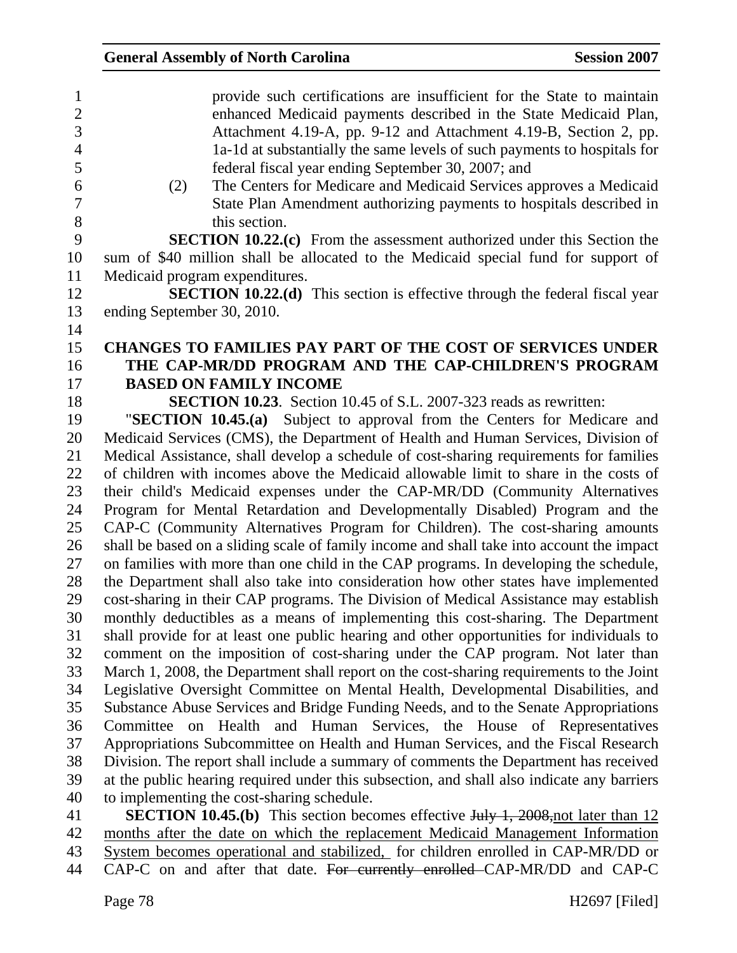| $\mathbf{1}$<br>$\sqrt{2}$<br>$\overline{3}$<br>$\overline{4}$ | provide such certifications are insufficient for the State to maintain<br>enhanced Medicaid payments described in the State Medicaid Plan,<br>Attachment 4.19-A, pp. 9-12 and Attachment 4.19-B, Section 2, pp.<br>1a-1d at substantially the same levels of such payments to hospitals for |
|----------------------------------------------------------------|---------------------------------------------------------------------------------------------------------------------------------------------------------------------------------------------------------------------------------------------------------------------------------------------|
| 5                                                              | federal fiscal year ending September 30, 2007; and                                                                                                                                                                                                                                          |
| 6                                                              | The Centers for Medicare and Medicaid Services approves a Medicaid<br>(2)                                                                                                                                                                                                                   |
| $\overline{7}$                                                 | State Plan Amendment authorizing payments to hospitals described in                                                                                                                                                                                                                         |
| $8\,$                                                          | this section.                                                                                                                                                                                                                                                                               |
| 9                                                              | <b>SECTION 10.22.(c)</b> From the assessment authorized under this Section the                                                                                                                                                                                                              |
| 10                                                             | sum of \$40 million shall be allocated to the Medicaid special fund for support of                                                                                                                                                                                                          |
| 11                                                             | Medicaid program expenditures.                                                                                                                                                                                                                                                              |
| 12                                                             | <b>SECTION 10.22.(d)</b> This section is effective through the federal fiscal year                                                                                                                                                                                                          |
| 13                                                             | ending September 30, 2010.                                                                                                                                                                                                                                                                  |
| 14                                                             |                                                                                                                                                                                                                                                                                             |
| 15                                                             | CHANGES TO FAMILIES PAY PART OF THE COST OF SERVICES UNDER                                                                                                                                                                                                                                  |
| 16                                                             | THE CAP-MR/DD PROGRAM AND THE CAP-CHILDREN'S PROGRAM                                                                                                                                                                                                                                        |
| 17                                                             | <b>BASED ON FAMILY INCOME</b>                                                                                                                                                                                                                                                               |
| 18                                                             | <b>SECTION 10.23.</b> Section 10.45 of S.L. 2007-323 reads as rewritten:                                                                                                                                                                                                                    |
| 19                                                             | "SECTION 10.45.(a) Subject to approval from the Centers for Medicare and                                                                                                                                                                                                                    |
| 20                                                             | Medicaid Services (CMS), the Department of Health and Human Services, Division of                                                                                                                                                                                                           |
| 21                                                             | Medical Assistance, shall develop a schedule of cost-sharing requirements for families                                                                                                                                                                                                      |
| 22                                                             | of children with incomes above the Medicaid allowable limit to share in the costs of                                                                                                                                                                                                        |
| 23                                                             | their child's Medicaid expenses under the CAP-MR/DD (Community Alternatives                                                                                                                                                                                                                 |
| 24                                                             | Program for Mental Retardation and Developmentally Disabled) Program and the                                                                                                                                                                                                                |
| 25                                                             | CAP-C (Community Alternatives Program for Children). The cost-sharing amounts                                                                                                                                                                                                               |
| 26                                                             | shall be based on a sliding scale of family income and shall take into account the impact                                                                                                                                                                                                   |
| 27                                                             | on families with more than one child in the CAP programs. In developing the schedule,                                                                                                                                                                                                       |
| 28                                                             | the Department shall also take into consideration how other states have implemented                                                                                                                                                                                                         |
| 29                                                             | cost-sharing in their CAP programs. The Division of Medical Assistance may establish                                                                                                                                                                                                        |
| 30                                                             | monthly deductibles as a means of implementing this cost-sharing. The Department                                                                                                                                                                                                            |
| 31                                                             | shall provide for at least one public hearing and other opportunities for individuals to                                                                                                                                                                                                    |
| 32                                                             | comment on the imposition of cost-sharing under the CAP program. Not later than                                                                                                                                                                                                             |
| 33                                                             | March 1, 2008, the Department shall report on the cost-sharing requirements to the Joint                                                                                                                                                                                                    |
| 34                                                             | Legislative Oversight Committee on Mental Health, Developmental Disabilities, and                                                                                                                                                                                                           |
| 35                                                             | Substance Abuse Services and Bridge Funding Needs, and to the Senate Appropriations                                                                                                                                                                                                         |
| 36                                                             | Committee on Health and Human Services, the House of Representatives                                                                                                                                                                                                                        |
| 37                                                             | Appropriations Subcommittee on Health and Human Services, and the Fiscal Research                                                                                                                                                                                                           |
| 38                                                             | Division. The report shall include a summary of comments the Department has received                                                                                                                                                                                                        |
| 39                                                             | at the public hearing required under this subsection, and shall also indicate any barriers                                                                                                                                                                                                  |
| 40                                                             | to implementing the cost-sharing schedule.                                                                                                                                                                                                                                                  |
| 41                                                             | <b>SECTION 10.45.(b)</b> This section becomes effective $\frac{1 \text{thy}}{1}$ , 2008, not later than 12                                                                                                                                                                                  |

42 months after the date on which the replacement Medicaid Management Information 43 System becomes operational and stabilized, for children enrolled in CAP-MR/DD or 44 CAP-C on and after that date. For currently enrolled CAP-MR/DD and CAP-C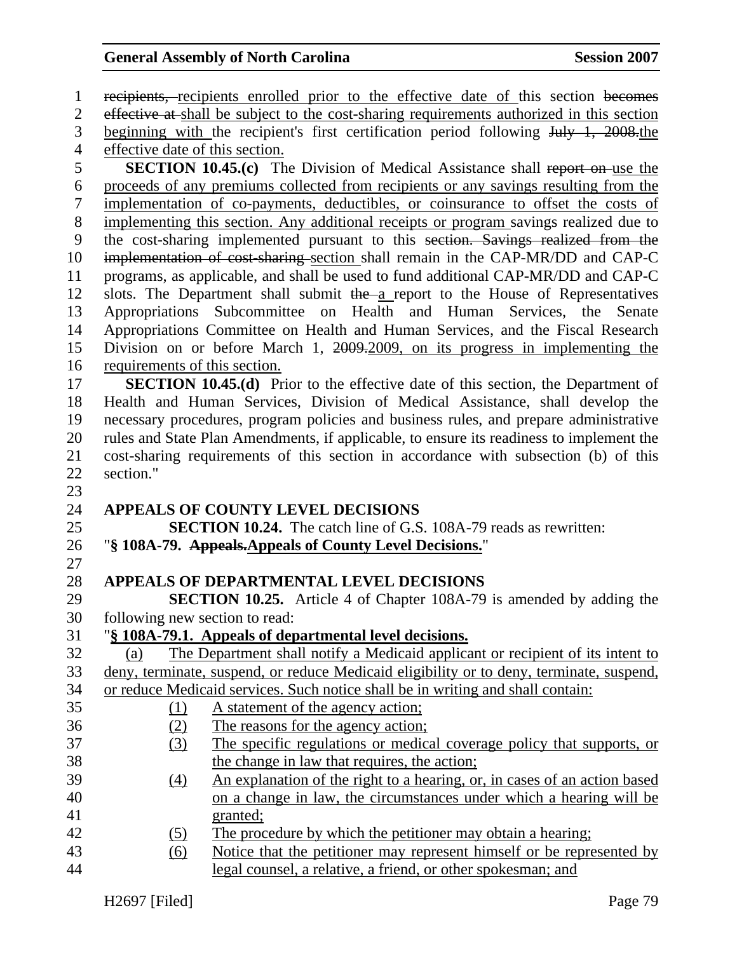1 recipients, recipients enrolled prior to the effective date of this section becomes 2 effective at shall be subject to the cost-sharing requirements authorized in this section 3 beginning with the recipient's first certification period following July 1, 2008.the 4 effective date of this section. 5 **SECTION 10.45.(c)** The Division of Medical Assistance shall report on use the 6 proceeds of any premiums collected from recipients or any savings resulting from the 7 implementation of co-payments, deductibles, or coinsurance to offset the costs of 8 implementing this section. Any additional receipts or program savings realized due to 9 the cost-sharing implemented pursuant to this section. Savings realized from the 10 implementation of cost-sharing section shall remain in the CAP-MR/DD and CAP-C 11 programs, as applicable, and shall be used to fund additional CAP-MR/DD and CAP-C 12 slots. The Department shall submit the a report to the House of Representatives 13 Appropriations Subcommittee on Health and Human Services, the Senate 14 Appropriations Committee on Health and Human Services, and the Fiscal Research 15 Division on or before March 1, 2009.2009, on its progress in implementing the 16 requirements of this section. 17 **SECTION 10.45.(d)** Prior to the effective date of this section, the Department of 18 Health and Human Services, Division of Medical Assistance, shall develop the 19 necessary procedures, program policies and business rules, and prepare administrative 20 rules and State Plan Amendments, if applicable, to ensure its readiness to implement the 21 cost-sharing requirements of this section in accordance with subsection (b) of this 22 section." 23 24 **APPEALS OF COUNTY LEVEL DECISIONS**  25 **SECTION 10.24.** The catch line of G.S. 108A-79 reads as rewritten: 26 "**§ 108A-79. Appeals.Appeals of County Level Decisions.**" 27 28 **APPEALS OF DEPARTMENTAL LEVEL DECISIONS**  29 **SECTION 10.25.** Article 4 of Chapter 108A-79 is amended by adding the 30 following new section to read: 31 "**§ 108A-79.1. Appeals of departmental level decisions.** 32 (a) The Department shall notify a Medicaid applicant or recipient of its intent to 33 deny, terminate, suspend, or reduce Medicaid eligibility or to deny, terminate, suspend, 34 or reduce Medicaid services. Such notice shall be in writing and shall contain: 35 (1) A statement of the agency action; 36 (2) The reasons for the agency action; 37 (3) The specific regulations or medical coverage policy that supports, or 38 the change in law that requires, the action; 39 (4) An explanation of the right to a hearing, or, in cases of an action based 40 on a change in law, the circumstances under which a hearing will be 41 granted: 42 (5) The procedure by which the petitioner may obtain a hearing; 43 (6) Notice that the petitioner may represent himself or be represented by 44 legal counsel, a relative, a friend, or other spokesman; and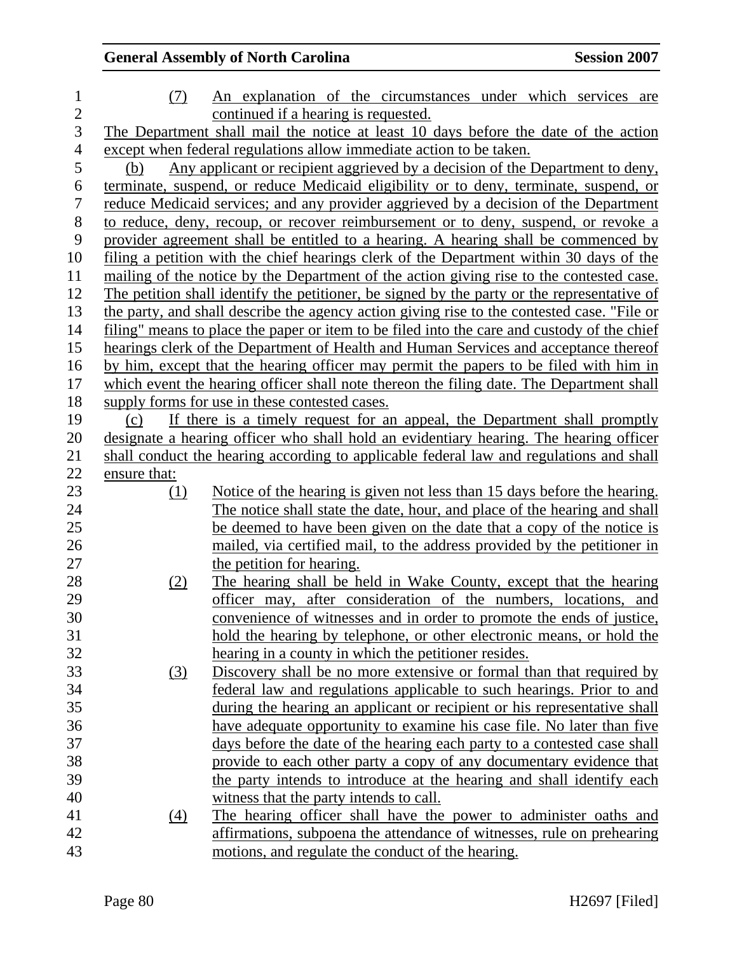| $\mathbf{1}$             | (7)              | An explanation of the circumstances under which services are                                |
|--------------------------|------------------|---------------------------------------------------------------------------------------------|
| $\overline{c}$           |                  | continued if a hearing is requested.                                                        |
| $\overline{3}$           |                  | The Department shall mail the notice at least 10 days before the date of the action         |
| $\overline{\mathcal{A}}$ |                  | except when federal regulations allow immediate action to be taken.                         |
| 5                        | (b)              | Any applicant or recipient aggrieved by a decision of the Department to deny,               |
| 6                        |                  | terminate, suspend, or reduce Medicaid eligibility or to deny, terminate, suspend, or       |
| 7                        |                  | reduce Medicaid services; and any provider aggrieved by a decision of the Department        |
| 8                        |                  | to reduce, deny, recoup, or recover reimbursement or to deny, suspend, or revoke a          |
| 9                        |                  | provider agreement shall be entitled to a hearing. A hearing shall be commenced by          |
| 10                       |                  | filing a petition with the chief hearings clerk of the Department within 30 days of the     |
| 11                       |                  | mailing of the notice by the Department of the action giving rise to the contested case.    |
| 12                       |                  | The petition shall identify the petitioner, be signed by the party or the representative of |
| 13                       |                  | the party, and shall describe the agency action giving rise to the contested case. "File or |
| 14                       |                  | filing" means to place the paper or item to be filed into the care and custody of the chief |
| 15                       |                  | hearings clerk of the Department of Health and Human Services and acceptance thereof        |
| 16                       |                  | by him, except that the hearing officer may permit the papers to be filed with him in       |
| 17                       |                  | which event the hearing officer shall note thereon the filing date. The Department shall    |
| 18                       |                  | supply forms for use in these contested cases.                                              |
| 19                       | (c)              | If there is a timely request for an appeal, the Department shall promptly                   |
| 20                       |                  | designate a hearing officer who shall hold an evidentiary hearing. The hearing officer      |
| 21                       |                  | shall conduct the hearing according to applicable federal law and regulations and shall     |
| 22                       | ensure that:     |                                                                                             |
| 23                       | (1)              | Notice of the hearing is given not less than 15 days before the hearing.                    |
| 24                       |                  | The notice shall state the date, hour, and place of the hearing and shall                   |
| 25                       |                  | be deemed to have been given on the date that a copy of the notice is                       |
| 26                       |                  | mailed, via certified mail, to the address provided by the petitioner in                    |
| 27                       |                  | the petition for hearing.                                                                   |
| 28                       | (2)              | The hearing shall be held in Wake County, except that the hearing                           |
| 29                       |                  | officer may, after consideration of the numbers, locations, and                             |
| 30                       |                  | convenience of witnesses and in order to promote the ends of justice,                       |
| 31                       |                  | hold the hearing by telephone, or other electronic means, or hold the                       |
| 32                       |                  | hearing in a county in which the petitioner resides.                                        |
| 33                       | $\left(3\right)$ | Discovery shall be no more extensive or formal than that required by                        |
| 34                       |                  | federal law and regulations applicable to such hearings. Prior to and                       |
| 35                       |                  | during the hearing an applicant or recipient or his representative shall                    |
| 36                       |                  | have adequate opportunity to examine his case file. No later than five                      |
| 37                       |                  | days before the date of the hearing each party to a contested case shall                    |
| 38                       |                  | provide to each other party a copy of any documentary evidence that                         |
| 39                       |                  | the party intends to introduce at the hearing and shall identify each                       |
| 40                       |                  | witness that the party intends to call.                                                     |
| 41                       | (4)              | The hearing officer shall have the power to administer oaths and                            |
| 42                       |                  | affirmations, subpoena the attendance of witnesses, rule on prehearing                      |
| 43                       |                  | motions, and regulate the conduct of the hearing.                                           |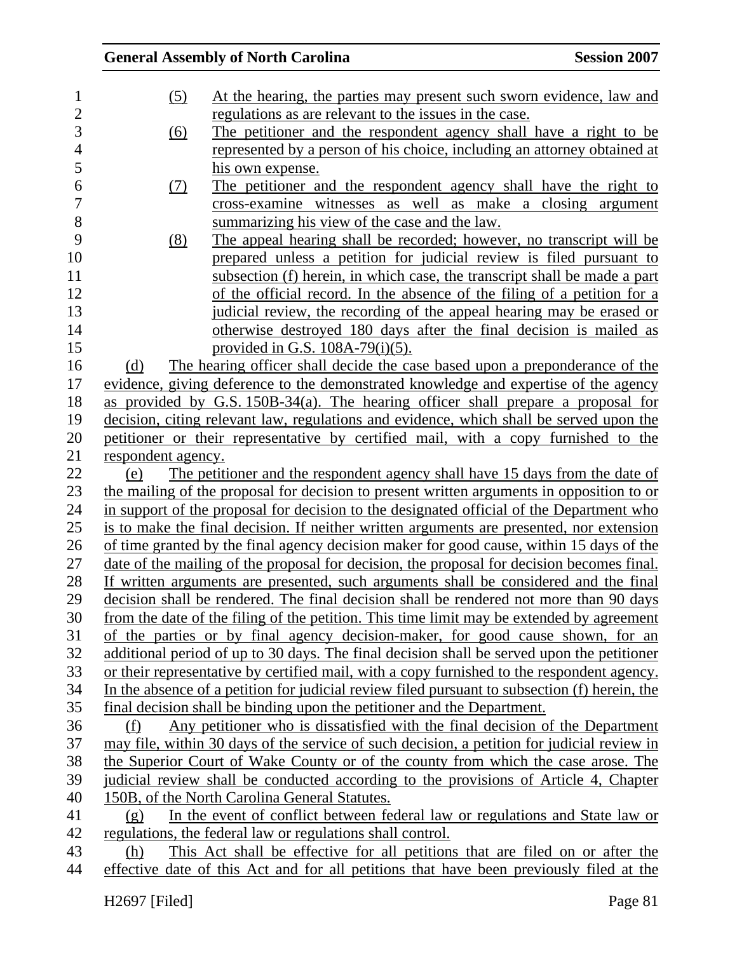|                    | <b>General Assembly of North Carolina</b>                                                     | <b>Session 2007</b> |
|--------------------|-----------------------------------------------------------------------------------------------|---------------------|
| (5)                | At the hearing, the parties may present such sworn evidence, law and                          |                     |
|                    | regulations as are relevant to the issues in the case.                                        |                     |
| <u>(6)</u>         | The petitioner and the respondent agency shall have a right to be                             |                     |
|                    | represented by a person of his choice, including an attorney obtained at                      |                     |
|                    | his own expense.                                                                              |                     |
| <u>(7)</u>         | The petitioner and the respondent agency shall have the right to                              |                     |
|                    | cross-examine witnesses as well as make a closing argument                                    |                     |
|                    | summarizing his view of the case and the law.                                                 |                     |
| (8)                | The appeal hearing shall be recorded; however, no transcript will be                          |                     |
|                    | prepared unless a petition for judicial review is filed pursuant to                           |                     |
|                    | subsection (f) herein, in which case, the transcript shall be made a part                     |                     |
|                    | of the official record. In the absence of the filing of a petition for a                      |                     |
|                    | judicial review, the recording of the appeal hearing may be erased or                         |                     |
|                    | otherwise destroyed 180 days after the final decision is mailed as                            |                     |
|                    | provided in G.S. $108A-79(i)(5)$ .                                                            |                     |
| (d)                | The hearing officer shall decide the case based upon a preponderance of the                   |                     |
|                    | evidence, giving deference to the demonstrated knowledge and expertise of the agency          |                     |
|                    | as provided by G.S. 150B-34(a). The hearing officer shall prepare a proposal for              |                     |
|                    | decision, citing relevant law, regulations and evidence, which shall be served upon the       |                     |
|                    | petitioner or their representative by certified mail, with a copy furnished to the            |                     |
| respondent agency. |                                                                                               |                     |
| (e)                | The petitioner and the respondent agency shall have 15 days from the date of                  |                     |
|                    | the mailing of the proposal for decision to present written arguments in opposition to or     |                     |
|                    | in support of the proposal for decision to the designated official of the Department who      |                     |
|                    | is to make the final decision. If neither written arguments are presented, nor extension      |                     |
|                    | of time granted by the final agency decision maker for good cause, within 15 days of the      |                     |
|                    | date of the mailing of the proposal for decision, the proposal for decision becomes final.    |                     |
|                    | If written arguments are presented, such arguments shall be considered and the final          |                     |
|                    | decision shall be rendered. The final decision shall be rendered not more than 90 days        |                     |
|                    | from the date of the filing of the petition. This time limit may be extended by agreement     |                     |
|                    | of the parties or by final agency decision-maker, for good cause shown, for an                |                     |
|                    | additional period of up to 30 days. The final decision shall be served upon the petitioner    |                     |
|                    | or their representative by certified mail, with a copy furnished to the respondent agency.    |                     |
|                    | In the absence of a petition for judicial review filed pursuant to subsection (f) herein, the |                     |
|                    | final decision shall be binding upon the petitioner and the Department.                       |                     |
| (f)                | Any petitioner who is dissatisfied with the final decision of the Department                  |                     |
|                    | may file, within 30 days of the service of such decision, a petition for judicial review in   |                     |
|                    | the Superior Court of Wake County or of the county from which the case arose. The             |                     |
|                    | judicial review shall be conducted according to the provisions of Article 4, Chapter          |                     |
|                    | 150B, of the North Carolina General Statutes.                                                 |                     |
| (g)                | In the event of conflict between federal law or regulations and State law or                  |                     |
|                    | regulations, the federal law or regulations shall control.                                    |                     |
| (h)                | This Act shall be effective for all petitions that are filed on or after the                  |                     |
|                    | effective date of this Act and for all petitions that have been previously filed at the       |                     |
|                    |                                                                                               |                     |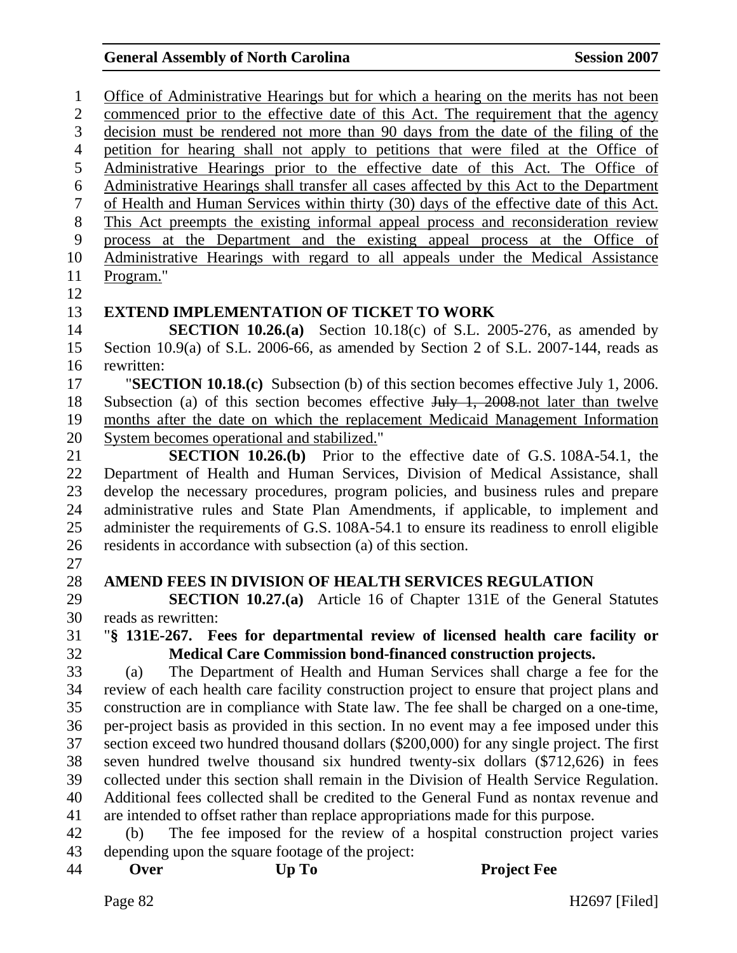1 Office of Administrative Hearings but for which a hearing on the merits has not been 2 commenced prior to the effective date of this Act. The requirement that the agency 3 decision must be rendered not more than 90 days from the date of the filing of the 4 petition for hearing shall not apply to petitions that were filed at the Office of 5 Administrative Hearings prior to the effective date of this Act. The Office of 6 Administrative Hearings shall transfer all cases affected by this Act to the Department 7 of Health and Human Services within thirty (30) days of the effective date of this Act. 8 This Act preempts the existing informal appeal process and reconsideration review 9 process at the Department and the existing appeal process at the Office of 10 Administrative Hearings with regard to all appeals under the Medical Assistance 11 Program." 12 13 **EXTEND IMPLEMENTATION OF TICKET TO WORK**  14 **SECTION 10.26.(a)** Section 10.18(c) of S.L. 2005-276, as amended by 15 Section 10.9(a) of S.L. 2006-66, as amended by Section 2 of S.L. 2007-144, reads as 16 rewritten: 17 "**SECTION 10.18.(c)** Subsection (b) of this section becomes effective July 1, 2006. 18 Subsection (a) of this section becomes effective July 1, 2008.not later than twelve 19 months after the date on which the replacement Medicaid Management Information 20 System becomes operational and stabilized." 21 **SECTION 10.26.(b)** Prior to the effective date of G.S. 108A-54.1, the 22 Department of Health and Human Services, Division of Medical Assistance, shall 23 develop the necessary procedures, program policies, and business rules and prepare 24 administrative rules and State Plan Amendments, if applicable, to implement and 25 administer the requirements of G.S. 108A-54.1 to ensure its readiness to enroll eligible 26 residents in accordance with subsection (a) of this section. 27 28 **AMEND FEES IN DIVISION OF HEALTH SERVICES REGULATION**  29 **SECTION 10.27.(a)** Article 16 of Chapter 131E of the General Statutes 30 reads as rewritten: 31 "**§ 131E-267. Fees for departmental review of licensed health care facility or**  32 **Medical Care Commission bond-financed construction projects.**  33 (a) The Department of Health and Human Services shall charge a fee for the 34 review of each health care facility construction project to ensure that project plans and 35 construction are in compliance with State law. The fee shall be charged on a one-time, 36 per-project basis as provided in this section. In no event may a fee imposed under this 37 section exceed two hundred thousand dollars (\$200,000) for any single project. The first 38 seven hundred twelve thousand six hundred twenty-six dollars (\$712,626) in fees 39 collected under this section shall remain in the Division of Health Service Regulation. 40 Additional fees collected shall be credited to the General Fund as nontax revenue and 41 are intended to offset rather than replace appropriations made for this purpose. 42 (b) The fee imposed for the review of a hospital construction project varies 43 depending upon the square footage of the project: 44 **Over Up To Project Fee**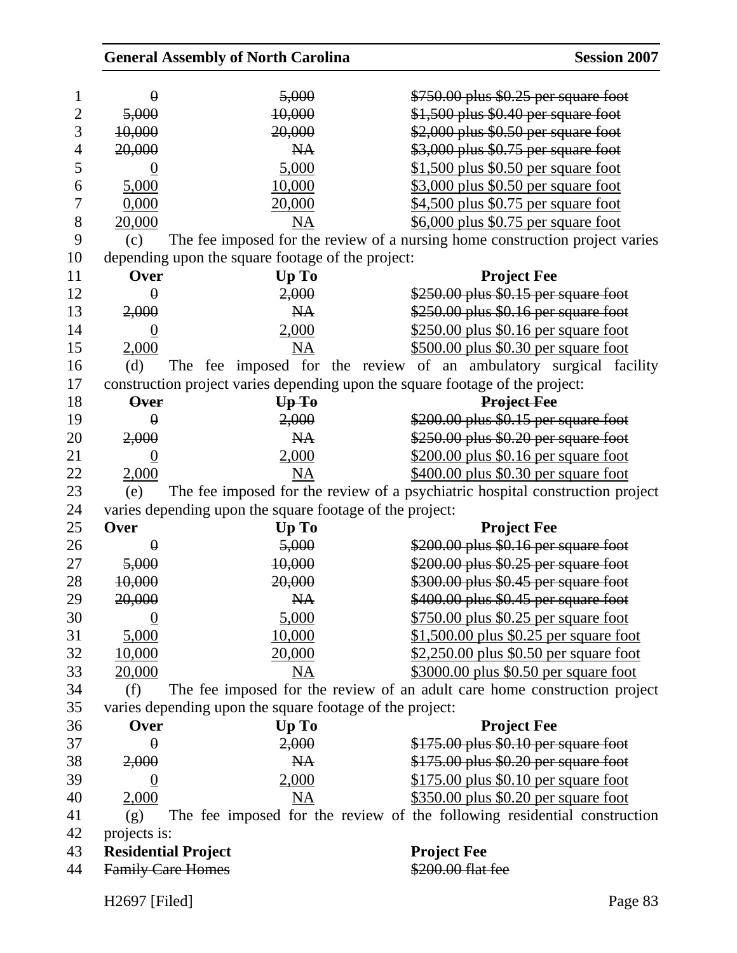| <b>General Assembly of North Carolina</b>                |           | <b>Session 2007</b>                                                           |
|----------------------------------------------------------|-----------|-------------------------------------------------------------------------------|
| $\theta$                                                 | 5,000     | \$750.00 plus \$0.25 per square foot                                          |
| 5,000                                                    | 10,000    | \$1,500 plus \$0.40 per square foot                                           |
| 10,000                                                   | 20,000    | \$2,000 plus \$0.50 per square foot                                           |
| 20,000                                                   | <b>NA</b> | \$3,000 plus \$0.75 per square foot                                           |
| 0                                                        | 5,000     | \$1,500 plus \$0.50 per square foot                                           |
| 5,000                                                    | 10,000    | $$3,000$ plus \$0.50 per square foot                                          |
| 0,000                                                    | 20,000    | \$4,500 plus \$0.75 per square foot                                           |
| 20,000                                                   | NA        | \$6,000 plus \$0.75 per square foot                                           |
| (c)                                                      |           | The fee imposed for the review of a nursing home construction project varies  |
| depending upon the square footage of the project:        |           |                                                                               |
| Over                                                     | Up To     | <b>Project Fee</b>                                                            |
| $\theta$                                                 | 2,000     | \$250.00 plus \$0.15 per square foot                                          |
| 2,000                                                    | <b>NA</b> | \$250.00 plus \$0.16 per square foot                                          |
| $\underline{0}$                                          | 2,000     | \$250.00 plus \$0.16 per square foot                                          |
| 2,000                                                    | <b>NA</b> | \$500.00 plus \$0.30 per square foot                                          |
| (d)                                                      |           | The fee imposed for the review of an ambulatory surgical facility             |
|                                                          |           | construction project varies depending upon the square footage of the project: |
| <b>Over</b>                                              | UpTo      | <b>Project Fee</b>                                                            |
| $\theta$                                                 | 2,000     | $$200.00$ plus $$0.15$ per square foot                                        |
| 2,000                                                    | <b>NA</b> | \$250.00 plus \$0.20 per square foot                                          |
| $\overline{0}$                                           | 2,000     | \$200.00 plus \$0.16 per square foot                                          |
| 2,000                                                    | <b>NA</b> | \$400.00 plus \$0.30 per square foot                                          |
| (e)                                                      |           | The fee imposed for the review of a psychiatric hospital construction project |
| varies depending upon the square footage of the project: |           |                                                                               |
| Over                                                     | Up To     | <b>Project Fee</b>                                                            |
| $\theta$                                                 | 5,000     | \$200.00 plus \$0.16 per square foot                                          |
| 5,000                                                    | 10,000    | \$200.00 plus \$0.25 per square foot                                          |
| 10,000                                                   | 20,000    | \$300.00 plus \$0.45 per square foot                                          |
| 20,000                                                   | <b>NA</b> | \$400.00 plus \$0.45 per square foot                                          |
| $\boldsymbol{0}$                                         | 5,000     | $$750.00$ plus \$0.25 per square foot                                         |
|                                                          |           |                                                                               |
| 5,000                                                    | 10,000    | \$1,500.00 plus \$0.25 per square foot                                        |
| 10,000                                                   | 20,000    | \$2,250.00 plus \$0.50 per square foot                                        |
| 20,000                                                   | <b>NA</b> | \$3000.00 plus \$0.50 per square foot                                         |
| (f)                                                      |           | The fee imposed for the review of an adult care home construction project     |
| varies depending upon the square footage of the project: |           |                                                                               |
| Over                                                     | Up To     | <b>Project Fee</b>                                                            |
| $\theta$                                                 | 2,000     | \$175.00 plus \$0.10 per square foot                                          |
| 2,000                                                    | <b>NA</b> | \$175.00 plus \$0.20 per square foot                                          |
| $\boldsymbol{0}$                                         | 2,000     | $$175.00$ plus \$0.10 per square foot                                         |
| 2,000                                                    | <b>NA</b> | \$350.00 plus \$0.20 per square foot                                          |
| (g)                                                      |           | The fee imposed for the review of the following residential construction      |
| projects is:                                             |           |                                                                               |
| <b>Residential Project</b>                               |           | <b>Project Fee</b>                                                            |
| <b>Family Care Homes</b>                                 |           | \$200.00 flat fee                                                             |
| H2697 [Filed]                                            |           | Page 83                                                                       |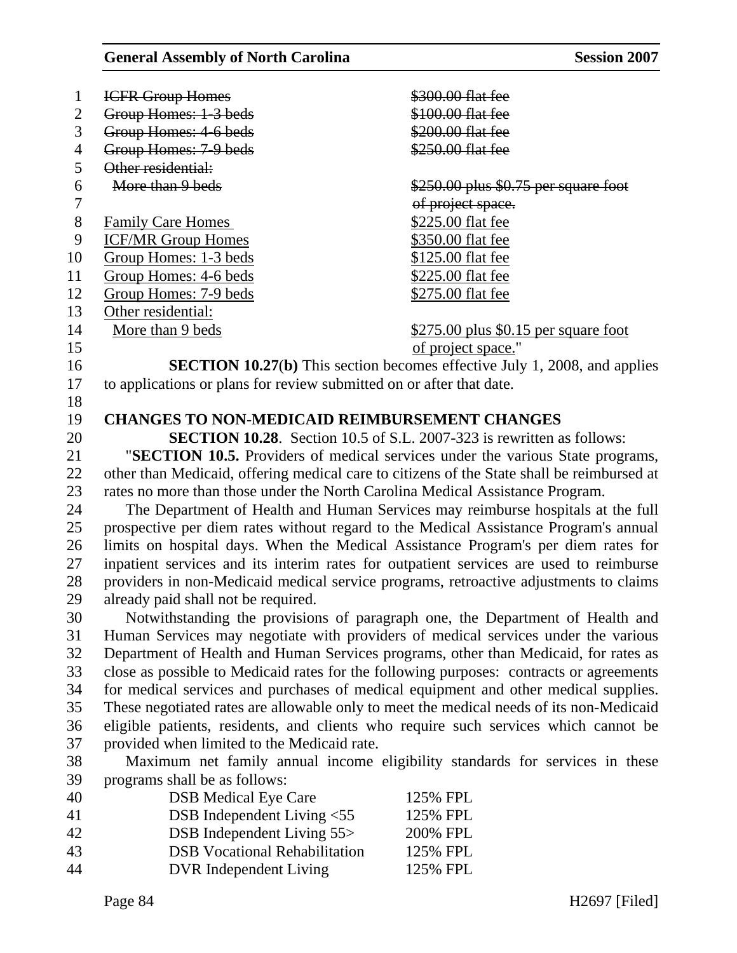| $\mathbf{1}$   | <b>ICFR Group Homes</b>                                                                    | \$300.00 flat fee                                                                |  |  |
|----------------|--------------------------------------------------------------------------------------------|----------------------------------------------------------------------------------|--|--|
| $\overline{2}$ | Group Homes: 1-3 beds                                                                      | \$100.00 flat fee                                                                |  |  |
| 3              | Group Homes: 4-6 beds                                                                      | \$200.00 flat fee                                                                |  |  |
| $\overline{4}$ | Group Homes: 7-9 beds                                                                      | \$250.00 flat fee                                                                |  |  |
| 5              | Other residential:                                                                         |                                                                                  |  |  |
| 6              | More than 9 beds                                                                           | $$250.00$ plus $$0.75$ per square foot                                           |  |  |
| 7              |                                                                                            | of project space.                                                                |  |  |
| $8\,$          | <b>Family Care Homes</b>                                                                   | \$225.00 flat fee                                                                |  |  |
| 9              | <b>ICF/MR Group Homes</b>                                                                  | \$350.00 flat fee                                                                |  |  |
| 10             | Group Homes: 1-3 beds                                                                      | \$125.00 flat fee                                                                |  |  |
| 11             | Group Homes: 4-6 beds                                                                      | \$225.00 flat fee                                                                |  |  |
| 12             | <b>Group Homes: 7-9 beds</b>                                                               | \$275.00 flat fee                                                                |  |  |
| 13             | Other residential:                                                                         |                                                                                  |  |  |
| 14             | More than 9 beds                                                                           | $$275.00$ plus \$0.15 per square foot                                            |  |  |
| 15             |                                                                                            | of project space."                                                               |  |  |
| 16             |                                                                                            | <b>SECTION 10.27(b)</b> This section becomes effective July 1, 2008, and applies |  |  |
| 17             | to applications or plans for review submitted on or after that date.                       |                                                                                  |  |  |
| 18             |                                                                                            |                                                                                  |  |  |
| 19             | <b>CHANGES TO NON-MEDICAID REIMBURSEMENT CHANGES</b>                                       |                                                                                  |  |  |
| 20             | <b>SECTION 10.28.</b> Section 10.5 of S.L. 2007-323 is rewritten as follows:               |                                                                                  |  |  |
| 21             | "SECTION 10.5. Providers of medical services under the various State programs,             |                                                                                  |  |  |
| 22             | other than Medicaid, offering medical care to citizens of the State shall be reimbursed at |                                                                                  |  |  |
| 23             | rates no more than those under the North Carolina Medical Assistance Program.              |                                                                                  |  |  |
| 24             | The Department of Health and Human Services may reimburse hospitals at the full            |                                                                                  |  |  |
| 25             | prospective per diem rates without regard to the Medical Assistance Program's annual       |                                                                                  |  |  |
| 26             | limits on hospital days. When the Medical Assistance Program's per diem rates for          |                                                                                  |  |  |
| 27             | inpatient services and its interim rates for outpatient services are used to reimburse     |                                                                                  |  |  |
| 28             | providers in non-Medicaid medical service programs, retroactive adjustments to claims      |                                                                                  |  |  |
| 29             | already paid shall not be required.                                                        |                                                                                  |  |  |
| 30             | Notwithstanding the provisions of paragraph one, the Department of Health and              |                                                                                  |  |  |
| 31             | Human Services may negotiate with providers of medical services under the various          |                                                                                  |  |  |
| 32             | Department of Health and Human Services programs, other than Medicaid, for rates as        |                                                                                  |  |  |
| 33             | close as possible to Medicaid rates for the following purposes: contracts or agreements    |                                                                                  |  |  |
| 34             | for medical services and purchases of medical equipment and other medical supplies.        |                                                                                  |  |  |
| 35             | These negotiated rates are allowable only to meet the medical needs of its non-Medicaid    |                                                                                  |  |  |
| 36             | eligible patients, residents, and clients who require such services which cannot be        |                                                                                  |  |  |
| 37             | provided when limited to the Medicaid rate.                                                |                                                                                  |  |  |
| 38             | Maximum net family annual income eligibility standards for services in these               |                                                                                  |  |  |
| 39             | programs shall be as follows:                                                              |                                                                                  |  |  |
| 40             | <b>DSB</b> Medical Eye Care                                                                | 125% FPL                                                                         |  |  |
| 41             | DSB Independent Living <55                                                                 | 125% FPL                                                                         |  |  |
| 42             | DSB Independent Living 55>                                                                 | 200% FPL                                                                         |  |  |
| 43             | <b>DSB</b> Vocational Rehabilitation                                                       | 125% FPL                                                                         |  |  |
| 44             | <b>DVR</b> Independent Living                                                              | 125% FPL                                                                         |  |  |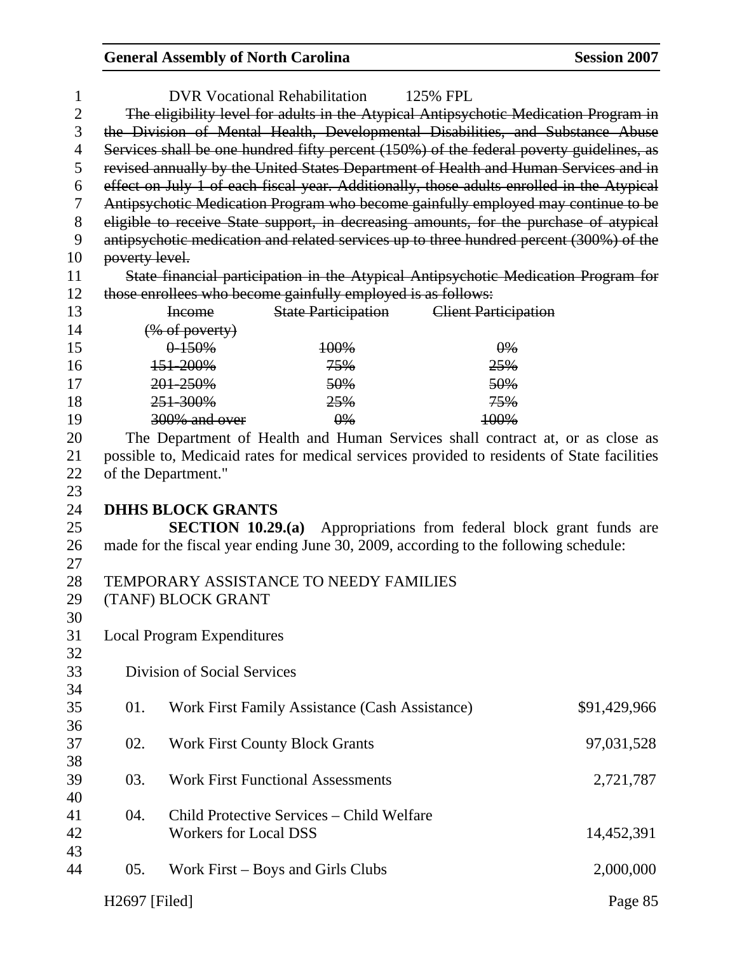| 1     |                                                                                      |                                   | <b>DVR Vocational Rehabilitation</b>                         | 125% FPL                                                                                   |              |
|-------|--------------------------------------------------------------------------------------|-----------------------------------|--------------------------------------------------------------|--------------------------------------------------------------------------------------------|--------------|
| 2     | The eligibility level for adults in the Atypical Antipsychotic Medication Program in |                                   |                                                              |                                                                                            |              |
| 3     | the Division of Mental Health, Developmental Disabilities, and Substance Abuse       |                                   |                                                              |                                                                                            |              |
| 4     |                                                                                      |                                   |                                                              | Services shall be one hundred fifty percent (150%) of the federal poverty guidelines, as   |              |
| 5     |                                                                                      |                                   |                                                              | revised annually by the United States Department of Health and Human Services and in       |              |
| 6     |                                                                                      |                                   |                                                              | effect on July 1 of each fiscal year. Additionally, those adults enrolled in the Atypical  |              |
| 7     |                                                                                      |                                   |                                                              | Antipsychotic Medication Program who become gainfully employed may continue to be          |              |
| $8\,$ |                                                                                      |                                   |                                                              | eligible to receive State support, in decreasing amounts, for the purchase of atypical     |              |
| 9     |                                                                                      |                                   |                                                              | antipsychotic medication and related services up to three hundred percent (300%) of the    |              |
| 10    | poverty level.                                                                       |                                   |                                                              |                                                                                            |              |
| 11    |                                                                                      |                                   |                                                              | State financial participation in the Atypical Antipsychotic Medication Program for         |              |
| 12    |                                                                                      |                                   | those enrollees who become gainfully employed is as follows: |                                                                                            |              |
| 13    |                                                                                      | <b>Income</b>                     |                                                              | <b>State Participation</b> Client Participation                                            |              |
| 14    |                                                                                      | $(\%$ of poverty)                 |                                                              |                                                                                            |              |
| 15    |                                                                                      | $0 - 150%$                        | 100%                                                         | $\theta\%$                                                                                 |              |
| 16    |                                                                                      | 151-200%                          | 75%                                                          | 25%                                                                                        |              |
| 17    |                                                                                      | 201-250%                          | 50%                                                          | 50%                                                                                        |              |
| 18    |                                                                                      | 251-300%                          | 25%                                                          | 75%                                                                                        |              |
| 19    |                                                                                      | 300% and over                     | $\theta\%$                                                   | 100%                                                                                       |              |
| 20    |                                                                                      |                                   |                                                              | The Department of Health and Human Services shall contract at, or as close as              |              |
| 21    |                                                                                      |                                   |                                                              | possible to, Medicaid rates for medical services provided to residents of State facilities |              |
| 22    |                                                                                      | of the Department."               |                                                              |                                                                                            |              |
| 23    |                                                                                      |                                   |                                                              |                                                                                            |              |
| 24    |                                                                                      | <b>DHHS BLOCK GRANTS</b>          |                                                              |                                                                                            |              |
| 25    |                                                                                      | SECTION $10.29(a)$                |                                                              | Appropriations from federal block grant funds are                                          |              |
| 26    |                                                                                      |                                   |                                                              | made for the fiscal year ending June 30, 2009, according to the following schedule:        |              |
| 27    |                                                                                      |                                   |                                                              |                                                                                            |              |
| 28    |                                                                                      |                                   |                                                              |                                                                                            |              |
| 29    | TEMPORARY ASSISTANCE TO NEEDY FAMILIES<br>(TANF) BLOCK GRANT                         |                                   |                                                              |                                                                                            |              |
| 30    |                                                                                      |                                   |                                                              |                                                                                            |              |
| 31    |                                                                                      | <b>Local Program Expenditures</b> |                                                              |                                                                                            |              |
| 32    |                                                                                      |                                   |                                                              |                                                                                            |              |
| 33    |                                                                                      | Division of Social Services       |                                                              |                                                                                            |              |
| 34    |                                                                                      |                                   |                                                              |                                                                                            |              |
| 35    | 01.                                                                                  |                                   | Work First Family Assistance (Cash Assistance)               |                                                                                            | \$91,429,966 |
| 36    |                                                                                      |                                   |                                                              |                                                                                            |              |
| 37    | 02.                                                                                  |                                   | <b>Work First County Block Grants</b>                        |                                                                                            | 97,031,528   |
| 38    |                                                                                      |                                   |                                                              |                                                                                            |              |
| 39    | 03.                                                                                  |                                   | <b>Work First Functional Assessments</b>                     |                                                                                            | 2,721,787    |
| 40    |                                                                                      |                                   |                                                              |                                                                                            |              |
| 41    | 04.                                                                                  |                                   | Child Protective Services – Child Welfare                    |                                                                                            |              |
| 42    |                                                                                      | <b>Workers for Local DSS</b>      |                                                              |                                                                                            |              |
| 43    |                                                                                      |                                   |                                                              |                                                                                            | 14,452,391   |
| 44    | 05.                                                                                  |                                   | Work First – Boys and Girls Clubs                            |                                                                                            | 2,000,000    |
|       |                                                                                      |                                   |                                                              |                                                                                            |              |
|       | H2697 [Filed]                                                                        |                                   |                                                              |                                                                                            | Page 85      |
|       |                                                                                      |                                   |                                                              |                                                                                            |              |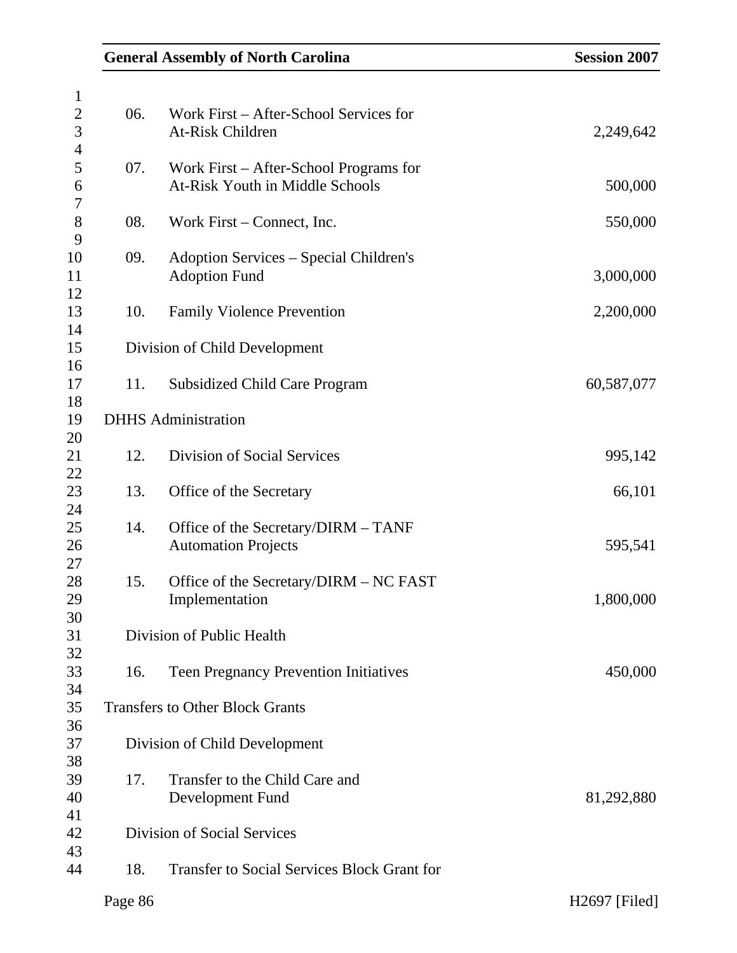|         | <b>General Assembly of North Carolina</b>          | <b>Session 2007</b> |
|---------|----------------------------------------------------|---------------------|
|         |                                                    |                     |
| 06.     | Work First - After-School Services for             |                     |
|         | <b>At-Risk Children</b>                            | 2,249,642           |
|         |                                                    |                     |
| 07.     | Work First – After-School Programs for             |                     |
|         | At-Risk Youth in Middle Schools                    | 500,000             |
|         |                                                    |                     |
| 08.     | Work First – Connect, Inc.                         | 550,000             |
| 09.     | Adoption Services – Special Children's             |                     |
|         | <b>Adoption Fund</b>                               | 3,000,000           |
|         |                                                    |                     |
| 10.     | <b>Family Violence Prevention</b>                  | 2,200,000           |
|         |                                                    |                     |
|         | Division of Child Development                      |                     |
|         |                                                    |                     |
| 11.     | <b>Subsidized Child Care Program</b>               | 60,587,077          |
|         |                                                    |                     |
|         | <b>DHHS</b> Administration                         |                     |
|         |                                                    |                     |
| 12.     | Division of Social Services                        | 995,142             |
|         |                                                    |                     |
| 13.     | Office of the Secretary                            | 66,101              |
| 14.     | Office of the Secretary/DIRM - TANF                |                     |
|         | <b>Automation Projects</b>                         | 595,541             |
|         |                                                    |                     |
| 15.     | Office of the Secretary/DIRM - NC FAST             |                     |
|         | Implementation                                     | 1,800,000           |
|         |                                                    |                     |
|         | Division of Public Health                          |                     |
|         |                                                    |                     |
| 16.     | <b>Teen Pregnancy Prevention Initiatives</b>       | 450,000             |
|         |                                                    |                     |
|         | <b>Transfers to Other Block Grants</b>             |                     |
|         |                                                    |                     |
|         | Division of Child Development                      |                     |
| 17.     | Transfer to the Child Care and                     |                     |
|         | Development Fund                                   | 81,292,880          |
|         |                                                    |                     |
|         | <b>Division of Social Services</b>                 |                     |
|         |                                                    |                     |
| 18.     | <b>Transfer to Social Services Block Grant for</b> |                     |
| Page 86 |                                                    | H2697 [Filed]       |
|         |                                                    |                     |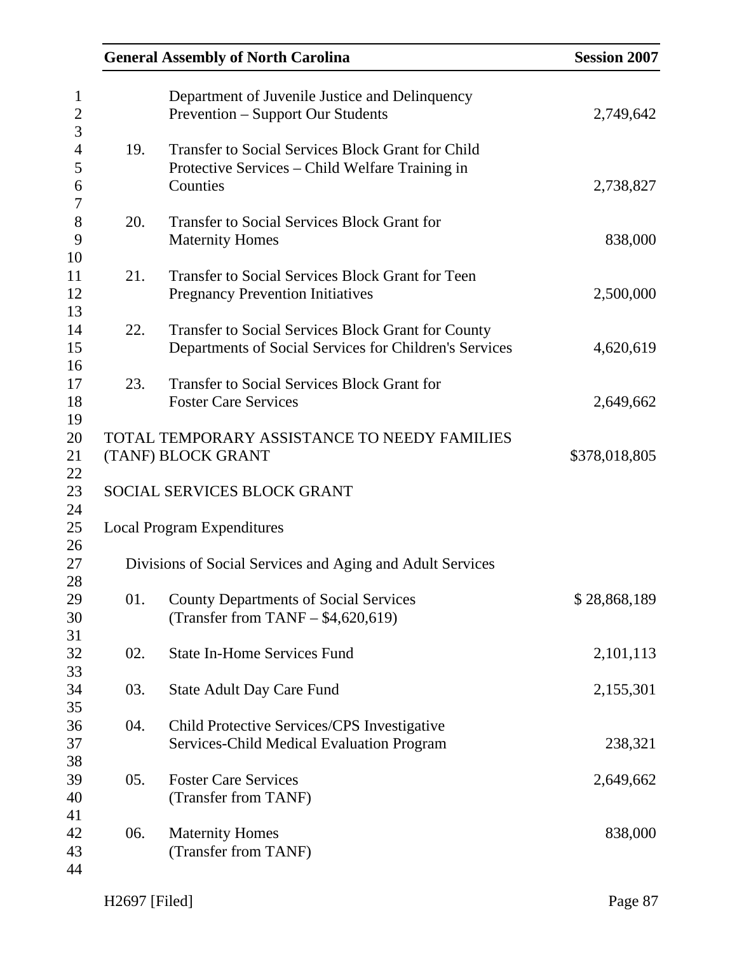|     | <b>General Assembly of North Carolina</b>                                                                               | <b>Session 2007</b> |
|-----|-------------------------------------------------------------------------------------------------------------------------|---------------------|
|     | Department of Juvenile Justice and Delinquency<br><b>Prevention – Support Our Students</b>                              | 2,749,642           |
| 19. | <b>Transfer to Social Services Block Grant for Child</b><br>Protective Services – Child Welfare Training in<br>Counties | 2,738,827           |
| 20. | <b>Transfer to Social Services Block Grant for</b><br><b>Maternity Homes</b>                                            | 838,000             |
| 21. | <b>Transfer to Social Services Block Grant for Teen</b><br><b>Pregnancy Prevention Initiatives</b>                      | 2,500,000           |
| 22. | Transfer to Social Services Block Grant for County<br>Departments of Social Services for Children's Services            | 4,620,619           |
| 23. | <b>Transfer to Social Services Block Grant for</b><br><b>Foster Care Services</b>                                       | 2,649,662           |
|     | TOTAL TEMPORARY ASSISTANCE TO NEEDY FAMILIES<br>(TANF) BLOCK GRANT                                                      | \$378,018,805       |
|     | SOCIAL SERVICES BLOCK GRANT                                                                                             |                     |
|     | <b>Local Program Expenditures</b>                                                                                       |                     |
|     | Divisions of Social Services and Aging and Adult Services                                                               |                     |
| 01. | <b>County Departments of Social Services</b><br>(Transfer from TANF $-$ \$4,620,619)                                    | \$28,868,189        |
| 02. | <b>State In-Home Services Fund</b>                                                                                      | 2,101,113           |
| 03. | <b>State Adult Day Care Fund</b>                                                                                        | 2,155,301           |
| 04. | Child Protective Services/CPS Investigative<br>Services-Child Medical Evaluation Program                                | 238,321             |
| 05. | <b>Foster Care Services</b><br>(Transfer from TANF)                                                                     | 2,649,662           |
| 06. | <b>Maternity Homes</b><br>(Transfer from TANF)                                                                          | 838,000             |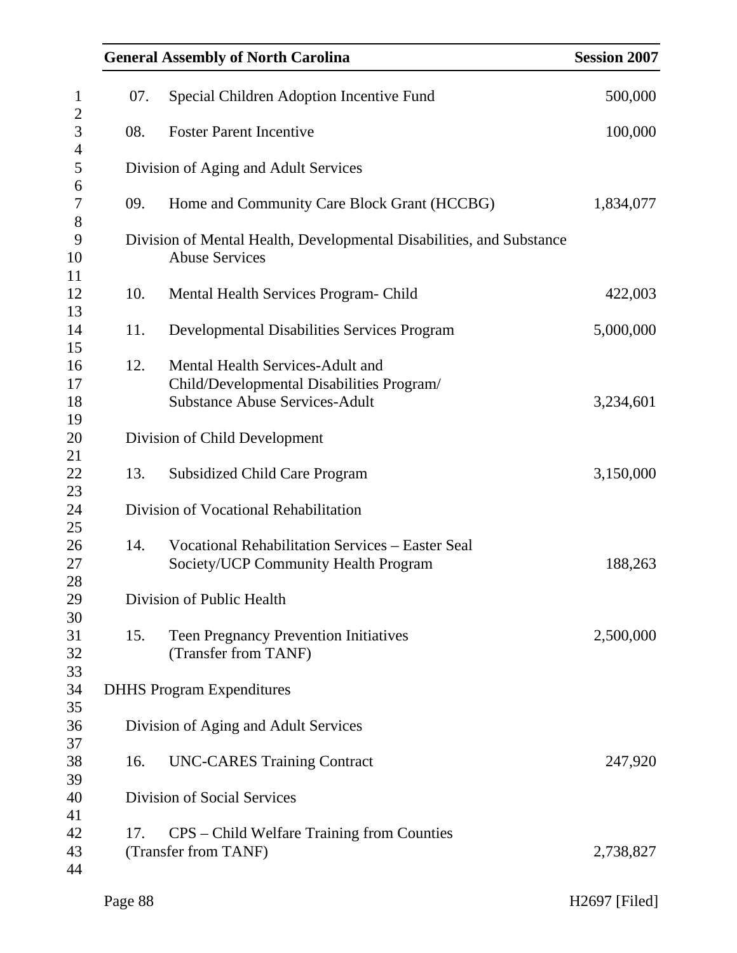|     | <b>General Assembly of North Carolina</b>                                                                              | <b>Session 2007</b> |
|-----|------------------------------------------------------------------------------------------------------------------------|---------------------|
| 07. | Special Children Adoption Incentive Fund                                                                               | 500,000             |
| 08. | <b>Foster Parent Incentive</b>                                                                                         | 100,000             |
|     | Division of Aging and Adult Services                                                                                   |                     |
| 09. | Home and Community Care Block Grant (HCCBG)                                                                            | 1,834,077           |
|     | Division of Mental Health, Developmental Disabilities, and Substance<br><b>Abuse Services</b>                          |                     |
| 10. | Mental Health Services Program- Child                                                                                  | 422,003             |
| 11. | <b>Developmental Disabilities Services Program</b>                                                                     | 5,000,000           |
| 12. | Mental Health Services-Adult and<br>Child/Developmental Disabilities Program/<br><b>Substance Abuse Services-Adult</b> | 3,234,601           |
|     | Division of Child Development                                                                                          |                     |
| 13. | <b>Subsidized Child Care Program</b>                                                                                   | 3,150,000           |
|     | Division of Vocational Rehabilitation                                                                                  |                     |
| 14. | <b>Vocational Rehabilitation Services – Easter Seal</b><br>Society/UCP Community Health Program                        | 188,263             |
|     | Division of Public Health                                                                                              |                     |
| 15. | <b>Teen Pregnancy Prevention Initiatives</b><br>(Transfer from TANF)                                                   | 2,500,000           |
|     | <b>DHHS Program Expenditures</b>                                                                                       |                     |
|     | Division of Aging and Adult Services                                                                                   |                     |
| 16. | <b>UNC-CARES Training Contract</b>                                                                                     | 247,920             |
|     | Division of Social Services                                                                                            |                     |
| 17. | CPS – Child Welfare Training from Counties<br>(Transfer from TANF)                                                     | 2,738,827           |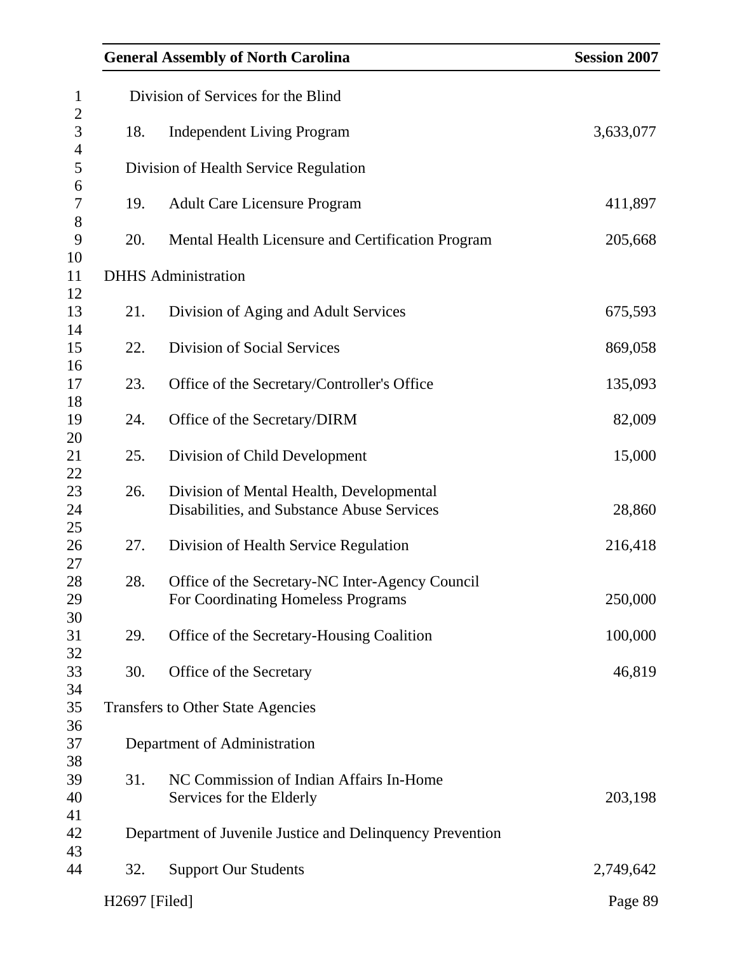| <b>General Assembly of North Carolina</b> | <b>Session 2007</b>                                                                    |           |
|-------------------------------------------|----------------------------------------------------------------------------------------|-----------|
|                                           | Division of Services for the Blind                                                     |           |
| 18.                                       | <b>Independent Living Program</b>                                                      | 3,633,077 |
|                                           | Division of Health Service Regulation                                                  |           |
| 19.                                       | <b>Adult Care Licensure Program</b>                                                    | 411,897   |
| 20.                                       | Mental Health Licensure and Certification Program                                      | 205,668   |
|                                           | <b>DHHS</b> Administration                                                             |           |
| 21.                                       | Division of Aging and Adult Services                                                   | 675,593   |
| 22.                                       | Division of Social Services                                                            | 869,058   |
| 23.                                       | Office of the Secretary/Controller's Office                                            | 135,093   |
| 24.                                       | Office of the Secretary/DIRM                                                           | 82,009    |
| 25.                                       | Division of Child Development                                                          | 15,000    |
| 26.                                       | Division of Mental Health, Developmental<br>Disabilities, and Substance Abuse Services | 28,860    |
| 27.                                       | Division of Health Service Regulation                                                  | 216,418   |
| 28.                                       | Office of the Secretary-NC Inter-Agency Council<br>For Coordinating Homeless Programs  | 250,000   |
| 29.                                       | Office of the Secretary-Housing Coalition                                              | 100,000   |
| 30.                                       | Office of the Secretary                                                                | 46,819    |
|                                           | <b>Transfers to Other State Agencies</b>                                               |           |
|                                           | Department of Administration                                                           |           |
| 31.                                       | NC Commission of Indian Affairs In-Home<br>Services for the Elderly                    | 203,198   |
|                                           | Department of Juvenile Justice and Delinquency Prevention                              |           |
| 32.                                       | <b>Support Our Students</b>                                                            | 2,749,642 |
| H2697 [Filed]                             |                                                                                        | Page 89   |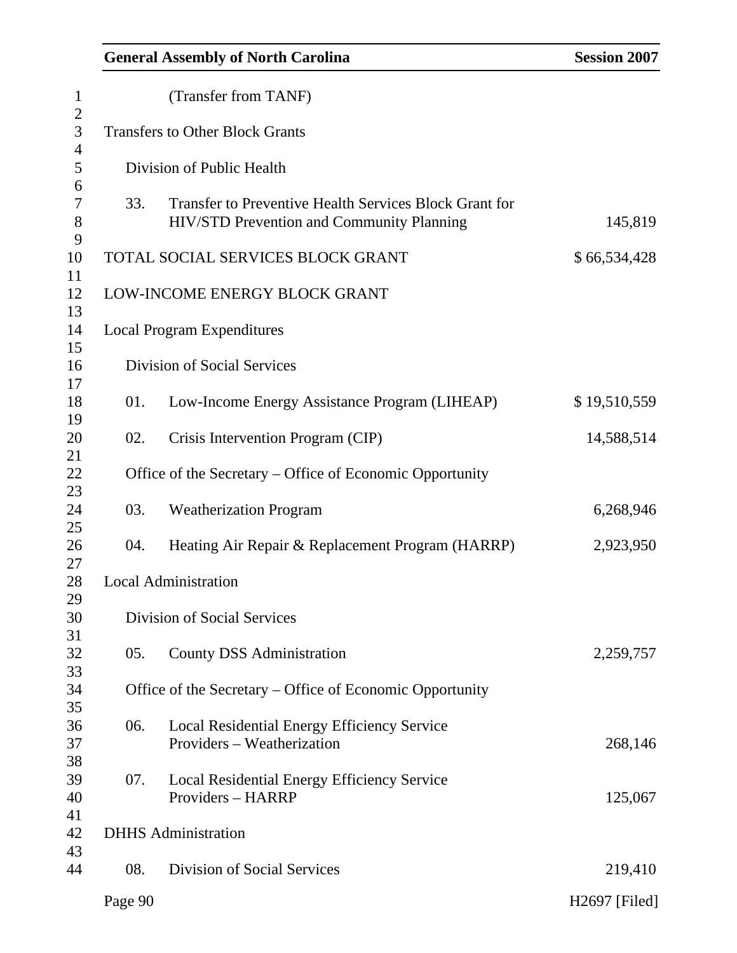| <b>General Assembly of North Carolina</b> | <b>Session 2007</b> |
|-------------------------------------------|---------------------|
|-------------------------------------------|---------------------|

| $\mathbf{1}$        |                                        | (Transfer from TANF)                                                                                |               |  |  |
|---------------------|----------------------------------------|-----------------------------------------------------------------------------------------------------|---------------|--|--|
| $\overline{2}$<br>3 | <b>Transfers to Other Block Grants</b> |                                                                                                     |               |  |  |
| $\overline{4}$<br>5 | Division of Public Health              |                                                                                                     |               |  |  |
| 6<br>7<br>8         | 33.                                    | Transfer to Preventive Health Services Block Grant for<br>HIV/STD Prevention and Community Planning | 145,819       |  |  |
| 9<br>10             |                                        | TOTAL SOCIAL SERVICES BLOCK GRANT                                                                   | \$66,534,428  |  |  |
| 11<br>12<br>13      |                                        | LOW-INCOME ENERGY BLOCK GRANT                                                                       |               |  |  |
| 14<br>15            |                                        | <b>Local Program Expenditures</b>                                                                   |               |  |  |
| 16<br>17            |                                        | <b>Division of Social Services</b>                                                                  |               |  |  |
| 18<br>19            | 01.                                    | Low-Income Energy Assistance Program (LIHEAP)                                                       | \$19,510,559  |  |  |
| 20<br>21            | 02.                                    | Crisis Intervention Program (CIP)                                                                   | 14,588,514    |  |  |
| 22<br>23            |                                        | Office of the Secretary – Office of Economic Opportunity                                            |               |  |  |
| 24<br>25            | 03.                                    | <b>Weatherization Program</b>                                                                       | 6,268,946     |  |  |
| 26<br>27            | 04.                                    | Heating Air Repair & Replacement Program (HARRP)                                                    | 2,923,950     |  |  |
| 28<br>29            |                                        | <b>Local Administration</b>                                                                         |               |  |  |
| 30<br>31            |                                        | Division of Social Services                                                                         |               |  |  |
| 32<br>33            | 05.                                    | <b>County DSS Administration</b>                                                                    | 2,259,757     |  |  |
| 34<br>35            |                                        | Office of the Secretary – Office of Economic Opportunity                                            |               |  |  |
| 36<br>37<br>38      | 06.                                    | Local Residential Energy Efficiency Service<br>Providers - Weatherization                           | 268,146       |  |  |
| 39<br>40            | 07.                                    | Local Residential Energy Efficiency Service<br>Providers - HARRP                                    | 125,067       |  |  |
| 41<br>42<br>43      |                                        | <b>DHHS</b> Administration                                                                          |               |  |  |
| 44                  | 08.                                    | <b>Division of Social Services</b>                                                                  | 219,410       |  |  |
|                     | Page 90                                |                                                                                                     | H2697 [Filed] |  |  |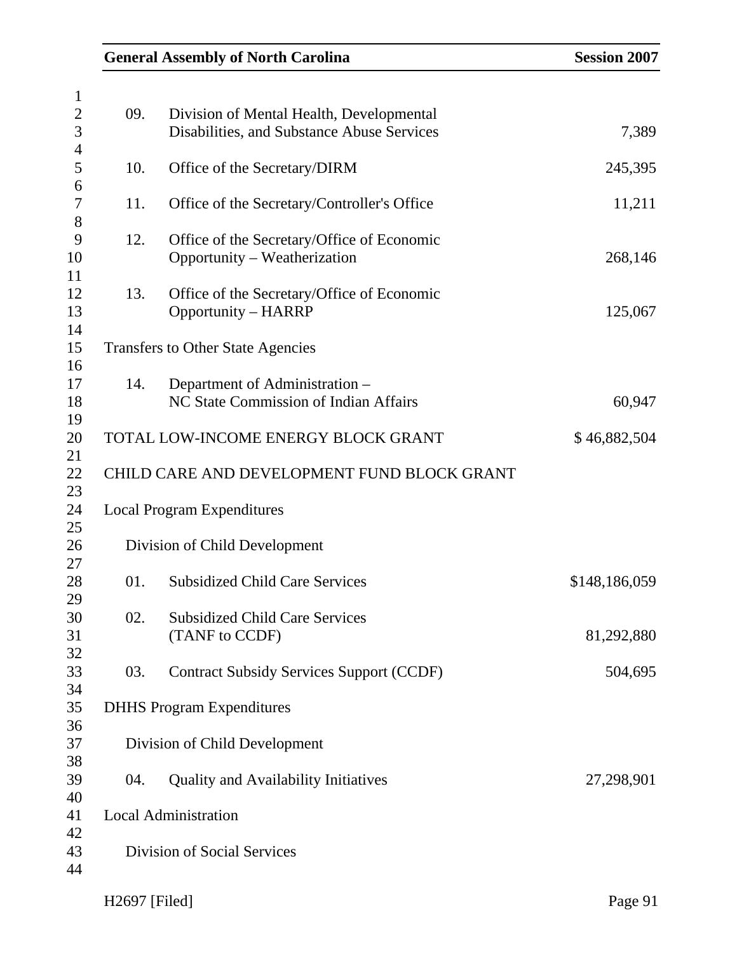| <b>General Assembly of North Carolina</b> | <b>Session 2007</b>                                                                    |               |
|-------------------------------------------|----------------------------------------------------------------------------------------|---------------|
|                                           |                                                                                        |               |
| 09.                                       | Division of Mental Health, Developmental<br>Disabilities, and Substance Abuse Services | 7,389         |
|                                           |                                                                                        |               |
| 10.                                       | Office of the Secretary/DIRM                                                           | 245,395       |
| 11.                                       | Office of the Secretary/Controller's Office                                            | 11,211        |
| 12.                                       | Office of the Secretary/Office of Economic<br>Opportunity – Weatherization             | 268,146       |
| 13.                                       | Office of the Secretary/Office of Economic<br><b>Opportunity – HARRP</b>               | 125,067       |
|                                           | <b>Transfers to Other State Agencies</b>                                               |               |
| 14.                                       | Department of Administration -                                                         |               |
|                                           | NC State Commission of Indian Affairs                                                  | 60,947        |
|                                           | TOTAL LOW-INCOME ENERGY BLOCK GRANT                                                    | \$46,882,504  |
|                                           | CHILD CARE AND DEVELOPMENT FUND BLOCK GRANT                                            |               |
|                                           | <b>Local Program Expenditures</b>                                                      |               |
|                                           | Division of Child Development                                                          |               |
| 01.                                       | <b>Subsidized Child Care Services</b>                                                  | \$148,186,059 |
| 02.                                       | <b>Subsidized Child Care Services</b>                                                  |               |
|                                           | (TANF to CCDF)                                                                         | 81,292,880    |
| 03.                                       | <b>Contract Subsidy Services Support (CCDF)</b>                                        | 504,695       |
|                                           | <b>DHHS Program Expenditures</b>                                                       |               |
|                                           | Division of Child Development                                                          |               |
| 04.                                       | <b>Quality and Availability Initiatives</b>                                            | 27,298,901    |
|                                           | <b>Local Administration</b>                                                            |               |
|                                           | Division of Social Services                                                            |               |
|                                           |                                                                                        |               |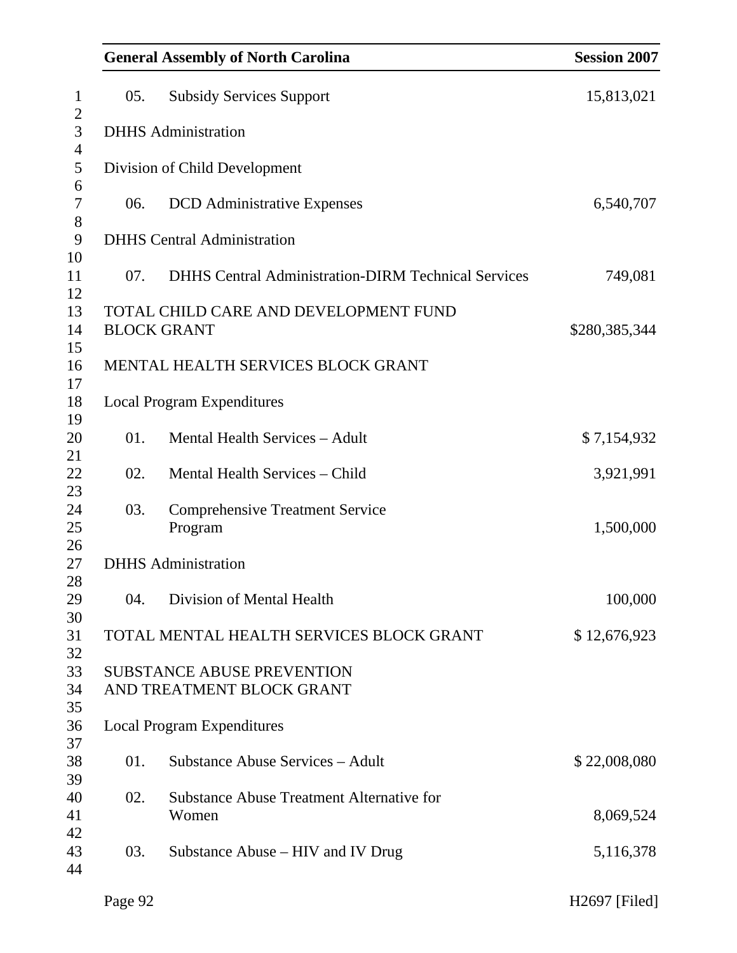| <b>General Assembly of North Carolina</b> | <b>Session 2007</b>                                            |               |
|-------------------------------------------|----------------------------------------------------------------|---------------|
| 05.                                       | <b>Subsidy Services Support</b>                                | 15,813,021    |
|                                           | <b>DHHS</b> Administration                                     |               |
|                                           | Division of Child Development                                  |               |
| 06.                                       | <b>DCD</b> Administrative Expenses                             | 6,540,707     |
|                                           | <b>DHHS</b> Central Administration                             |               |
| 07.                                       | <b>DHHS Central Administration-DIRM Technical Services</b>     | 749,081       |
|                                           | TOTAL CHILD CARE AND DEVELOPMENT FUND                          |               |
|                                           | <b>BLOCK GRANT</b>                                             | \$280,385,344 |
|                                           | MENTAL HEALTH SERVICES BLOCK GRANT                             |               |
|                                           | <b>Local Program Expenditures</b>                              |               |
| 01.                                       | Mental Health Services - Adult                                 | \$7,154,932   |
| 02.                                       | Mental Health Services – Child                                 | 3,921,991     |
| 03.                                       | <b>Comprehensive Treatment Service</b><br>Program              | 1,500,000     |
|                                           | <b>DHHS</b> Administration                                     |               |
| 04.                                       | Division of Mental Health                                      | 100,000       |
|                                           | TOTAL MENTAL HEALTH SERVICES BLOCK GRANT                       | \$12,676,923  |
|                                           | <b>SUBSTANCE ABUSE PREVENTION</b><br>AND TREATMENT BLOCK GRANT |               |
|                                           | <b>Local Program Expenditures</b>                              |               |
| 01.                                       | <b>Substance Abuse Services - Adult</b>                        | \$22,008,080  |
| 02.                                       | <b>Substance Abuse Treatment Alternative for</b><br>Women      | 8,069,524     |
| 03.                                       | Substance Abuse – HIV and IV Drug                              | 5,116,378     |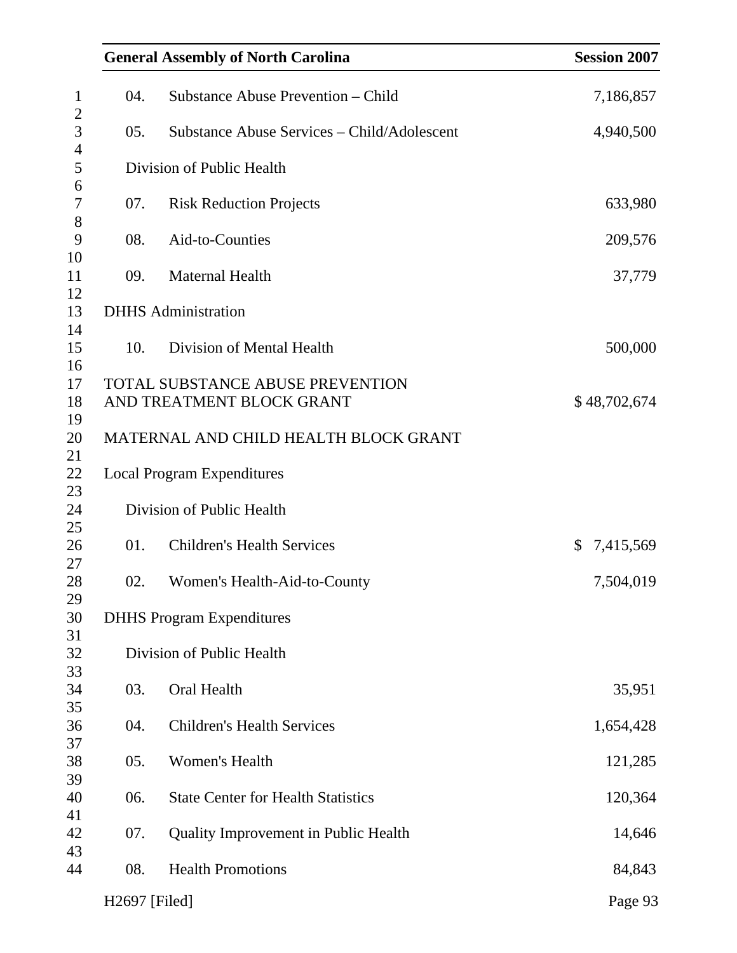|                                           | <b>General Assembly of North Carolina</b>                            | <b>Session 2007</b>       |  |
|-------------------------------------------|----------------------------------------------------------------------|---------------------------|--|
| Substance Abuse Prevention - Child<br>04. |                                                                      | 7,186,857                 |  |
| 05.                                       | Substance Abuse Services – Child/Adolescent                          | 4,940,500                 |  |
|                                           | Division of Public Health                                            |                           |  |
| 07.                                       | <b>Risk Reduction Projects</b>                                       | 633,980                   |  |
| 08.                                       | Aid-to-Counties                                                      | 209,576                   |  |
| 09.                                       | <b>Maternal Health</b>                                               | 37,779                    |  |
|                                           | <b>DHHS</b> Administration                                           |                           |  |
| 10.                                       | Division of Mental Health                                            | 500,000                   |  |
|                                           | <b>TOTAL SUBSTANCE ABUSE PREVENTION</b><br>AND TREATMENT BLOCK GRANT | \$48,702,674              |  |
| MATERNAL AND CHILD HEALTH BLOCK GRANT     |                                                                      |                           |  |
|                                           | <b>Local Program Expenditures</b>                                    |                           |  |
|                                           | Division of Public Health                                            |                           |  |
| 01.                                       | <b>Children's Health Services</b>                                    | 7,415,569<br>$\mathbb{S}$ |  |
| 02.                                       | Women's Health-Aid-to-County                                         | 7,504,019                 |  |
|                                           | <b>DHHS Program Expenditures</b>                                     |                           |  |
|                                           | Division of Public Health                                            |                           |  |
| 03.                                       | Oral Health                                                          | 35,951                    |  |
| 04.                                       | <b>Children's Health Services</b>                                    | 1,654,428                 |  |
| 05.                                       | Women's Health                                                       | 121,285                   |  |
| 06.                                       | <b>State Center for Health Statistics</b>                            | 120,364                   |  |
| 07.                                       | Quality Improvement in Public Health                                 | 14,646                    |  |
| 08.                                       | <b>Health Promotions</b>                                             | 84,843                    |  |
| H2697 [Filed]                             |                                                                      | Page 93                   |  |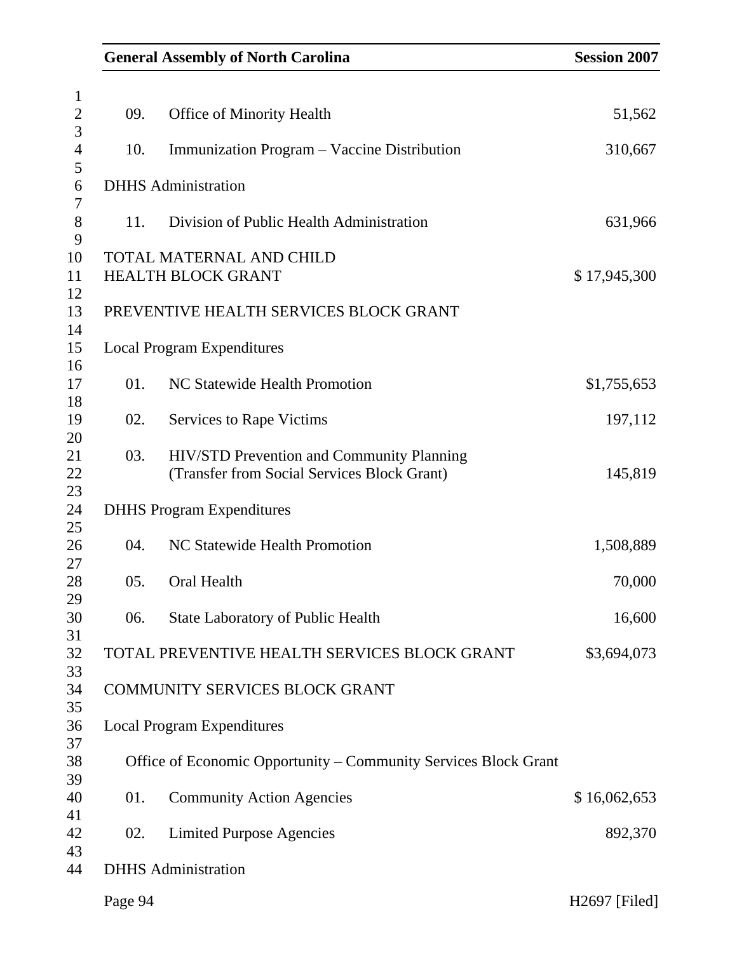| <b>General Assembly of North Carolina</b> | <b>Session 2007</b>                                                                      |               |
|-------------------------------------------|------------------------------------------------------------------------------------------|---------------|
|                                           |                                                                                          |               |
| 09.                                       | <b>Office of Minority Health</b>                                                         | 51,562        |
| 10.                                       | Immunization Program - Vaccine Distribution                                              | 310,667       |
|                                           | <b>DHHS</b> Administration                                                               |               |
| 11.                                       | Division of Public Health Administration                                                 | 631,966       |
|                                           | <b>TOTAL MATERNAL AND CHILD</b>                                                          |               |
|                                           | <b>HEALTH BLOCK GRANT</b>                                                                | \$17,945,300  |
|                                           | PREVENTIVE HEALTH SERVICES BLOCK GRANT                                                   |               |
|                                           | <b>Local Program Expenditures</b>                                                        |               |
| 01.                                       | NC Statewide Health Promotion                                                            | \$1,755,653   |
| 02.                                       | <b>Services to Rape Victims</b>                                                          | 197,112       |
| 03.                                       | HIV/STD Prevention and Community Planning<br>(Transfer from Social Services Block Grant) | 145,819       |
|                                           | <b>DHHS Program Expenditures</b>                                                         |               |
| 04.                                       | NC Statewide Health Promotion                                                            | 1,508,889     |
| 05.                                       | Oral Health                                                                              | 70,000        |
| 06.                                       | <b>State Laboratory of Public Health</b>                                                 | 16,600        |
|                                           | TOTAL PREVENTIVE HEALTH SERVICES BLOCK GRANT                                             | \$3,694,073   |
|                                           | COMMUNITY SERVICES BLOCK GRANT                                                           |               |
|                                           | <b>Local Program Expenditures</b>                                                        |               |
|                                           | Office of Economic Opportunity – Community Services Block Grant                          |               |
| 01.                                       | <b>Community Action Agencies</b>                                                         | \$16,062,653  |
| 02.                                       | <b>Limited Purpose Agencies</b>                                                          | 892,370       |
|                                           | <b>DHHS</b> Administration                                                               |               |
| Page 94                                   |                                                                                          | H2697 [Filed] |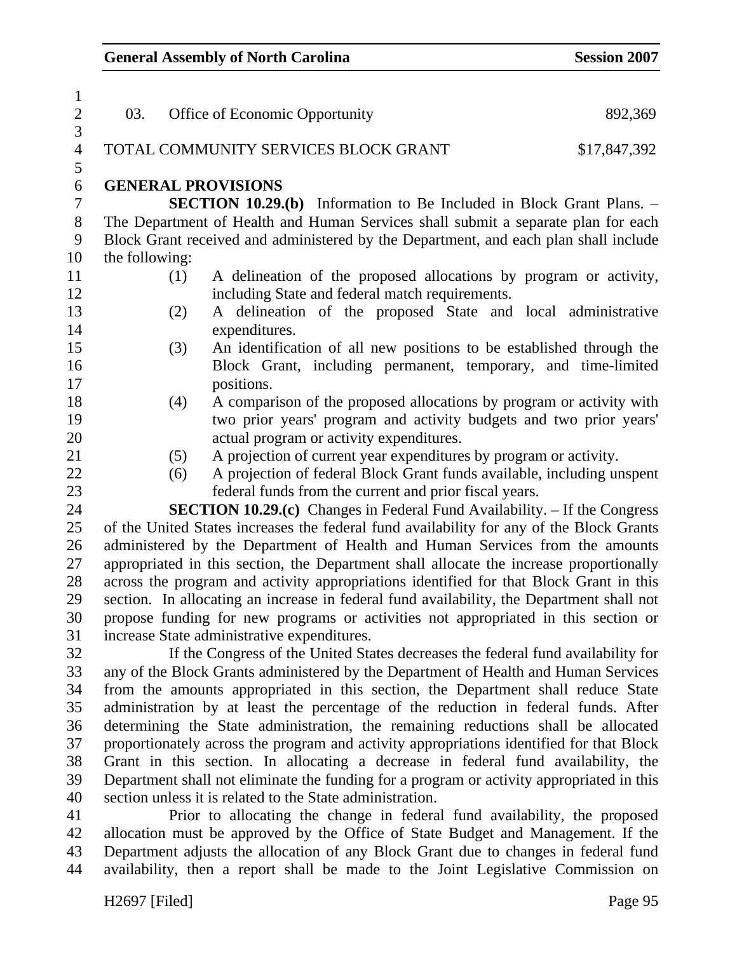| $\sqrt{2}$<br>03.<br>Office of Economic Opportunity<br>892,369<br>3<br>$\overline{4}$<br>TOTAL COMMUNITY SERVICES BLOCK GRANT<br>\$17,847,392<br>5<br>$\boldsymbol{6}$<br><b>GENERAL PROVISIONS</b><br>$\tau$<br><b>SECTION 10.29.(b)</b> Information to Be Included in Block Grant Plans. –<br>$8\,$<br>The Department of Health and Human Services shall submit a separate plan for each<br>9<br>Block Grant received and administered by the Department, and each plan shall include<br>10<br>the following:<br>11<br>A delineation of the proposed allocations by program or activity,<br>(1)<br>12<br>including State and federal match requirements.<br>13<br>A delineation of the proposed State and local administrative<br>(2)<br>14<br>expenditures.<br>15<br>An identification of all new positions to be established through the<br>(3)<br>16<br>Block Grant, including permanent, temporary, and time-limited<br>17<br>positions.<br>18<br>A comparison of the proposed allocations by program or activity with<br>(4)<br>two prior years' program and activity budgets and two prior years'<br>19<br>20<br>actual program or activity expenditures.<br>21<br>A projection of current year expenditures by program or activity.<br>(5)<br>22<br>A projection of federal Block Grant funds available, including unspent<br>(6)<br>23<br>federal funds from the current and prior fiscal years.<br>24<br><b>SECTION 10.29.(c)</b> Changes in Federal Fund Availability. – If the Congress<br>25<br>of the United States increases the federal fund availability for any of the Block Grants<br>$26\,$<br>administered by the Department of Health and Human Services from the amounts<br>27<br>appropriated in this section, the Department shall allocate the increase proportionally<br>28<br>across the program and activity appropriations identified for that Block Grant in this<br>29<br>section. In allocating an increase in federal fund availability, the Department shall not<br>30<br>propose funding for new programs or activities not appropriated in this section or<br>31<br>increase State administrative expenditures. | $\mathbf{1}$ |  |  |
|-------------------------------------------------------------------------------------------------------------------------------------------------------------------------------------------------------------------------------------------------------------------------------------------------------------------------------------------------------------------------------------------------------------------------------------------------------------------------------------------------------------------------------------------------------------------------------------------------------------------------------------------------------------------------------------------------------------------------------------------------------------------------------------------------------------------------------------------------------------------------------------------------------------------------------------------------------------------------------------------------------------------------------------------------------------------------------------------------------------------------------------------------------------------------------------------------------------------------------------------------------------------------------------------------------------------------------------------------------------------------------------------------------------------------------------------------------------------------------------------------------------------------------------------------------------------------------------------------------------------------------------------------------------------------------------------------------------------------------------------------------------------------------------------------------------------------------------------------------------------------------------------------------------------------------------------------------------------------------------------------------------------------------------------------------------------------------------------------------------------------------------------------------|--------------|--|--|
|                                                                                                                                                                                                                                                                                                                                                                                                                                                                                                                                                                                                                                                                                                                                                                                                                                                                                                                                                                                                                                                                                                                                                                                                                                                                                                                                                                                                                                                                                                                                                                                                                                                                                                                                                                                                                                                                                                                                                                                                                                                                                                                                                       |              |  |  |
|                                                                                                                                                                                                                                                                                                                                                                                                                                                                                                                                                                                                                                                                                                                                                                                                                                                                                                                                                                                                                                                                                                                                                                                                                                                                                                                                                                                                                                                                                                                                                                                                                                                                                                                                                                                                                                                                                                                                                                                                                                                                                                                                                       |              |  |  |
|                                                                                                                                                                                                                                                                                                                                                                                                                                                                                                                                                                                                                                                                                                                                                                                                                                                                                                                                                                                                                                                                                                                                                                                                                                                                                                                                                                                                                                                                                                                                                                                                                                                                                                                                                                                                                                                                                                                                                                                                                                                                                                                                                       |              |  |  |
|                                                                                                                                                                                                                                                                                                                                                                                                                                                                                                                                                                                                                                                                                                                                                                                                                                                                                                                                                                                                                                                                                                                                                                                                                                                                                                                                                                                                                                                                                                                                                                                                                                                                                                                                                                                                                                                                                                                                                                                                                                                                                                                                                       |              |  |  |
|                                                                                                                                                                                                                                                                                                                                                                                                                                                                                                                                                                                                                                                                                                                                                                                                                                                                                                                                                                                                                                                                                                                                                                                                                                                                                                                                                                                                                                                                                                                                                                                                                                                                                                                                                                                                                                                                                                                                                                                                                                                                                                                                                       |              |  |  |
|                                                                                                                                                                                                                                                                                                                                                                                                                                                                                                                                                                                                                                                                                                                                                                                                                                                                                                                                                                                                                                                                                                                                                                                                                                                                                                                                                                                                                                                                                                                                                                                                                                                                                                                                                                                                                                                                                                                                                                                                                                                                                                                                                       |              |  |  |
|                                                                                                                                                                                                                                                                                                                                                                                                                                                                                                                                                                                                                                                                                                                                                                                                                                                                                                                                                                                                                                                                                                                                                                                                                                                                                                                                                                                                                                                                                                                                                                                                                                                                                                                                                                                                                                                                                                                                                                                                                                                                                                                                                       |              |  |  |
|                                                                                                                                                                                                                                                                                                                                                                                                                                                                                                                                                                                                                                                                                                                                                                                                                                                                                                                                                                                                                                                                                                                                                                                                                                                                                                                                                                                                                                                                                                                                                                                                                                                                                                                                                                                                                                                                                                                                                                                                                                                                                                                                                       |              |  |  |
|                                                                                                                                                                                                                                                                                                                                                                                                                                                                                                                                                                                                                                                                                                                                                                                                                                                                                                                                                                                                                                                                                                                                                                                                                                                                                                                                                                                                                                                                                                                                                                                                                                                                                                                                                                                                                                                                                                                                                                                                                                                                                                                                                       |              |  |  |
|                                                                                                                                                                                                                                                                                                                                                                                                                                                                                                                                                                                                                                                                                                                                                                                                                                                                                                                                                                                                                                                                                                                                                                                                                                                                                                                                                                                                                                                                                                                                                                                                                                                                                                                                                                                                                                                                                                                                                                                                                                                                                                                                                       |              |  |  |
|                                                                                                                                                                                                                                                                                                                                                                                                                                                                                                                                                                                                                                                                                                                                                                                                                                                                                                                                                                                                                                                                                                                                                                                                                                                                                                                                                                                                                                                                                                                                                                                                                                                                                                                                                                                                                                                                                                                                                                                                                                                                                                                                                       |              |  |  |
|                                                                                                                                                                                                                                                                                                                                                                                                                                                                                                                                                                                                                                                                                                                                                                                                                                                                                                                                                                                                                                                                                                                                                                                                                                                                                                                                                                                                                                                                                                                                                                                                                                                                                                                                                                                                                                                                                                                                                                                                                                                                                                                                                       |              |  |  |
|                                                                                                                                                                                                                                                                                                                                                                                                                                                                                                                                                                                                                                                                                                                                                                                                                                                                                                                                                                                                                                                                                                                                                                                                                                                                                                                                                                                                                                                                                                                                                                                                                                                                                                                                                                                                                                                                                                                                                                                                                                                                                                                                                       |              |  |  |
|                                                                                                                                                                                                                                                                                                                                                                                                                                                                                                                                                                                                                                                                                                                                                                                                                                                                                                                                                                                                                                                                                                                                                                                                                                                                                                                                                                                                                                                                                                                                                                                                                                                                                                                                                                                                                                                                                                                                                                                                                                                                                                                                                       |              |  |  |
|                                                                                                                                                                                                                                                                                                                                                                                                                                                                                                                                                                                                                                                                                                                                                                                                                                                                                                                                                                                                                                                                                                                                                                                                                                                                                                                                                                                                                                                                                                                                                                                                                                                                                                                                                                                                                                                                                                                                                                                                                                                                                                                                                       |              |  |  |
|                                                                                                                                                                                                                                                                                                                                                                                                                                                                                                                                                                                                                                                                                                                                                                                                                                                                                                                                                                                                                                                                                                                                                                                                                                                                                                                                                                                                                                                                                                                                                                                                                                                                                                                                                                                                                                                                                                                                                                                                                                                                                                                                                       |              |  |  |
|                                                                                                                                                                                                                                                                                                                                                                                                                                                                                                                                                                                                                                                                                                                                                                                                                                                                                                                                                                                                                                                                                                                                                                                                                                                                                                                                                                                                                                                                                                                                                                                                                                                                                                                                                                                                                                                                                                                                                                                                                                                                                                                                                       |              |  |  |
|                                                                                                                                                                                                                                                                                                                                                                                                                                                                                                                                                                                                                                                                                                                                                                                                                                                                                                                                                                                                                                                                                                                                                                                                                                                                                                                                                                                                                                                                                                                                                                                                                                                                                                                                                                                                                                                                                                                                                                                                                                                                                                                                                       |              |  |  |
|                                                                                                                                                                                                                                                                                                                                                                                                                                                                                                                                                                                                                                                                                                                                                                                                                                                                                                                                                                                                                                                                                                                                                                                                                                                                                                                                                                                                                                                                                                                                                                                                                                                                                                                                                                                                                                                                                                                                                                                                                                                                                                                                                       |              |  |  |
|                                                                                                                                                                                                                                                                                                                                                                                                                                                                                                                                                                                                                                                                                                                                                                                                                                                                                                                                                                                                                                                                                                                                                                                                                                                                                                                                                                                                                                                                                                                                                                                                                                                                                                                                                                                                                                                                                                                                                                                                                                                                                                                                                       |              |  |  |
|                                                                                                                                                                                                                                                                                                                                                                                                                                                                                                                                                                                                                                                                                                                                                                                                                                                                                                                                                                                                                                                                                                                                                                                                                                                                                                                                                                                                                                                                                                                                                                                                                                                                                                                                                                                                                                                                                                                                                                                                                                                                                                                                                       |              |  |  |
|                                                                                                                                                                                                                                                                                                                                                                                                                                                                                                                                                                                                                                                                                                                                                                                                                                                                                                                                                                                                                                                                                                                                                                                                                                                                                                                                                                                                                                                                                                                                                                                                                                                                                                                                                                                                                                                                                                                                                                                                                                                                                                                                                       |              |  |  |
|                                                                                                                                                                                                                                                                                                                                                                                                                                                                                                                                                                                                                                                                                                                                                                                                                                                                                                                                                                                                                                                                                                                                                                                                                                                                                                                                                                                                                                                                                                                                                                                                                                                                                                                                                                                                                                                                                                                                                                                                                                                                                                                                                       |              |  |  |
|                                                                                                                                                                                                                                                                                                                                                                                                                                                                                                                                                                                                                                                                                                                                                                                                                                                                                                                                                                                                                                                                                                                                                                                                                                                                                                                                                                                                                                                                                                                                                                                                                                                                                                                                                                                                                                                                                                                                                                                                                                                                                                                                                       |              |  |  |
|                                                                                                                                                                                                                                                                                                                                                                                                                                                                                                                                                                                                                                                                                                                                                                                                                                                                                                                                                                                                                                                                                                                                                                                                                                                                                                                                                                                                                                                                                                                                                                                                                                                                                                                                                                                                                                                                                                                                                                                                                                                                                                                                                       |              |  |  |
|                                                                                                                                                                                                                                                                                                                                                                                                                                                                                                                                                                                                                                                                                                                                                                                                                                                                                                                                                                                                                                                                                                                                                                                                                                                                                                                                                                                                                                                                                                                                                                                                                                                                                                                                                                                                                                                                                                                                                                                                                                                                                                                                                       |              |  |  |
|                                                                                                                                                                                                                                                                                                                                                                                                                                                                                                                                                                                                                                                                                                                                                                                                                                                                                                                                                                                                                                                                                                                                                                                                                                                                                                                                                                                                                                                                                                                                                                                                                                                                                                                                                                                                                                                                                                                                                                                                                                                                                                                                                       |              |  |  |
|                                                                                                                                                                                                                                                                                                                                                                                                                                                                                                                                                                                                                                                                                                                                                                                                                                                                                                                                                                                                                                                                                                                                                                                                                                                                                                                                                                                                                                                                                                                                                                                                                                                                                                                                                                                                                                                                                                                                                                                                                                                                                                                                                       |              |  |  |
|                                                                                                                                                                                                                                                                                                                                                                                                                                                                                                                                                                                                                                                                                                                                                                                                                                                                                                                                                                                                                                                                                                                                                                                                                                                                                                                                                                                                                                                                                                                                                                                                                                                                                                                                                                                                                                                                                                                                                                                                                                                                                                                                                       |              |  |  |
|                                                                                                                                                                                                                                                                                                                                                                                                                                                                                                                                                                                                                                                                                                                                                                                                                                                                                                                                                                                                                                                                                                                                                                                                                                                                                                                                                                                                                                                                                                                                                                                                                                                                                                                                                                                                                                                                                                                                                                                                                                                                                                                                                       |              |  |  |
| 32<br>If the Congress of the United States decreases the federal fund availability for                                                                                                                                                                                                                                                                                                                                                                                                                                                                                                                                                                                                                                                                                                                                                                                                                                                                                                                                                                                                                                                                                                                                                                                                                                                                                                                                                                                                                                                                                                                                                                                                                                                                                                                                                                                                                                                                                                                                                                                                                                                                |              |  |  |
| any of the Block Grants administered by the Department of Health and Human Services<br>33                                                                                                                                                                                                                                                                                                                                                                                                                                                                                                                                                                                                                                                                                                                                                                                                                                                                                                                                                                                                                                                                                                                                                                                                                                                                                                                                                                                                                                                                                                                                                                                                                                                                                                                                                                                                                                                                                                                                                                                                                                                             |              |  |  |
| 34<br>from the amounts appropriated in this section, the Department shall reduce State                                                                                                                                                                                                                                                                                                                                                                                                                                                                                                                                                                                                                                                                                                                                                                                                                                                                                                                                                                                                                                                                                                                                                                                                                                                                                                                                                                                                                                                                                                                                                                                                                                                                                                                                                                                                                                                                                                                                                                                                                                                                |              |  |  |
| 35<br>administration by at least the percentage of the reduction in federal funds. After                                                                                                                                                                                                                                                                                                                                                                                                                                                                                                                                                                                                                                                                                                                                                                                                                                                                                                                                                                                                                                                                                                                                                                                                                                                                                                                                                                                                                                                                                                                                                                                                                                                                                                                                                                                                                                                                                                                                                                                                                                                              |              |  |  |
| 36<br>determining the State administration, the remaining reductions shall be allocated<br>37                                                                                                                                                                                                                                                                                                                                                                                                                                                                                                                                                                                                                                                                                                                                                                                                                                                                                                                                                                                                                                                                                                                                                                                                                                                                                                                                                                                                                                                                                                                                                                                                                                                                                                                                                                                                                                                                                                                                                                                                                                                         |              |  |  |
| proportionately across the program and activity appropriations identified for that Block<br>38<br>Grant in this section. In allocating a decrease in federal fund availability, the                                                                                                                                                                                                                                                                                                                                                                                                                                                                                                                                                                                                                                                                                                                                                                                                                                                                                                                                                                                                                                                                                                                                                                                                                                                                                                                                                                                                                                                                                                                                                                                                                                                                                                                                                                                                                                                                                                                                                                   |              |  |  |
| Department shall not eliminate the funding for a program or activity appropriated in this<br>39                                                                                                                                                                                                                                                                                                                                                                                                                                                                                                                                                                                                                                                                                                                                                                                                                                                                                                                                                                                                                                                                                                                                                                                                                                                                                                                                                                                                                                                                                                                                                                                                                                                                                                                                                                                                                                                                                                                                                                                                                                                       |              |  |  |

40 section unless it is related to the State administration.

41 Prior to allocating the change in federal fund availability, the proposed 42 allocation must be approved by the Office of State Budget and Management. If the 43 Department adjusts the allocation of any Block Grant due to changes in federal fund 44 availability, then a report shall be made to the Joint Legislative Commission on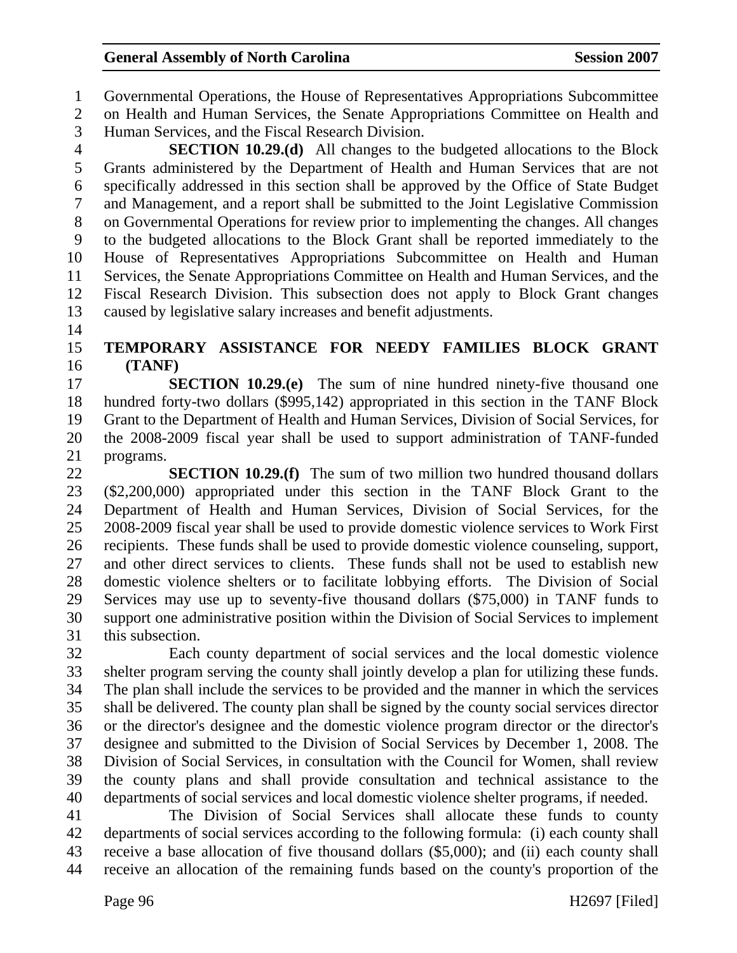1 Governmental Operations, the House of Representatives Appropriations Subcommittee

2 on Health and Human Services, the Senate Appropriations Committee on Health and 3 Human Services, and the Fiscal Research Division.

4 **SECTION 10.29.(d)** All changes to the budgeted allocations to the Block 5 Grants administered by the Department of Health and Human Services that are not 6 specifically addressed in this section shall be approved by the Office of State Budget 7 and Management, and a report shall be submitted to the Joint Legislative Commission 8 on Governmental Operations for review prior to implementing the changes. All changes 9 to the budgeted allocations to the Block Grant shall be reported immediately to the 10 House of Representatives Appropriations Subcommittee on Health and Human 11 Services, the Senate Appropriations Committee on Health and Human Services, and the 12 Fiscal Research Division. This subsection does not apply to Block Grant changes 13 caused by legislative salary increases and benefit adjustments.

14

### 15 **TEMPORARY ASSISTANCE FOR NEEDY FAMILIES BLOCK GRANT**  16 **(TANF)**

17 **SECTION 10.29.(e)** The sum of nine hundred ninety-five thousand one 18 hundred forty-two dollars (\$995,142) appropriated in this section in the TANF Block 19 Grant to the Department of Health and Human Services, Division of Social Services, for 20 the 2008-2009 fiscal year shall be used to support administration of TANF-funded 21 programs.

22 **SECTION 10.29.(f)** The sum of two million two hundred thousand dollars 23 (\$2,200,000) appropriated under this section in the TANF Block Grant to the 24 Department of Health and Human Services, Division of Social Services, for the 25 2008-2009 fiscal year shall be used to provide domestic violence services to Work First 26 recipients. These funds shall be used to provide domestic violence counseling, support, 27 and other direct services to clients. These funds shall not be used to establish new 28 domestic violence shelters or to facilitate lobbying efforts. The Division of Social 29 Services may use up to seventy-five thousand dollars (\$75,000) in TANF funds to 30 support one administrative position within the Division of Social Services to implement 31 this subsection.

32 Each county department of social services and the local domestic violence 33 shelter program serving the county shall jointly develop a plan for utilizing these funds. 34 The plan shall include the services to be provided and the manner in which the services 35 shall be delivered. The county plan shall be signed by the county social services director 36 or the director's designee and the domestic violence program director or the director's 37 designee and submitted to the Division of Social Services by December 1, 2008. The 38 Division of Social Services, in consultation with the Council for Women, shall review 39 the county plans and shall provide consultation and technical assistance to the 40 departments of social services and local domestic violence shelter programs, if needed.

41 The Division of Social Services shall allocate these funds to county 42 departments of social services according to the following formula: (i) each county shall 43 receive a base allocation of five thousand dollars (\$5,000); and (ii) each county shall 44 receive an allocation of the remaining funds based on the county's proportion of the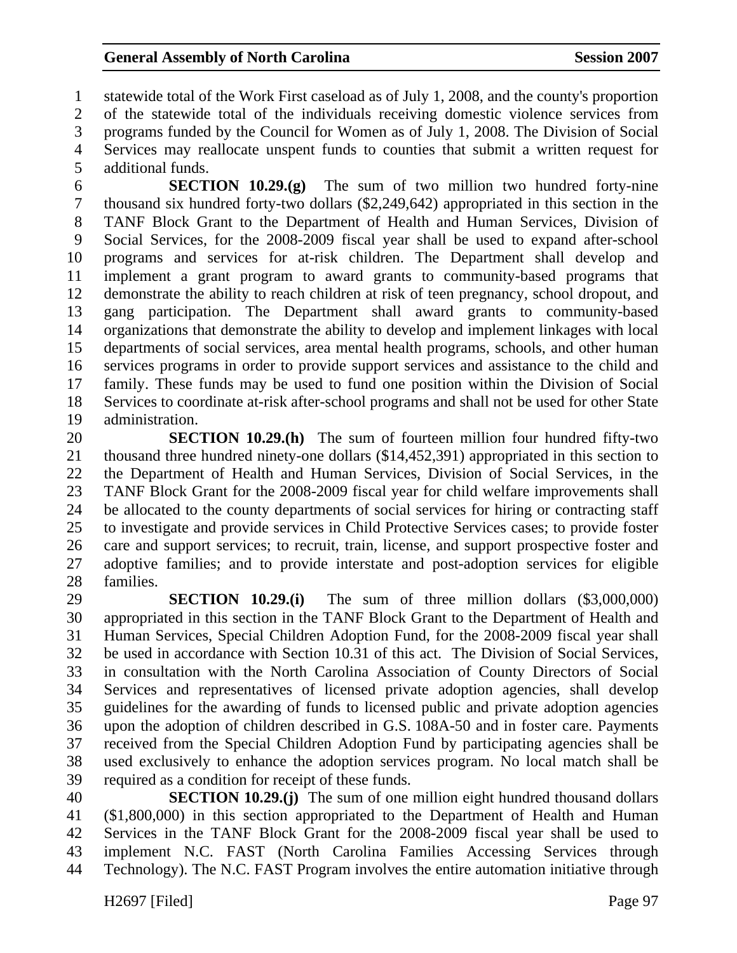1 statewide total of the Work First caseload as of July 1, 2008, and the county's proportion 2 of the statewide total of the individuals receiving domestic violence services from 3 programs funded by the Council for Women as of July 1, 2008. The Division of Social 4 Services may reallocate unspent funds to counties that submit a written request for 5 additional funds.

6 **SECTION 10.29.(g)** The sum of two million two hundred forty-nine 7 thousand six hundred forty-two dollars (\$2,249,642) appropriated in this section in the 8 TANF Block Grant to the Department of Health and Human Services, Division of 9 Social Services, for the 2008-2009 fiscal year shall be used to expand after-school 10 programs and services for at-risk children. The Department shall develop and 11 implement a grant program to award grants to community-based programs that 12 demonstrate the ability to reach children at risk of teen pregnancy, school dropout, and 13 gang participation. The Department shall award grants to community-based 14 organizations that demonstrate the ability to develop and implement linkages with local 15 departments of social services, area mental health programs, schools, and other human 16 services programs in order to provide support services and assistance to the child and 17 family. These funds may be used to fund one position within the Division of Social 18 Services to coordinate at-risk after-school programs and shall not be used for other State 19 administration.

20 **SECTION 10.29.(h)** The sum of fourteen million four hundred fifty-two 21 thousand three hundred ninety-one dollars (\$14,452,391) appropriated in this section to 22 the Department of Health and Human Services, Division of Social Services, in the 23 TANF Block Grant for the 2008-2009 fiscal year for child welfare improvements shall 24 be allocated to the county departments of social services for hiring or contracting staff 25 to investigate and provide services in Child Protective Services cases; to provide foster 26 care and support services; to recruit, train, license, and support prospective foster and 27 adoptive families; and to provide interstate and post-adoption services for eligible 28 families.

29 **SECTION 10.29.(i)** The sum of three million dollars (\$3,000,000) 30 appropriated in this section in the TANF Block Grant to the Department of Health and 31 Human Services, Special Children Adoption Fund, for the 2008-2009 fiscal year shall 32 be used in accordance with Section 10.31 of this act. The Division of Social Services, 33 in consultation with the North Carolina Association of County Directors of Social 34 Services and representatives of licensed private adoption agencies, shall develop 35 guidelines for the awarding of funds to licensed public and private adoption agencies 36 upon the adoption of children described in G.S. 108A-50 and in foster care. Payments 37 received from the Special Children Adoption Fund by participating agencies shall be 38 used exclusively to enhance the adoption services program. No local match shall be 39 required as a condition for receipt of these funds.

40 **SECTION 10.29.(j)** The sum of one million eight hundred thousand dollars 41 (\$1,800,000) in this section appropriated to the Department of Health and Human 42 Services in the TANF Block Grant for the 2008-2009 fiscal year shall be used to 43 implement N.C. FAST (North Carolina Families Accessing Services through 44 Technology). The N.C. FAST Program involves the entire automation initiative through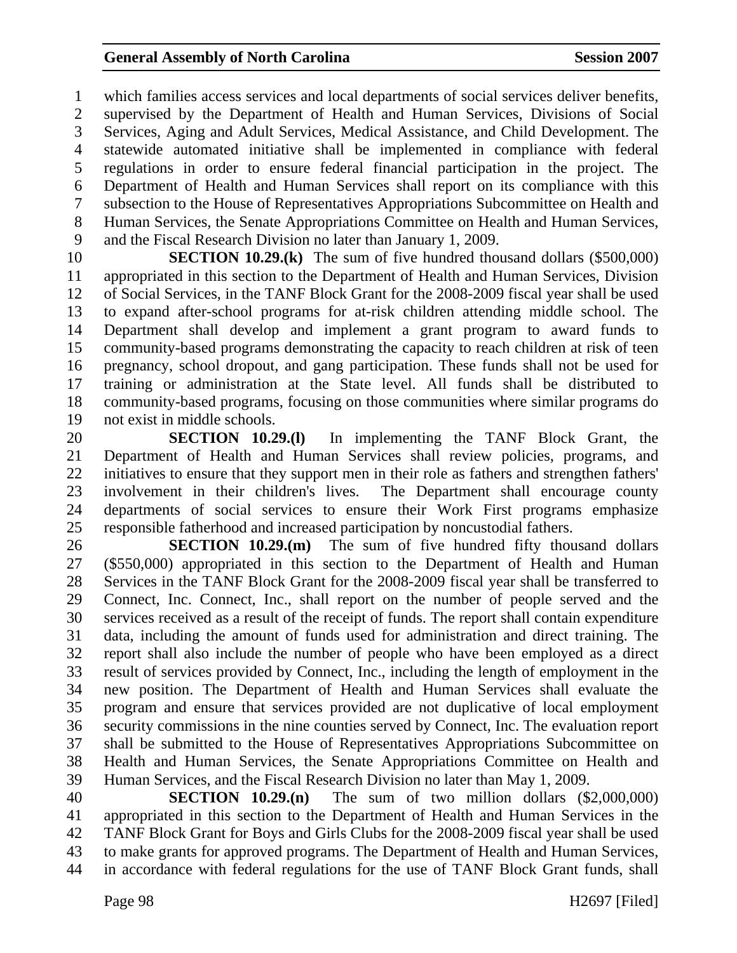1 which families access services and local departments of social services deliver benefits, 2 supervised by the Department of Health and Human Services, Divisions of Social 3 Services, Aging and Adult Services, Medical Assistance, and Child Development. The 4 statewide automated initiative shall be implemented in compliance with federal 5 regulations in order to ensure federal financial participation in the project. The 6 Department of Health and Human Services shall report on its compliance with this 7 subsection to the House of Representatives Appropriations Subcommittee on Health and 8 Human Services, the Senate Appropriations Committee on Health and Human Services, 9 and the Fiscal Research Division no later than January 1, 2009.

10 **SECTION 10.29.(k)** The sum of five hundred thousand dollars (\$500,000) 11 appropriated in this section to the Department of Health and Human Services, Division 12 of Social Services, in the TANF Block Grant for the 2008-2009 fiscal year shall be used 13 to expand after-school programs for at-risk children attending middle school. The 14 Department shall develop and implement a grant program to award funds to 15 community-based programs demonstrating the capacity to reach children at risk of teen 16 pregnancy, school dropout, and gang participation. These funds shall not be used for 17 training or administration at the State level. All funds shall be distributed to 18 community-based programs, focusing on those communities where similar programs do 19 not exist in middle schools.

20 **SECTION 10.29.(l)** In implementing the TANF Block Grant, the 21 Department of Health and Human Services shall review policies, programs, and 22 initiatives to ensure that they support men in their role as fathers and strengthen fathers' 23 involvement in their children's lives. The Department shall encourage county 24 departments of social services to ensure their Work First programs emphasize 25 responsible fatherhood and increased participation by noncustodial fathers.

26 **SECTION 10.29.(m)** The sum of five hundred fifty thousand dollars 27 (\$550,000) appropriated in this section to the Department of Health and Human 28 Services in the TANF Block Grant for the 2008-2009 fiscal year shall be transferred to 29 Connect, Inc. Connect, Inc., shall report on the number of people served and the 30 services received as a result of the receipt of funds. The report shall contain expenditure 31 data, including the amount of funds used for administration and direct training. The 32 report shall also include the number of people who have been employed as a direct 33 result of services provided by Connect, Inc., including the length of employment in the 34 new position. The Department of Health and Human Services shall evaluate the 35 program and ensure that services provided are not duplicative of local employment 36 security commissions in the nine counties served by Connect, Inc. The evaluation report 37 shall be submitted to the House of Representatives Appropriations Subcommittee on 38 Health and Human Services, the Senate Appropriations Committee on Health and 39 Human Services, and the Fiscal Research Division no later than May 1, 2009.

40 **SECTION 10.29.(n)** The sum of two million dollars (\$2,000,000) 41 appropriated in this section to the Department of Health and Human Services in the 42 TANF Block Grant for Boys and Girls Clubs for the 2008-2009 fiscal year shall be used 43 to make grants for approved programs. The Department of Health and Human Services, 44 in accordance with federal regulations for the use of TANF Block Grant funds, shall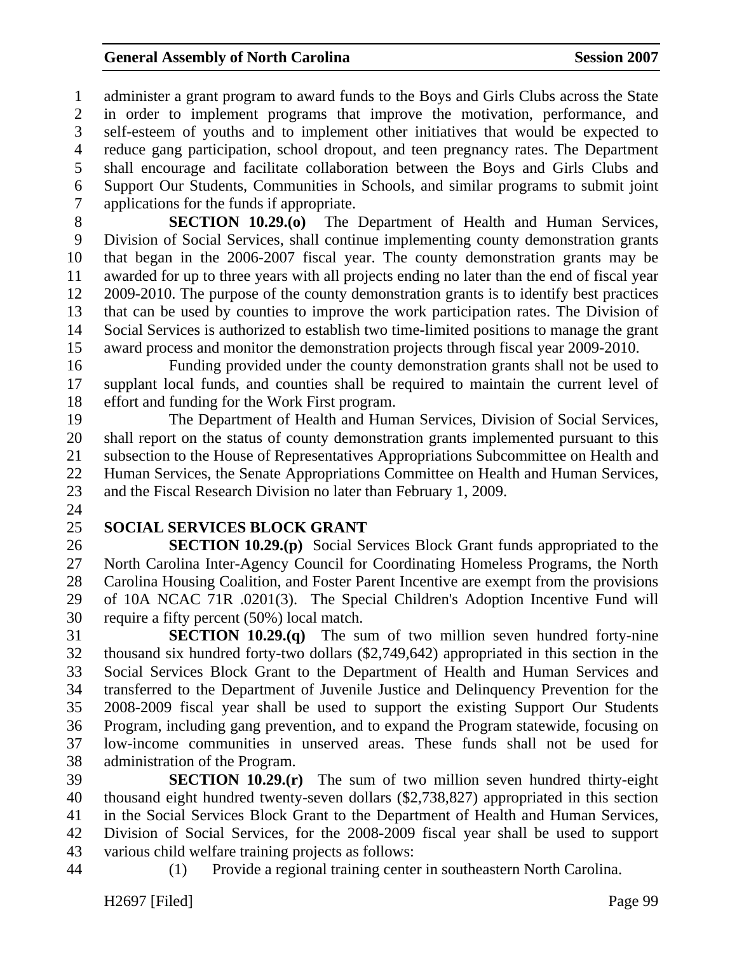1 administer a grant program to award funds to the Boys and Girls Clubs across the State 2 in order to implement programs that improve the motivation, performance, and 3 self-esteem of youths and to implement other initiatives that would be expected to 4 reduce gang participation, school dropout, and teen pregnancy rates. The Department 5 shall encourage and facilitate collaboration between the Boys and Girls Clubs and 6 Support Our Students, Communities in Schools, and similar programs to submit joint 7 applications for the funds if appropriate.

8 **SECTION 10.29.(o)** The Department of Health and Human Services, 9 Division of Social Services, shall continue implementing county demonstration grants 10 that began in the 2006-2007 fiscal year. The county demonstration grants may be 11 awarded for up to three years with all projects ending no later than the end of fiscal year 12 2009-2010. The purpose of the county demonstration grants is to identify best practices 13 that can be used by counties to improve the work participation rates. The Division of 14 Social Services is authorized to establish two time-limited positions to manage the grant 15 award process and monitor the demonstration projects through fiscal year 2009-2010.

16 Funding provided under the county demonstration grants shall not be used to 17 supplant local funds, and counties shall be required to maintain the current level of 18 effort and funding for the Work First program.

19 The Department of Health and Human Services, Division of Social Services, 20 shall report on the status of county demonstration grants implemented pursuant to this 21 subsection to the House of Representatives Appropriations Subcommittee on Health and 22 Human Services, the Senate Appropriations Committee on Health and Human Services, 23 and the Fiscal Research Division no later than February 1, 2009.

24

### 25 **SOCIAL SERVICES BLOCK GRANT**

26 **SECTION 10.29.(p)** Social Services Block Grant funds appropriated to the 27 North Carolina Inter-Agency Council for Coordinating Homeless Programs, the North 28 Carolina Housing Coalition, and Foster Parent Incentive are exempt from the provisions 29 of 10A NCAC 71R .0201(3). The Special Children's Adoption Incentive Fund will 30 require a fifty percent (50%) local match.

31 **SECTION 10.29.(q)** The sum of two million seven hundred forty-nine 32 thousand six hundred forty-two dollars (\$2,749,642) appropriated in this section in the 33 Social Services Block Grant to the Department of Health and Human Services and 34 transferred to the Department of Juvenile Justice and Delinquency Prevention for the 35 2008-2009 fiscal year shall be used to support the existing Support Our Students 36 Program, including gang prevention, and to expand the Program statewide, focusing on 37 low-income communities in unserved areas. These funds shall not be used for 38 administration of the Program.

39 **SECTION 10.29.(r)** The sum of two million seven hundred thirty-eight 40 thousand eight hundred twenty-seven dollars (\$2,738,827) appropriated in this section 41 in the Social Services Block Grant to the Department of Health and Human Services, 42 Division of Social Services, for the 2008-2009 fiscal year shall be used to support 43 various child welfare training projects as follows:

44 (1) Provide a regional training center in southeastern North Carolina.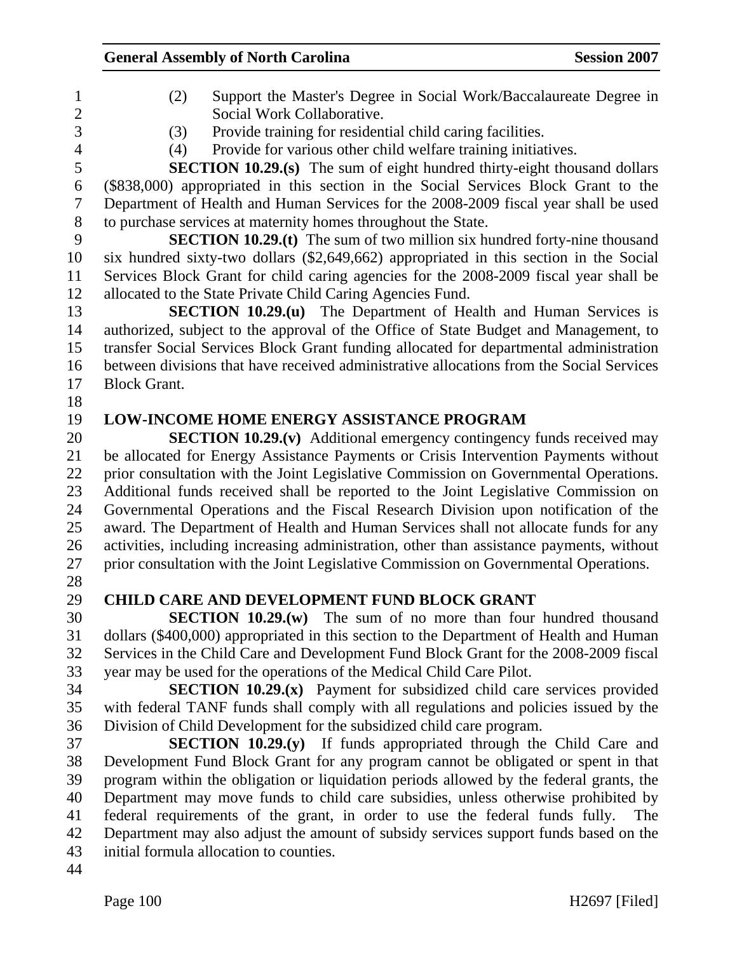| $\mathbf{1}$             | (2)                 | Support the Master's Degree in Social Work/Baccalaureate Degree in                                                                                                                 |
|--------------------------|---------------------|------------------------------------------------------------------------------------------------------------------------------------------------------------------------------------|
| $\mathfrak{2}$           |                     | Social Work Collaborative.                                                                                                                                                         |
| 3                        | (3)                 | Provide training for residential child caring facilities.                                                                                                                          |
| $\overline{\mathcal{A}}$ | (4)                 | Provide for various other child welfare training initiatives.                                                                                                                      |
| 5<br>6                   |                     | <b>SECTION 10.29.(s)</b> The sum of eight hundred thirty-eight thousand dollars<br>(\$838,000) appropriated in this section in the Social Services Block Grant to the              |
| $\overline{7}$           |                     | Department of Health and Human Services for the 2008-2009 fiscal year shall be used                                                                                                |
| $8\,$                    |                     | to purchase services at maternity homes throughout the State.                                                                                                                      |
| 9                        |                     | <b>SECTION 10.29.(t)</b> The sum of two million six hundred forty-nine thousand                                                                                                    |
| 10                       |                     | six hundred sixty-two dollars (\$2,649,662) appropriated in this section in the Social                                                                                             |
| 11                       |                     | Services Block Grant for child caring agencies for the 2008-2009 fiscal year shall be                                                                                              |
| 12                       |                     | allocated to the State Private Child Caring Agencies Fund.                                                                                                                         |
| 13                       |                     | <b>SECTION 10.29.(u)</b> The Department of Health and Human Services is                                                                                                            |
| 14                       |                     | authorized, subject to the approval of the Office of State Budget and Management, to                                                                                               |
| 15                       |                     | transfer Social Services Block Grant funding allocated for departmental administration<br>between divisions that have received administrative allocations from the Social Services |
| 16                       |                     |                                                                                                                                                                                    |
| 17                       | <b>Block Grant.</b> |                                                                                                                                                                                    |
| 18                       |                     | <b>LOW-INCOME HOME ENERGY ASSISTANCE PROGRAM</b>                                                                                                                                   |
| 19<br>20                 |                     |                                                                                                                                                                                    |
| 21                       |                     | <b>SECTION 10.29.(v)</b> Additional emergency contingency funds received may<br>be allocated for Energy Assistance Payments or Crisis Intervention Payments without                |
| 22                       |                     | prior consultation with the Joint Legislative Commission on Governmental Operations.                                                                                               |
| 23                       |                     | Additional funds received shall be reported to the Joint Legislative Commission on                                                                                                 |
| 24                       |                     | Governmental Operations and the Fiscal Research Division upon notification of the                                                                                                  |
| 25                       |                     | award. The Department of Health and Human Services shall not allocate funds for any                                                                                                |
| 26                       |                     | activities, including increasing administration, other than assistance payments, without                                                                                           |
| 27                       |                     | prior consultation with the Joint Legislative Commission on Governmental Operations.                                                                                               |
| 28                       |                     |                                                                                                                                                                                    |
| 29                       |                     | <b>CHILD CARE AND DEVELOPMENT FUND BLOCK GRANT</b>                                                                                                                                 |
| 30                       |                     | <b>SECTION 10.29. (w)</b> The sum of no more than four hundred thousand                                                                                                            |
| 31                       |                     | dollars (\$400,000) appropriated in this section to the Department of Health and Human                                                                                             |
| 32                       |                     | Services in the Child Care and Development Fund Block Grant for the 2008-2009 fiscal                                                                                               |
| 33                       |                     | year may be used for the operations of the Medical Child Care Pilot.                                                                                                               |
| 34                       |                     | SECTION 10.29.(x) Payment for subsidized child care services provided                                                                                                              |
| 35                       |                     | with federal TANF funds shall comply with all regulations and policies issued by the                                                                                               |
| 36                       |                     | Division of Child Development for the subsidized child care program.                                                                                                               |
| 37                       |                     | SECTION 10.29.(y) If funds appropriated through the Child Care and                                                                                                                 |
| 38                       |                     | Development Fund Block Grant for any program cannot be obligated or spent in that                                                                                                  |
| 39                       |                     | program within the obligation or liquidation periods allowed by the federal grants, the                                                                                            |
| 40                       |                     | Department may move funds to child care subsidies, unless otherwise prohibited by                                                                                                  |
| 41                       |                     | federal requirements of the grant, in order to use the federal funds fully.<br>The                                                                                                 |
| 42                       |                     | Department may also adjust the amount of subsidy services support funds based on the                                                                                               |
| 43                       |                     | initial formula allocation to counties.                                                                                                                                            |
| 44                       |                     |                                                                                                                                                                                    |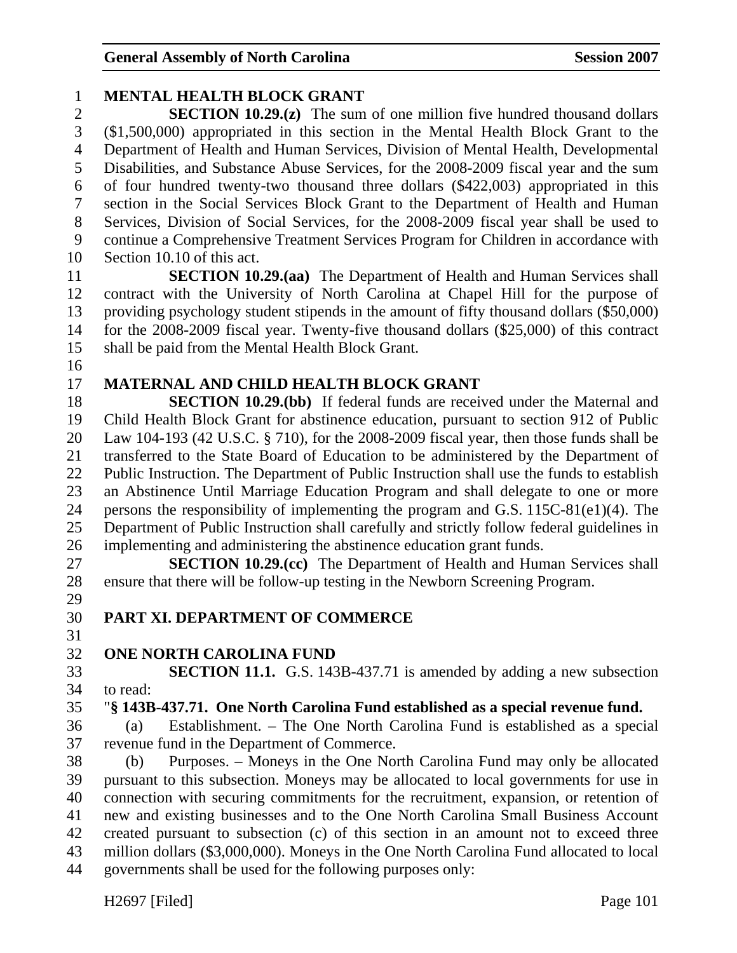1 **MENTAL HEALTH BLOCK GRANT** 

#### 2 **SECTION 10.29.(z)** The sum of one million five hundred thousand dollars 3 (\$1,500,000) appropriated in this section in the Mental Health Block Grant to the 4 Department of Health and Human Services, Division of Mental Health, Developmental 5 Disabilities, and Substance Abuse Services, for the 2008-2009 fiscal year and the sum 6 of four hundred twenty-two thousand three dollars (\$422,003) appropriated in this 7 section in the Social Services Block Grant to the Department of Health and Human 8 Services, Division of Social Services, for the 2008-2009 fiscal year shall be used to 9 continue a Comprehensive Treatment Services Program for Children in accordance with 10 Section 10.10 of this act. 11 **SECTION 10.29.(aa)** The Department of Health and Human Services shall 12 contract with the University of North Carolina at Chapel Hill for the purpose of 13 providing psychology student stipends in the amount of fifty thousand dollars (\$50,000) 14 for the 2008-2009 fiscal year. Twenty-five thousand dollars (\$25,000) of this contract 15 shall be paid from the Mental Health Block Grant. 16 17 **MATERNAL AND CHILD HEALTH BLOCK GRANT**  18 **SECTION 10.29.(bb)** If federal funds are received under the Maternal and 19 Child Health Block Grant for abstinence education, pursuant to section 912 of Public 20 Law 104-193 (42 U.S.C. § 710), for the 2008-2009 fiscal year, then those funds shall be 21 transferred to the State Board of Education to be administered by the Department of 22 Public Instruction. The Department of Public Instruction shall use the funds to establish 23 an Abstinence Until Marriage Education Program and shall delegate to one or more 24 persons the responsibility of implementing the program and G.S. 115C-81(e1)(4). The 25 Department of Public Instruction shall carefully and strictly follow federal guidelines in 26 implementing and administering the abstinence education grant funds. 27 **SECTION 10.29.(cc)** The Department of Health and Human Services shall 28 ensure that there will be follow-up testing in the Newborn Screening Program. 29 30 **PART XI. DEPARTMENT OF COMMERCE**  31 32 **ONE NORTH CAROLINA FUND**  33 **SECTION 11.1.** G.S. 143B-437.71 is amended by adding a new subsection 34 to read: 35 "**§ 143B-437.71. One North Carolina Fund established as a special revenue fund.**  36 (a) Establishment. – The One North Carolina Fund is established as a special 37 revenue fund in the Department of Commerce. 38 (b) Purposes. – Moneys in the One North Carolina Fund may only be allocated 39 pursuant to this subsection. Moneys may be allocated to local governments for use in 40 connection with securing commitments for the recruitment, expansion, or retention of 41 new and existing businesses and to the One North Carolina Small Business Account 42 created pursuant to subsection (c) of this section in an amount not to exceed three 43 million dollars (\$3,000,000). Moneys in the One North Carolina Fund allocated to local 44 governments shall be used for the following purposes only: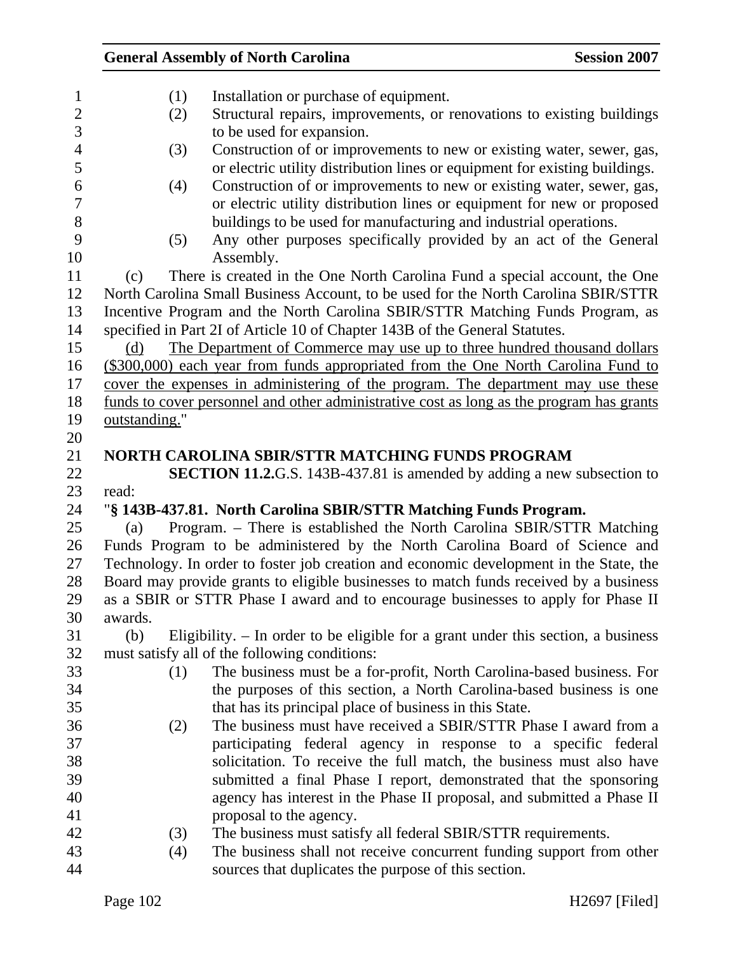|         |               | <b>General Assembly of North Carolina</b>                                                | <b>Session 2007</b> |
|---------|---------------|------------------------------------------------------------------------------------------|---------------------|
|         | (1)           | Installation or purchase of equipment.                                                   |                     |
|         | (2)           | Structural repairs, improvements, or renovations to existing buildings                   |                     |
|         |               | to be used for expansion.                                                                |                     |
|         | (3)           | Construction of or improvements to new or existing water, sewer, gas,                    |                     |
|         |               | or electric utility distribution lines or equipment for existing buildings.              |                     |
|         | (4)           | Construction of or improvements to new or existing water, sewer, gas,                    |                     |
|         |               | or electric utility distribution lines or equipment for new or proposed                  |                     |
|         |               | buildings to be used for manufacturing and industrial operations.                        |                     |
|         | (5)           | Any other purposes specifically provided by an act of the General                        |                     |
|         |               | Assembly.                                                                                |                     |
| (c)     |               | There is created in the One North Carolina Fund a special account, the One               |                     |
|         |               | North Carolina Small Business Account, to be used for the North Carolina SBIR/STTR       |                     |
|         |               | Incentive Program and the North Carolina SBIR/STTR Matching Funds Program, as            |                     |
|         |               | specified in Part 2I of Article 10 of Chapter 143B of the General Statutes.              |                     |
| (d)     |               | The Department of Commerce may use up to three hundred thousand dollars                  |                     |
|         |               | (\$300,000) each year from funds appropriated from the One North Carolina Fund to        |                     |
|         |               | cover the expenses in administering of the program. The department may use these         |                     |
|         |               | funds to cover personnel and other administrative cost as long as the program has grants |                     |
|         | outstanding." |                                                                                          |                     |
|         |               |                                                                                          |                     |
|         |               | NORTH CAROLINA SBIR/STTR MATCHING FUNDS PROGRAM                                          |                     |
|         |               | <b>SECTION 11.2.</b> G.S. 143B-437.81 is amended by adding a new subsection to           |                     |
| read:   |               |                                                                                          |                     |
|         |               | "§ 143B-437.81. North Carolina SBIR/STTR Matching Funds Program.                         |                     |
| (a)     |               | Program. - There is established the North Carolina SBIR/STTR Matching                    |                     |
|         |               | Funds Program to be administered by the North Carolina Board of Science and              |                     |
|         |               | Technology. In order to foster job creation and economic development in the State, the   |                     |
|         |               | Board may provide grants to eligible businesses to match funds received by a business    |                     |
|         |               | as a SBIR or STTR Phase I award and to encourage businesses to apply for Phase II        |                     |
| awards. |               |                                                                                          |                     |
| (b)     |               | Eligibility. $-$ In order to be eligible for a grant under this section, a business      |                     |
|         |               | must satisfy all of the following conditions:                                            |                     |
|         | (1)           | The business must be a for-profit, North Carolina-based business. For                    |                     |
|         |               | the purposes of this section, a North Carolina-based business is one                     |                     |
|         |               | that has its principal place of business in this State.                                  |                     |
|         | (2)           | The business must have received a SBIR/STTR Phase I award from a                         |                     |
|         |               | participating federal agency in response to a specific federal                           |                     |
|         |               | solicitation. To receive the full match, the business must also have                     |                     |
|         |               | submitted a final Phase I report, demonstrated that the sponsoring                       |                     |
|         |               | agency has interest in the Phase II proposal, and submitted a Phase II                   |                     |
|         | (3)           | proposal to the agency.<br>The business must satisfy all federal SBIR/STTR requirements. |                     |
|         |               | The business shall not receive concurrent funding support from other                     |                     |
|         | (4)           |                                                                                          |                     |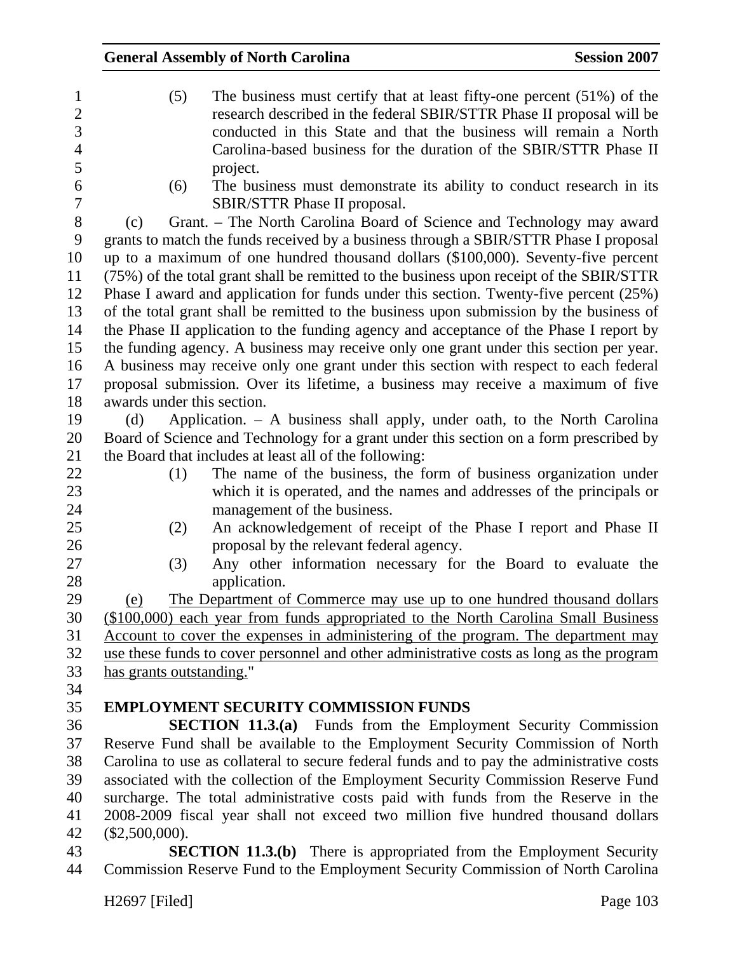| $\mathbf{1}$   | (5)<br>The business must certify that at least fifty-one percent $(51\%)$ of the          |
|----------------|-------------------------------------------------------------------------------------------|
| $\overline{2}$ | research described in the federal SBIR/STTR Phase II proposal will be                     |
| $\overline{3}$ | conducted in this State and that the business will remain a North                         |
| $\overline{4}$ | Carolina-based business for the duration of the SBIR/STTR Phase II                        |
| 5              | project.                                                                                  |
| 6              | The business must demonstrate its ability to conduct research in its<br>(6)               |
| $\overline{7}$ | SBIR/STTR Phase II proposal.                                                              |
| 8              | Grant. - The North Carolina Board of Science and Technology may award<br>(c)              |
| 9              | grants to match the funds received by a business through a SBIR/STTR Phase I proposal     |
| 10             | up to a maximum of one hundred thousand dollars (\$100,000). Seventy-five percent         |
| 11             | (75%) of the total grant shall be remitted to the business upon receipt of the SBIR/STTR  |
| 12             | Phase I award and application for funds under this section. Twenty-five percent (25%)     |
| 13             | of the total grant shall be remitted to the business upon submission by the business of   |
| 14             | the Phase II application to the funding agency and acceptance of the Phase I report by    |
| 15             | the funding agency. A business may receive only one grant under this section per year.    |
| 16             | A business may receive only one grant under this section with respect to each federal     |
| 17             | proposal submission. Over its lifetime, a business may receive a maximum of five          |
| 18             | awards under this section.                                                                |
| 19             | Application. – A business shall apply, under oath, to the North Carolina<br>(d)           |
| 20             | Board of Science and Technology for a grant under this section on a form prescribed by    |
| 21             | the Board that includes at least all of the following:                                    |
| 22             | The name of the business, the form of business organization under<br>(1)                  |
| 23             | which it is operated, and the names and addresses of the principals or                    |
| 24             | management of the business.                                                               |
| 25             | An acknowledgement of receipt of the Phase I report and Phase II<br>(2)                   |
| 26             | proposal by the relevant federal agency.                                                  |
| 27             | Any other information necessary for the Board to evaluate the<br>(3)                      |
| 28             | application.                                                                              |
| 29             | The Department of Commerce may use up to one hundred thousand dollars<br>(e)              |
| 30             | (\$100,000) each year from funds appropriated to the North Carolina Small Business        |
| 31             | Account to cover the expenses in administering of the program. The department may         |
| 32             | use these funds to cover personnel and other administrative costs as long as the program  |
| 33             | has grants outstanding."                                                                  |
| 34             |                                                                                           |
| 35             | <b>EMPLOYMENT SECURITY COMMISSION FUNDS</b>                                               |
| 36             | <b>SECTION 11.3.(a)</b> Funds from the Employment Security Commission                     |
| 37             | Reserve Fund shall be available to the Employment Security Commission of North            |
| 38             | Carolina to use as collateral to secure federal funds and to pay the administrative costs |
| 39             | associated with the collection of the Employment Security Commission Reserve Fund         |
| 40             | surcharge. The total administrative costs paid with funds from the Reserve in the         |
| 41             | 2008-2009 fiscal year shall not exceed two million five hundred thousand dollars          |

42 (\$2,500,000).<br>43 **SE** 

**SECTION 11.3.(b)** There is appropriated from the Employment Security 44 Commission Reserve Fund to the Employment Security Commission of North Carolina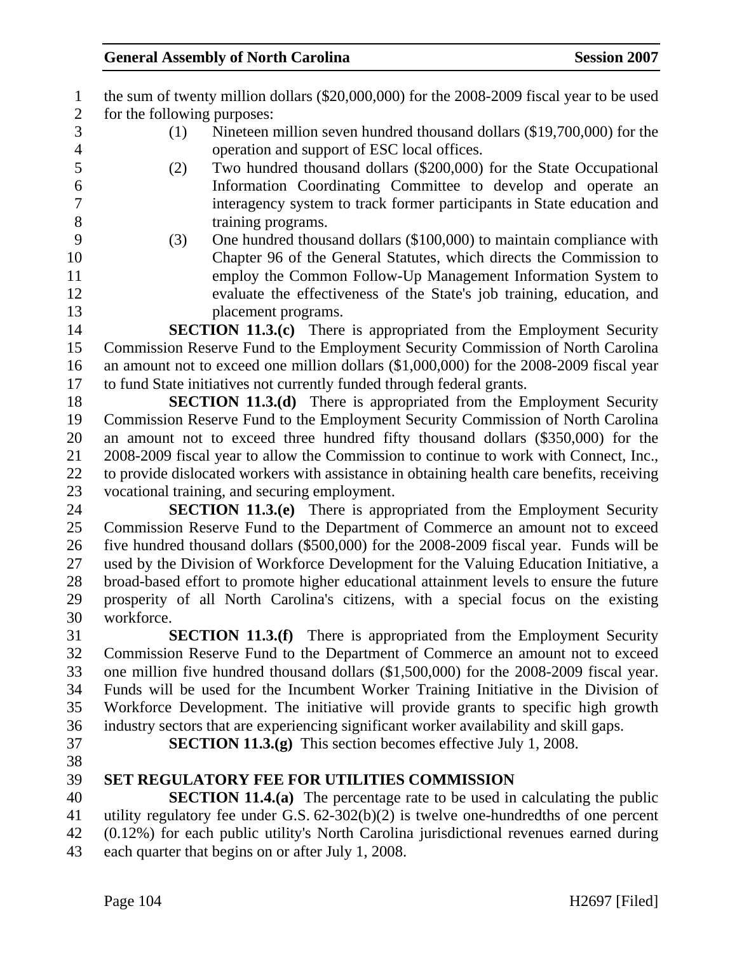| $\mathbf{1}$                   | the sum of twenty million dollars (\$20,000,000) for the 2008-2009 fiscal year to be used                                   |
|--------------------------------|-----------------------------------------------------------------------------------------------------------------------------|
| $\mathbf{2}$<br>$\overline{3}$ | for the following purposes:                                                                                                 |
|                                | Nineteen million seven hundred thousand dollars (\$19,700,000) for the<br>(1)                                               |
| $\overline{\mathcal{A}}$       | operation and support of ESC local offices.                                                                                 |
| 5                              | Two hundred thousand dollars (\$200,000) for the State Occupational<br>(2)                                                  |
| 6                              | Information Coordinating Committee to develop and operate an                                                                |
| 7                              | interagency system to track former participants in State education and                                                      |
| 8                              | training programs.                                                                                                          |
| 9                              | One hundred thousand dollars (\$100,000) to maintain compliance with<br>(3)                                                 |
| 10                             | Chapter 96 of the General Statutes, which directs the Commission to                                                         |
| 11                             | employ the Common Follow-Up Management Information System to                                                                |
| 12                             | evaluate the effectiveness of the State's job training, education, and                                                      |
| 13                             | placement programs.                                                                                                         |
| 14                             | <b>SECTION 11.3.(c)</b> There is appropriated from the Employment Security                                                  |
| 15                             | Commission Reserve Fund to the Employment Security Commission of North Carolina                                             |
| 16                             | an amount not to exceed one million dollars (\$1,000,000) for the 2008-2009 fiscal year                                     |
| 17                             | to fund State initiatives not currently funded through federal grants.                                                      |
| 18                             | <b>SECTION 11.3.(d)</b> There is appropriated from the Employment Security                                                  |
| 19                             | Commission Reserve Fund to the Employment Security Commission of North Carolina                                             |
| 20<br>21                       | an amount not to exceed three hundred fifty thousand dollars (\$350,000) for the                                            |
|                                | 2008-2009 fiscal year to allow the Commission to continue to work with Connect, Inc.,                                       |
| 22<br>23                       | to provide dislocated workers with assistance in obtaining health care benefits, receiving                                  |
| 24                             | vocational training, and securing employment.<br><b>SECTION 11.3.(e)</b> There is appropriated from the Employment Security |
| 25                             | Commission Reserve Fund to the Department of Commerce an amount not to exceed                                               |
| 26                             | five hundred thousand dollars (\$500,000) for the 2008-2009 fiscal year. Funds will be                                      |
| 27                             | used by the Division of Workforce Development for the Valuing Education Initiative, a                                       |
| 28                             | broad-based effort to promote higher educational attainment levels to ensure the future                                     |
| 29                             | prosperity of all North Carolina's citizens, with a special focus on the existing                                           |
| 30                             | workforce                                                                                                                   |
| 31                             | <b>SECTION 11.3.(f)</b> There is appropriated from the Employment Security                                                  |
| 32                             | Commission Reserve Fund to the Department of Commerce an amount not to exceed                                               |
| 33                             | one million five hundred thousand dollars (\$1,500,000) for the 2008-2009 fiscal year.                                      |
| 34                             | Funds will be used for the Incumbent Worker Training Initiative in the Division of                                          |
| 35                             | Workforce Development. The initiative will provide grants to specific high growth                                           |
| 36                             | industry sectors that are experiencing significant worker availability and skill gaps.                                      |
| 37                             | <b>SECTION 11.3.(g)</b> This section becomes effective July 1, 2008.                                                        |
| 38                             |                                                                                                                             |
| 39                             | <b>SET REGULATORY FEE FOR UTILITIES COMMISSION</b>                                                                          |
| 40                             | <b>SECTION 11.4.(a)</b> The percentage rate to be used in calculating the public                                            |
| 41                             | utility regulatory fee under G.S. $62-302(b)(2)$ is twelve one-hundredths of one percent                                    |
| 42                             | (0.12%) for each public utility's North Carolina jurisdictional revenues earned during                                      |
| 43                             | each quarter that begins on or after July 1, 2008.                                                                          |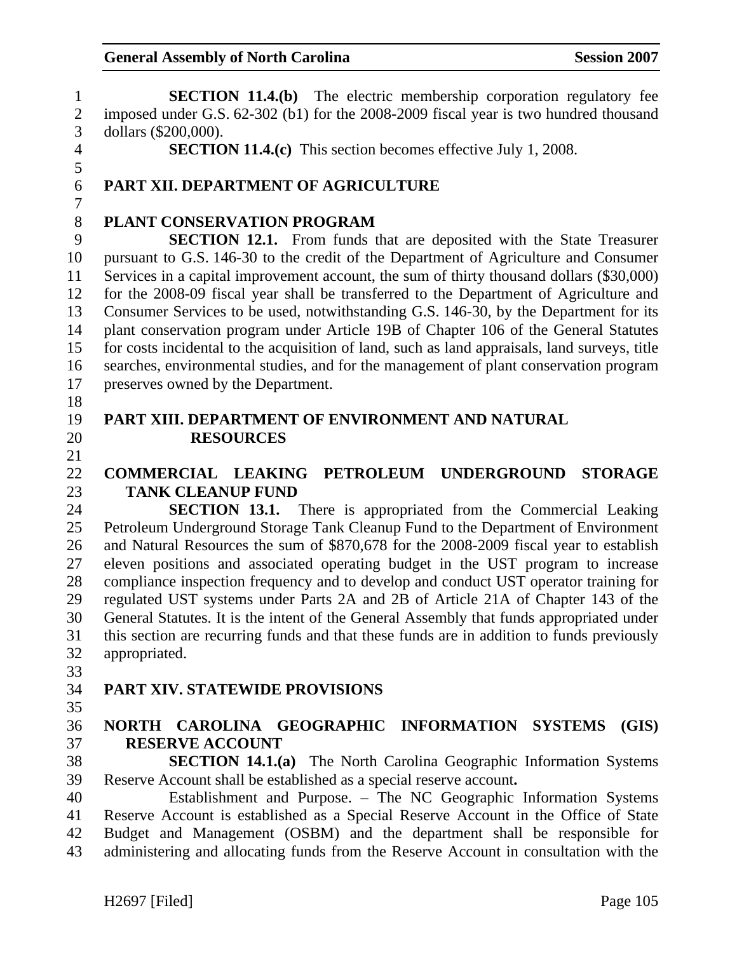1 **SECTION 11.4.(b)** The electric membership corporation regulatory fee 2 imposed under G.S. 62-302 (b1) for the 2008-2009 fiscal year is two hundred thousand 3 dollars (\$200,000). 4 **SECTION 11.4.(c)** This section becomes effective July 1, 2008. 5 6 **PART XII. DEPARTMENT OF AGRICULTURE**  7 8 **PLANT CONSERVATION PROGRAM**  9 **SECTION 12.1.** From funds that are deposited with the State Treasurer 10 pursuant to G.S. 146-30 to the credit of the Department of Agriculture and Consumer 11 Services in a capital improvement account, the sum of thirty thousand dollars (\$30,000) 12 for the 2008-09 fiscal year shall be transferred to the Department of Agriculture and 13 Consumer Services to be used, notwithstanding G.S. 146-30, by the Department for its 14 plant conservation program under Article 19B of Chapter 106 of the General Statutes 15 for costs incidental to the acquisition of land, such as land appraisals, land surveys, title 16 searches, environmental studies, and for the management of plant conservation program 17 preserves owned by the Department. 18 19 **PART XIII. DEPARTMENT OF ENVIRONMENT AND NATURAL**  20 **RESOURCES**  21 22 **COMMERCIAL LEAKING PETROLEUM UNDERGROUND STORAGE**  23 **TANK CLEANUP FUND**  24 **SECTION 13.1.** There is appropriated from the Commercial Leaking 25 Petroleum Underground Storage Tank Cleanup Fund to the Department of Environment 26 and Natural Resources the sum of \$870,678 for the 2008-2009 fiscal year to establish 27 eleven positions and associated operating budget in the UST program to increase 28 compliance inspection frequency and to develop and conduct UST operator training for 29 regulated UST systems under Parts 2A and 2B of Article 21A of Chapter 143 of the 30 General Statutes. It is the intent of the General Assembly that funds appropriated under 31 this section are recurring funds and that these funds are in addition to funds previously 32 appropriated. 33 34 **PART XIV. STATEWIDE PROVISIONS**  35 36 **NORTH CAROLINA GEOGRAPHIC INFORMATION SYSTEMS (GIS)**  37 **RESERVE ACCOUNT**  38 **SECTION 14.1.(a)** The North Carolina Geographic Information Systems 39 Reserve Account shall be established as a special reserve account**.** 40 Establishment and Purpose. – The NC Geographic Information Systems 41 Reserve Account is established as a Special Reserve Account in the Office of State 42 Budget and Management (OSBM) and the department shall be responsible for 43 administering and allocating funds from the Reserve Account in consultation with the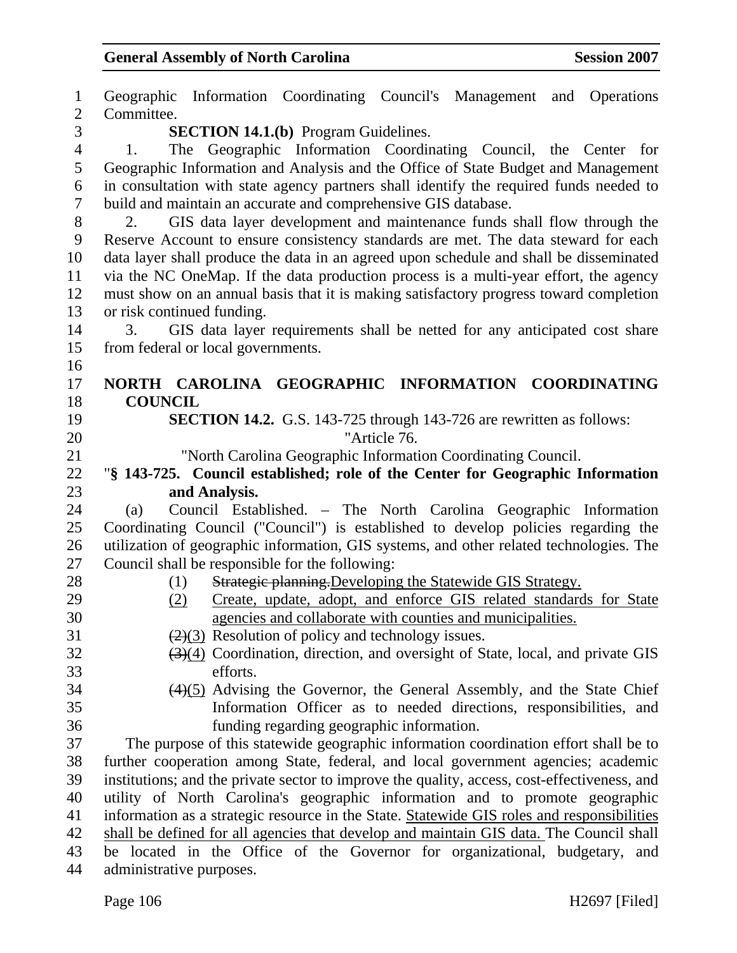1 Geographic Information Coordinating Council's Management and Operations 2 Committee. 3 **SECTION 14.1.(b)** Program Guidelines. 4 1. The Geographic Information Coordinating Council, the Center for 5 Geographic Information and Analysis and the Office of State Budget and Management 6 in consultation with state agency partners shall identify the required funds needed to 7 build and maintain an accurate and comprehensive GIS database. 8 2. GIS data layer development and maintenance funds shall flow through the 9 Reserve Account to ensure consistency standards are met. The data steward for each 10 data layer shall produce the data in an agreed upon schedule and shall be disseminated 11 via the NC OneMap. If the data production process is a multi-year effort, the agency 12 must show on an annual basis that it is making satisfactory progress toward completion 13 or risk continued funding. 14 3. GIS data layer requirements shall be netted for any anticipated cost share 15 from federal or local governments. 16 17 **NORTH CAROLINA GEOGRAPHIC INFORMATION COORDINATING**  18 **COUNCIL**  19 **SECTION 14.2.** G.S. 143-725 through 143-726 are rewritten as follows: 20 "Article 76. 21 "North Carolina Geographic Information Coordinating Council. 22 "**§ 143-725. Council established; role of the Center for Geographic Information**  23 **and Analysis.**  24 (a) Council Established. – The North Carolina Geographic Information 25 Coordinating Council ("Council") is established to develop policies regarding the 26 utilization of geographic information, GIS systems, and other related technologies. The 27 Council shall be responsible for the following: 28 (1) Strategic planning. Developing the Statewide GIS Strategy. 29 (2) Create, update, adopt, and enforce GIS related standards for State 30 agencies and collaborate with counties and municipalities. 31  $(2)(3)$  Resolution of policy and technology issues. 32 (3)(4) Coordination, direction, and oversight of State, local, and private GIS 33 efforts.  $34$  (4)(5) Advising the Governor, the General Assembly, and the State Chief 35 Information Officer as to needed directions, responsibilities, and 36 funding regarding geographic information. 37 The purpose of this statewide geographic information coordination effort shall be to 38 further cooperation among State, federal, and local government agencies; academic 39 institutions; and the private sector to improve the quality, access, cost-effectiveness, and 40 utility of North Carolina's geographic information and to promote geographic 41 information as a strategic resource in the State. Statewide GIS roles and responsibilities 42 shall be defined for all agencies that develop and maintain GIS data. The Council shall 43 be located in the Office of the Governor for organizational, budgetary, and 44 administrative purposes.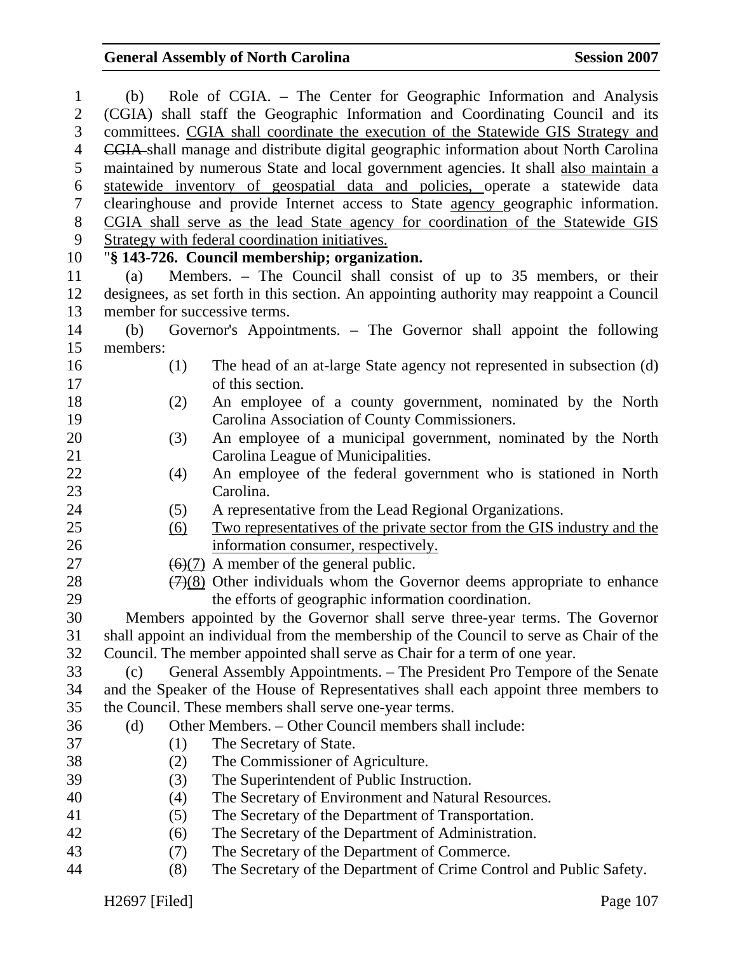| $\mathbf{1}$   |                                                                                             | (b) Role of CGIA. – The Center for Geographic Information and Analysis                      |  |
|----------------|---------------------------------------------------------------------------------------------|---------------------------------------------------------------------------------------------|--|
| $\overline{2}$ |                                                                                             | (CGIA) shall staff the Geographic Information and Coordinating Council and its              |  |
| 3              | committees. CGIA shall coordinate the execution of the Statewide GIS Strategy and           |                                                                                             |  |
| $\overline{4}$ | <b>CGIA</b> shall manage and distribute digital geographic information about North Carolina |                                                                                             |  |
| 5              | maintained by numerous State and local government agencies. It shall also maintain a        |                                                                                             |  |
| 6              | statewide inventory of geospatial data and policies, operate a statewide data               |                                                                                             |  |
| $\tau$         | clearinghouse and provide Internet access to State agency geographic information.           |                                                                                             |  |
| 8              | CGIA shall serve as the lead State agency for coordination of the Statewide GIS             |                                                                                             |  |
| 9              | Strategy with federal coordination initiatives.                                             |                                                                                             |  |
| 10             | "§ 143-726. Council membership; organization.                                               |                                                                                             |  |
| 11             | (a)                                                                                         | Members. – The Council shall consist of up to 35 members, or their                          |  |
| 12             | designees, as set forth in this section. An appointing authority may reappoint a Council    |                                                                                             |  |
| 13             | member for successive terms.                                                                |                                                                                             |  |
| 14             | (b)                                                                                         | Governor's Appointments. – The Governor shall appoint the following                         |  |
| 15             | members:                                                                                    |                                                                                             |  |
| 16             | (1)                                                                                         | The head of an at-large State agency not represented in subsection (d)                      |  |
| 17             |                                                                                             | of this section.                                                                            |  |
| 18             | (2)                                                                                         | An employee of a county government, nominated by the North                                  |  |
| 19             |                                                                                             | Carolina Association of County Commissioners.                                               |  |
| 20             | (3)                                                                                         | An employee of a municipal government, nominated by the North                               |  |
| 21             |                                                                                             | Carolina League of Municipalities.                                                          |  |
| 22             | (4)                                                                                         | An employee of the federal government who is stationed in North                             |  |
| 23             |                                                                                             | Carolina.                                                                                   |  |
| 24             | (5)                                                                                         | A representative from the Lead Regional Organizations.                                      |  |
| 25             | <u>(6)</u>                                                                                  | <u>Two representatives of the private sector from the GIS industry and the</u>              |  |
| 26             |                                                                                             | information consumer, respectively.                                                         |  |
| 27             |                                                                                             | $\left(\frac{6}{7}\right)$ A member of the general public.                                  |  |
| 28             |                                                                                             | $\left(\frac{7}{8}\right)$ Other individuals whom the Governor deems appropriate to enhance |  |
| 29             |                                                                                             | the efforts of geographic information coordination.                                         |  |
| 30             | Members appointed by the Governor shall serve three-year terms. The Governor                |                                                                                             |  |
| 31             | shall appoint an individual from the membership of the Council to serve as Chair of the     |                                                                                             |  |
| 32             |                                                                                             | Council. The member appointed shall serve as Chair for a term of one year.                  |  |
| 33             | (c)                                                                                         | General Assembly Appointments. – The President Pro Tempore of the Senate                    |  |
| 34             | and the Speaker of the House of Representatives shall each appoint three members to         |                                                                                             |  |
| 35             |                                                                                             | the Council. These members shall serve one-year terms.                                      |  |
| 36             | (d)                                                                                         | Other Members. - Other Council members shall include:                                       |  |
| 37             | (1)                                                                                         | The Secretary of State.                                                                     |  |
| 38             | (2)                                                                                         | The Commissioner of Agriculture.                                                            |  |
| 39             | (3)                                                                                         | The Superintendent of Public Instruction.                                                   |  |
| 40             | (4)                                                                                         | The Secretary of Environment and Natural Resources.                                         |  |
| 41             | (5)                                                                                         | The Secretary of the Department of Transportation.                                          |  |
| 42             | (6)                                                                                         | The Secretary of the Department of Administration.                                          |  |
| 43             | (7)                                                                                         | The Secretary of the Department of Commerce.                                                |  |
| 44             | (8)                                                                                         | The Secretary of the Department of Crime Control and Public Safety.                         |  |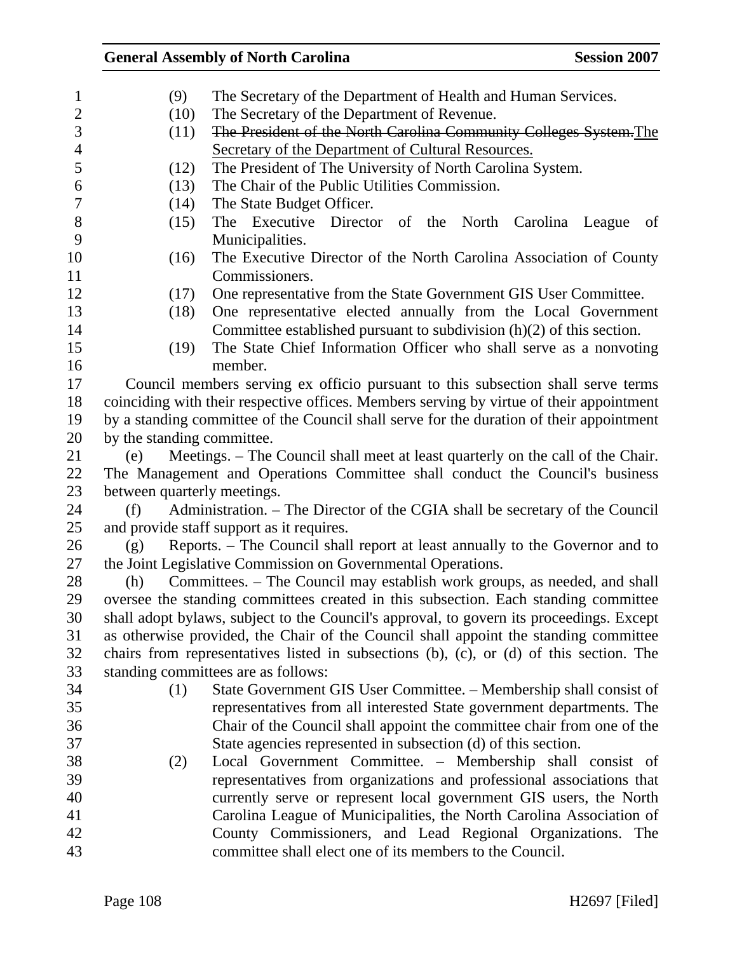| $\mathbf{1}$   | (9)                                                                                      | The Secretary of the Department of Health and Human Services.                           |  |
|----------------|------------------------------------------------------------------------------------------|-----------------------------------------------------------------------------------------|--|
| $\mathfrak{2}$ | (10)                                                                                     | The Secretary of the Department of Revenue.                                             |  |
| 3              | (11)                                                                                     | The President of the North Carolina Community Colleges System. The                      |  |
| $\overline{4}$ |                                                                                          | Secretary of the Department of Cultural Resources.                                      |  |
| 5              | (12)                                                                                     | The President of The University of North Carolina System.                               |  |
| 6              | (13)                                                                                     | The Chair of the Public Utilities Commission.                                           |  |
| $\overline{7}$ | (14)                                                                                     | The State Budget Officer.                                                               |  |
| $8\,$          | (15)                                                                                     | The Executive Director of the North<br>Carolina<br>League<br>of                         |  |
| 9              |                                                                                          | Municipalities.                                                                         |  |
| 10             | (16)                                                                                     | The Executive Director of the North Carolina Association of County                      |  |
| 11             |                                                                                          | Commissioners.                                                                          |  |
| 12             | (17)                                                                                     | One representative from the State Government GIS User Committee.                        |  |
| 13             | (18)                                                                                     | One representative elected annually from the Local Government                           |  |
| 14             |                                                                                          | Committee established pursuant to subdivision $(h)(2)$ of this section.                 |  |
| 15             | (19)                                                                                     | The State Chief Information Officer who shall serve as a nonvoting                      |  |
| 16             |                                                                                          | member.                                                                                 |  |
| 17             |                                                                                          | Council members serving ex officio pursuant to this subsection shall serve terms        |  |
| 18             | coinciding with their respective offices. Members serving by virtue of their appointment |                                                                                         |  |
| 19             | by a standing committee of the Council shall serve for the duration of their appointment |                                                                                         |  |
| 20             | by the standing committee.                                                               |                                                                                         |  |
| 21             | Meetings. – The Council shall meet at least quarterly on the call of the Chair.<br>(e)   |                                                                                         |  |
| 22             | The Management and Operations Committee shall conduct the Council's business             |                                                                                         |  |
| 23             | between quarterly meetings.                                                              |                                                                                         |  |
| 24             | Administration. – The Director of the CGIA shall be secretary of the Council<br>(f)      |                                                                                         |  |
| 25             | and provide staff support as it requires.                                                |                                                                                         |  |
| 26             | Reports. – The Council shall report at least annually to the Governor and to<br>(g)      |                                                                                         |  |
| 27             | the Joint Legislative Commission on Governmental Operations.                             |                                                                                         |  |
| 28             | (h)                                                                                      | Committees. – The Council may establish work groups, as needed, and shall               |  |
| 29             | oversee the standing committees created in this subsection. Each standing committee      |                                                                                         |  |
| 30             | shall adopt bylaws, subject to the Council's approval, to govern its proceedings. Except |                                                                                         |  |
| 31             |                                                                                          | as otherwise provided, the Chair of the Council shall appoint the standing committee    |  |
| 32             |                                                                                          | chairs from representatives listed in subsections (b), (c), or (d) of this section. The |  |
| 33             |                                                                                          | standing committees are as follows:                                                     |  |
| 34             | (1)                                                                                      | State Government GIS User Committee. - Membership shall consist of                      |  |
| 35             |                                                                                          | representatives from all interested State government departments. The                   |  |
| 36             |                                                                                          | Chair of the Council shall appoint the committee chair from one of the                  |  |
| 37             |                                                                                          | State agencies represented in subsection (d) of this section.                           |  |
| 38             | (2)                                                                                      | Local Government Committee. - Membership shall consist of                               |  |
| 39             |                                                                                          | representatives from organizations and professional associations that                   |  |
| 40             |                                                                                          | currently serve or represent local government GIS users, the North                      |  |
| 41             |                                                                                          | Carolina League of Municipalities, the North Carolina Association of                    |  |
| 42             |                                                                                          | County Commissioners, and Lead Regional Organizations. The                              |  |
| 43             |                                                                                          | committee shall elect one of its members to the Council.                                |  |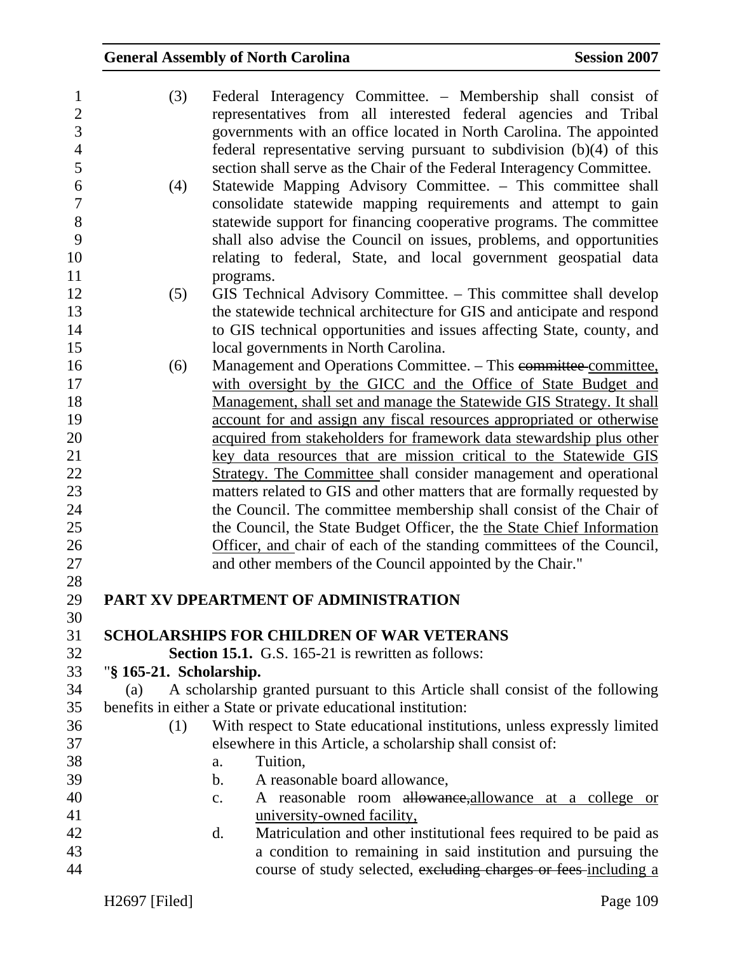| $\mathbf{1}$<br>$\overline{2}$ | (3)                     | Federal Interagency Committee. – Membership shall consist of<br>representatives from all interested federal agencies and Tribal                   |
|--------------------------------|-------------------------|---------------------------------------------------------------------------------------------------------------------------------------------------|
| 3                              |                         | governments with an office located in North Carolina. The appointed                                                                               |
| $\overline{4}$                 |                         | federal representative serving pursuant to subdivision (b)(4) of this                                                                             |
| 5                              |                         | section shall serve as the Chair of the Federal Interagency Committee.                                                                            |
| 6                              | (4)                     | Statewide Mapping Advisory Committee. - This committee shall                                                                                      |
| $\overline{7}$                 |                         | consolidate statewide mapping requirements and attempt to gain                                                                                    |
| 8                              |                         | statewide support for financing cooperative programs. The committee                                                                               |
| 9                              |                         | shall also advise the Council on issues, problems, and opportunities                                                                              |
| 10                             |                         | relating to federal, State, and local government geospatial data                                                                                  |
| 11                             |                         | programs.                                                                                                                                         |
| 12                             |                         |                                                                                                                                                   |
| 13                             | (5)                     | GIS Technical Advisory Committee. - This committee shall develop                                                                                  |
| 14                             |                         | the statewide technical architecture for GIS and anticipate and respond<br>to GIS technical opportunities and issues affecting State, county, and |
| 15                             |                         | local governments in North Carolina.                                                                                                              |
| 16                             |                         | Management and Operations Committee. - This committee committee,                                                                                  |
| 17                             | (6)                     | with oversight by the GICC and the Office of State Budget and                                                                                     |
| 18                             |                         | Management, shall set and manage the Statewide GIS Strategy. It shall                                                                             |
| 19                             |                         | account for and assign any fiscal resources appropriated or otherwise                                                                             |
| 20                             |                         | acquired from stakeholders for framework data stewardship plus other                                                                              |
| 21                             |                         | key data resources that are mission critical to the Statewide GIS                                                                                 |
| 22                             |                         | Strategy. The Committee shall consider management and operational                                                                                 |
| 23                             |                         | matters related to GIS and other matters that are formally requested by                                                                           |
| 24                             |                         | the Council. The committee membership shall consist of the Chair of                                                                               |
| 25                             |                         | the Council, the State Budget Officer, the the State Chief Information                                                                            |
| 26                             |                         | Officer, and chair of each of the standing committees of the Council,                                                                             |
| 27                             |                         | and other members of the Council appointed by the Chair."                                                                                         |
| 28                             |                         |                                                                                                                                                   |
| 29                             |                         | PART XV DPEARTMENT OF ADMINISTRATION                                                                                                              |
| 30                             |                         |                                                                                                                                                   |
| 31                             |                         | <b>SCHOLARSHIPS FOR CHILDREN OF WAR VETERANS</b>                                                                                                  |
| 32                             |                         | Section 15.1. G.S. 165-21 is rewritten as follows:                                                                                                |
| 33                             | "§ 165-21. Scholarship. |                                                                                                                                                   |
| 34                             | (a)                     | A scholarship granted pursuant to this Article shall consist of the following                                                                     |
| 35                             |                         | benefits in either a State or private educational institution:                                                                                    |
| 36                             | (1)                     | With respect to State educational institutions, unless expressly limited                                                                          |
| 37                             |                         | elsewhere in this Article, a scholarship shall consist of:                                                                                        |
| 38                             |                         | Tuition,<br>a.                                                                                                                                    |
| 39                             |                         | A reasonable board allowance,<br>b.                                                                                                               |
| 40                             |                         | A reasonable room allowance, allowance at a college or<br>c.                                                                                      |
| 41                             |                         | university-owned facility,                                                                                                                        |
| 42                             |                         | Matriculation and other institutional fees required to be paid as<br>d.                                                                           |
| 43                             |                         | a condition to remaining in said institution and pursuing the                                                                                     |
| 44                             |                         | course of study selected, excluding charges or fees including a                                                                                   |
|                                |                         |                                                                                                                                                   |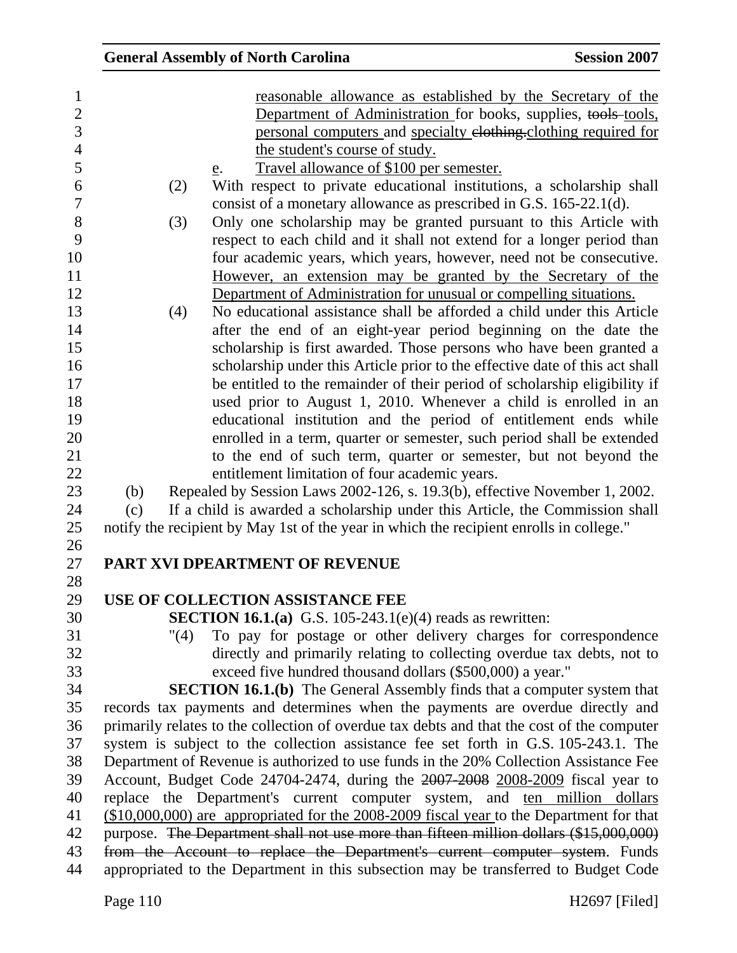|      | <b>General Assembly of North Carolina</b>                                                                                                                                                                                          | <b>Session 2007</b> |
|------|------------------------------------------------------------------------------------------------------------------------------------------------------------------------------------------------------------------------------------|---------------------|
|      | reasonable allowance as established by the Secretary of the<br>Department of Administration for books, supplies, tools-tools,<br>personal computers and specialty elothing-clothing required for<br>the student's course of study. |                     |
|      | Travel allowance of \$100 per semester.<br>e.                                                                                                                                                                                      |                     |
| (2)  | With respect to private educational institutions, a scholarship shall                                                                                                                                                              |                     |
|      | consist of a monetary allowance as prescribed in G.S. 165-22.1(d).                                                                                                                                                                 |                     |
| (3)  | Only one scholarship may be granted pursuant to this Article with                                                                                                                                                                  |                     |
|      | respect to each child and it shall not extend for a longer period than                                                                                                                                                             |                     |
|      | four academic years, which years, however, need not be consecutive.<br>However, an extension may be granted by the Secretary of the                                                                                                |                     |
|      | Department of Administration for unusual or compelling situations.                                                                                                                                                                 |                     |
| (4)  | No educational assistance shall be afforded a child under this Article                                                                                                                                                             |                     |
|      | after the end of an eight-year period beginning on the date the                                                                                                                                                                    |                     |
|      | scholarship is first awarded. Those persons who have been granted a                                                                                                                                                                |                     |
|      | scholarship under this Article prior to the effective date of this act shall                                                                                                                                                       |                     |
|      | be entitled to the remainder of their period of scholarship eligibility if                                                                                                                                                         |                     |
|      | used prior to August 1, 2010. Whenever a child is enrolled in an                                                                                                                                                                   |                     |
|      | educational institution and the period of entitlement ends while                                                                                                                                                                   |                     |
|      | enrolled in a term, quarter or semester, such period shall be extended                                                                                                                                                             |                     |
|      | to the end of such term, quarter or semester, but not beyond the                                                                                                                                                                   |                     |
|      | entitlement limitation of four academic years.                                                                                                                                                                                     |                     |
| (b)  | Repealed by Session Laws 2002-126, s. 19.3(b), effective November 1, 2002.                                                                                                                                                         |                     |
| (c)  | If a child is awarded a scholarship under this Article, the Commission shall                                                                                                                                                       |                     |
|      | notify the recipient by May 1st of the year in which the recipient enrolls in college."                                                                                                                                            |                     |
|      | PART XVI DPEARTMENT OF REVENUE                                                                                                                                                                                                     |                     |
|      |                                                                                                                                                                                                                                    |                     |
|      | USE OF COLLECTION ASSISTANCE FEE                                                                                                                                                                                                   |                     |
|      | <b>SECTION 16.1.(a)</b> G.S. 105-243.1(e)(4) reads as rewritten:                                                                                                                                                                   |                     |
| "(4) | To pay for postage or other delivery charges for correspondence                                                                                                                                                                    |                     |
|      | directly and primarily relating to collecting overdue tax debts, not to                                                                                                                                                            |                     |
|      | exceed five hundred thousand dollars (\$500,000) a year."                                                                                                                                                                          |                     |
|      | <b>SECTION 16.1.(b)</b> The General Assembly finds that a computer system that                                                                                                                                                     |                     |
|      | records tax payments and determines when the payments are overdue directly and                                                                                                                                                     |                     |
|      | primarily relates to the collection of overdue tax debts and that the cost of the computer                                                                                                                                         |                     |
|      | system is subject to the collection assistance fee set forth in G.S. 105-243.1. The                                                                                                                                                |                     |
|      | Department of Revenue is authorized to use funds in the 20% Collection Assistance Fee                                                                                                                                              |                     |
|      | Account, Budget Code 24704-2474, during the 2007-2008 2008-2009 fiscal year to                                                                                                                                                     |                     |
|      | replace the Department's current computer system, and ten million dollars<br>(\$10,000,000) are appropriated for the 2008-2009 fiscal year to the Department for that                                                              |                     |
|      | purpose. The Department shall not use more than fifteen million dollars (\$15,000,000)                                                                                                                                             |                     |
|      | from the Account to replace the Department's current computer system. Funds                                                                                                                                                        |                     |
|      | appropriated to the Department in this subsection may be transferred to Budget Code                                                                                                                                                |                     |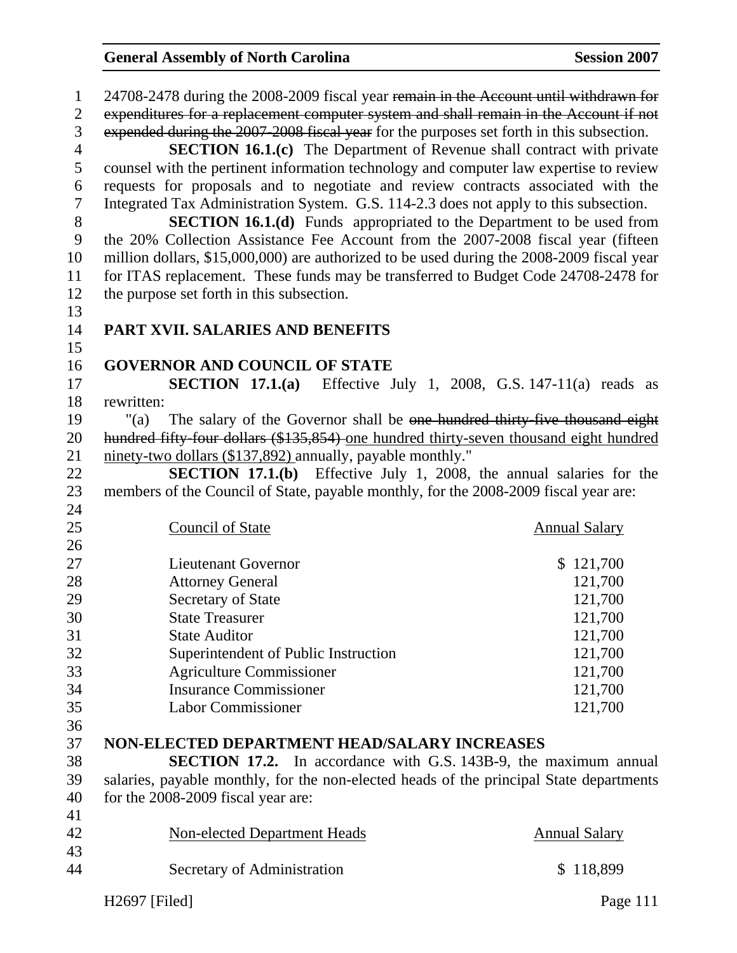| $\mathbf{1}$   | 24708-2478 during the 2008-2009 fiscal year remain in the Account until withdrawn for     |                      |
|----------------|-------------------------------------------------------------------------------------------|----------------------|
| $\overline{2}$ | expenditures for a replacement computer system and shall remain in the Account if not     |                      |
| 3              | expended during the 2007-2008 fiscal year for the purposes set forth in this subsection.  |                      |
| 4              | <b>SECTION 16.1.(c)</b> The Department of Revenue shall contract with private             |                      |
| 5              | counsel with the pertinent information technology and computer law expertise to review    |                      |
| 6              | requests for proposals and to negotiate and review contracts associated with the          |                      |
| $\tau$         | Integrated Tax Administration System. G.S. 114-2.3 does not apply to this subsection.     |                      |
| 8              | <b>SECTION 16.1.(d)</b> Funds appropriated to the Department to be used from              |                      |
| 9              | the 20% Collection Assistance Fee Account from the 2007-2008 fiscal year (fifteen         |                      |
| 10             | million dollars, \$15,000,000) are authorized to be used during the 2008-2009 fiscal year |                      |
| 11             | for ITAS replacement. These funds may be transferred to Budget Code 24708-2478 for        |                      |
| 12             | the purpose set forth in this subsection.                                                 |                      |
| 13             |                                                                                           |                      |
| 14             | PART XVII. SALARIES AND BENEFITS                                                          |                      |
| 15             |                                                                                           |                      |
| 16             | <b>GOVERNOR AND COUNCIL OF STATE</b>                                                      |                      |
| 17             | <b>SECTION 17.1.(a)</b> Effective July 1, 2008, G.S. 147-11(a) reads as                   |                      |
| 18             | rewritten:                                                                                |                      |
| 19             | The salary of the Governor shall be one hundred thirty-five thousand eight<br>" $(a)$     |                      |
| 20             | hundred fifty four dollars (\$135,854) one hundred thirty-seven thousand eight hundred    |                      |
| 21             | ninety-two dollars (\$137,892) annually, payable monthly."                                |                      |
| 22             | <b>SECTION 17.1.(b)</b> Effective July 1, 2008, the annual salaries for the               |                      |
| 23             | members of the Council of State, payable monthly, for the 2008-2009 fiscal year are:      |                      |
| 24             |                                                                                           |                      |
| 25             | <b>Council of State</b>                                                                   | <b>Annual Salary</b> |
| 26             |                                                                                           |                      |
| 27             | <b>Lieutenant Governor</b>                                                                | \$121,700            |
| 28             | <b>Attorney General</b>                                                                   | 121,700              |
| 29             | Secretary of State                                                                        | 121,700              |
| 30             | <b>State Treasurer</b>                                                                    | 121,700              |
| 31             | <b>State Auditor</b>                                                                      | 121,700              |
| 32             | Superintendent of Public Instruction                                                      | 121,700              |
| 33<br>34       | <b>Agriculture Commissioner</b><br><b>Insurance Commissioner</b>                          | 121,700              |
| 35             | <b>Labor Commissioner</b>                                                                 | 121,700<br>121,700   |
| 36             |                                                                                           |                      |
| 37             | NON-ELECTED DEPARTMENT HEAD/SALARY INCREASES                                              |                      |
| 38             | <b>SECTION 17.2.</b> In accordance with G.S. 143B-9, the maximum annual                   |                      |
| 39             | salaries, payable monthly, for the non-elected heads of the principal State departments   |                      |
| 40             | for the 2008-2009 fiscal year are:                                                        |                      |
| 41             |                                                                                           |                      |
| 42             | <b>Non-elected Department Heads</b>                                                       | <b>Annual Salary</b> |
| 43             |                                                                                           |                      |
|                |                                                                                           |                      |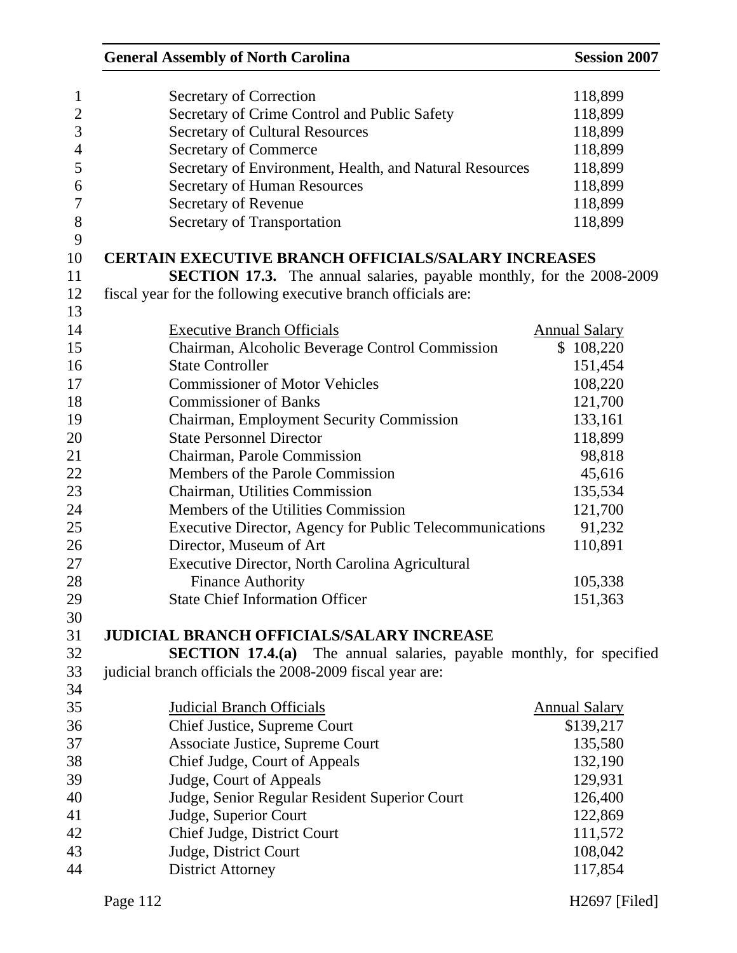| <b>General Assembly of North Carolina</b>                                   | <b>Session 2007</b>  |
|-----------------------------------------------------------------------------|----------------------|
| Secretary of Correction                                                     | 118,899              |
| Secretary of Crime Control and Public Safety                                | 118,899              |
| <b>Secretary of Cultural Resources</b>                                      | 118,899              |
| <b>Secretary of Commerce</b>                                                | 118,899              |
| Secretary of Environment, Health, and Natural Resources                     | 118,899              |
| <b>Secretary of Human Resources</b>                                         | 118,899              |
| Secretary of Revenue                                                        | 118,899              |
| Secretary of Transportation                                                 | 118,899              |
| <b>CERTAIN EXECUTIVE BRANCH OFFICIALS/SALARY INCREASES</b>                  |                      |
|                                                                             |                      |
| SECTION 17.3. The annual salaries, payable monthly, for the 2008-2009       |                      |
| fiscal year for the following executive branch officials are:               |                      |
|                                                                             |                      |
| <b>Executive Branch Officials</b>                                           | <b>Annual Salary</b> |
| Chairman, Alcoholic Beverage Control Commission                             | \$108,220            |
| <b>State Controller</b>                                                     | 151,454              |
| <b>Commissioner of Motor Vehicles</b>                                       | 108,220              |
| <b>Commissioner of Banks</b>                                                | 121,700              |
| Chairman, Employment Security Commission                                    | 133,161              |
| <b>State Personnel Director</b>                                             | 118,899              |
| Chairman, Parole Commission                                                 | 98,818               |
| Members of the Parole Commission                                            | 45,616               |
| Chairman, Utilities Commission                                              | 135,534              |
| Members of the Utilities Commission                                         | 121,700              |
| Executive Director, Agency for Public Telecommunications                    | 91,232               |
| Director, Museum of Art                                                     | 110,891              |
| Executive Director, North Carolina Agricultural                             |                      |
| <b>Finance Authority</b>                                                    | 105,338              |
| <b>State Chief Information Officer</b>                                      | 151,363              |
|                                                                             |                      |
| <b>JUDICIAL BRANCH OFFICIALS/SALARY INCREASE</b>                            |                      |
| <b>SECTION 17.4.(a)</b> The annual salaries, payable monthly, for specified |                      |
| judicial branch officials the 2008-2009 fiscal year are:                    |                      |
|                                                                             |                      |
| <b>Judicial Branch Officials</b>                                            | <b>Annual Salary</b> |
| Chief Justice, Supreme Court                                                | \$139,217            |
| Associate Justice, Supreme Court                                            | 135,580              |
| Chief Judge, Court of Appeals                                               | 132,190              |
| Judge, Court of Appeals                                                     | 129,931              |
|                                                                             | 126,400              |
| Judge, Senior Regular Resident Superior Court                               | 122,869              |
| Judge, Superior Court                                                       |                      |
| Chief Judge, District Court                                                 | 111,572              |
| Judge, District Court                                                       | 108,042              |
| <b>District Attorney</b>                                                    | 117,854              |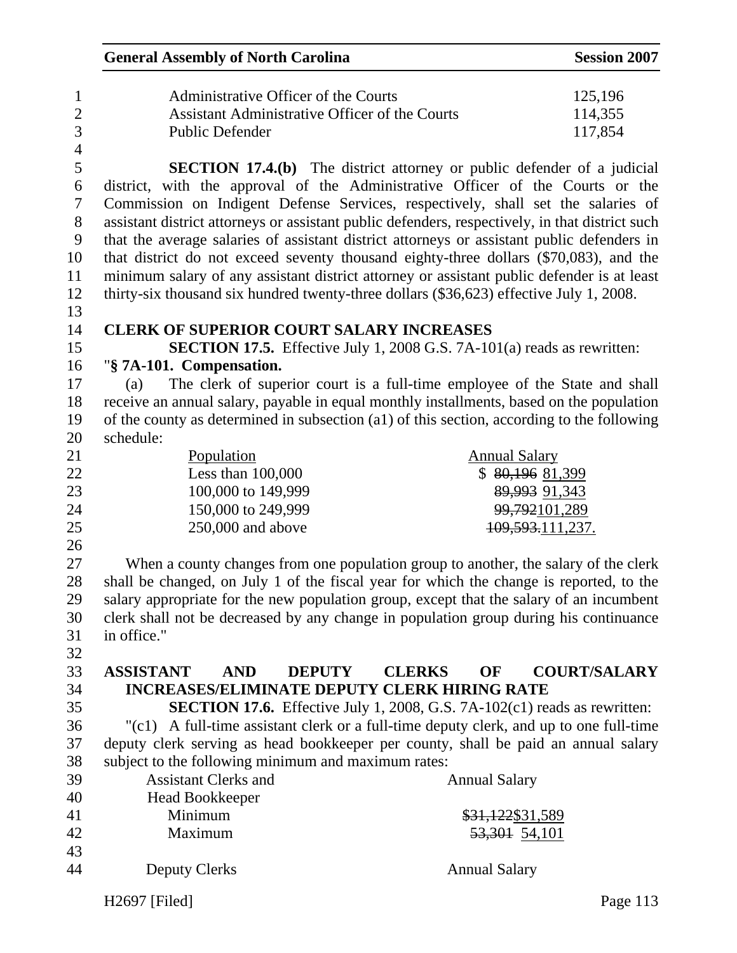|                  | <b>General Assembly of North Carolina</b>                                                                               |                                                                                  | <b>Session 2007</b>           |
|------------------|-------------------------------------------------------------------------------------------------------------------------|----------------------------------------------------------------------------------|-------------------------------|
|                  | Administrative Officer of the Courts<br><b>Assistant Administrative Officer of the Courts</b><br><b>Public Defender</b> |                                                                                  | 125,196<br>114,355<br>117,854 |
|                  |                                                                                                                         | <b>SECTION 17.4.(b)</b> The district attorney or public defender of a judicial   |                               |
|                  | district, with the approval of the Administrative Officer of the Courts or the                                          |                                                                                  |                               |
|                  | Commission on Indigent Defense Services, respectively, shall set the salaries of                                        |                                                                                  |                               |
|                  | assistant district attorneys or assistant public defenders, respectively, in that district such                         |                                                                                  |                               |
|                  | that the average salaries of assistant district attorneys or assistant public defenders in                              |                                                                                  |                               |
|                  | that district do not exceed seventy thousand eighty-three dollars (\$70,083), and the                                   |                                                                                  |                               |
|                  | minimum salary of any assistant district attorney or assistant public defender is at least                              |                                                                                  |                               |
|                  | thirty-six thousand six hundred twenty-three dollars (\$36,623) effective July 1, 2008.                                 |                                                                                  |                               |
|                  |                                                                                                                         |                                                                                  |                               |
|                  | <b>CLERK OF SUPERIOR COURT SALARY INCREASES</b>                                                                         |                                                                                  |                               |
|                  |                                                                                                                         | <b>SECTION 17.5.</b> Effective July 1, 2008 G.S. 7A-101(a) reads as rewritten:   |                               |
|                  | "§ 7A-101. Compensation.                                                                                                |                                                                                  |                               |
| (a)              |                                                                                                                         | The clerk of superior court is a full-time employee of the State and shall       |                               |
|                  | receive an annual salary, payable in equal monthly installments, based on the population                                |                                                                                  |                               |
|                  | of the county as determined in subsection (a1) of this section, according to the following                              |                                                                                  |                               |
| schedule:        |                                                                                                                         |                                                                                  |                               |
|                  | Population                                                                                                              | <b>Annual Salary</b>                                                             |                               |
|                  | Less than $100,000$                                                                                                     | \$80,19681,399                                                                   |                               |
|                  | 100,000 to 149,999                                                                                                      | 89,993 91,343                                                                    |                               |
|                  | 150,000 to 249,999                                                                                                      | 99,792101,289                                                                    |                               |
|                  | 250,000 and above                                                                                                       | 109,593.111,237.                                                                 |                               |
|                  |                                                                                                                         |                                                                                  |                               |
|                  | When a county changes from one population group to another, the salary of the clerk                                     |                                                                                  |                               |
|                  | shall be changed, on July 1 of the fiscal year for which the change is reported, to the                                 |                                                                                  |                               |
|                  | salary appropriate for the new population group, except that the salary of an incumbent                                 |                                                                                  |                               |
|                  | clerk shall not be decreased by any change in population group during his continuance                                   |                                                                                  |                               |
| in office."      |                                                                                                                         |                                                                                  |                               |
|                  |                                                                                                                         |                                                                                  |                               |
| <b>ASSISTANT</b> | <b>AND</b><br><b>DEPUTY</b>                                                                                             | <b>CLERKS</b><br>OF                                                              | <b>COURT/SALARY</b>           |
|                  | <b>INCREASES/ELIMINATE DEPUTY CLERK HIRING RATE</b>                                                                     |                                                                                  |                               |
|                  |                                                                                                                         | <b>SECTION 17.6.</b> Effective July 1, 2008, G.S. 7A-102(c1) reads as rewritten: |                               |
|                  | "(c1) A full-time assistant clerk or a full-time deputy clerk, and up to one full-time                                  |                                                                                  |                               |
|                  | deputy clerk serving as head bookkeeper per county, shall be paid an annual salary                                      |                                                                                  |                               |
|                  | subject to the following minimum and maximum rates:                                                                     |                                                                                  |                               |
|                  | <b>Assistant Clerks and</b>                                                                                             | <b>Annual Salary</b>                                                             |                               |
|                  | Head Bookkeeper                                                                                                         |                                                                                  |                               |
|                  | Minimum                                                                                                                 | \$31,122\$31,589                                                                 |                               |
|                  | Maximum                                                                                                                 | 53,301 54,101                                                                    |                               |
|                  |                                                                                                                         |                                                                                  |                               |
|                  | <b>Deputy Clerks</b>                                                                                                    | <b>Annual Salary</b>                                                             |                               |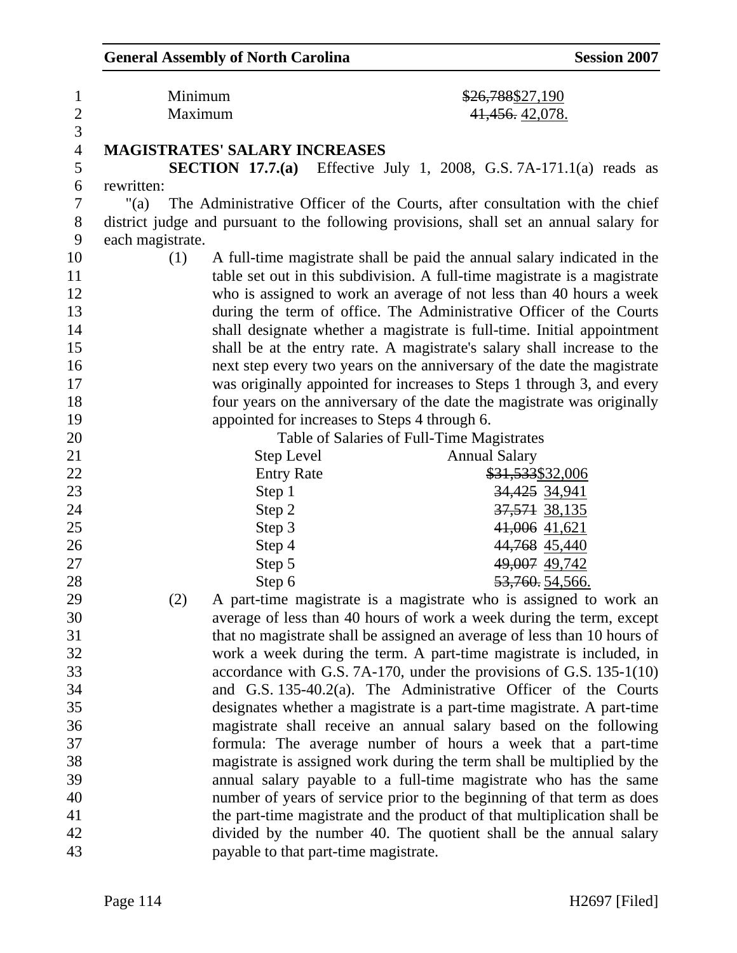| $\mathbf{1}$            | Minimum          |                                      | \$26,788\$27,190                                                                        |
|-------------------------|------------------|--------------------------------------|-----------------------------------------------------------------------------------------|
| $\overline{\mathbf{c}}$ | Maximum          |                                      | 41,456.42,078.                                                                          |
| $\overline{3}$          |                  |                                      |                                                                                         |
| $\overline{4}$          |                  | <b>MAGISTRATES' SALARY INCREASES</b> |                                                                                         |
| 5                       |                  |                                      | <b>SECTION 17.7.(a)</b> Effective July 1, 2008, G.S. 7A-171.1(a) reads as               |
| 6                       | rewritten:       |                                      |                                                                                         |
| $\tau$                  | " $(a)$          |                                      | The Administrative Officer of the Courts, after consultation with the chief             |
| $8\,$                   |                  |                                      | district judge and pursuant to the following provisions, shall set an annual salary for |
| 9                       | each magistrate. |                                      |                                                                                         |
| 10                      | (1)              |                                      | A full-time magistrate shall be paid the annual salary indicated in the                 |
| 11                      |                  |                                      | table set out in this subdivision. A full-time magistrate is a magistrate               |
| 12                      |                  |                                      | who is assigned to work an average of not less than 40 hours a week                     |
| 13                      |                  |                                      | during the term of office. The Administrative Officer of the Courts                     |
| 14                      |                  |                                      | shall designate whether a magistrate is full-time. Initial appointment                  |
| 15                      |                  |                                      | shall be at the entry rate. A magistrate's salary shall increase to the                 |
| 16                      |                  |                                      | next step every two years on the anniversary of the date the magistrate                 |
| 17                      |                  |                                      | was originally appointed for increases to Steps 1 through 3, and every                  |
| 18                      |                  |                                      | four years on the anniversary of the date the magistrate was originally                 |
| 19                      |                  |                                      | appointed for increases to Steps 4 through 6.                                           |
| 20                      |                  |                                      | Table of Salaries of Full-Time Magistrates                                              |
| 21                      |                  | <b>Step Level</b>                    | <b>Annual Salary</b>                                                                    |
| 22                      |                  | <b>Entry Rate</b>                    | \$31,533\$32,006                                                                        |
| 23                      |                  | Step 1                               | 34,425 34,941                                                                           |
| 24                      |                  | Step 2                               | 37,571 38,135                                                                           |
| 25                      |                  | Step 3                               | 41,006 41,621                                                                           |
| 26                      |                  | Step 4                               | 44,768 45,440                                                                           |
| 27                      |                  | Step 5                               | 49,007 49,742                                                                           |
| 28                      |                  | Step 6                               | <del>53,760.</del> 54,566.                                                              |
| 29                      | (2)              |                                      | A part-time magistrate is a magistrate who is assigned to work an                       |
| 30                      |                  |                                      | average of less than 40 hours of work a week during the term, except                    |
| 31                      |                  |                                      | that no magistrate shall be assigned an average of less than 10 hours of                |
| 32                      |                  |                                      | work a week during the term. A part-time magistrate is included, in                     |
| 33                      |                  |                                      | accordance with G.S. 7A-170, under the provisions of G.S. 135-1(10)                     |
| 34                      |                  |                                      | and G.S. 135-40.2(a). The Administrative Officer of the Courts                          |
| 35                      |                  |                                      | designates whether a magistrate is a part-time magistrate. A part-time                  |
| 36                      |                  |                                      | magistrate shall receive an annual salary based on the following                        |
| 37                      |                  |                                      | formula: The average number of hours a week that a part-time                            |
| 38                      |                  |                                      | magistrate is assigned work during the term shall be multiplied by the                  |
| 39                      |                  |                                      | annual salary payable to a full-time magistrate who has the same                        |
| 40                      |                  |                                      | number of years of service prior to the beginning of that term as does                  |
| 41                      |                  |                                      | the part-time magistrate and the product of that multiplication shall be                |
| 42                      |                  |                                      | divided by the number 40. The quotient shall be the annual salary                       |
| 43                      |                  |                                      | payable to that part-time magistrate.                                                   |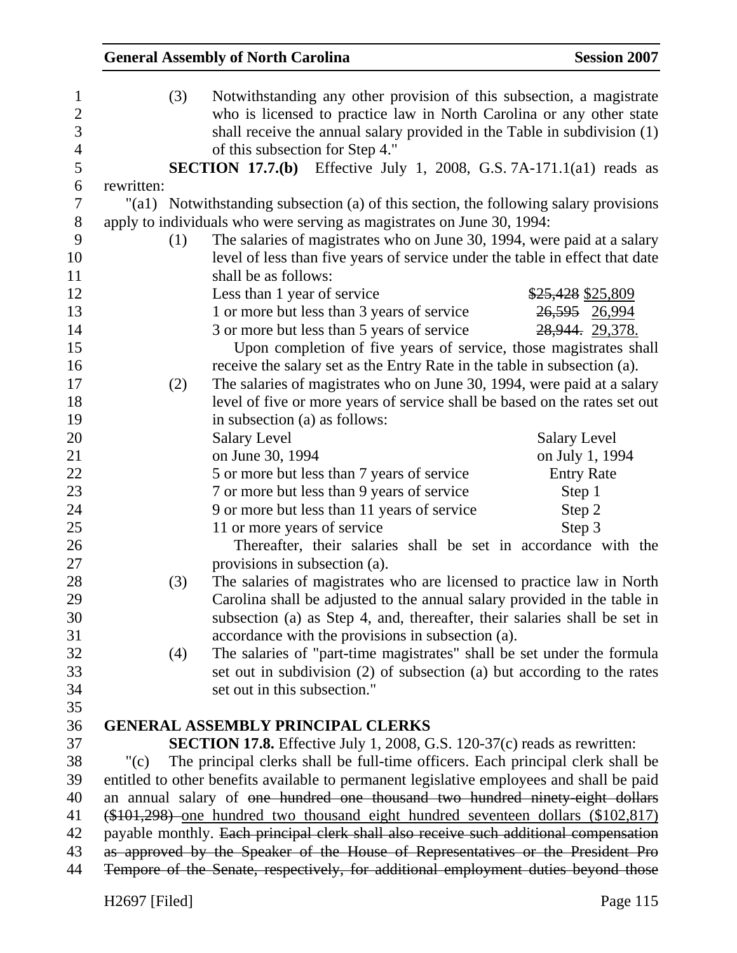|            | <b>General Assembly of North Carolina</b>                                                                                                                                                                                                                   | <b>Session 2007</b> |
|------------|-------------------------------------------------------------------------------------------------------------------------------------------------------------------------------------------------------------------------------------------------------------|---------------------|
| (3)        | Notwithstanding any other provision of this subsection, a magistrate<br>who is licensed to practice law in North Carolina or any other state<br>shall receive the annual salary provided in the Table in subdivision (1)<br>of this subsection for Step 4." |                     |
|            | <b>SECTION 17.7.(b)</b> Effective July 1, 2008, G.S. 7A-171.1(a1) reads as                                                                                                                                                                                  |                     |
| rewritten: |                                                                                                                                                                                                                                                             |                     |
|            | "(a1) Notwithstanding subsection (a) of this section, the following salary provisions                                                                                                                                                                       |                     |
|            | apply to individuals who were serving as magistrates on June 30, 1994:                                                                                                                                                                                      |                     |
| (1)        | The salaries of magistrates who on June 30, 1994, were paid at a salary<br>level of less than five years of service under the table in effect that date<br>shall be as follows:                                                                             |                     |
|            | Less than 1 year of service                                                                                                                                                                                                                                 | \$25,428 \$25,809   |
|            | 1 or more but less than 3 years of service                                                                                                                                                                                                                  | 26,595 26,994       |
|            | 3 or more but less than 5 years of service                                                                                                                                                                                                                  | 28,944. 29,378.     |
|            | Upon completion of five years of service, those magistrates shall                                                                                                                                                                                           |                     |
|            | receive the salary set as the Entry Rate in the table in subsection (a).                                                                                                                                                                                    |                     |
| (2)        | The salaries of magistrates who on June 30, 1994, were paid at a salary                                                                                                                                                                                     |                     |
|            | level of five or more years of service shall be based on the rates set out                                                                                                                                                                                  |                     |
|            | in subsection (a) as follows:                                                                                                                                                                                                                               |                     |
|            | <b>Salary Level</b>                                                                                                                                                                                                                                         | <b>Salary Level</b> |
|            | on June 30, 1994                                                                                                                                                                                                                                            | on July 1, 1994     |
|            | 5 or more but less than 7 years of service                                                                                                                                                                                                                  | <b>Entry Rate</b>   |
|            | 7 or more but less than 9 years of service                                                                                                                                                                                                                  | Step 1              |
|            | 9 or more but less than 11 years of service                                                                                                                                                                                                                 | Step 2              |
|            | 11 or more years of service                                                                                                                                                                                                                                 | Step 3              |
|            | Thereafter, their salaries shall be set in accordance with the                                                                                                                                                                                              |                     |
|            | provisions in subsection (a).                                                                                                                                                                                                                               |                     |
| (3)        | The salaries of magistrates who are licensed to practice law in North                                                                                                                                                                                       |                     |
|            | Carolina shall be adjusted to the annual salary provided in the table in                                                                                                                                                                                    |                     |
|            | subsection (a) as Step 4, and, thereafter, their salaries shall be set in                                                                                                                                                                                   |                     |
|            | accordance with the provisions in subsection (a).                                                                                                                                                                                                           |                     |
| (4)        | The salaries of "part-time magistrates" shall be set under the formula                                                                                                                                                                                      |                     |
|            | set out in subdivision (2) of subsection (a) but according to the rates                                                                                                                                                                                     |                     |
|            | set out in this subsection."                                                                                                                                                                                                                                |                     |
|            |                                                                                                                                                                                                                                                             |                     |
|            | <b>GENERAL ASSEMBLY PRINCIPAL CLERKS</b>                                                                                                                                                                                                                    |                     |
|            | <b>SECTION 17.8.</b> Effective July 1, 2008, G.S. 120-37(c) reads as rewritten:                                                                                                                                                                             |                     |
| " $(c)$    | The principal clerks shall be full-time officers. Each principal clerk shall be                                                                                                                                                                             |                     |
|            | entitled to other benefits available to permanent legislative employees and shall be paid                                                                                                                                                                   |                     |
|            | an annual salary of one hundred one thousand two hundred ninety-eight dollars                                                                                                                                                                               |                     |
|            | (\$101,298) one hundred two thousand eight hundred seventeen dollars (\$102,817)                                                                                                                                                                            |                     |
|            | payable monthly. Each principal clerk shall also receive such additional compensation                                                                                                                                                                       |                     |
|            | as approved by the Speaker of the House of Representatives or the President Pro                                                                                                                                                                             |                     |
|            | Tempore of the Senate, respectively, for additional employment duties beyond those                                                                                                                                                                          |                     |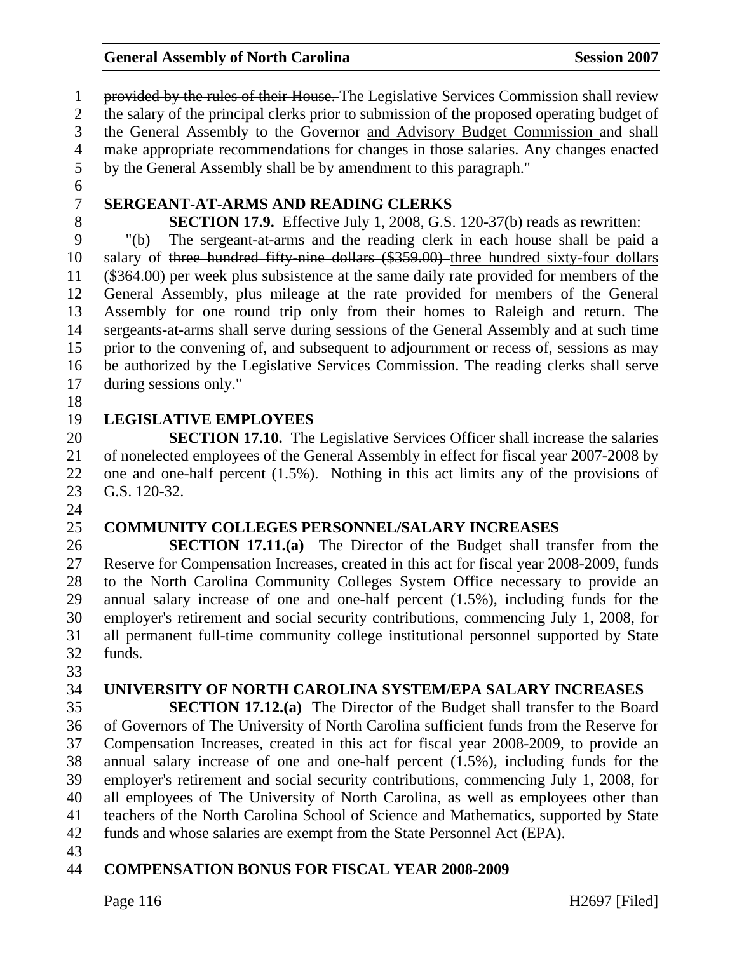1 provided by the rules of their House. The Legislative Services Commission shall review 2 the salary of the principal clerks prior to submission of the proposed operating budget of 3 the General Assembly to the Governor and Advisory Budget Commission and shall 4 make appropriate recommendations for changes in those salaries. Any changes enacted 5 by the General Assembly shall be by amendment to this paragraph." 6 7 **SERGEANT-AT-ARMS AND READING CLERKS**  8 **SECTION 17.9.** Effective July 1, 2008, G.S. 120-37(b) reads as rewritten: 9 "(b) The sergeant-at-arms and the reading clerk in each house shall be paid a 10 salary of three hundred fifty-nine dollars (\$359.00) three hundred sixty-four dollars 11 (\$364.00) per week plus subsistence at the same daily rate provided for members of the 12 General Assembly, plus mileage at the rate provided for members of the General 13 Assembly for one round trip only from their homes to Raleigh and return. The 14 sergeants-at-arms shall serve during sessions of the General Assembly and at such time 15 prior to the convening of, and subsequent to adjournment or recess of, sessions as may 16 be authorized by the Legislative Services Commission. The reading clerks shall serve 17 during sessions only."

18

24

### 19 **LEGISLATIVE EMPLOYEES**

20 **SECTION 17.10.** The Legislative Services Officer shall increase the salaries 21 of nonelected employees of the General Assembly in effect for fiscal year 2007-2008 by 22 one and one-half percent (1.5%). Nothing in this act limits any of the provisions of 23 G.S. 120-32.

#### 25 **COMMUNITY COLLEGES PERSONNEL/SALARY INCREASES**

26 **SECTION 17.11.(a)** The Director of the Budget shall transfer from the 27 Reserve for Compensation Increases, created in this act for fiscal year 2008-2009, funds 28 to the North Carolina Community Colleges System Office necessary to provide an 29 annual salary increase of one and one-half percent (1.5%), including funds for the 30 employer's retirement and social security contributions, commencing July 1, 2008, for 31 all permanent full-time community college institutional personnel supported by State 32 funds.

33

### 34 **UNIVERSITY OF NORTH CAROLINA SYSTEM/EPA SALARY INCREASES**

35 **SECTION 17.12.(a)** The Director of the Budget shall transfer to the Board 36 of Governors of The University of North Carolina sufficient funds from the Reserve for 37 Compensation Increases, created in this act for fiscal year 2008-2009, to provide an 38 annual salary increase of one and one-half percent (1.5%), including funds for the 39 employer's retirement and social security contributions, commencing July 1, 2008, for 40 all employees of The University of North Carolina, as well as employees other than 41 teachers of the North Carolina School of Science and Mathematics, supported by State 42 funds and whose salaries are exempt from the State Personnel Act (EPA).

43

#### 44 **COMPENSATION BONUS FOR FISCAL YEAR 2008-2009**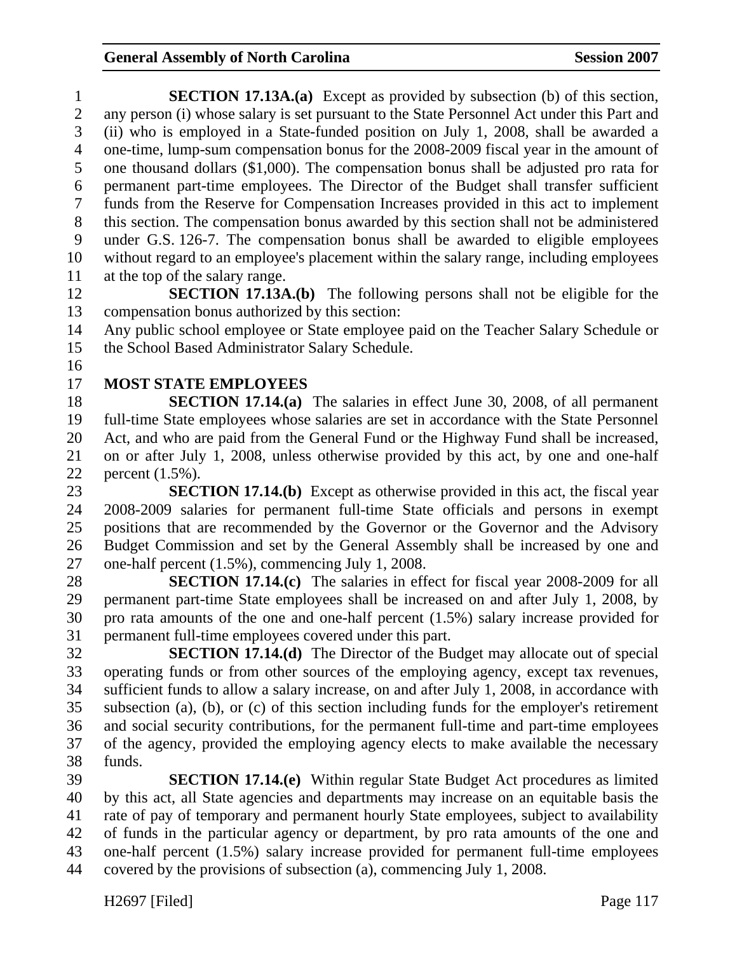| $\mathbf{1}$   | <b>SECTION 17.13A.(a)</b> Except as provided by subsection (b) of this section,                                                                                        |
|----------------|------------------------------------------------------------------------------------------------------------------------------------------------------------------------|
| $\overline{2}$ | any person (i) whose salary is set pursuant to the State Personnel Act under this Part and                                                                             |
| 3              | (ii) who is employed in a State-funded position on July 1, 2008, shall be awarded a                                                                                    |
| $\overline{4}$ | one-time, lump-sum compensation bonus for the 2008-2009 fiscal year in the amount of                                                                                   |
| 5              | one thousand dollars (\$1,000). The compensation bonus shall be adjusted pro rata for                                                                                  |
| 6              | permanent part-time employees. The Director of the Budget shall transfer sufficient                                                                                    |
| 7              | funds from the Reserve for Compensation Increases provided in this act to implement                                                                                    |
| $8\,$          | this section. The compensation bonus awarded by this section shall not be administered                                                                                 |
| 9              | under G.S. 126-7. The compensation bonus shall be awarded to eligible employees                                                                                        |
| 10             | without regard to an employee's placement within the salary range, including employees                                                                                 |
| 11             | at the top of the salary range.                                                                                                                                        |
| 12             | <b>SECTION 17.13A.(b)</b> The following persons shall not be eligible for the                                                                                          |
| 13             | compensation bonus authorized by this section:                                                                                                                         |
| 14             | Any public school employee or State employee paid on the Teacher Salary Schedule or                                                                                    |
| 15             | the School Based Administrator Salary Schedule.                                                                                                                        |
| 16             |                                                                                                                                                                        |
| 17             | <b>MOST STATE EMPLOYEES</b>                                                                                                                                            |
| 18             | <b>SECTION 17.14.(a)</b> The salaries in effect June 30, 2008, of all permanent                                                                                        |
| 19             | full-time State employees whose salaries are set in accordance with the State Personnel                                                                                |
| 20             | Act, and who are paid from the General Fund or the Highway Fund shall be increased,                                                                                    |
| 21             | on or after July 1, 2008, unless otherwise provided by this act, by one and one-half                                                                                   |
| 22             | percent $(1.5\%)$ .                                                                                                                                                    |
| 23             | <b>SECTION 17.14.(b)</b> Except as otherwise provided in this act, the fiscal year                                                                                     |
| 24             | 2008-2009 salaries for permanent full-time State officials and persons in exempt                                                                                       |
| 25             | positions that are recommended by the Governor or the Governor and the Advisory                                                                                        |
| 26             | Budget Commission and set by the General Assembly shall be increased by one and                                                                                        |
| 27             | one-half percent (1.5%), commencing July 1, 2008.                                                                                                                      |
| 28             | <b>SECTION 17.14.(c)</b> The salaries in effect for fiscal year 2008-2009 for all                                                                                      |
| 29             | permanent part-time State employees shall be increased on and after July 1, 2008, by                                                                                   |
| 30             | pro rata amounts of the one and one-half percent $(1.5%)$ salary increase provided for                                                                                 |
| 31<br>32       | permanent full-time employees covered under this part.                                                                                                                 |
| 33             | <b>SECTION 17.14.(d)</b> The Director of the Budget may allocate out of special<br>operating funds or from other sources of the employing agency, except tax revenues, |
| 34             | sufficient funds to allow a salary increase, on and after July 1, 2008, in accordance with                                                                             |
| 35             | subsection (a), (b), or (c) of this section including funds for the employer's retirement                                                                              |
| 36             | and social security contributions, for the permanent full-time and part-time employees                                                                                 |
| 37             | of the agency, provided the employing agency elects to make available the necessary                                                                                    |
| 38             | funds.                                                                                                                                                                 |
| 39             | <b>SECTION 17.14.(e)</b> Within regular State Budget Act procedures as limited                                                                                         |
| 40             | by this act, all State agencies and departments may increase on an equitable basis the                                                                                 |
|                |                                                                                                                                                                        |

41 rate of pay of temporary and permanent hourly State employees, subject to availability 42 of funds in the particular agency or department, by pro rata amounts of the one and 43 one-half percent (1.5%) salary increase provided for permanent full-time employees 44 covered by the provisions of subsection (a), commencing July 1, 2008.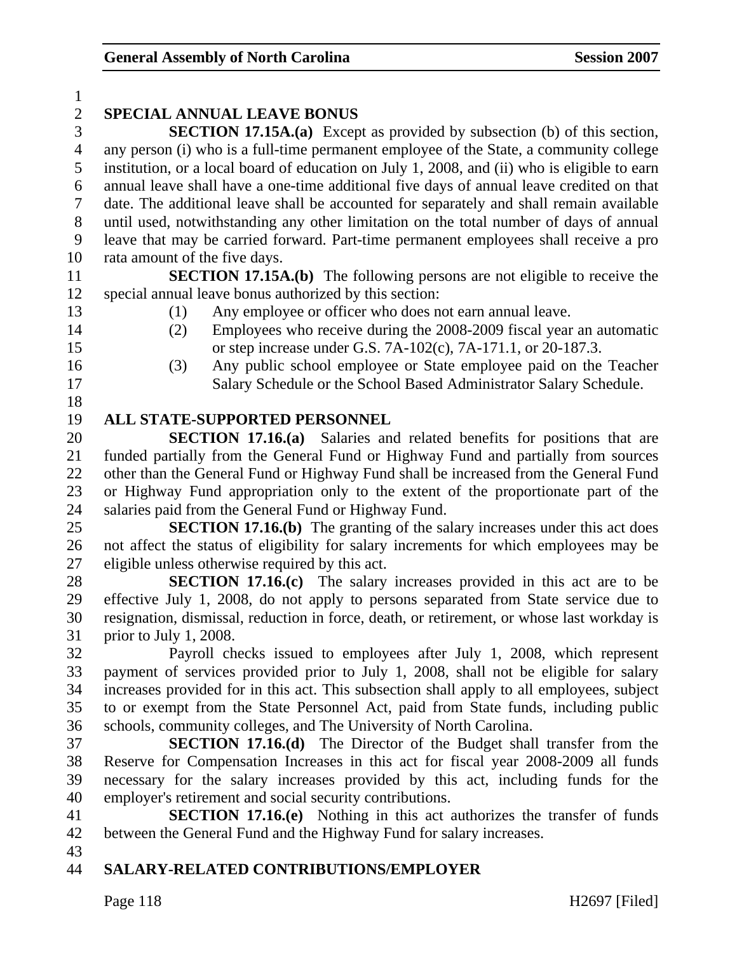| $\mathbf{1}$   |                                                                                              |  |  |
|----------------|----------------------------------------------------------------------------------------------|--|--|
| $\overline{2}$ | <b>SPECIAL ANNUAL LEAVE BONUS</b>                                                            |  |  |
| 3              | <b>SECTION 17.15A.(a)</b> Except as provided by subsection (b) of this section,              |  |  |
| $\overline{4}$ | any person (i) who is a full-time permanent employee of the State, a community college       |  |  |
| 5              | institution, or a local board of education on July 1, 2008, and (ii) who is eligible to earn |  |  |
| 6              | annual leave shall have a one-time additional five days of annual leave credited on that     |  |  |
| 7              | date. The additional leave shall be accounted for separately and shall remain available      |  |  |
| 8              | until used, notwithstanding any other limitation on the total number of days of annual       |  |  |
| 9              | leave that may be carried forward. Part-time permanent employees shall receive a pro         |  |  |
| 10             | rata amount of the five days.                                                                |  |  |
| 11             | <b>SECTION 17.15A.(b)</b> The following persons are not eligible to receive the              |  |  |
| 12             | special annual leave bonus authorized by this section:                                       |  |  |
| 13             | Any employee or officer who does not earn annual leave.<br>(1)                               |  |  |
| 14             | Employees who receive during the 2008-2009 fiscal year an automatic<br>(2)                   |  |  |
| 15             | or step increase under G.S. 7A-102(c), 7A-171.1, or 20-187.3.                                |  |  |
| 16             | Any public school employee or State employee paid on the Teacher<br>(3)                      |  |  |
| 17             | Salary Schedule or the School Based Administrator Salary Schedule.                           |  |  |
| 18             |                                                                                              |  |  |
| 19             | <b>ALL STATE-SUPPORTED PERSONNEL</b>                                                         |  |  |
| 20             | <b>SECTION 17.16.(a)</b> Salaries and related benefits for positions that are                |  |  |
| 21             | funded partially from the General Fund or Highway Fund and partially from sources            |  |  |
| 22             | other than the General Fund or Highway Fund shall be increased from the General Fund         |  |  |
| 23             | or Highway Fund appropriation only to the extent of the proportionate part of the            |  |  |
| 24             | salaries paid from the General Fund or Highway Fund.                                         |  |  |
| 25             | <b>SECTION 17.16.(b)</b> The granting of the salary increases under this act does            |  |  |
| 26             | not affect the status of eligibility for salary increments for which employees may be        |  |  |
| 27             | eligible unless otherwise required by this act.                                              |  |  |
| 28             | <b>SECTION 17.16.(c)</b> The salary increases provided in this act are to be                 |  |  |
| 29             | effective July 1, 2008, do not apply to persons separated from State service due to          |  |  |
| 30             | resignation, dismissal, reduction in force, death, or retirement, or whose last workday is   |  |  |
| 31             | prior to July 1, 2008.                                                                       |  |  |
| 32             | Payroll checks issued to employees after July 1, 2008, which represent                       |  |  |
| 33             | payment of services provided prior to July 1, 2008, shall not be eligible for salary         |  |  |
| 34             | increases provided for in this act. This subsection shall apply to all employees, subject    |  |  |
| 35             | to or exempt from the State Personnel Act, paid from State funds, including public           |  |  |
| 36             | schools, community colleges, and The University of North Carolina.                           |  |  |
| 37             | <b>SECTION 17.16.(d)</b> The Director of the Budget shall transfer from the                  |  |  |
| 38             | Reserve for Compensation Increases in this act for fiscal year 2008-2009 all funds           |  |  |
| 39             | necessary for the salary increases provided by this act, including funds for the             |  |  |
| 40             | employer's retirement and social security contributions.                                     |  |  |
| 41             | <b>SECTION 17.16.(e)</b> Nothing in this act authorizes the transfer of funds                |  |  |
| 42             | between the General Fund and the Highway Fund for salary increases.                          |  |  |
| 43             |                                                                                              |  |  |
| 44             | SALARY-RELATED CONTRIBUTIONS/EMPLOYER                                                        |  |  |
|                |                                                                                              |  |  |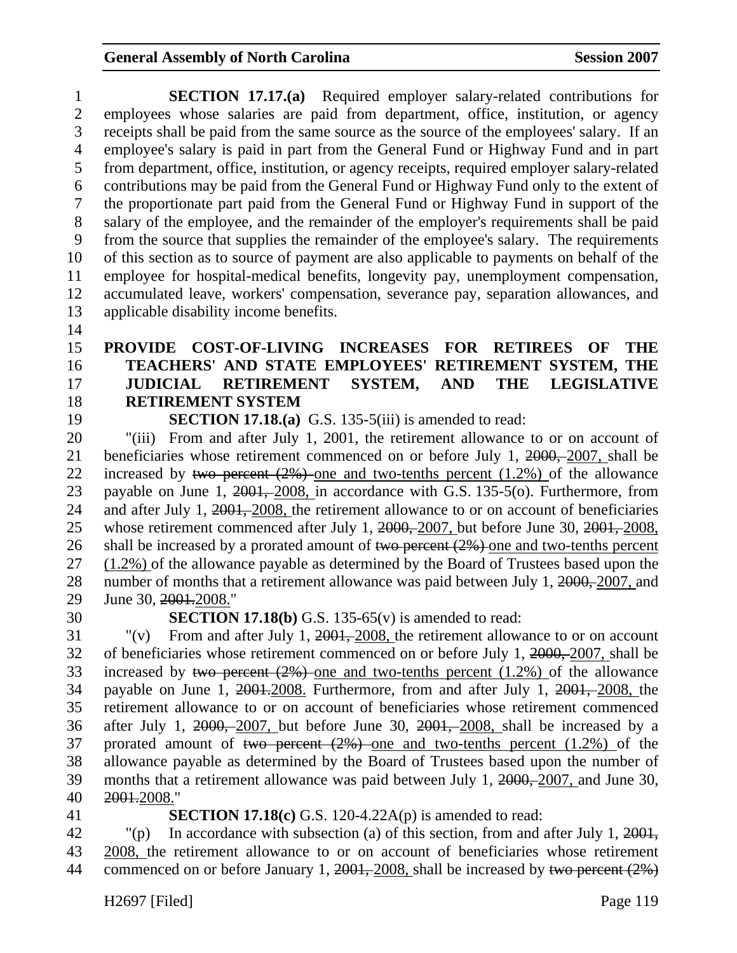1 **SECTION 17.17.(a)** Required employer salary-related contributions for 2 employees whose salaries are paid from department, office, institution, or agency 3 receipts shall be paid from the same source as the source of the employees' salary. If an 4 employee's salary is paid in part from the General Fund or Highway Fund and in part 5 from department, office, institution, or agency receipts, required employer salary-related 6 contributions may be paid from the General Fund or Highway Fund only to the extent of 7 the proportionate part paid from the General Fund or Highway Fund in support of the 8 salary of the employee, and the remainder of the employer's requirements shall be paid 9 from the source that supplies the remainder of the employee's salary. The requirements 10 of this section as to source of payment are also applicable to payments on behalf of the 11 employee for hospital-medical benefits, longevity pay, unemployment compensation, 12 accumulated leave, workers' compensation, severance pay, separation allowances, and 13 applicable disability income benefits.

14

## 15 **PROVIDE COST-OF-LIVING INCREASES FOR RETIREES OF THE**  16 **TEACHERS' AND STATE EMPLOYEES' RETIREMENT SYSTEM, THE**  17 **JUDICIAL RETIREMENT SYSTEM, AND THE LEGISLATIVE**  18 **RETIREMENT SYSTEM**

19 **SECTION 17.18.(a)** G.S. 135-5(iii) is amended to read:

20 "(iii) From and after July 1, 2001, the retirement allowance to or on account of 21 beneficiaries whose retirement commenced on or before July 1, 2000, 2007, shall be 22 increased by two percent  $(2\%)$  one and two-tenths percent  $(1.2\%)$  of the allowance 23 payable on June 1, 2001, 2008, in accordance with G.S. 135-5(o). Furthermore, from 24 and after July 1, 2001, 2008, the retirement allowance to or on account of beneficiaries 25 whose retirement commenced after July 1, 2000, 2007, but before June 30, 2001, 2008, 26 shall be increased by a prorated amount of two percent  $(2\%)$  one and two-tenths percent 27 (1.2%) of the allowance payable as determined by the Board of Trustees based upon the 28 number of months that a retirement allowance was paid between July 1, 2000, 2007, and 29 June 30, 2001.2008."

30 **SECTION 17.18(b)** G.S. 135-65(v) is amended to read:

31 "(v) From and after July 1, 2001, 2008, the retirement allowance to or on account 32 of beneficiaries whose retirement commenced on or before July 1, 2000, 2007, shall be 33 increased by two percent  $(2\%)$  one and two-tenths percent  $(1.2\%)$  of the allowance 34 payable on June 1, 2001.2008. Furthermore, from and after July 1, 2001, 2008, the 35 retirement allowance to or on account of beneficiaries whose retirement commenced 36 after July 1, 2000, 2007, but before June 30, 2001, 2008, shall be increased by a 37 prorated amount of two percent (2%) one and two-tenths percent (1.2%) of the 38 allowance payable as determined by the Board of Trustees based upon the number of 39 months that a retirement allowance was paid between July 1, 2000, 2007, and June 30, 40 2001.2008."

#### 41 **SECTION 17.18(c)** G.S. 120-4.22A(p) is amended to read:

42 "(p) In accordance with subsection (a) of this section, from and after July 1, 2001, 43 2008, the retirement allowance to or on account of beneficiaries whose retirement 44 commenced on or before January 1, 2001, 2008, shall be increased by two percent (2%)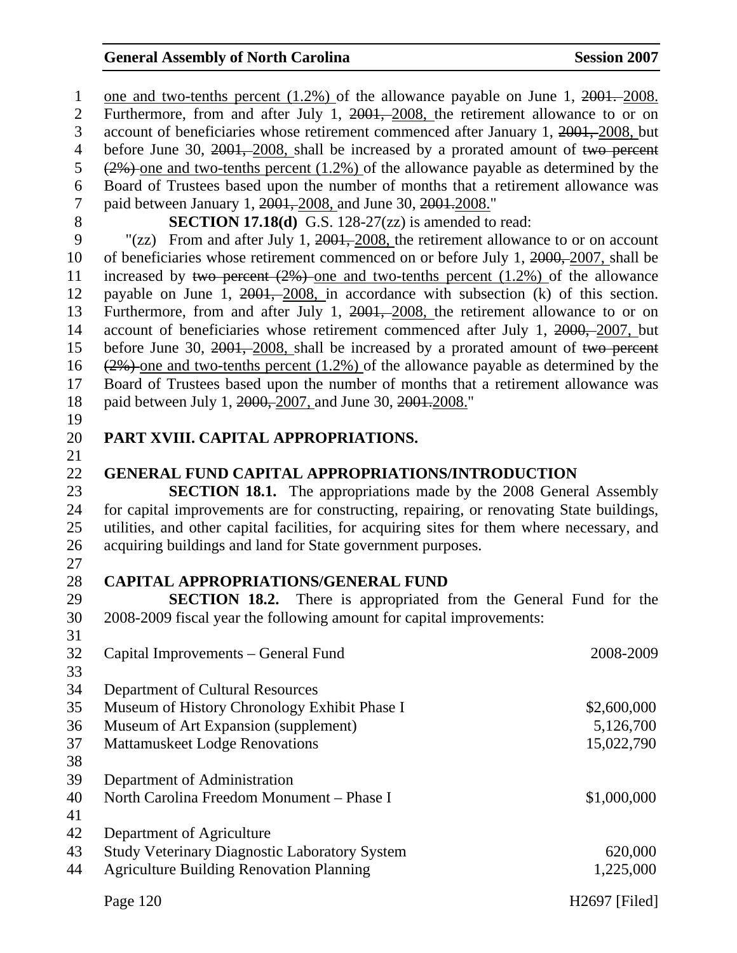Page 120 H2697 [Filed] 1 one and two-tenths percent (1.2%) of the allowance payable on June 1, 2001. 2008. 2 Furthermore, from and after July 1, 2001, 2008, the retirement allowance to or on 3 account of beneficiaries whose retirement commenced after January 1, 2001, 2008, but 4 before June 30, 2001, 2008, shall be increased by a prorated amount of two percent 5  $(2\%)$  one and two-tenths percent (1.2%) of the allowance payable as determined by the 6 Board of Trustees based upon the number of months that a retirement allowance was 7 paid between January 1, 2001, 2008, and June 30, 2001, 2008." 8 **SECTION 17.18(d)** G.S. 128-27(zz) is amended to read: 9 "(zz) From and after July 1, 2001, 2008, the retirement allowance to or on account 10 of beneficiaries whose retirement commenced on or before July 1, 2000, 2007, shall be 11 increased by two percent (2%) one and two-tenths percent (1.2%) of the allowance 12 payable on June 1, 2001, 2008, in accordance with subsection (k) of this section. 13 Furthermore, from and after July 1, 2001, 2008, the retirement allowance to or on 14 account of beneficiaries whose retirement commenced after July 1, 2000, 2007, but 15 before June 30, 2001, 2008, shall be increased by a prorated amount of two percent 16 (2%) one and two-tenths percent (1.2%) of the allowance payable as determined by the 17 Board of Trustees based upon the number of months that a retirement allowance was 18 paid between July 1, 2000, 2007, and June 30, 2001, 2008." 19 20 **PART XVIII. CAPITAL APPROPRIATIONS.**  21 22 **GENERAL FUND CAPITAL APPROPRIATIONS/INTRODUCTION**  23 **SECTION 18.1.** The appropriations made by the 2008 General Assembly 24 for capital improvements are for constructing, repairing, or renovating State buildings, 25 utilities, and other capital facilities, for acquiring sites for them where necessary, and 26 acquiring buildings and land for State government purposes. 27 28 **CAPITAL APPROPRIATIONS/GENERAL FUND**  29 **SECTION 18.2.** There is appropriated from the General Fund for the 30 2008-2009 fiscal year the following amount for capital improvements: 31 32 Capital Improvements – General Fund 2008-2009 33 34 Department of Cultural Resources 35 Museum of History Chronology Exhibit Phase I  $$2,600,000$ 36 Museum of Art Expansion (supplement) 5,126,700 37 Mattamuskeet Lodge Renovations 15,022,790 38 39 Department of Administration 40 North Carolina Freedom Monument – Phase I \$1,000,000 41 42 Department of Agriculture 43 Study Veterinary Diagnostic Laboratory System 620,000 44 Agriculture Building Renovation Planning 1,225,000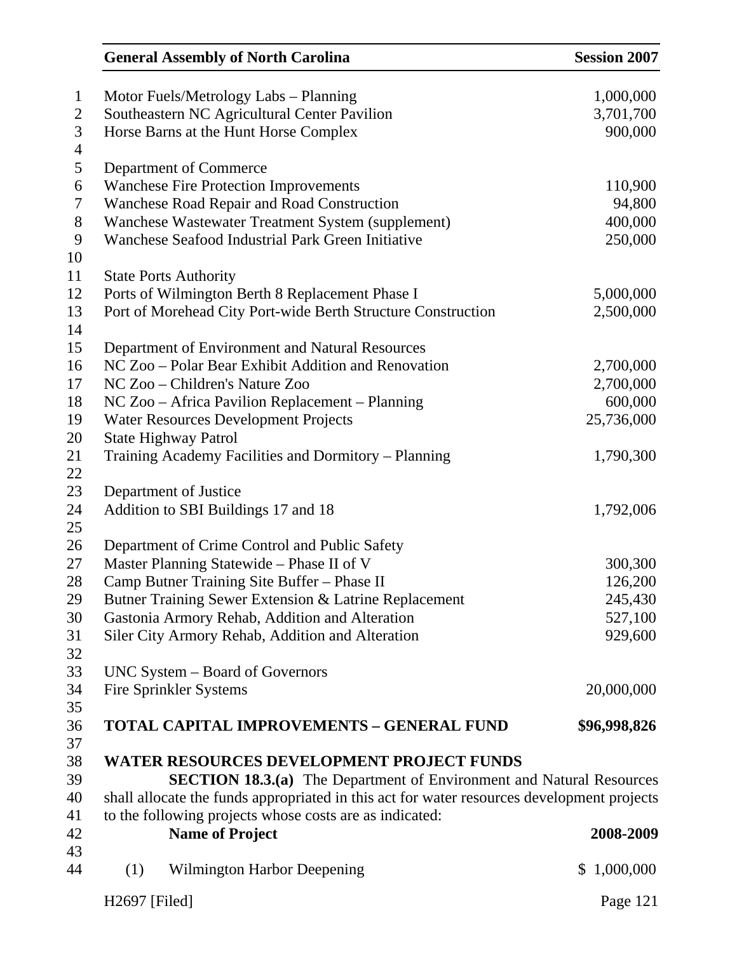|                |                                       | <b>General Assembly of North Carolina</b>                                                  | <b>Session 2007</b> |  |  |
|----------------|---------------------------------------|--------------------------------------------------------------------------------------------|---------------------|--|--|
| $\mathbf{1}$   |                                       | Motor Fuels/Metrology Labs - Planning                                                      | 1,000,000           |  |  |
| $\overline{2}$ |                                       | Southeastern NC Agricultural Center Pavilion                                               |                     |  |  |
| 3              | Horse Barns at the Hunt Horse Complex | 3,701,700<br>900,000                                                                       |                     |  |  |
| 4<br>5         |                                       | Department of Commerce                                                                     |                     |  |  |
| 6              |                                       | <b>Wanchese Fire Protection Improvements</b>                                               | 110,900             |  |  |
| 7              |                                       | Wanchese Road Repair and Road Construction                                                 | 94,800              |  |  |
| 8              |                                       | Wanchese Wastewater Treatment System (supplement)                                          | 400,000             |  |  |
| 9              |                                       | Wanchese Seafood Industrial Park Green Initiative                                          | 250,000             |  |  |
| 10             |                                       |                                                                                            |                     |  |  |
| 11             |                                       | <b>State Ports Authority</b>                                                               |                     |  |  |
| 12             |                                       | Ports of Wilmington Berth 8 Replacement Phase I                                            | 5,000,000           |  |  |
| 13             |                                       | Port of Morehead City Port-wide Berth Structure Construction                               | 2,500,000           |  |  |
| 14             |                                       |                                                                                            |                     |  |  |
| 15             |                                       | Department of Environment and Natural Resources                                            |                     |  |  |
| 16             |                                       | NC Zoo – Polar Bear Exhibit Addition and Renovation                                        | 2,700,000           |  |  |
| 17             |                                       | NC Zoo – Children's Nature Zoo                                                             | 2,700,000           |  |  |
| 18             |                                       | NC Zoo – Africa Pavilion Replacement – Planning                                            | 600,000             |  |  |
| 19             |                                       | <b>Water Resources Development Projects</b>                                                | 25,736,000          |  |  |
| 20             |                                       | <b>State Highway Patrol</b>                                                                |                     |  |  |
| 21             |                                       | Training Academy Facilities and Dormitory - Planning                                       | 1,790,300           |  |  |
| 22             |                                       |                                                                                            |                     |  |  |
| 23             |                                       | Department of Justice                                                                      |                     |  |  |
| 24             |                                       | Addition to SBI Buildings 17 and 18                                                        | 1,792,006           |  |  |
| 25             |                                       |                                                                                            |                     |  |  |
| 26             |                                       | Department of Crime Control and Public Safety                                              |                     |  |  |
| 27             |                                       | Master Planning Statewide - Phase II of V                                                  | 300,300             |  |  |
| 28             |                                       | Camp Butner Training Site Buffer - Phase II                                                | 126,200             |  |  |
| 29             |                                       | Butner Training Sewer Extension & Latrine Replacement                                      | 245,430             |  |  |
| 30             |                                       | Gastonia Armory Rehab, Addition and Alteration                                             | 527,100             |  |  |
| 31             |                                       | Siler City Armory Rehab, Addition and Alteration                                           | 929,600             |  |  |
| 32             |                                       |                                                                                            |                     |  |  |
| 33             |                                       | UNC System – Board of Governors                                                            |                     |  |  |
| 34             |                                       | <b>Fire Sprinkler Systems</b>                                                              | 20,000,000          |  |  |
| 35             |                                       |                                                                                            |                     |  |  |
| 36             |                                       | <b>TOTAL CAPITAL IMPROVEMENTS - GENERAL FUND</b>                                           | \$96,998,826        |  |  |
| 37             |                                       |                                                                                            |                     |  |  |
| 38             |                                       | WATER RESOURCES DEVELOPMENT PROJECT FUNDS                                                  |                     |  |  |
| 39             |                                       | <b>SECTION 18.3.(a)</b> The Department of Environment and Natural Resources                |                     |  |  |
| 40             |                                       | shall allocate the funds appropriated in this act for water resources development projects |                     |  |  |
| 41             |                                       | to the following projects whose costs are as indicated:                                    |                     |  |  |
| 42             |                                       | <b>Name of Project</b>                                                                     | 2008-2009           |  |  |
| 43<br>44       | (1)                                   | <b>Wilmington Harbor Deepening</b>                                                         | 1,000,000<br>\$     |  |  |
|                | H2697 [Filed]                         |                                                                                            | Page 121            |  |  |
|                |                                       |                                                                                            |                     |  |  |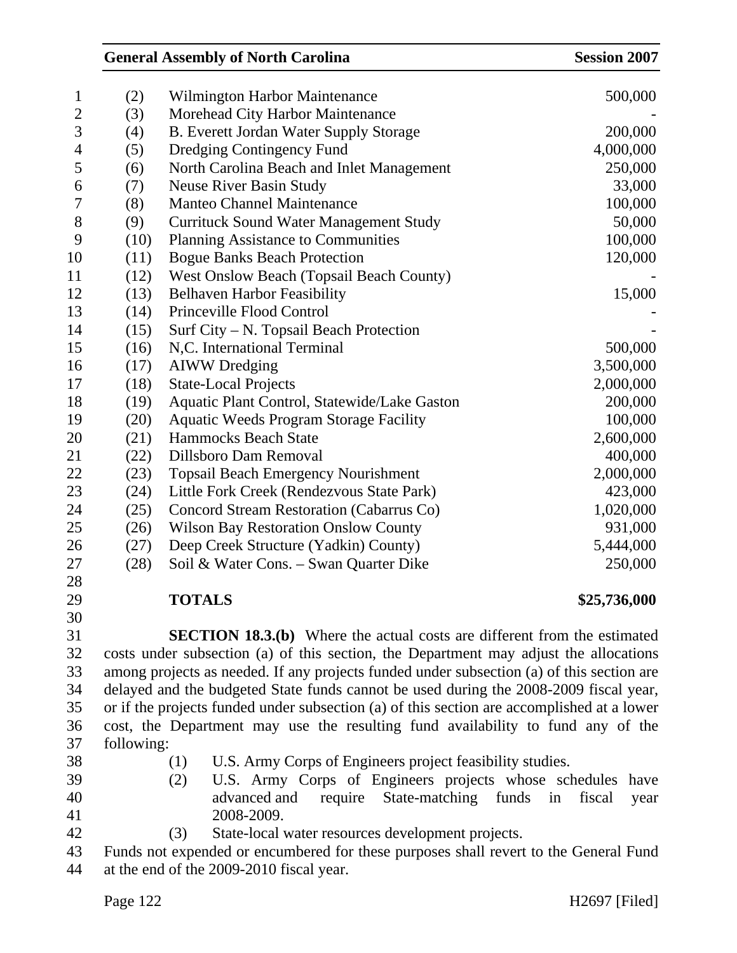|                |            |     | <b>General Assembly of North Carolina</b>                                                  | <b>Session 2007</b>  |
|----------------|------------|-----|--------------------------------------------------------------------------------------------|----------------------|
| $\mathbf{1}$   | (2)        |     | Wilmington Harbor Maintenance                                                              | 500,000              |
| $\overline{2}$ | (3)        |     | Morehead City Harbor Maintenance                                                           |                      |
| 3              | (4)        |     | B. Everett Jordan Water Supply Storage                                                     | 200,000              |
| $\overline{4}$ | (5)        |     | Dredging Contingency Fund                                                                  | 4,000,000            |
| 5              | (6)        |     | North Carolina Beach and Inlet Management                                                  | 250,000              |
| 6              | (7)        |     | <b>Neuse River Basin Study</b>                                                             | 33,000               |
| 7              | (8)        |     | <b>Manteo Channel Maintenance</b>                                                          | 100,000              |
| 8              | (9)        |     | <b>Currituck Sound Water Management Study</b>                                              | 50,000               |
| 9              | (10)       |     | <b>Planning Assistance to Communities</b>                                                  | 100,000              |
| 10             | (11)       |     | <b>Bogue Banks Beach Protection</b>                                                        | 120,000              |
| 11             | (12)       |     | <b>West Onslow Beach (Topsail Beach County)</b>                                            |                      |
| 12             | (13)       |     | <b>Belhaven Harbor Feasibility</b>                                                         | 15,000               |
| 13             | (14)       |     | Princeville Flood Control                                                                  |                      |
| 14             | (15)       |     | Surf City – N. Topsail Beach Protection                                                    |                      |
| 15             | (16)       |     | N,C. International Terminal                                                                | 500,000              |
| 16             | (17)       |     | <b>AIWW</b> Dredging                                                                       | 3,500,000            |
| 17             | (18)       |     | <b>State-Local Projects</b>                                                                | 2,000,000            |
| 18             | (19)       |     | Aquatic Plant Control, Statewide/Lake Gaston                                               | 200,000              |
| 19             | (20)       |     | <b>Aquatic Weeds Program Storage Facility</b>                                              | 100,000              |
| 20             | (21)       |     | <b>Hammocks Beach State</b>                                                                | 2,600,000            |
| 21             | (22)       |     | Dillsboro Dam Removal                                                                      | 400,000              |
| 22             | (23)       |     | <b>Topsail Beach Emergency Nourishment</b>                                                 | 2,000,000            |
| 23             | (24)       |     | Little Fork Creek (Rendezvous State Park)                                                  | 423,000              |
| 24             | (25)       |     | Concord Stream Restoration (Cabarrus Co)                                                   | 1,020,000            |
| 25             | (26)       |     | <b>Wilson Bay Restoration Onslow County</b>                                                | 931,000              |
| 26             | (27)       |     | Deep Creek Structure (Yadkin) County)                                                      | 5,444,000            |
| 27             | (28)       |     | Soil & Water Cons. - Swan Quarter Dike                                                     | 250,000              |
| 28             |            |     |                                                                                            |                      |
| 29             |            |     | <b>TOTALS</b>                                                                              | \$25,736,000         |
| 30             |            |     |                                                                                            |                      |
| 31             |            |     | <b>SECTION 18.3.(b)</b> Where the actual costs are different from the estimated            |                      |
| 32             |            |     | costs under subsection (a) of this section, the Department may adjust the allocations      |                      |
| 33             |            |     | among projects as needed. If any projects funded under subsection (a) of this section are  |                      |
| 34             |            |     | delayed and the budgeted State funds cannot be used during the 2008-2009 fiscal year,      |                      |
| 35             |            |     | or if the projects funded under subsection (a) of this section are accomplished at a lower |                      |
| 36             |            |     | cost, the Department may use the resulting fund availability to fund any of the            |                      |
| 37             | following: |     |                                                                                            |                      |
| 38             |            | (1) | U.S. Army Corps of Engineers project feasibility studies.                                  |                      |
| 39             |            | (2) | U.S. Army Corps of Engineers projects whose schedules                                      | have                 |
| 40             |            |     | advanced and<br>State-matching<br>require<br>funds                                         | fiscal<br>in<br>year |
| 41             |            |     | 2008-2009.                                                                                 |                      |
| 42             |            | (3) | State-local water resources development projects.                                          |                      |

43 Funds not expended or encumbered for these purposes shall revert to the General Fund 44 at the end of the 2009-2010 fiscal year.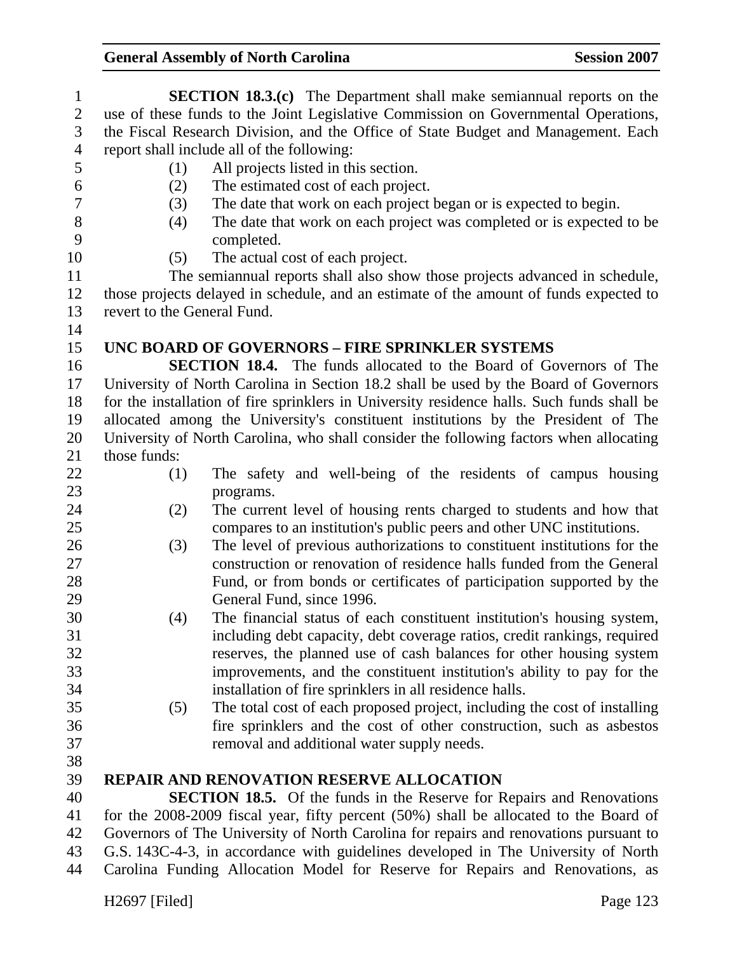| $\mathbf{1}$   |                                            | <b>SECTION 18.3.(c)</b> The Department shall make semiannual reports on the                |  |
|----------------|--------------------------------------------|--------------------------------------------------------------------------------------------|--|
| $\overline{2}$ |                                            | use of these funds to the Joint Legislative Commission on Governmental Operations,         |  |
| 3              |                                            | the Fiscal Research Division, and the Office of State Budget and Management. Each          |  |
| $\overline{4}$ | report shall include all of the following: |                                                                                            |  |
| 5              | (1)                                        | All projects listed in this section.                                                       |  |
| 6              | (2)                                        | The estimated cost of each project.                                                        |  |
| $\tau$         | (3)                                        | The date that work on each project began or is expected to begin.                          |  |
| 8              | (4)                                        | The date that work on each project was completed or is expected to be                      |  |
| 9              |                                            | completed.                                                                                 |  |
| 10             | (5)                                        | The actual cost of each project.                                                           |  |
| 11             |                                            | The semiannual reports shall also show those projects advanced in schedule,                |  |
| 12             |                                            | those projects delayed in schedule, and an estimate of the amount of funds expected to     |  |
| 13             | revert to the General Fund.                |                                                                                            |  |
| 14             |                                            |                                                                                            |  |
| 15             |                                            | UNC BOARD OF GOVERNORS - FIRE SPRINKLER SYSTEMS                                            |  |
| 16             |                                            | <b>SECTION 18.4.</b> The funds allocated to the Board of Governors of The                  |  |
| 17             |                                            | University of North Carolina in Section 18.2 shall be used by the Board of Governors       |  |
| 18             |                                            | for the installation of fire sprinklers in University residence halls. Such funds shall be |  |
| 19             |                                            | allocated among the University's constituent institutions by the President of The          |  |
| 20             |                                            | University of North Carolina, who shall consider the following factors when allocating     |  |
| 21             | those funds:                               |                                                                                            |  |
| 22             | (1)                                        | The safety and well-being of the residents of campus housing                               |  |
| 23             |                                            | programs.                                                                                  |  |
| 24             | (2)                                        | The current level of housing rents charged to students and how that                        |  |
| 25             |                                            | compares to an institution's public peers and other UNC institutions.                      |  |
| 26             | (3)                                        | The level of previous authorizations to constituent institutions for the                   |  |
| 27             |                                            | construction or renovation of residence halls funded from the General                      |  |
| 28             |                                            | Fund, or from bonds or certificates of participation supported by the                      |  |
| 29             |                                            | General Fund, since 1996.                                                                  |  |
| 30             | (4)                                        | The financial status of each constituent institution's housing system,                     |  |
| 31             |                                            | including debt capacity, debt coverage ratios, credit rankings, required                   |  |
| 32             |                                            | reserves, the planned use of cash balances for other housing system                        |  |
| 33             |                                            | improvements, and the constituent institution's ability to pay for the                     |  |
| 34             |                                            | installation of fire sprinklers in all residence halls.                                    |  |
| 35             | (5)                                        | The total cost of each proposed project, including the cost of installing                  |  |
| 36             |                                            | fire sprinklers and the cost of other construction, such as asbestos                       |  |
| 37             |                                            | removal and additional water supply needs.                                                 |  |
| 38             |                                            |                                                                                            |  |
| 39             |                                            | <b>REPAIR AND RENOVATION RESERVE ALLOCATION</b>                                            |  |
| 40             |                                            | <b>SECTION 18.5.</b> Of the funds in the Reserve for Repairs and Renovations               |  |
| 41             |                                            | for the 2008-2009 fiscal year, fifty percent (50%) shall be allocated to the Board of      |  |
| 42             |                                            | Governors of The University of North Carolina for repairs and renovations pursuant to      |  |
| 43             |                                            | G.S. 143C-4-3, in accordance with guidelines developed in The University of North          |  |
| 44             |                                            | Carolina Funding Allocation Model for Reserve for Repairs and Renovations, as              |  |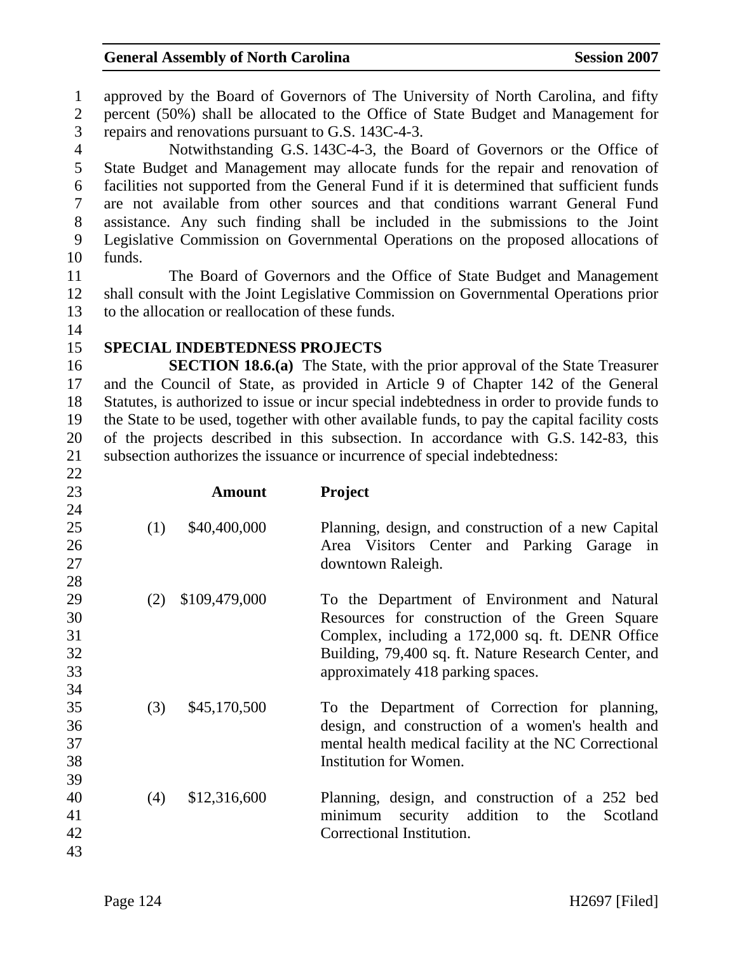1 approved by the Board of Governors of The University of North Carolina, and fifty 2 percent (50%) shall be allocated to the Office of State Budget and Management for

3 repairs and renovations pursuant to G.S. 143C-4-3.

4 Notwithstanding G.S. 143C-4-3, the Board of Governors or the Office of 5 State Budget and Management may allocate funds for the repair and renovation of 6 facilities not supported from the General Fund if it is determined that sufficient funds 7 are not available from other sources and that conditions warrant General Fund 8 assistance. Any such finding shall be included in the submissions to the Joint 9 Legislative Commission on Governmental Operations on the proposed allocations of 10 funds.

11 The Board of Governors and the Office of State Budget and Management 12 shall consult with the Joint Legislative Commission on Governmental Operations prior 13 to the allocation or reallocation of these funds.

- 14
- 

22

#### 15 **SPECIAL INDEBTEDNESS PROJECTS**

16 **SECTION 18.6.(a)** The State, with the prior approval of the State Treasurer 17 and the Council of State, as provided in Article 9 of Chapter 142 of the General 18 Statutes, is authorized to issue or incur special indebtedness in order to provide funds to 19 the State to be used, together with other available funds, to pay the capital facility costs 20 of the projects described in this subsection. In accordance with G.S. 142-83, this 21 subsection authorizes the issuance or incurrence of special indebtedness:

| 23 |     | <b>Amount</b> | <b>Project</b>                                        |
|----|-----|---------------|-------------------------------------------------------|
| 24 |     |               |                                                       |
| 25 | (1) | \$40,400,000  | Planning, design, and construction of a new Capital   |
| 26 |     |               | Area Visitors Center and Parking Garage in            |
| 27 |     |               | downtown Raleigh.                                     |
| 28 |     |               |                                                       |
| 29 | (2) | \$109,479,000 | To the Department of Environment and Natural          |
| 30 |     |               | Resources for construction of the Green Square        |
| 31 |     |               | Complex, including a 172,000 sq. ft. DENR Office      |
| 32 |     |               | Building, 79,400 sq. ft. Nature Research Center, and  |
| 33 |     |               | approximately 418 parking spaces.                     |
| 34 |     |               |                                                       |
| 35 | (3) | \$45,170,500  | To the Department of Correction for planning,         |
| 36 |     |               | design, and construction of a women's health and      |
| 37 |     |               | mental health medical facility at the NC Correctional |
| 38 |     |               | Institution for Women.                                |
| 39 |     |               |                                                       |
| 40 | (4) | \$12,316,600  | Planning, design, and construction of a 252 bed       |
| 41 |     |               | security addition to the<br>minimum<br>Scotland       |
| 42 |     |               | Correctional Institution.                             |
| 43 |     |               |                                                       |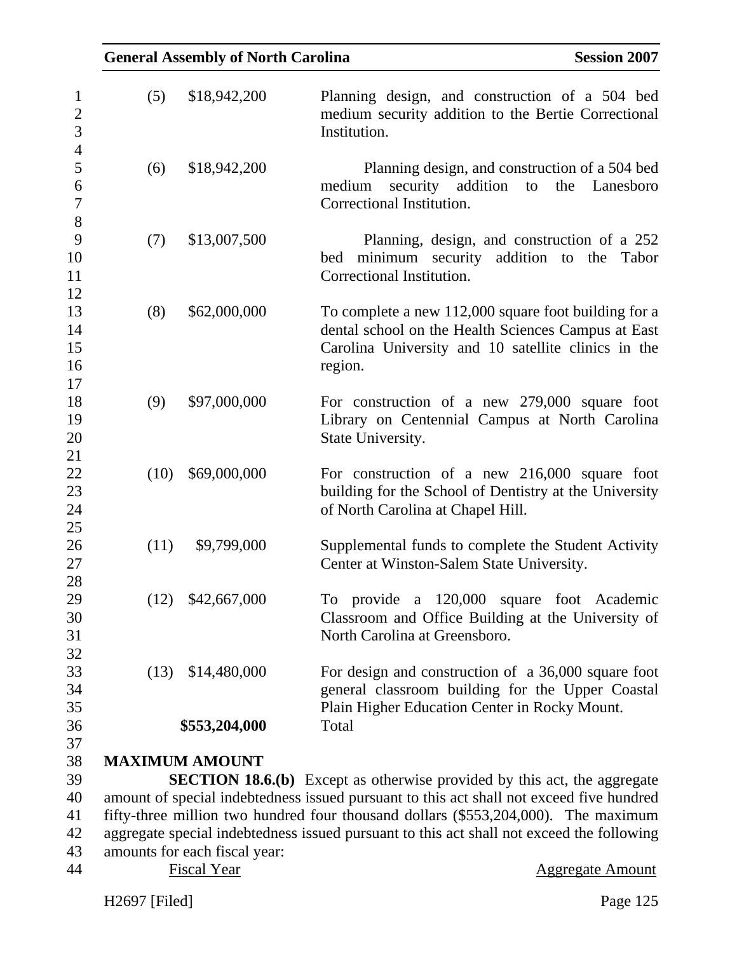|      | <b>General Assembly of North Carolina</b> | <b>Session 2007</b>                                                                                                                                                           |
|------|-------------------------------------------|-------------------------------------------------------------------------------------------------------------------------------------------------------------------------------|
| (5)  | \$18,942,200                              | Planning design, and construction of a 504 bed<br>medium security addition to the Bertie Correctional<br>Institution.                                                         |
| (6)  | \$18,942,200                              | Planning design, and construction of a 504 bed<br>security addition<br>medium<br>the<br>Lanesboro<br>to<br>Correctional Institution.                                          |
| (7)  | \$13,007,500                              | Planning, design, and construction of a 252<br>bed minimum security<br>addition to the<br>Tabor<br>Correctional Institution.                                                  |
| (8)  | \$62,000,000                              | To complete a new 112,000 square foot building for a<br>dental school on the Health Sciences Campus at East<br>Carolina University and 10 satellite clinics in the<br>region. |
| (9)  | \$97,000,000                              | For construction of a new 279,000 square foot<br>Library on Centennial Campus at North Carolina<br>State University.                                                          |
| (10) | \$69,000,000                              | For construction of a new 216,000 square foot<br>building for the School of Dentistry at the University<br>of North Carolina at Chapel Hill.                                  |
| (11) | \$9,799,000                               | Supplemental funds to complete the Student Activity<br>Center at Winston-Salem State University.                                                                              |
| (12) | \$42,667,000                              | To provide a 120,000 square foot Academic<br>Classroom and Office Building at the University of<br>North Carolina at Greensboro.                                              |
| (13) | \$14,480,000<br>\$553,204,000             | For design and construction of a 36,000 square foot<br>general classroom building for the Upper Coastal<br>Plain Higher Education Center in Rocky Mount.<br>Total             |
|      |                                           |                                                                                                                                                                               |
|      | <b>MAXIMUM AMOUNT</b>                     |                                                                                                                                                                               |
|      |                                           | <b>SECTION 18.6.(b)</b> Except as otherwise provided by this act, the aggregate                                                                                               |
|      |                                           | amount of special indebtedness issued pursuant to this act shall not exceed five hundred                                                                                      |
|      |                                           | fifty-three million two hundred four thousand dollars (\$553,204,000). The maximum                                                                                            |
|      | amounts for each fiscal year:             | aggregate special indebtedness issued pursuant to this act shall not exceed the following                                                                                     |
|      | <b>Fiscal Year</b>                        | <b>Aggregate Amount</b>                                                                                                                                                       |
|      |                                           |                                                                                                                                                                               |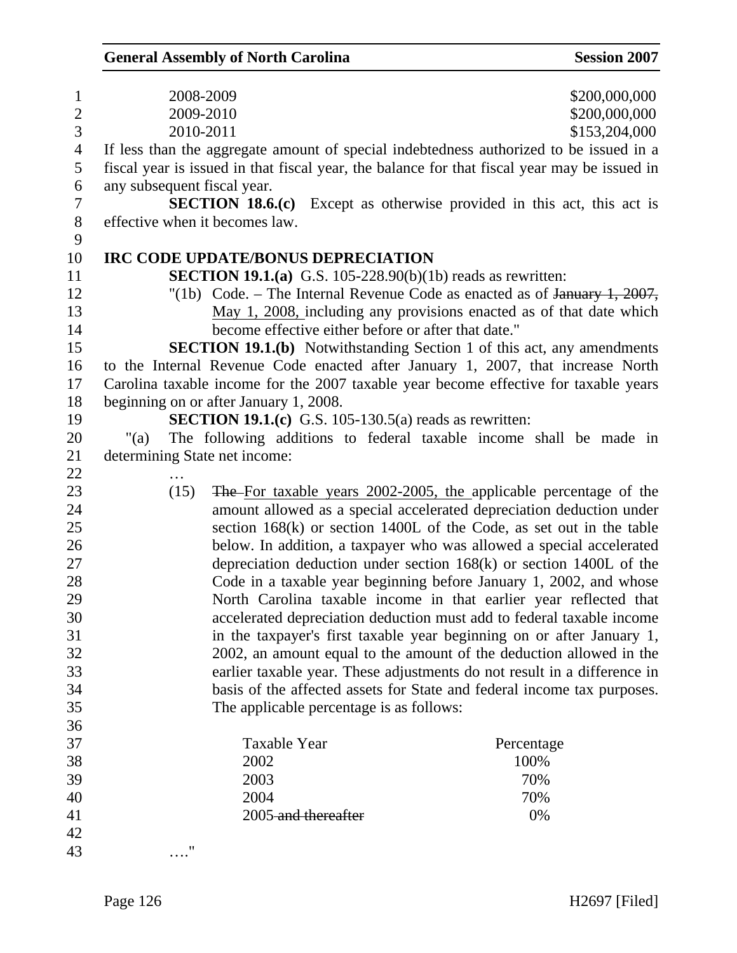| $\mathbf{1}$   | 2008-2009                                                                                    | \$200,000,000                                                                 |
|----------------|----------------------------------------------------------------------------------------------|-------------------------------------------------------------------------------|
| $\overline{2}$ | 2009-2010                                                                                    | \$200,000,000                                                                 |
| $\overline{3}$ | 2010-2011                                                                                    | \$153,204,000                                                                 |
| $\overline{4}$ | If less than the aggregate amount of special indebtedness authorized to be issued in a       |                                                                               |
| 5              | fiscal year is issued in that fiscal year, the balance for that fiscal year may be issued in |                                                                               |
| 6              | any subsequent fiscal year.                                                                  |                                                                               |
| $\overline{7}$ |                                                                                              | <b>SECTION 18.6.(c)</b> Except as otherwise provided in this act, this act is |
| $8\,$          | effective when it becomes law.                                                               |                                                                               |
| 9              |                                                                                              |                                                                               |
| 10             | IRC CODE UPDATE/BONUS DEPRECIATION                                                           |                                                                               |
| 11             | <b>SECTION 19.1.(a)</b> G.S. 105-228.90(b)(1b) reads as rewritten:                           |                                                                               |
| 12             |                                                                                              | "(1b) Code. – The Internal Revenue Code as enacted as of $\frac{1}{2007}$ ,   |
| 13             |                                                                                              | May 1, 2008, including any provisions enacted as of that date which           |
| 14             | become effective either before or after that date."                                          |                                                                               |
| 15             |                                                                                              | <b>SECTION 19.1.(b)</b> Notwithstanding Section 1 of this act, any amendments |
| 16             | to the Internal Revenue Code enacted after January 1, 2007, that increase North              |                                                                               |
| 17             | Carolina taxable income for the 2007 taxable year become effective for taxable years         |                                                                               |
| 18             | beginning on or after January 1, 2008.                                                       |                                                                               |
| 19             | <b>SECTION 19.1.(c)</b> G.S. 105-130.5(a) reads as rewritten:                                |                                                                               |
| 20             | " $(a)$                                                                                      | The following additions to federal taxable income shall be made in            |
| 21             | determining State net income:                                                                |                                                                               |
| 22             |                                                                                              |                                                                               |
| 23             | (15)                                                                                         | The For taxable years 2002-2005, the applicable percentage of the             |
| 24             |                                                                                              | amount allowed as a special accelerated depreciation deduction under          |
| 25             |                                                                                              | section $168(k)$ or section 1400L of the Code, as set out in the table        |
| 26             |                                                                                              | below. In addition, a taxpayer who was allowed a special accelerated          |
| 27             |                                                                                              |                                                                               |
| 28             |                                                                                              | depreciation deduction under section $168(k)$ or section $1400L$ of the       |
|                |                                                                                              | Code in a taxable year beginning before January 1, 2002, and whose            |
| 29             |                                                                                              | North Carolina taxable income in that earlier year reflected that             |
| 30             |                                                                                              | accelerated depreciation deduction must add to federal taxable income         |
| 31             |                                                                                              | in the taxpayer's first taxable year beginning on or after January 1,         |
| 32             |                                                                                              | 2002, an amount equal to the amount of the deduction allowed in the           |
| 33             |                                                                                              | earlier taxable year. These adjustments do not result in a difference in      |
| 34             |                                                                                              | basis of the affected assets for State and federal income tax purposes.       |
| 35             | The applicable percentage is as follows:                                                     |                                                                               |
| 36             |                                                                                              |                                                                               |
| 37             | <b>Taxable Year</b>                                                                          | Percentage                                                                    |
| 38             | 2002                                                                                         | 100%                                                                          |
| 39             | 2003                                                                                         | 70%                                                                           |
| 40             | 2004                                                                                         | 70%                                                                           |
| 41             | 2005-and thereafter                                                                          | 0%                                                                            |
| 42<br>43       | "                                                                                            |                                                                               |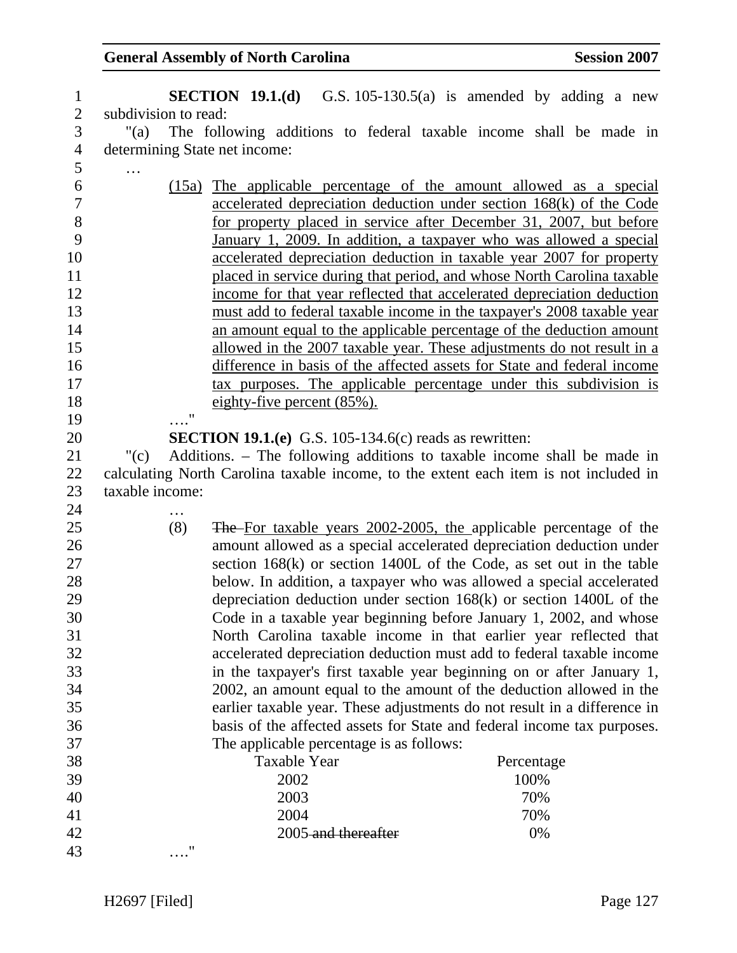| $\mathbf{1}$   |                               |                                | <b>SECTION 19.1.(d)</b> G.S. 105-130.5(a) is amended by adding a new                  |  |            |  |  |
|----------------|-------------------------------|--------------------------------|---------------------------------------------------------------------------------------|--|------------|--|--|
| $\mathbf{2}$   | subdivision to read:          |                                |                                                                                       |  |            |  |  |
| 3              | "(a)                          |                                | The following additions to federal taxable income shall be made in                    |  |            |  |  |
| $\overline{4}$ | determining State net income: |                                |                                                                                       |  |            |  |  |
| 5              |                               |                                |                                                                                       |  |            |  |  |
| 6              |                               |                                | (15a) The applicable percentage of the amount allowed as a special                    |  |            |  |  |
| $\overline{7}$ |                               |                                | accelerated depreciation deduction under section 168(k) of the Code                   |  |            |  |  |
| 8              |                               |                                | for property placed in service after December 31, 2007, but before                    |  |            |  |  |
| 9              |                               |                                | January 1, 2009. In addition, a taxpayer who was allowed a special                    |  |            |  |  |
| 10             |                               |                                | accelerated depreciation deduction in taxable year 2007 for property                  |  |            |  |  |
| 11             |                               |                                | placed in service during that period, and whose North Carolina taxable                |  |            |  |  |
| 12             |                               |                                | income for that year reflected that accelerated depreciation deduction                |  |            |  |  |
| 13             |                               |                                | must add to federal taxable income in the taxpayer's 2008 taxable year                |  |            |  |  |
| 14             |                               |                                | an amount equal to the applicable percentage of the deduction amount                  |  |            |  |  |
| 15             |                               |                                | allowed in the 2007 taxable year. These adjustments do not result in a                |  |            |  |  |
| 16             |                               |                                | difference in basis of the affected assets for State and federal income               |  |            |  |  |
| 17             |                               |                                | tax purposes. The applicable percentage under this subdivision is                     |  |            |  |  |
| 18             |                               | eighty-five percent $(85\%)$ . |                                                                                       |  |            |  |  |
| 19             | $^{\prime\prime}$             |                                |                                                                                       |  |            |  |  |
| 20             |                               |                                | <b>SECTION 19.1.(e)</b> G.S. 105-134.6(c) reads as rewritten:                         |  |            |  |  |
| 21             | "(c)                          |                                | Additions. – The following additions to taxable income shall be made in               |  |            |  |  |
| 22             |                               |                                | calculating North Carolina taxable income, to the extent each item is not included in |  |            |  |  |
| 23             | taxable income:               |                                |                                                                                       |  |            |  |  |
| 24             |                               |                                |                                                                                       |  |            |  |  |
| 25             | (8)                           |                                | The For taxable years 2002-2005, the applicable percentage of the                     |  |            |  |  |
| 26             |                               |                                | amount allowed as a special accelerated depreciation deduction under                  |  |            |  |  |
| 27             |                               |                                | section $168(k)$ or section 1400L of the Code, as set out in the table                |  |            |  |  |
| 28             |                               |                                | below. In addition, a taxpayer who was allowed a special accelerated                  |  |            |  |  |
| 29             |                               |                                | depreciation deduction under section $168(k)$ or section $1400L$ of the               |  |            |  |  |
| 30             |                               |                                | Code in a taxable year beginning before January 1, 2002, and whose                    |  |            |  |  |
| 31             |                               |                                | North Carolina taxable income in that earlier year reflected that                     |  |            |  |  |
| 32             |                               |                                | accelerated depreciation deduction must add to federal taxable income                 |  |            |  |  |
| 33             |                               |                                | in the taxpayer's first taxable year beginning on or after January 1,                 |  |            |  |  |
| 34             |                               |                                | 2002, an amount equal to the amount of the deduction allowed in the                   |  |            |  |  |
| 35             |                               |                                | earlier taxable year. These adjustments do not result in a difference in              |  |            |  |  |
| 36             |                               |                                | basis of the affected assets for State and federal income tax purposes.               |  |            |  |  |
| 37             |                               |                                | The applicable percentage is as follows:                                              |  |            |  |  |
| 38             |                               | <b>Taxable Year</b>            |                                                                                       |  | Percentage |  |  |
| 39             |                               | 2002                           |                                                                                       |  | 100%       |  |  |
| 40             |                               | 2003                           |                                                                                       |  | 70%        |  |  |
| 41             |                               | 2004                           |                                                                                       |  | 70%        |  |  |
| 42             |                               |                                | 2005-and thereafter                                                                   |  | 0%         |  |  |
| 43             | 11                            |                                |                                                                                       |  |            |  |  |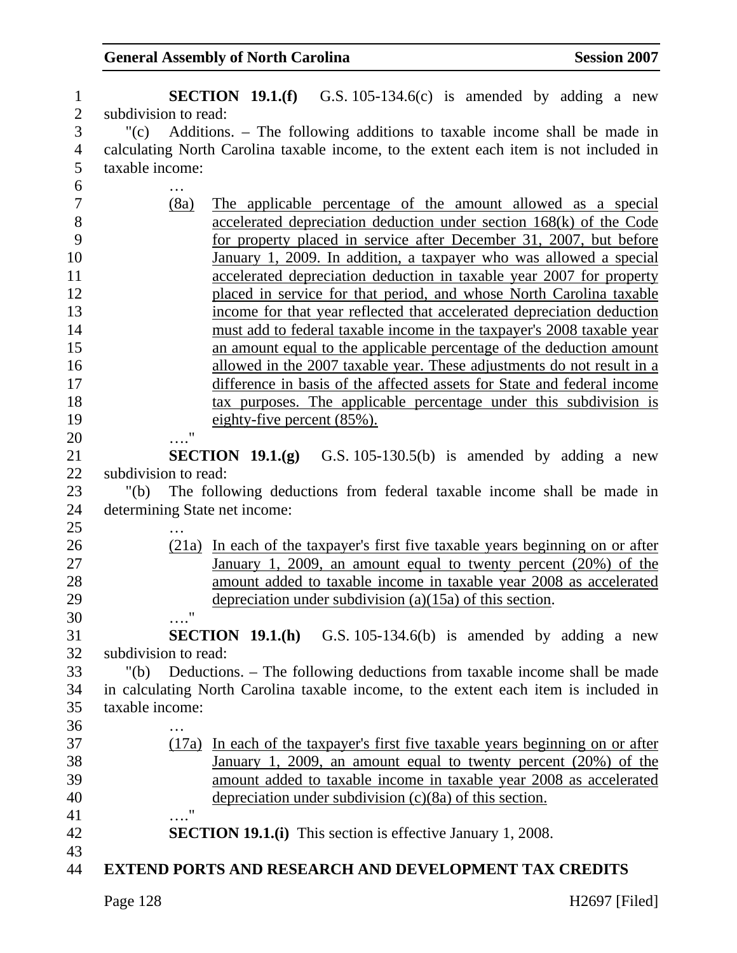| $\mathbf{1}$   | <b>SECTION 19.1.(f)</b> G.S. 105-134.6(c) is amended by adding a new                  |
|----------------|---------------------------------------------------------------------------------------|
| $\overline{2}$ | subdivision to read:                                                                  |
| 3              | "(c) Additions. – The following additions to taxable income shall be made in          |
| 4              | calculating North Carolina taxable income, to the extent each item is not included in |
| 5              | taxable income:                                                                       |
| 6              |                                                                                       |
| 7              | (8a)<br>The applicable percentage of the amount allowed as a special                  |
| 8              | accelerated depreciation deduction under section 168(k) of the Code                   |
| 9              | for property placed in service after December 31, 2007, but before                    |
| 10             | January 1, 2009. In addition, a taxpayer who was allowed a special                    |
| 11             | accelerated depreciation deduction in taxable year 2007 for property                  |
| 12             | placed in service for that period, and whose North Carolina taxable                   |
| 13             | income for that year reflected that accelerated depreciation deduction                |
| 14             | must add to federal taxable income in the taxpayer's 2008 taxable year                |
| 15             | an amount equal to the applicable percentage of the deduction amount                  |
| 16             | allowed in the 2007 taxable year. These adjustments do not result in a                |
| 17             | difference in basis of the affected assets for State and federal income               |
| 18             | tax purposes. The applicable percentage under this subdivision is                     |
| 19             | eighty-five percent $(85\%)$ .                                                        |
| 20             | $\pmb{\mathsf{H}}$                                                                    |
| 21             | <b>SECTION 19.1.(g)</b> G.S. 105-130.5(b) is amended by adding a new                  |
| 22             | subdivision to read:                                                                  |
| 23             | The following deductions from federal taxable income shall be made in<br>" $(b)$      |
| 24             | determining State net income:                                                         |
| 25             |                                                                                       |
| 26             | (21a) In each of the taxpayer's first five taxable years beginning on or after        |
| 27             | January 1, 2009, an amount equal to twenty percent (20%) of the                       |
| 28             | amount added to taxable income in taxable year 2008 as accelerated                    |
| 29             | depreciation under subdivision $(a)(15a)$ of this section.                            |
| 30             | $\pmb{\mathsf{H}}$                                                                    |
| 31             | <b>SECTION 19.1.(h)</b> G.S. 105-134.6(b) is amended by adding a new                  |
| 32             | subdivision to read:                                                                  |
| 33             | "(b) Deductions. – The following deductions from taxable income shall be made         |
| 34             | in calculating North Carolina taxable income, to the extent each item is included in  |
| 35             | taxable income:                                                                       |
| 36             |                                                                                       |
| 37             | (17a) In each of the taxpayer's first five taxable years beginning on or after        |
| 38             | January 1, 2009, an amount equal to twenty percent $(20%)$ of the                     |
| 39             | amount added to taxable income in taxable year 2008 as accelerated                    |
| 40             | depreciation under subdivision $(c)(8a)$ of this section.                             |
| 41             | $\mathbf{H}$                                                                          |
| 42             | <b>SECTION 19.1.(i)</b> This section is effective January 1, 2008.                    |
| 43             |                                                                                       |
| 44             | <b>EXTEND PORTS AND RESEARCH AND DEVELOPMENT TAX CREDITS</b>                          |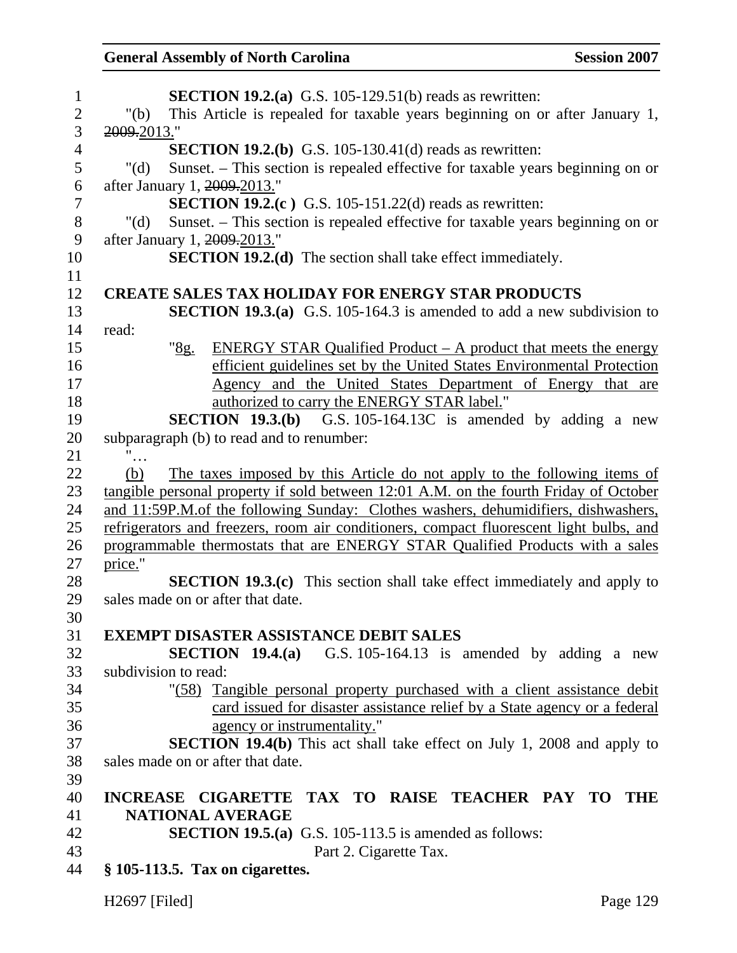| $\mathbf{1}$   | <b>SECTION 19.2.(a)</b> G.S. 105-129.51(b) reads as rewritten:                            |
|----------------|-------------------------------------------------------------------------------------------|
| $\overline{2}$ | " $(b)$<br>This Article is repealed for taxable years beginning on or after January 1,    |
| 3              | 2009.2013."                                                                               |
| $\overline{4}$ | <b>SECTION 19.2.(b)</b> G.S. 105-130.41(d) reads as rewritten:                            |
| 5              | Sunset. – This section is repealed effective for taxable years beginning on or<br>" $(d)$ |
| 6              | after January 1, 2009.2013."                                                              |
| $\overline{7}$ | <b>SECTION 19.2.(c)</b> G.S. 105-151.22(d) reads as rewritten:                            |
| $8\,$          | Sunset. – This section is repealed effective for taxable years beginning on or<br>" $(d)$ |
| 9              | after January 1, 2009.2013."                                                              |
| 10             | <b>SECTION 19.2.(d)</b> The section shall take effect immediately.                        |
| 11             |                                                                                           |
| 12             | <b>CREATE SALES TAX HOLIDAY FOR ENERGY STAR PRODUCTS</b>                                  |
| 13             | <b>SECTION 19.3.(a)</b> G.S. 105-164.3 is amended to add a new subdivision to             |
| 14             | read:                                                                                     |
| 15             | <u>"8g.</u><br><b>ENERGY STAR Qualified Product – A product that meets the energy</b>     |
| 16             | efficient guidelines set by the United States Environmental Protection                    |
| 17             | Agency and the United States Department of Energy that are                                |
| 18             | authorized to carry the ENERGY STAR label."                                               |
| 19             | <b>SECTION 19.3.(b)</b> G.S. 105-164.13C is amended by adding a new                       |
| 20             | subparagraph (b) to read and to renumber:                                                 |
| 21             |                                                                                           |
| 22             | The taxes imposed by this Article do not apply to the following items of<br>(b)           |
| 23             | tangible personal property if sold between 12:01 A.M. on the fourth Friday of October     |
| 24             | and 11:59P.M.of the following Sunday: Clothes washers, dehumidifiers, dishwashers,        |
| 25             | refrigerators and freezers, room air conditioners, compact fluorescent light bulbs, and   |
| 26             | programmable thermostats that are ENERGY STAR Qualified Products with a sales             |
| 27             | price."                                                                                   |
| 28             | <b>SECTION 19.3.(c)</b> This section shall take effect immediately and apply to           |
| 29             | sales made on or after that date.                                                         |
| 30             |                                                                                           |
| 31             | <b>EXEMPT DISASTER ASSISTANCE DEBIT SALES</b>                                             |
| 32             | <b>SECTION</b> 19.4.(a) G.S. 105-164.13 is amended by adding a new                        |
| 33             | subdivision to read:                                                                      |
| 34             | "(58) Tangible personal property purchased with a client assistance debit                 |
| 35             | card issued for disaster assistance relief by a State agency or a federal                 |
| 36             | agency or instrumentality."                                                               |
| 37             | <b>SECTION 19.4(b)</b> This act shall take effect on July 1, 2008 and apply to            |
| 38             | sales made on or after that date.                                                         |
| 39             |                                                                                           |
| 40             | INCREASE CIGARETTE TAX TO RAISE TEACHER PAY TO THE                                        |
| 41             | <b>NATIONAL AVERAGE</b>                                                                   |
| 42             | <b>SECTION 19.5.(a)</b> G.S. 105-113.5 is amended as follows:                             |
| 43             | Part 2. Cigarette Tax.                                                                    |
| 44             | $§ 105-113.5.$ Tax on cigarettes.                                                         |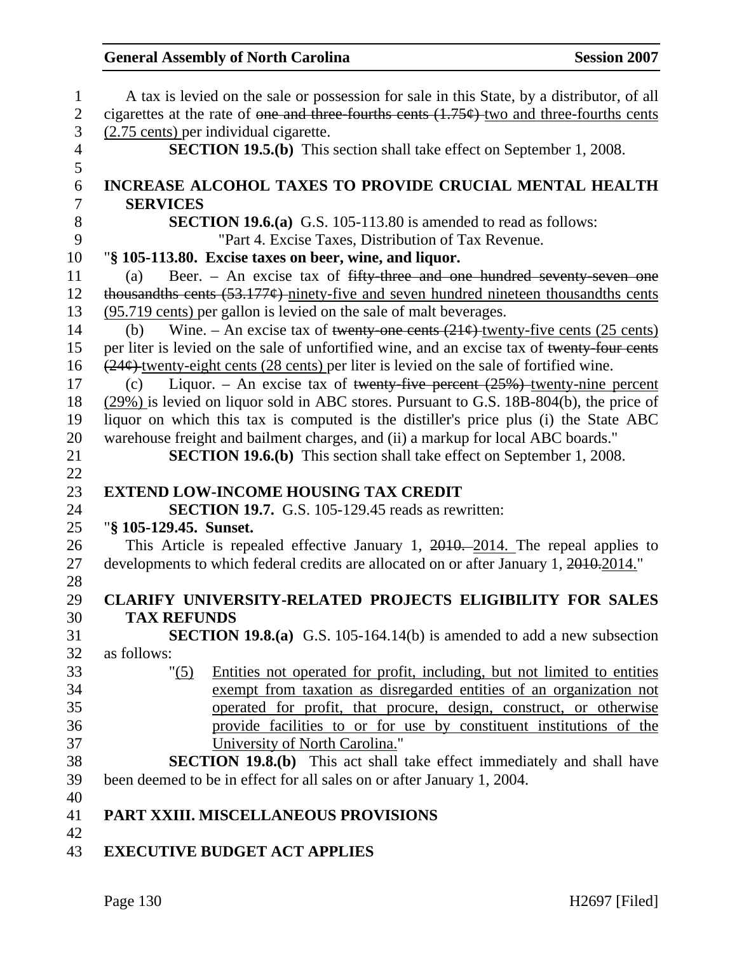| $\mathbf{1}$   | A tax is levied on the sale or possession for sale in this State, by a distributor, of all       |
|----------------|--------------------------------------------------------------------------------------------------|
| $\mathbf{2}$   | cigarettes at the rate of one and three fourths cents $(1.75)$ two and three-fourths cents       |
| 3              | (2.75 cents) per individual cigarette.                                                           |
| $\overline{4}$ | <b>SECTION 19.5.(b)</b> This section shall take effect on September 1, 2008.                     |
| 5              |                                                                                                  |
| 6              | <b>INCREASE ALCOHOL TAXES TO PROVIDE CRUCIAL MENTAL HEALTH</b>                                   |
| $\overline{7}$ | <b>SERVICES</b>                                                                                  |
| 8              | <b>SECTION 19.6.(a)</b> G.S. 105-113.80 is amended to read as follows:                           |
| 9              | "Part 4. Excise Taxes, Distribution of Tax Revenue.                                              |
| 10             | "§ 105-113.80. Excise taxes on beer, wine, and liquor.                                           |
| 11             | Beer. - An excise tax of fifty-three and one hundred seventy-seven one<br>(a)                    |
| 12             | thousandths cents $(53.177)$ ninety-five and seven hundred nineteen thousandths cents            |
| 13             | (95.719 cents) per gallon is levied on the sale of malt beverages.                               |
| 14             | Wine. – An excise tax of twenty-one cents $(21¢)$ -twenty-five cents $(25 \text{ cents})$<br>(b) |
| 15             | per liter is levied on the sale of unfortified wine, and an excise tax of twenty-four cents      |
| 16             | $(24¢)$ twenty-eight cents (28 cents) per liter is levied on the sale of fortified wine.         |
| 17             | Liquor. – An excise tax of twenty-five percent $(25%)$ -twenty-nine percent<br>(c)               |
| 18             | $(29\%)$ is levied on liquor sold in ABC stores. Pursuant to G.S. 18B-804(b), the price of       |
| 19             | liquor on which this tax is computed is the distiller's price plus (i) the State ABC             |
| 20             | warehouse freight and bailment charges, and (ii) a markup for local ABC boards."                 |
| 21             | <b>SECTION 19.6.(b)</b> This section shall take effect on September 1, 2008.                     |
|                |                                                                                                  |
| 22             |                                                                                                  |
|                | <b>EXTEND LOW-INCOME HOUSING TAX CREDIT</b>                                                      |
| 23<br>24       |                                                                                                  |
| 25             | SECTION 19.7. G.S. 105-129.45 reads as rewritten:<br>"§ 105-129.45. Sunset.                      |
| 26             |                                                                                                  |
| 27             | This Article is repealed effective January 1, 2010. 2014. The repeal applies to                  |
| 28             | developments to which federal credits are allocated on or after January 1, 2010.2014."           |
| 29             | <b>CLARIFY UNIVERSITY-RELATED PROJECTS ELIGIBILITY FOR SALES</b>                                 |
| 30             | <b>TAX REFUNDS</b>                                                                               |
| 31             | <b>SECTION 19.8.(a)</b> G.S. 105-164.14(b) is amended to add a new subsection                    |
| 32             | as follows:                                                                                      |
| 33             | Entities not operated for profit, including, but not limited to entities<br>" (5)                |
| 34             | exempt from taxation as disregarded entities of an organization not                              |
| 35             | operated for profit, that procure, design, construct, or otherwise                               |
| 36             | provide facilities to or for use by constituent institutions of the                              |
| 37             | University of North Carolina."                                                                   |
| 38             | <b>SECTION 19.8.(b)</b> This act shall take effect immediately and shall have                    |
| 39             | been deemed to be in effect for all sales on or after January 1, 2004.                           |
| 40             |                                                                                                  |
| 41             | PART XXIII. MISCELLANEOUS PROVISIONS                                                             |
| 42             |                                                                                                  |